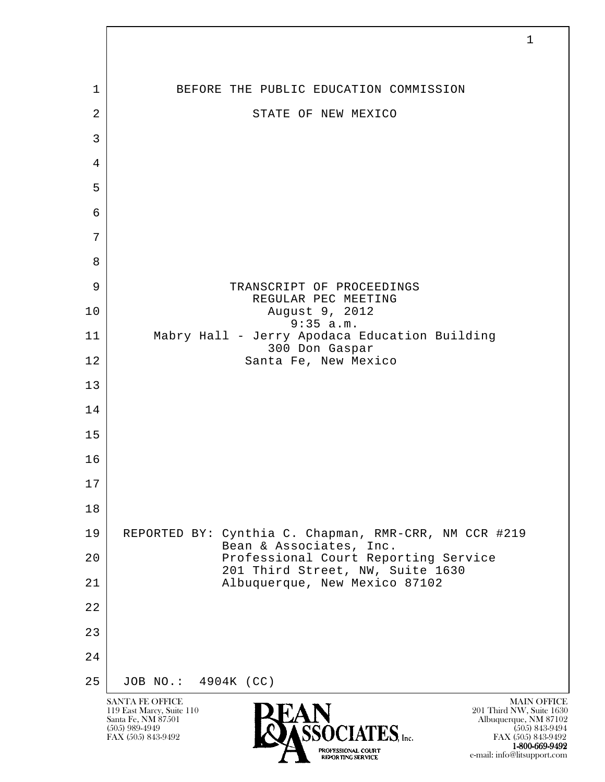l SANTA FE OFFICE MAIN OFFICE MAIN OFFICE MAIN OFFICE MAIN OFFICE 119 East Marcy, Suite 110<br>Santa Fe, NM 87501 Santa Fe, NM 87501 Albuquerque, NM 87102  $\sum_{\text{FAX (505) 843-9492}} \sum_{\text{FAX (505) 843-9492}} \sum_{\text{FAX (505) 843-9492}} \sum_{\text{FAX (505) 843-9492}}$ FAX (505) 843-9492 1 BEFORE THE PUBLIC EDUCATION COMMISSION 2 STATE OF NEW MEXICO 3 4 5 6 7 8 9 | TRANSCRIPT OF PROCEEDINGS REGULAR PEC MEETING 10 August 9, 2012 9:35 a.m. 11 Mabry Hall - Jerry Apodaca Education Building 300 Don Gaspar 12 Santa Fe, New Mexico 13 14 15 16 17 18 19 REPORTED BY: Cynthia C. Chapman, RMR-CRR, NM CCR #219 Bean & Associates, Inc. 20 | Professional Court Reporting Service 201 Third Street, NW, Suite 1630<br>21 Albuquerque, New Mexico 87102 21 Albuquerque, New Mexico 87102 22 23 24 25 JOB NO.: 4904K (CC)

1-800-669-9492

e-mail: info@litsupport.com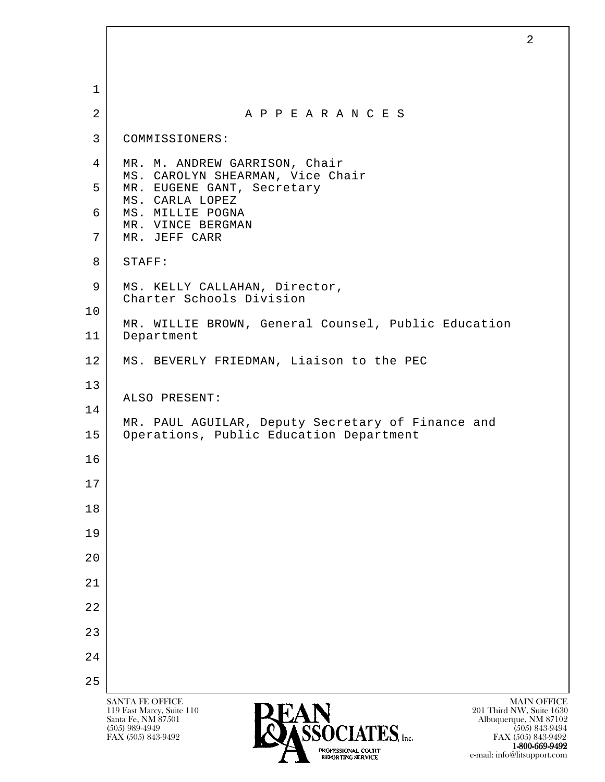l SANTA FE OFFICE MAIN OFFICE MAIN OFFICE MAIN OFFICE MAIN OFFICE 119 East Marcy, Suite 110<br>Santa Fe, NM 87501 Santa Fe, NM 87501 Albuquerque, NM 87102  $\sum_{\text{FAX (505) 843-9492}}$   $\sum_{\text{FAX (505) 843-9492}}$   $\sum_{\text{FAX (505) 843-9492}}$  1 2 A P P E A R A N C E S 3 COMMISSIONERS: 4 | MR. M. ANDREW GARRISON, Chair MS. CAROLYN SHEARMAN, Vice Chair 5 | MR. EUGENE GANT, Secretary MS. CARLA LOPEZ 6 | MS. MILLIE POGNA MR. VINCE BERGMAN 7 MR. JEFF CARR 8 STAFF: 9 | MS. KELLY CALLAHAN, Director, Charter Schools Division 10 MR. WILLIE BROWN, General Counsel, Public Education 11 Department 12 | MS. BEVERLY FRIEDMAN, Liaison to the PEC 13 ALSO PRESENT: 14 MR. PAUL AGUILAR, Deputy Secretary of Finance and 15 | Operations, Public Education Department 16 17 18 19 20 21 22 23 24 25

FAX (505) 843-9492 FAX (505) 843-9492 1-800-669-9492 e-mail: info@litsupport.com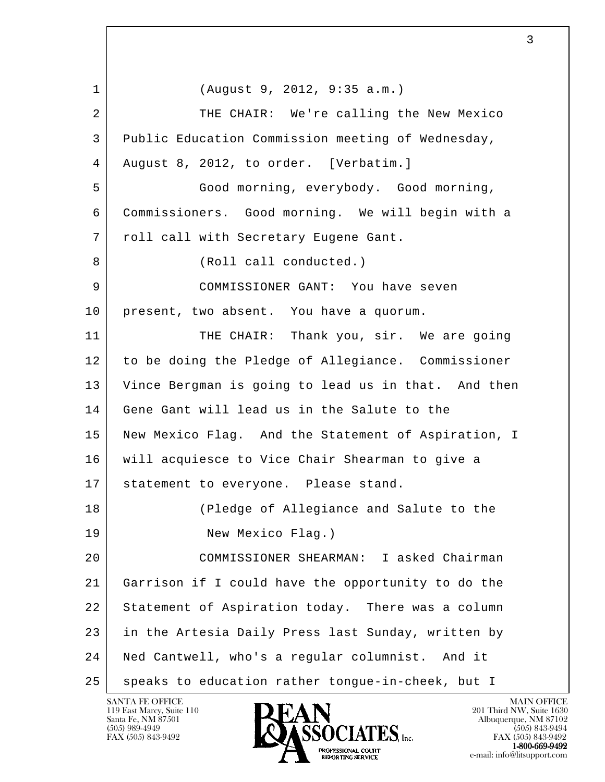l 1 (August 9, 2012, 9:35 a.m.) 2 THE CHAIR: We're calling the New Mexico 3 Public Education Commission meeting of Wednesday, 4 August 8, 2012, to order. [Verbatim.] 5 Good morning, everybody. Good morning, 6 Commissioners. Good morning. We will begin with a 7 | roll call with Secretary Eugene Gant. 8 (Roll call conducted.) 9 COMMISSIONER GANT: You have seven 10 | present, two absent. You have a quorum. 11 THE CHAIR: Thank you, sir. We are going 12 to be doing the Pledge of Allegiance. Commissioner 13 Vince Bergman is going to lead us in that. And then 14 Gene Gant will lead us in the Salute to the 15 New Mexico Flag. And the Statement of Aspiration, I 16 will acquiesce to Vice Chair Shearman to give a 17 statement to everyone. Please stand. 18 (Pledge of Allegiance and Salute to the 19 New Mexico Flag.) 20 COMMISSIONER SHEARMAN: I asked Chairman 21 Garrison if I could have the opportunity to do the 22 Statement of Aspiration today. There was a column 23 in the Artesia Daily Press last Sunday, written by 24 Ned Cantwell, who's a regular columnist. And it 25 | speaks to education rather tongue-in-cheek, but I

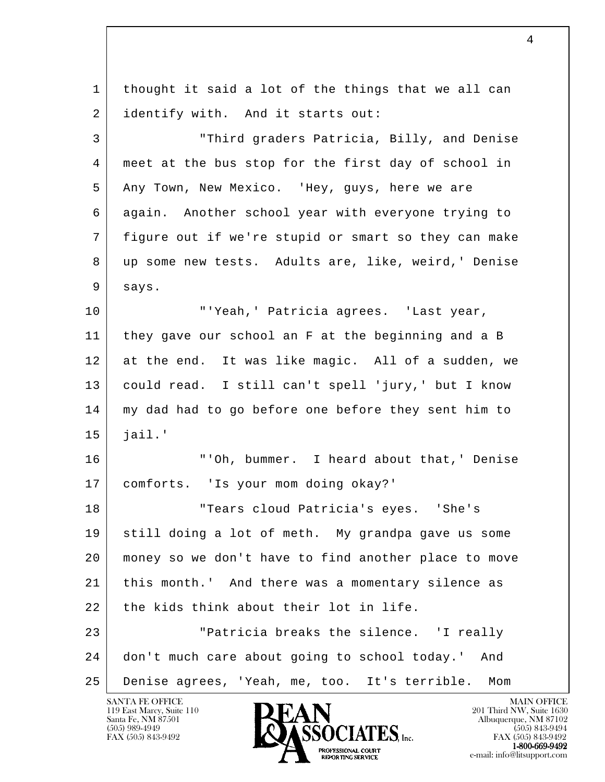l 1 thought it said a lot of the things that we all can 2 identify with. And it starts out: 3 "Third graders Patricia, Billy, and Denise 4 meet at the bus stop for the first day of school in 5 Any Town, New Mexico. 'Hey, guys, here we are 6 again. Another school year with everyone trying to 7 figure out if we're stupid or smart so they can make 8 up some new tests. Adults are, like, weird,' Denise 9 says. 10 "'Yeah,' Patricia agrees. 'Last year, 11 they gave our school an F at the beginning and a B 12 at the end. It was like magic. All of a sudden, we 13 could read. I still can't spell 'jury,' but I know 14 my dad had to go before one before they sent him to  $15$  jail.' 16 "'Oh, bummer. I heard about that,' Denise 17 comforts. 'Is your mom doing okay?' 18 Tears cloud Patricia's eyes. 'She's 19 still doing a lot of meth. My grandpa gave us some 20 money so we don't have to find another place to move 21 this month.' And there was a momentary silence as 22 the kids think about their lot in life. 23 "Patricia breaks the silence. 'I really 24 don't much care about going to school today.' And 25 Denise agrees, 'Yeah, me, too. It's terrible. Mom

119 East Marcy, Suite 110<br>Santa Fe, NM 87501

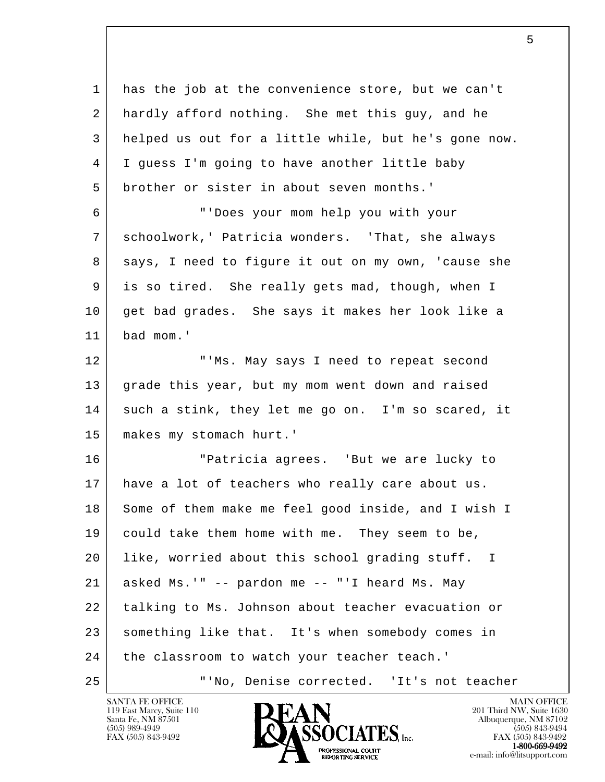l 1 has the job at the convenience store, but we can't 2 hardly afford nothing. She met this guy, and he 3 helped us out for a little while, but he's gone now. 4 I guess I'm going to have another little baby 5 brother or sister in about seven months.' 6 "'Does your mom help you with your 7 schoolwork,' Patricia wonders. 'That, she always 8 says, I need to figure it out on my own, 'cause she 9 is so tired. She really gets mad, though, when I 10 get bad grades. She says it makes her look like a 11 bad mom.' 12 "'Ms. May says I need to repeat second 13 grade this year, but my mom went down and raised 14 such a stink, they let me go on. I'm so scared, it 15 | makes my stomach hurt.' 16 "Patricia agrees. 'But we are lucky to 17 have a lot of teachers who really care about us. 18 Some of them make me feel good inside, and I wish I 19 could take them home with me. They seem to be, 20 like, worried about this school grading stuff. I  $21$  asked Ms.'" -- pardon me -- "'I heard Ms. May 22 | talking to Ms. Johnson about teacher evacuation or 23 something like that. It's when somebody comes in 24 the classroom to watch your teacher teach.' 25 "'No, Denise corrected. 'It's not teacher

119 East Marcy, Suite 110<br>Santa Fe, NM 87501

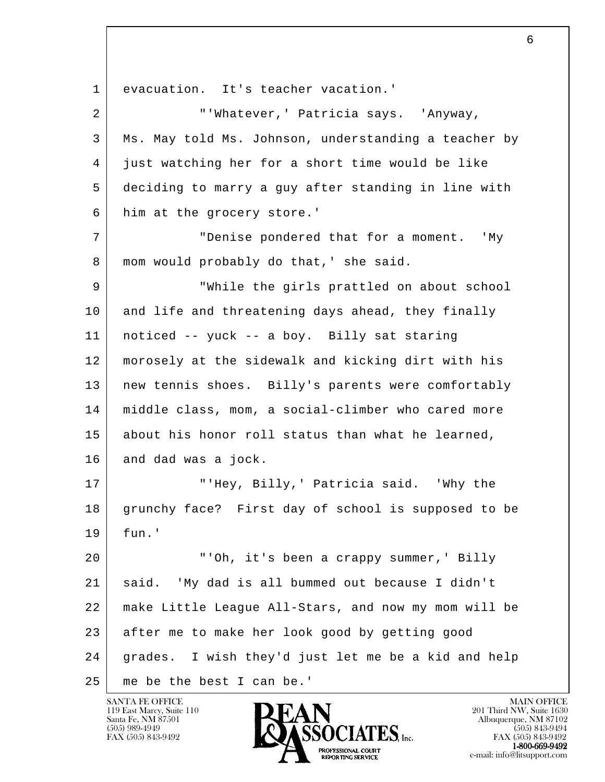l 1 evacuation. It's teacher vacation.' 2 | TWhatever, 'Patricia says. 'Anyway, 3 Ms. May told Ms. Johnson, understanding a teacher by 4 just watching her for a short time would be like 5 deciding to marry a guy after standing in line with 6 him at the grocery store.' 7 "Denise pondered that for a moment. 'My 8 | mom would probably do that, ' she said. 9 "While the girls prattled on about school 10 and life and threatening days ahead, they finally 11 noticed -- yuck -- a boy. Billy sat staring 12 morosely at the sidewalk and kicking dirt with his 13 | new tennis shoes. Billy's parents were comfortably 14 middle class, mom, a social-climber who cared more 15 about his honor roll status than what he learned, 16 and dad was a jock. 17 | THey, Billy, ' Patricia said. 'Why the 18 grunchy face? First day of school is supposed to be 19 fun.' 20 "'Oh, it's been a crappy summer,' Billy 21 said. 'My dad is all bummed out because I didn't 22 make Little League All-Stars, and now my mom will be 23 after me to make her look good by getting good 24 grades. I wish they'd just let me be a kid and help 25 me be the best I can be.'

119 East Marcy, Suite 110<br>Santa Fe, NM 87501

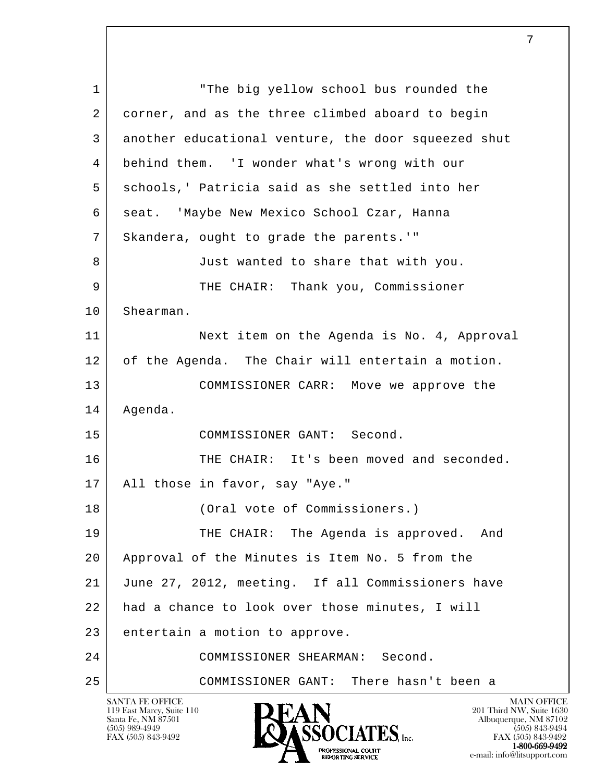l SANTA FE OFFICE MAIN OFFICE MAIN OFFICE MAIN OFFICE MAIN OFFICE 119 East Marcy, Suite 110<br>Santa Fe, NM 87501 1 The big yellow school bus rounded the 2 corner, and as the three climbed aboard to begin 3 another educational venture, the door squeezed shut 4 behind them. 'I wonder what's wrong with our 5 schools,' Patricia said as she settled into her 6 | seat. 'Maybe New Mexico School Czar, Hanna 7 Skandera, ought to grade the parents.'" 8 Just wanted to share that with you. 9 THE CHAIR: Thank you, Commissioner 10 Shearman. 11 Next item on the Agenda is No. 4, Approval 12 of the Agenda. The Chair will entertain a motion. 13 COMMISSIONER CARR: Move we approve the 14 Agenda. 15 COMMISSIONER GANT: Second. 16 THE CHAIR: It's been moved and seconded. 17 All those in favor, say "Aye." 18 (Oral vote of Commissioners.) 19 THE CHAIR: The Agenda is approved. And 20 Approval of the Minutes is Item No. 5 from the 21 June 27, 2012, meeting. If all Commissioners have 22 had a chance to look over those minutes, I will 23 entertain a motion to approve. 24 COMMISSIONER SHEARMAN: Second. 25 COMMISSIONER GANT: There hasn't been a

Santa Fe, NM 87501 Albuquerque, NM 87102  $\overline{\text{S5OCIATES}}_{\text{Inc}}$  [505) 843-9492 [505] 843-9492 [505] 843-9492 [505] 843-9492 **1-800-669-9492**<br> **EXALTENDAM CN BT**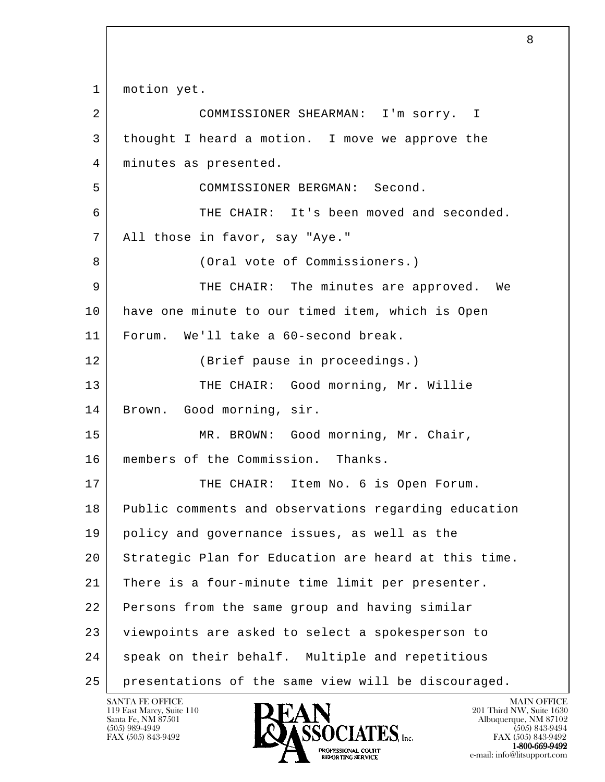l 1 | motion yet. 2 COMMISSIONER SHEARMAN: I'm sorry. I 3 thought I heard a motion. I move we approve the 4 | minutes as presented. 5 COMMISSIONER BERGMAN: Second. 6 THE CHAIR: It's been moved and seconded. 7 All those in favor, say "Aye." 8 (Oral vote of Commissioners.) 9 THE CHAIR: The minutes are approved. We 10 have one minute to our timed item, which is Open 11 Forum. We'll take a 60-second break. 12 (Brief pause in proceedings.) 13 | THE CHAIR: Good morning, Mr. Willie 14 Brown. Good morning, sir. 15 MR. BROWN: Good morning, Mr. Chair, 16 | members of the Commission. Thanks. 17 THE CHAIR: Item No. 6 is Open Forum. 18 Public comments and observations regarding education 19 policy and governance issues, as well as the 20 Strategic Plan for Education are heard at this time. 21 There is a four-minute time limit per presenter. 22 Persons from the same group and having similar 23 | viewpoints are asked to select a spokesperson to 24 speak on their behalf. Multiple and repetitious 25 presentations of the same view will be discouraged.

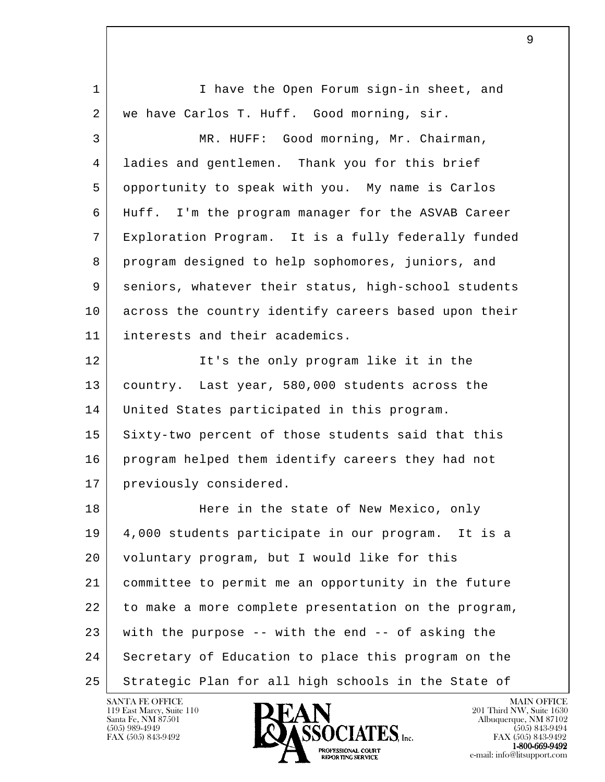| $\mathbf 1$ | I have the Open Forum sign-in sheet, and                |
|-------------|---------------------------------------------------------|
| 2           | we have Carlos T. Huff. Good morning, sir.              |
| 3           | MR. HUFF: Good morning, Mr. Chairman,                   |
| 4           | ladies and gentlemen. Thank you for this brief          |
| 5           | opportunity to speak with you. My name is Carlos        |
| 6           | Huff. I'm the program manager for the ASVAB Career      |
| 7           | Exploration Program. It is a fully federally funded     |
| 8           | program designed to help sophomores, juniors, and       |
| 9           | seniors, whatever their status, high-school students    |
| 10          | across the country identify careers based upon their    |
| 11          | interests and their academics.                          |
| 12          | It's the only program like it in the                    |
| 13          | country. Last year, 580,000 students across the         |
| 14          | United States participated in this program.             |
| 15          | Sixty-two percent of those students said that this      |
| 16          | program helped them identify careers they had not       |
| 17          | previously considered.                                  |
| 18          | Here in the state of New Mexico, only                   |
| 19          | 4,000 students participate in our program. It is a      |
| 20          | voluntary program, but I would like for this            |
| 21          | committee to permit me an opportunity in the future     |
| 22          | to make a more complete presentation on the program,    |
| 23          | with the purpose $-$ - with the end $-$ - of asking the |
| 24          | Secretary of Education to place this program on the     |
| 25          | Strategic Plan for all high schools in the State of     |

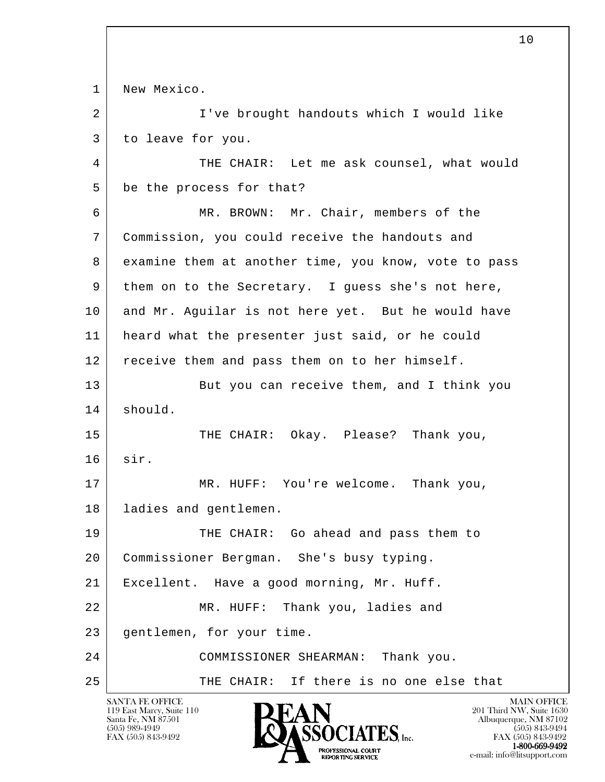l SANTA FE OFFICE MAIN OFFICE MAIN OFFICE MAIN OFFICE MAIN OFFICE 1 | New Mexico. 2 | I've brought handouts which I would like 3 to leave for you. 4 THE CHAIR: Let me ask counsel, what would 5 be the process for that? 6 MR. BROWN: Mr. Chair, members of the 7 Commission, you could receive the handouts and 8 examine them at another time, you know, vote to pass 9 them on to the Secretary. I guess she's not here, 10 | and Mr. Aguilar is not here yet. But he would have 11 heard what the presenter just said, or he could 12 receive them and pass them on to her himself. 13 But you can receive them, and I think you 14 should. 15 THE CHAIR: Okay. Please? Thank you, 16 sir. 17 MR. HUFF: You're welcome. Thank you, 18 | ladies and gentlemen. 19 THE CHAIR: Go ahead and pass them to 20 Commissioner Bergman. She's busy typing. 21 Excellent. Have a good morning, Mr. Huff. 22 MR. HUFF: Thank you, ladies and 23 gentlemen, for your time. 24 COMMISSIONER SHEARMAN: Thank you. 25 THE CHAIR: If there is no one else that

119 East Marcy, Suite 110<br>Santa Fe, NM 87501

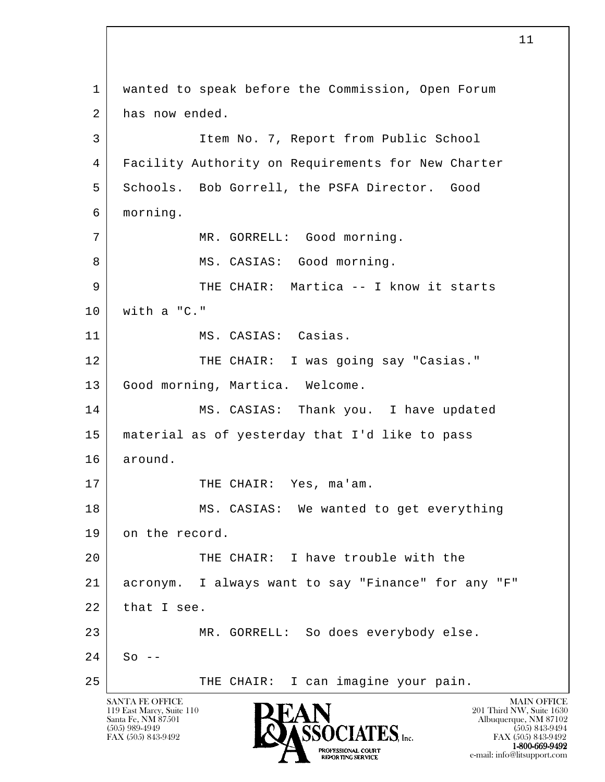l SANTA FE OFFICE MAIN OFFICE MAIN OFFICE MAIN OFFICE MAIN OFFICE 119 East Marcy, Suite 110<br>Santa Fe, NM 87501 Santa Fe, NM 87501 Albuquerque, NM 87102  $\sum_{\text{FAX (505) 843-9492}} \sum_{\text{FAX (505) 843-9492}} \sum_{\text{FAX (505) 843-9492}} \sum_{\text{FAX (505) 843-9492}} \sum_{\text{FAX (505) 843-9492}}$  1 wanted to speak before the Commission, Open Forum 2 has now ended. 3 Item No. 7, Report from Public School 4 Facility Authority on Requirements for New Charter 5 Schools. Bob Gorrell, the PSFA Director. Good 6 morning. 7 | MR. GORRELL: Good morning. 8 | MS. CASIAS: Good morning. 9 THE CHAIR: Martica -- I know it starts  $10$  with a "C." 11 | MS. CASIAS: Casias. 12 THE CHAIR: I was going say "Casias." 13 Good morning, Martica. Welcome. 14 MS. CASIAS: Thank you. I have updated 15 material as of yesterday that I'd like to pass 16 around. 17 THE CHAIR: Yes, ma'am. 18 MS. CASIAS: We wanted to get everything 19 on the record. 20 THE CHAIR: I have trouble with the 21 acronym. I always want to say "Finance" for any "F"  $22$  that I see. 23 MR. GORRELL: So does everybody else.  $24$  So  $-$ 25 | THE CHAIR: I can imagine your pain.

**1-800-669-9492**<br> **EXALTENDAM CN BT** 

FAX (505) 843-9492<br>1-800-669-9492

e-mail: info@litsupport.com<br>REPORTING SERVICE e-mail: info@litsupport.com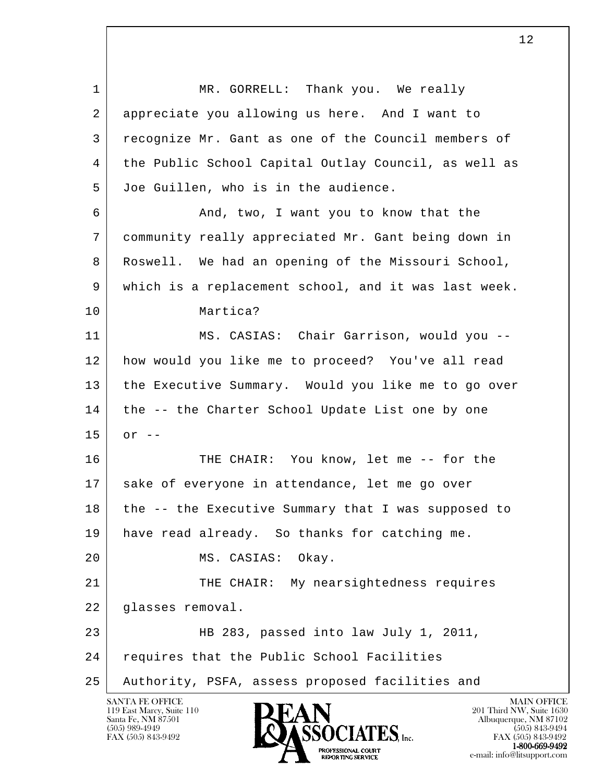l 1 MR. GORRELL: Thank you. We really 2 appreciate you allowing us here. And I want to 3 recognize Mr. Gant as one of the Council members of 4 the Public School Capital Outlay Council, as well as 5 Joe Guillen, who is in the audience. 6 And, two, I want you to know that the 7 community really appreciated Mr. Gant being down in 8 Roswell. We had an opening of the Missouri School, 9 which is a replacement school, and it was last week. 10 Martica? 11 | MS. CASIAS: Chair Garrison, would you -- 12 how would you like me to proceed? You've all read 13 the Executive Summary. Would you like me to go over 14 | the -- the Charter School Update List one by one  $15$  or  $-$ 16 THE CHAIR: You know, let me -- for the 17 sake of everyone in attendance, let me go over 18 the -- the Executive Summary that I was supposed to 19 have read already. So thanks for catching me. 20 MS. CASIAS: Okay. 21 THE CHAIR: My nearsightedness requires 22 glasses removal. 23 HB 283, passed into law July 1, 2011, 24 requires that the Public School Facilities 25 Authority, PSFA, assess proposed facilities and



FAX (505) 843-9492 FAX (505) 843-9492 1-800-669-9492<br>PROFESSIONAL COURT **EXPORTING SERVICE**<br>REPORTING SERVICE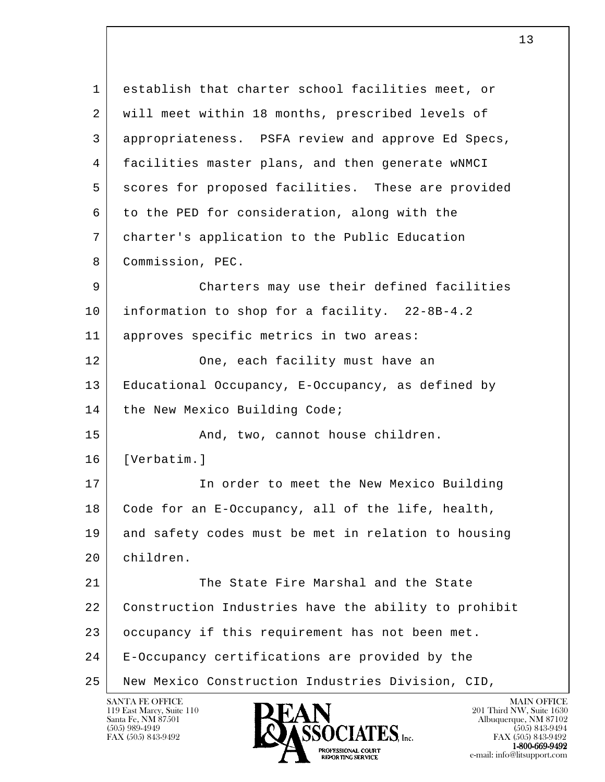l 1 establish that charter school facilities meet, or 2 | will meet within 18 months, prescribed levels of 3 appropriateness. PSFA review and approve Ed Specs, 4 facilities master plans, and then generate wNMCI 5 scores for proposed facilities. These are provided 6 to the PED for consideration, along with the 7 charter's application to the Public Education 8 Commission, PEC. 9 Charters may use their defined facilities 10 information to shop for a facility. 22-8B-4.2 11 approves specific metrics in two areas: 12 One, each facility must have an 13 Educational Occupancy, E-Occupancy, as defined by 14 | the New Mexico Building Code; 15 And, two, cannot house children. 16 [Verbatim.] 17 | The order to meet the New Mexico Building 18 Code for an E-Occupancy, all of the life, health, 19 and safety codes must be met in relation to housing 20 children. 21 The State Fire Marshal and the State 22 Construction Industries have the ability to prohibit 23 occupancy if this requirement has not been met. 24 E-Occupancy certifications are provided by the 25 New Mexico Construction Industries Division, CID,



FAX (505) 843-9492 FAX (505) 843-9492 PROFESSIONAL COURT  $1-800-669-9492$ **EXPORTING SERVICE**<br>REPORTING SERVICE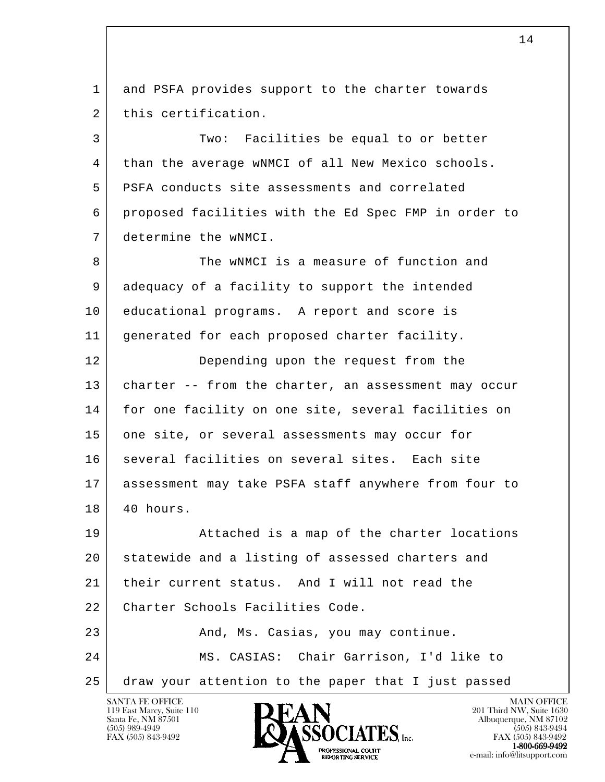l 1 and PSFA provides support to the charter towards 2 this certification. 3 Two: Facilities be equal to or better 4 than the average wNMCI of all New Mexico schools. 5 PSFA conducts site assessments and correlated 6 proposed facilities with the Ed Spec FMP in order to 7 determine the wNMCI. 8 The wNMCI is a measure of function and 9 adequacy of a facility to support the intended 10 educational programs. A report and score is 11 generated for each proposed charter facility. 12 Depending upon the request from the 13 charter -- from the charter, an assessment may occur 14 for one facility on one site, several facilities on 15 one site, or several assessments may occur for 16 | several facilities on several sites. Each site 17 assessment may take PSFA staff anywhere from four to 18 40 hours. 19 Attached is a map of the charter locations 20 statewide and a listing of assessed charters and 21 their current status. And I will not read the 22 Charter Schools Facilities Code. 23 And, Ms. Casias, you may continue. 24 MS. CASIAS: Chair Garrison, I'd like to 25 draw your attention to the paper that I just passed

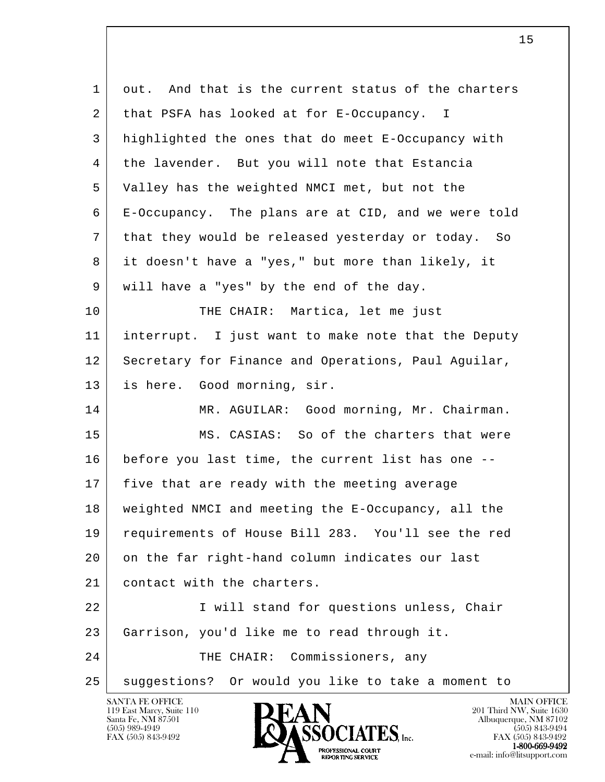| out. And that is the current status of the charters |
|-----------------------------------------------------|
|                                                     |
| highlighted the ones that do meet E-Occupancy with  |
| the lavender. But you will note that Estancia       |
| Valley has the weighted NMCI met, but not the       |
| E-Occupancy. The plans are at CID, and we were told |
| that they would be released yesterday or today. So  |
| it doesn't have a "yes," but more than likely, it   |
|                                                     |
|                                                     |
| interrupt. I just want to make note that the Deputy |
| Secretary for Finance and Operations, Paul Aguilar, |
|                                                     |
| MR. AGUILAR: Good morning, Mr. Chairman.            |
| MS. CASIAS: So of the charters that were            |
| before you last time, the current list has one --   |
|                                                     |
| weighted NMCI and meeting the E-Occupancy, all the  |
| requirements of House Bill 283. You'll see the red  |
| on the far right-hand column indicates our last     |
|                                                     |
| I will stand for questions unless, Chair            |
|                                                     |
|                                                     |
| suggestions? Or would you like to take a moment to  |
|                                                     |

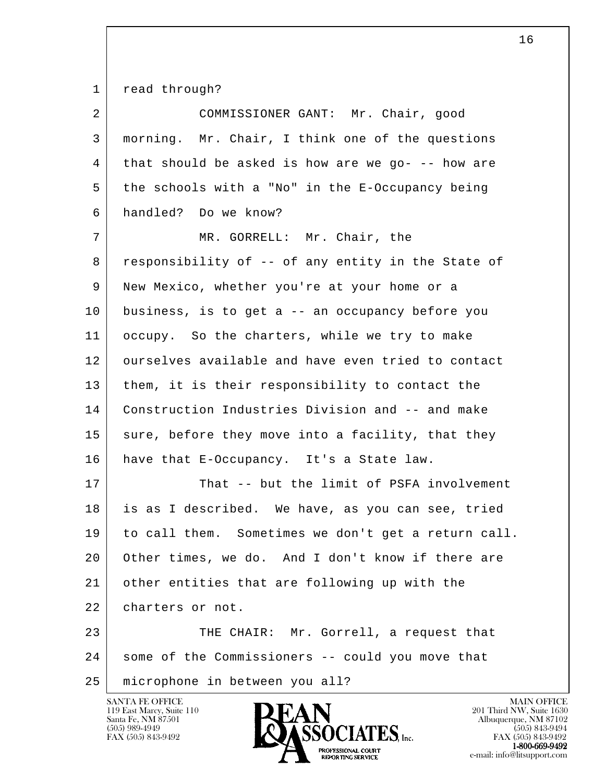1 read through?

| 2  | COMMISSIONER GANT: Mr. Chair, good                  |
|----|-----------------------------------------------------|
| 3  | morning. Mr. Chair, I think one of the questions    |
| 4  | that should be asked is how are we go- -- how are   |
| 5  | the schools with a "No" in the E-Occupancy being    |
| 6  | handled? Do we know?                                |
| 7  | MR. GORRELL: Mr. Chair, the                         |
| 8  | responsibility of -- of any entity in the State of  |
| 9  | New Mexico, whether you're at your home or a        |
| 10 | business, is to get a -- an occupancy before you    |
| 11 | occupy. So the charters, while we try to make       |
| 12 | ourselves available and have even tried to contact  |
| 13 | them, it is their responsibility to contact the     |
| 14 | Construction Industries Division and -- and make    |
| 15 | sure, before they move into a facility, that they   |
| 16 | have that E-Occupancy. It's a State law.            |
| 17 | That -- but the limit of PSFA involvement           |
| 18 | is as I described. We have, as you can see, tried   |
| 19 | to call them. Sometimes we don't get a return call. |
| 20 | Other times, we do. And I don't know if there are   |
| 21 | other entities that are following up with the       |
| 22 | charters or not.                                    |
| 23 | THE CHAIR: Mr. Gorrell, a request that              |
| 24 | some of the Commissioners -- could you move that    |
| 25 | microphone in between you all?                      |

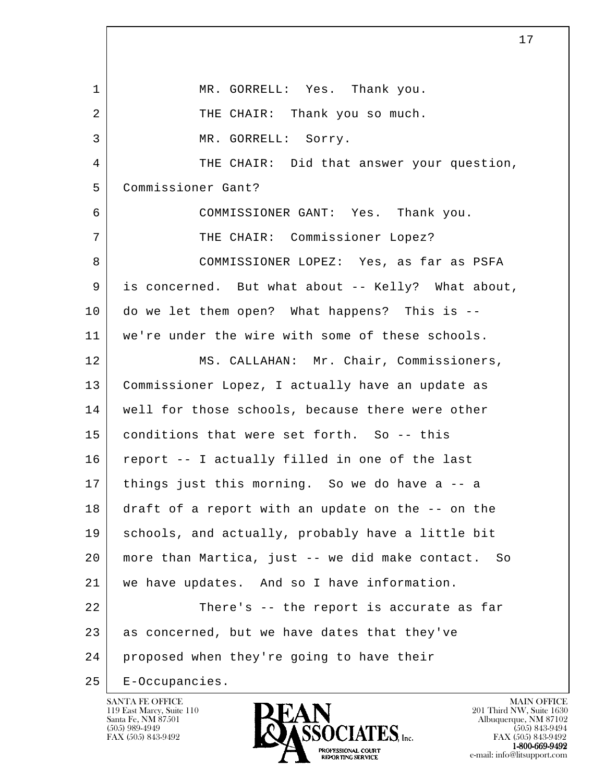l 1 MR. GORRELL: Yes. Thank you. 2 THE CHAIR: Thank you so much. 3 MR. GORRELL: Sorry. 4 THE CHAIR: Did that answer your question, 5 Commissioner Gant? 6 COMMISSIONER GANT: Yes. Thank you. 7 | THE CHAIR: Commissioner Lopez? 8 COMMISSIONER LOPEZ: Yes, as far as PSFA 9 is concerned. But what about -- Kelly? What about, 10 do we let them open? What happens? This is -- 11 we're under the wire with some of these schools. 12 MS. CALLAHAN: Mr. Chair, Commissioners, 13 Commissioner Lopez, I actually have an update as 14 | well for those schools, because there were other 15 conditions that were set forth. So -- this 16 report -- I actually filled in one of the last 17 things just this morning. So we do have a -- a 18 draft of a report with an update on the -- on the 19 schools, and actually, probably have a little bit 20 more than Martica, just -- we did make contact. So 21 we have updates. And so I have information. 22 There's -- the report is accurate as far 23 as concerned, but we have dates that they've 24 proposed when they're going to have their 25 E-Occupancies.

119 East Marcy, Suite 110<br>Santa Fe, NM 87501

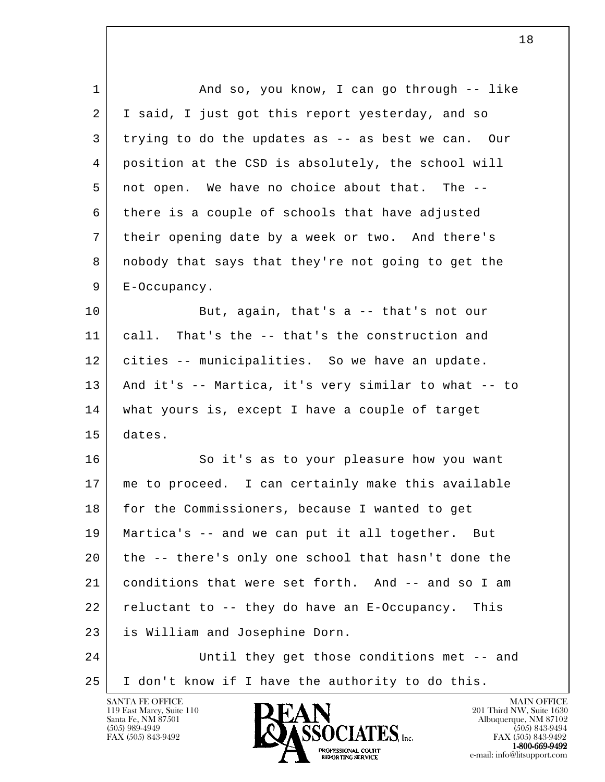| $\mathbf 1$ | And so, you know, I can go through -- like           |
|-------------|------------------------------------------------------|
| 2           | I said, I just got this report yesterday, and so     |
| 3           | trying to do the updates as -- as best we can. Our   |
| 4           | position at the CSD is absolutely, the school will   |
| 5           | not open. We have no choice about that. The --       |
| 6           | there is a couple of schools that have adjusted      |
| 7           | their opening date by a week or two. And there's     |
| 8           | nobody that says that they're not going to get the   |
| 9           | E-Occupancy.                                         |
| 10          | But, again, that's $a$ -- that's not our             |
| 11          | call.<br>That's the -- that's the construction and   |
| 12          | cities -- municipalities. So we have an update.      |
| 13          | And it's -- Martica, it's very similar to what -- to |
| 14          | what yours is, except I have a couple of target      |
| 15          | dates.                                               |
| 16          | So it's as to your pleasure how you want             |
| 17          | me to proceed. I can certainly make this available   |
| 18          | for the Commissioners, because I wanted to get       |
| 19          | Martica's -- and we can put it all together. But     |
| 20          | the -- there's only one school that hasn't done the  |
| 21          | conditions that were set forth. And -- and so I am   |
| 22          | reluctant to -- they do have an E-Occupancy. This    |
| 23          | is William and Josephine Dorn.                       |
| 24          | Until they get those conditions met -- and           |
| 25          | I don't know if I have the authority to do this.     |
|             | SANTA FE OFFICE<br><b>MAIN OFFICE</b>                |

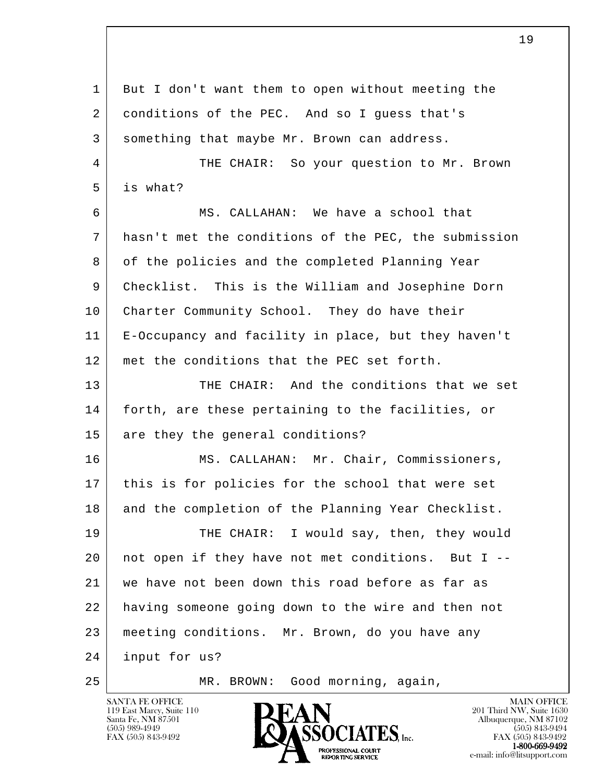l 1 But I don't want them to open without meeting the 2 conditions of the PEC. And so I quess that's 3 something that maybe Mr. Brown can address. 4 THE CHAIR: So your question to Mr. Brown 5 is what? 6 MS. CALLAHAN: We have a school that 7 hasn't met the conditions of the PEC, the submission 8 of the policies and the completed Planning Year 9 Checklist. This is the William and Josephine Dorn 10 Charter Community School. They do have their 11 E-Occupancy and facility in place, but they haven't 12 met the conditions that the PEC set forth. 13 THE CHAIR: And the conditions that we set 14 forth, are these pertaining to the facilities, or 15 are they the general conditions? 16 MS. CALLAHAN: Mr. Chair, Commissioners, 17 this is for policies for the school that were set 18 and the completion of the Planning Year Checklist. 19 THE CHAIR: I would say, then, they would 20 not open if they have not met conditions. But I -- 21 we have not been down this road before as far as 22 having someone going down to the wire and then not 23 meeting conditions. Mr. Brown, do you have any 24 input for us? 25 | MR. BROWN: Good morning, again,

119 East Marcy, Suite 110<br>Santa Fe, NM 87501



FAX (505) 843-9492 FAX (505) 843-9492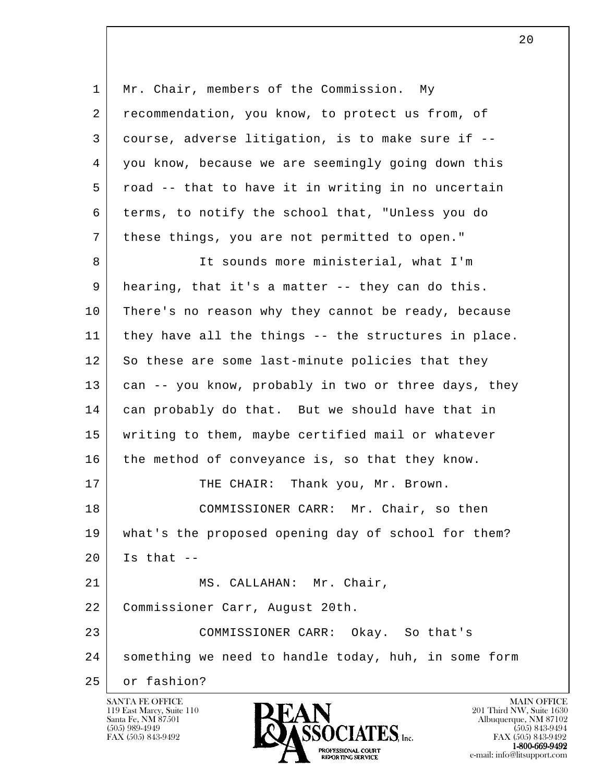| 1  | Mr. Chair, members of the Commission.<br>My          |
|----|------------------------------------------------------|
| 2  | recommendation, you know, to protect us from, of     |
| 3  | course, adverse litigation, is to make sure if --    |
| 4  | you know, because we are seemingly going down this   |
| 5  | road -- that to have it in writing in no uncertain   |
| 6  | terms, to notify the school that, "Unless you do     |
| 7  | these things, you are not permitted to open."        |
| 8  | It sounds more ministerial, what I'm                 |
| 9  | hearing, that it's a matter -- they can do this.     |
| 10 | There's no reason why they cannot be ready, because  |
| 11 | they have all the things -- the structures in place. |
| 12 | So these are some last-minute policies that they     |
| 13 | can -- you know, probably in two or three days, they |
| 14 | can probably do that. But we should have that in     |
| 15 | writing to them, maybe certified mail or whatever    |
| 16 | the method of conveyance is, so that they know.      |
| 17 | THE CHAIR: Thank you, Mr. Brown.                     |
| 18 | COMMISSIONER CARR: Mr. Chair, so then                |
| 19 | what's the proposed opening day of school for them?  |
| 20 | Is that $--$                                         |
| 21 | MS. CALLAHAN: Mr. Chair,                             |
| 22 | Commissioner Carr, August 20th.                      |
| 23 | COMMISSIONER CARR: Okay. So that's                   |
| 24 | something we need to handle today, huh, in some form |
| 25 | or fashion?                                          |

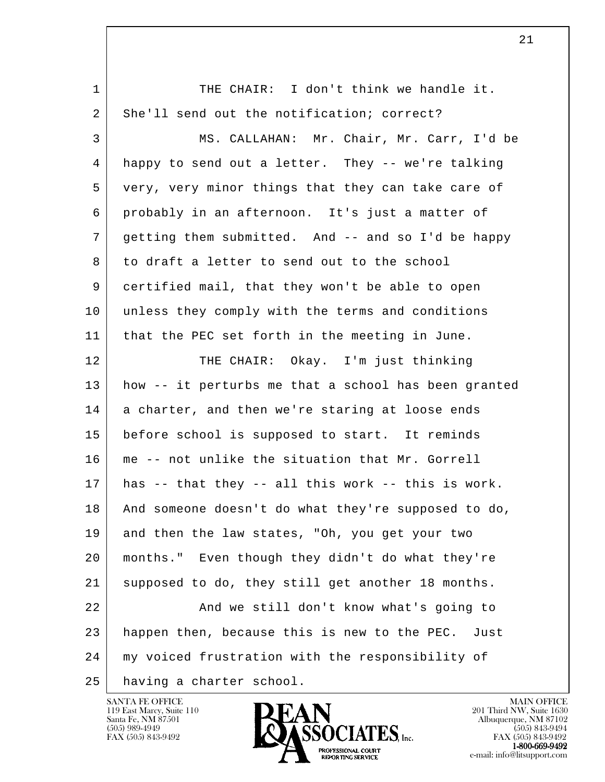| $\mathbf 1$ | THE CHAIR: I don't think we handle it.               |
|-------------|------------------------------------------------------|
| 2           | She'll send out the notification; correct?           |
| 3           | MS. CALLAHAN: Mr. Chair, Mr. Carr, I'd be            |
| 4           | happy to send out a letter. They -- we're talking    |
| 5           | very, very minor things that they can take care of   |
| 6           | probably in an afternoon. It's just a matter of      |
| 7           | getting them submitted. And -- and so I'd be happy   |
| 8           | to draft a letter to send out to the school          |
| 9           | certified mail, that they won't be able to open      |
| 10          | unless they comply with the terms and conditions     |
| 11          | that the PEC set forth in the meeting in June.       |
| 12          | THE CHAIR: Okay. I'm just thinking                   |
| 13          | how -- it perturbs me that a school has been granted |
| 14          | a charter, and then we're staring at loose ends      |
| 15          | before school is supposed to start. It reminds       |
| 16          | me -- not unlike the situation that Mr. Gorrell      |
| 17          | has -- that they -- all this work -- this is work.   |
| 18          | And someone doesn't do what they're supposed to do,  |
| 19          | and then the law states, "Oh, you get your two       |
| 20          | months." Even though they didn't do what they're     |
| 21          | supposed to do, they still get another 18 months.    |
| 22          | And we still don't know what's going to              |
| 23          | happen then, because this is new to the PEC. Just    |
| 24          | my voiced frustration with the responsibility of     |
| 25          | having a charter school.                             |

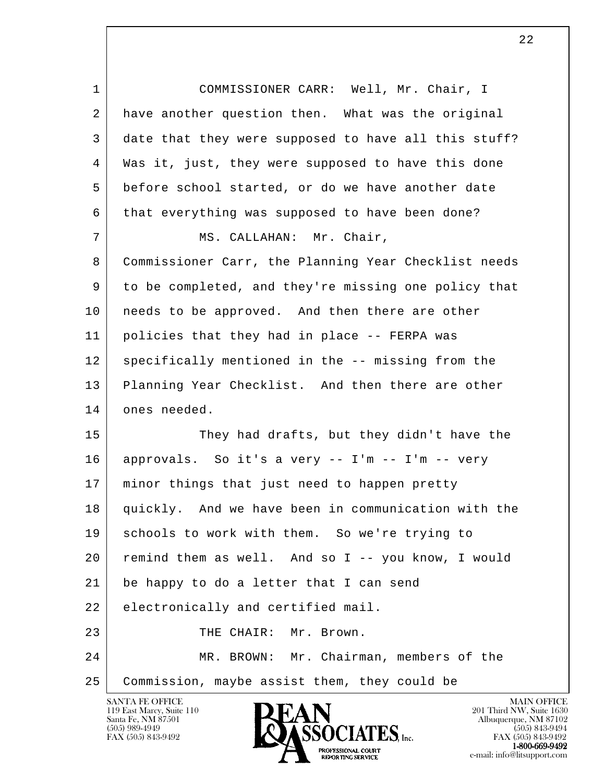l 1 COMMISSIONER CARR: Well, Mr. Chair, I 2 have another question then. What was the original 3 date that they were supposed to have all this stuff? 4 Was it, just, they were supposed to have this done 5 before school started, or do we have another date 6 that everything was supposed to have been done? 7 | MS. CALLAHAN: Mr. Chair, 8 Commissioner Carr, the Planning Year Checklist needs 9 to be completed, and they're missing one policy that 10 | needs to be approved. And then there are other 11 policies that they had in place -- FERPA was 12 specifically mentioned in the -- missing from the 13 Planning Year Checklist. And then there are other 14 ones needed. 15 They had drafts, but they didn't have the 16 approvals. So it's a very -- I'm -- I'm -- very 17 | minor things that just need to happen pretty 18 quickly. And we have been in communication with the 19 schools to work with them. So we're trying to 20 remind them as well. And so I -- you know, I would 21 be happy to do a letter that I can send 22 electronically and certified mail. 23 THE CHAIR: Mr. Brown. 24 MR. BROWN: Mr. Chairman, members of the 25 Commission, maybe assist them, they could be

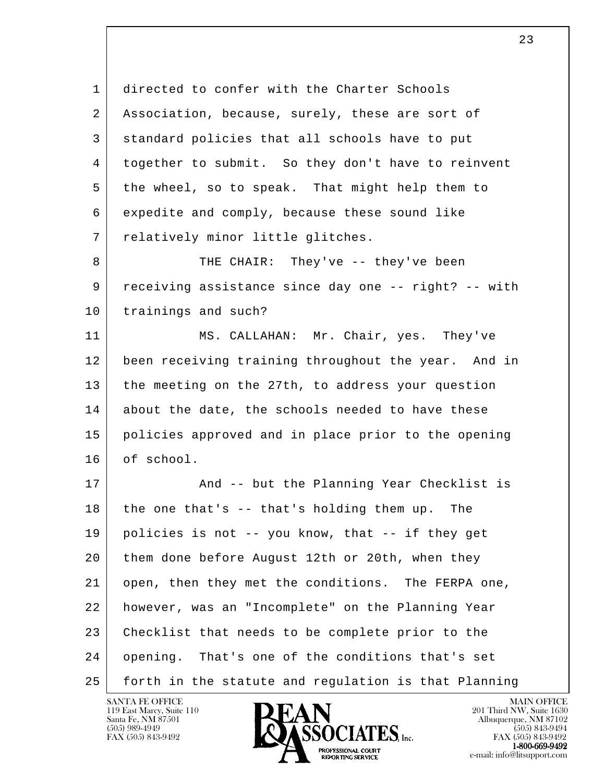1 directed to confer with the Charter Schools 2 | Association, because, surely, these are sort of 3 standard policies that all schools have to put 4 together to submit. So they don't have to reinvent 5 | the wheel, so to speak. That might help them to 6 expedite and comply, because these sound like 7 | relatively minor little glitches.

8 THE CHAIR: They've -- they've been 9 receiving assistance since day one -- right? -- with 10 | trainings and such?

11 MS. CALLAHAN: Mr. Chair, yes. They've 12 been receiving training throughout the year. And in 13 the meeting on the 27th, to address your question 14 about the date, the schools needed to have these 15 policies approved and in place prior to the opening 16 of school.

l 17 | The Planning Year Checklist is  $18$  the one that's  $-$  that's holding them up. The 19 policies is not -- you know, that -- if they get 20 them done before August 12th or 20th, when they 21 open, then they met the conditions. The FERPA one, 22 however, was an "Incomplete" on the Planning Year 23 Checklist that needs to be complete prior to the 24 opening. That's one of the conditions that's set 25 forth in the statute and regulation is that Planning

119 East Marcy, Suite 110<br>Santa Fe, NM 87501

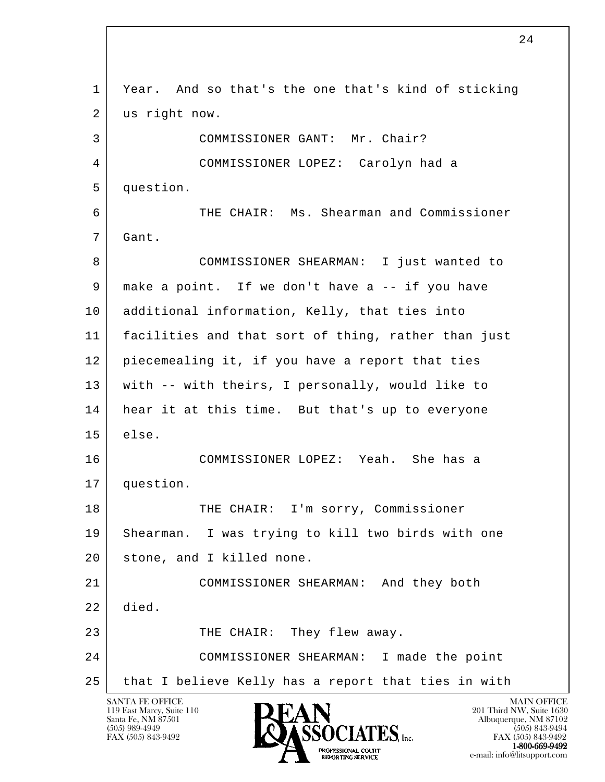l SANTA FE OFFICE MAIN OFFICE MAIN OFFICE MAIN OFFICE MAIN OFFICE 1 Year. And so that's the one that's kind of sticking 2 us right now. 3 COMMISSIONER GANT: Mr. Chair? 4 COMMISSIONER LOPEZ: Carolyn had a 5 question. 6 THE CHAIR: Ms. Shearman and Commissioner 7 Gant. 8 COMMISSIONER SHEARMAN: I just wanted to 9 make a point. If we don't have a -- if you have 10 additional information, Kelly, that ties into 11 facilities and that sort of thing, rather than just 12 piecemealing it, if you have a report that ties 13 with -- with theirs, I personally, would like to 14 hear it at this time. But that's up to everyone 15 else. 16 COMMISSIONER LOPEZ: Yeah. She has a 17 question. 18 THE CHAIR: I'm sorry, Commissioner 19 Shearman. I was trying to kill two birds with one 20 stone, and I killed none. 21 COMMISSIONER SHEARMAN: And they both 22 died. 23 THE CHAIR: They flew away. 24 COMMISSIONER SHEARMAN: I made the point 25 that I believe Kelly has a report that ties in with

119 East Marcy, Suite 110<br>Santa Fe, NM 87501

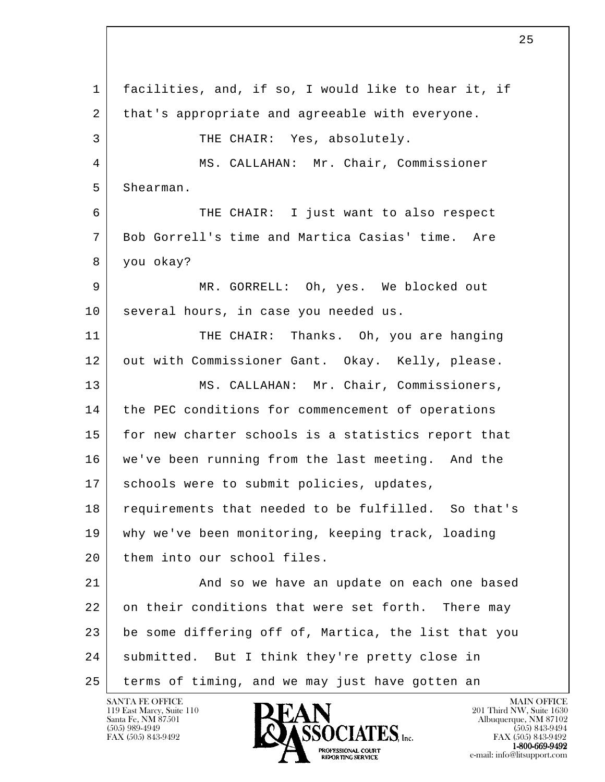l 1 facilities, and, if so, I would like to hear it, if 2 that's appropriate and agreeable with everyone. 3 THE CHAIR: Yes, absolutely. 4 MS. CALLAHAN: Mr. Chair, Commissioner 5 Shearman. 6 THE CHAIR: I just want to also respect 7 Bob Gorrell's time and Martica Casias' time. Are 8 you okay? 9 MR. GORRELL: Oh, yes. We blocked out 10 | several hours, in case you needed us. 11 THE CHAIR: Thanks. Oh, you are hanging 12 out with Commissioner Gant. Okay. Kelly, please. 13 | MS. CALLAHAN: Mr. Chair, Commissioners, 14 | the PEC conditions for commencement of operations 15 for new charter schools is a statistics report that 16 we've been running from the last meeting. And the 17 | schools were to submit policies, updates, 18 requirements that needed to be fulfilled. So that's 19 why we've been monitoring, keeping track, loading 20 them into our school files. 21 And so we have an update on each one based 22 on their conditions that were set forth. There may 23 be some differing off of, Martica, the list that you 24 | submitted. But I think they're pretty close in 25 terms of timing, and we may just have gotten an

119 East Marcy, Suite 110<br>Santa Fe, NM 87501



FAX (505) 843-9492<br>1-800-669-9492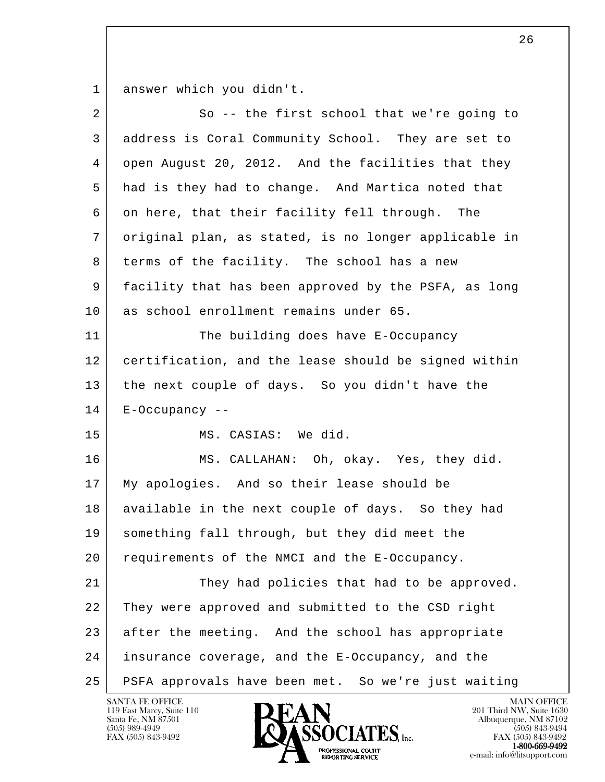1 answer which you didn't.

| 2  | So -- the first school that we're going to           |
|----|------------------------------------------------------|
| 3  | address is Coral Community School. They are set to   |
| 4  | open August 20, 2012. And the facilities that they   |
| 5  | had is they had to change. And Martica noted that    |
| 6  | on here, that their facility fell through. The       |
| 7  | original plan, as stated, is no longer applicable in |
| 8  | terms of the facility. The school has a new          |
| 9  | facility that has been approved by the PSFA, as long |
| 10 | as school enrollment remains under 65.               |
| 11 | The building does have E-Occupancy                   |
| 12 | certification, and the lease should be signed within |
| 13 | the next couple of days. So you didn't have the      |
| 14 | $E$ -Occupancy --                                    |
| 15 | MS. CASIAS: We did.                                  |
| 16 | MS. CALLAHAN: Oh, okay. Yes, they did.               |
| 17 | My apologies. And so their lease should be           |
| 18 | available in the next couple of days. So they had    |
| 19 | something fall through, but they did meet the        |
| 20 | requirements of the NMCI and the E-Occupancy.        |
| 21 | They had policies that had to be approved.           |
| 22 | They were approved and submitted to the CSD right    |
| 23 | after the meeting. And the school has appropriate    |
| 24 | insurance coverage, and the E-Occupancy, and the     |
| 25 | PSFA approvals have been met. So we're just waiting  |

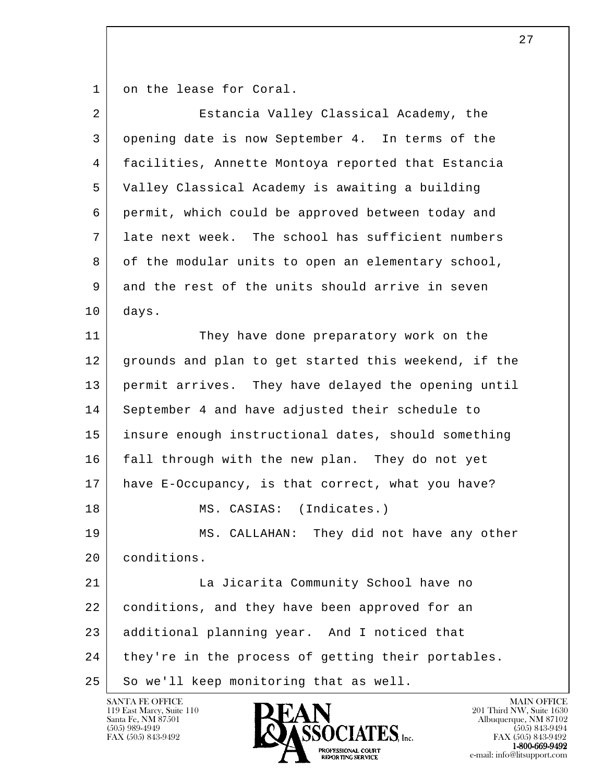1 on the lease for Coral.

| $\overline{2}$ | Estancia Valley Classical Academy, the               |
|----------------|------------------------------------------------------|
| 3              | opening date is now September 4. In terms of the     |
| 4              | facilities, Annette Montoya reported that Estancia   |
| 5              | Valley Classical Academy is awaiting a building      |
| 6              | permit, which could be approved between today and    |
| 7              | late next week. The school has sufficient numbers    |
| 8              | of the modular units to open an elementary school,   |
| 9              | and the rest of the units should arrive in seven     |
| 10             | days.                                                |
| 11             | They have done preparatory work on the               |
| 12             | grounds and plan to get started this weekend, if the |
| 13             | permit arrives. They have delayed the opening until  |
| 14             | September 4 and have adjusted their schedule to      |
| 15             | insure enough instructional dates, should something  |
| 16             | fall through with the new plan. They do not yet      |
| 17             | have E-Occupancy, is that correct, what you have?    |
| 18             | MS. CASIAS: (Indicates.)                             |
| 19             | MS. CALLAHAN: They did not have any other            |
| 20             | conditions.                                          |
| 21             | La Jicarita Community School have no                 |
| 22             | conditions, and they have been approved for an       |
| 23             | additional planning year. And I noticed that         |
| 24             | they're in the process of getting their portables.   |
| 25             | So we'll keep monitoring that as well.               |

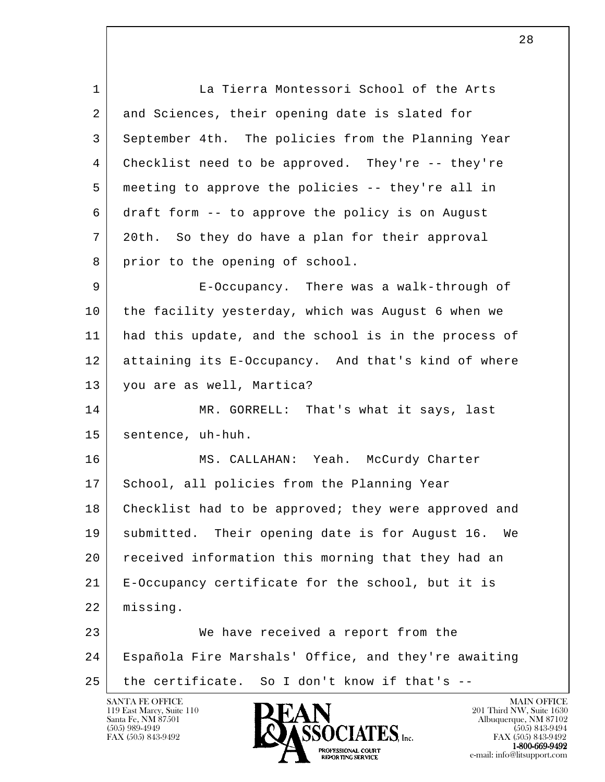l 1 La Tierra Montessori School of the Arts 2 and Sciences, their opening date is slated for 3 September 4th. The policies from the Planning Year 4 Checklist need to be approved. They're -- they're 5 meeting to approve the policies -- they're all in 6 draft form -- to approve the policy is on August 7 20th. So they do have a plan for their approval 8 prior to the opening of school. 9 E-Occupancy. There was a walk-through of 10 the facility yesterday, which was August 6 when we 11 had this update, and the school is in the process of 12 attaining its E-Occupancy. And that's kind of where 13 you are as well, Martica? 14 MR. GORRELL: That's what it says, last 15 sentence, uh-huh. 16 MS. CALLAHAN: Yeah. McCurdy Charter 17 School, all policies from the Planning Year 18 Checklist had to be approved; they were approved and 19 submitted. Their opening date is for August 16. We 20 received information this morning that they had an 21 E-Occupancy certificate for the school, but it is 22 missing. 23 We have received a report from the 24 Española Fire Marshals' Office, and they're awaiting 25 the certificate. So I don't know if that's --

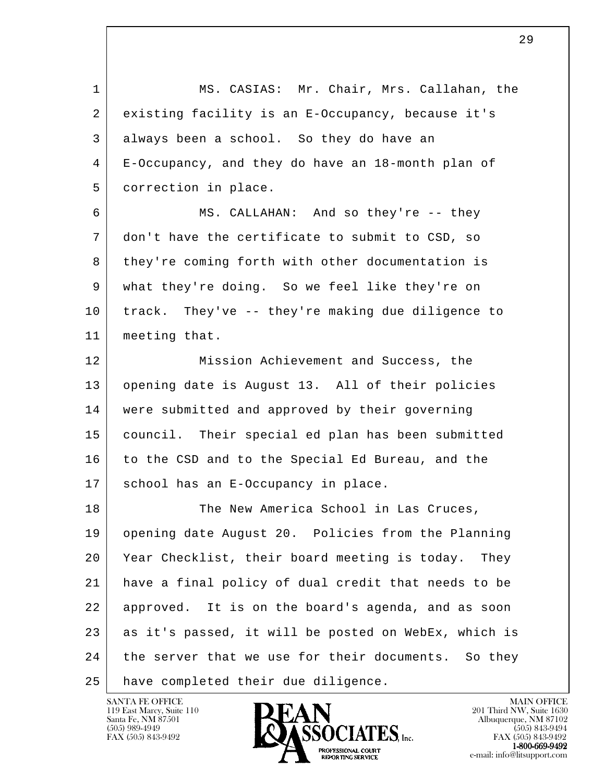| $\mathbf 1$ | MS. CASIAS: Mr. Chair, Mrs. Callahan, the             |
|-------------|-------------------------------------------------------|
| 2           | existing facility is an E-Occupancy, because it's     |
| 3           | always been a school. So they do have an              |
| 4           | E-Occupancy, and they do have an 18-month plan of     |
| 5           | correction in place.                                  |
| 6           | MS. CALLAHAN: And so they're -- they                  |
| 7           | don't have the certificate to submit to CSD, so       |
| 8           | they're coming forth with other documentation is      |
| 9           | what they're doing. So we feel like they're on        |
| 10          | track. They've -- they're making due diligence to     |
| 11          | meeting that.                                         |
| 12          | Mission Achievement and Success, the                  |
| 13          | opening date is August 13. All of their policies      |
| 14          | were submitted and approved by their governing        |
| 15          | council. Their special ed plan has been submitted     |
| 16          | to the CSD and to the Special Ed Bureau, and the      |
| 17          | school has an E-Occupancy in place.                   |
| 18          | The New America School in Las Cruces,                 |
| 19          | opening date August 20. Policies from the Planning    |
| 20          | Year Checklist, their board meeting is today.<br>They |
| 21          | have a final policy of dual credit that needs to be   |
| 22          | approved. It is on the board's agenda, and as soon    |
| 23          | as it's passed, it will be posted on WebEx, which is  |
| 24          | the server that we use for their documents. So they   |
| 25          | have completed their due diligence.                   |

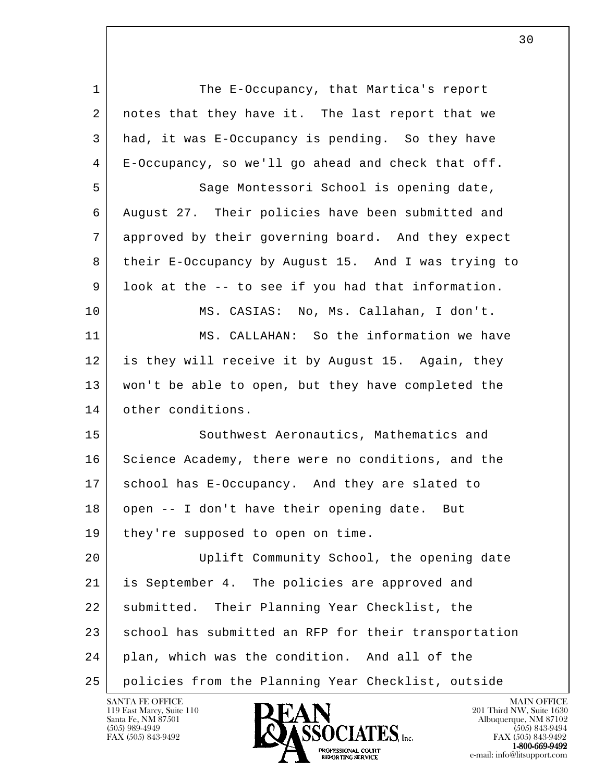l 1 The E-Occupancy, that Martica's report 2 | notes that they have it. The last report that we 3 had, it was E-Occupancy is pending. So they have 4 E-Occupancy, so we'll go ahead and check that off. 5 Sage Montessori School is opening date, 6 August 27. Their policies have been submitted and 7 approved by their governing board. And they expect 8 their E-Occupancy by August 15. And I was trying to 9 look at the -- to see if you had that information. 10 MS. CASIAS: No, Ms. Callahan, I don't. 11 MS. CALLAHAN: So the information we have 12 is they will receive it by August 15. Again, they 13 won't be able to open, but they have completed the 14 other conditions. 15 Southwest Aeronautics, Mathematics and 16 Science Academy, there were no conditions, and the 17 school has E-Occupancy. And they are slated to 18 | open -- I don't have their opening date. But 19 | they're supposed to open on time. 20 Uplift Community School, the opening date 21 is September 4. The policies are approved and 22 submitted. Their Planning Year Checklist, the 23 school has submitted an RFP for their transportation 24 plan, which was the condition. And all of the 25 policies from the Planning Year Checklist, outside

119 East Marcy, Suite 110<br>Santa Fe, NM 87501

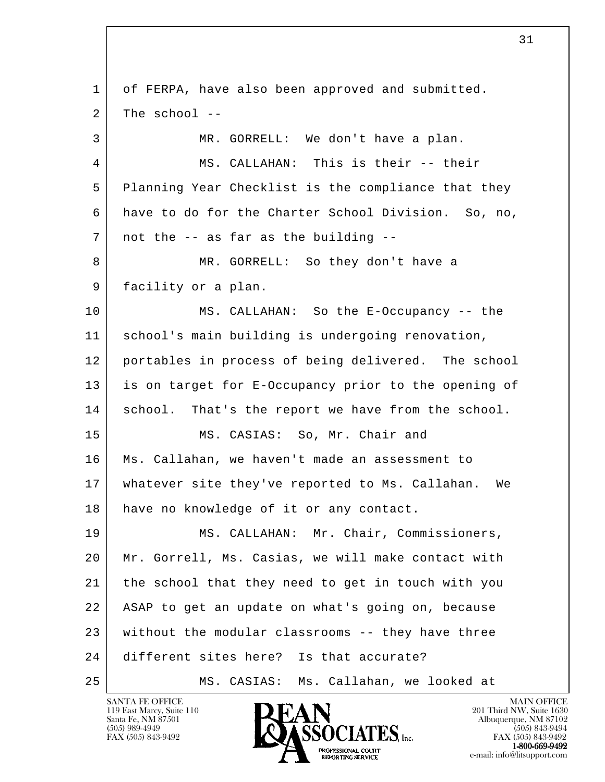l 1 of FERPA, have also been approved and submitted.  $2$  The school  $-$ 3 MR. GORRELL: We don't have a plan. 4 MS. CALLAHAN: This is their -- their 5 Planning Year Checklist is the compliance that they 6 have to do for the Charter School Division. So, no,  $7$  not the  $-$  as far as the building  $-$ 8 MR. GORRELL: So they don't have a 9 facility or a plan. 10 MS. CALLAHAN: So the E-Occupancy -- the 11 | school's main building is undergoing renovation, 12 portables in process of being delivered. The school 13 is on target for E-Occupancy prior to the opening of 14 school. That's the report we have from the school. 15 MS. CASIAS: So, Mr. Chair and 16 Ms. Callahan, we haven't made an assessment to 17 whatever site they've reported to Ms. Callahan. We 18 have no knowledge of it or any contact. 19 MS. CALLAHAN: Mr. Chair, Commissioners, 20 Mr. Gorrell, Ms. Casias, we will make contact with 21 the school that they need to get in touch with you 22 ASAP to get an update on what's going on, because 23 without the modular classrooms -- they have three 24 different sites here? Is that accurate? 25 MS. CASIAS: Ms. Callahan, we looked at



FAX (505) 843-9492 FAX (505) 843-9492 e-mail: info@litsupport.com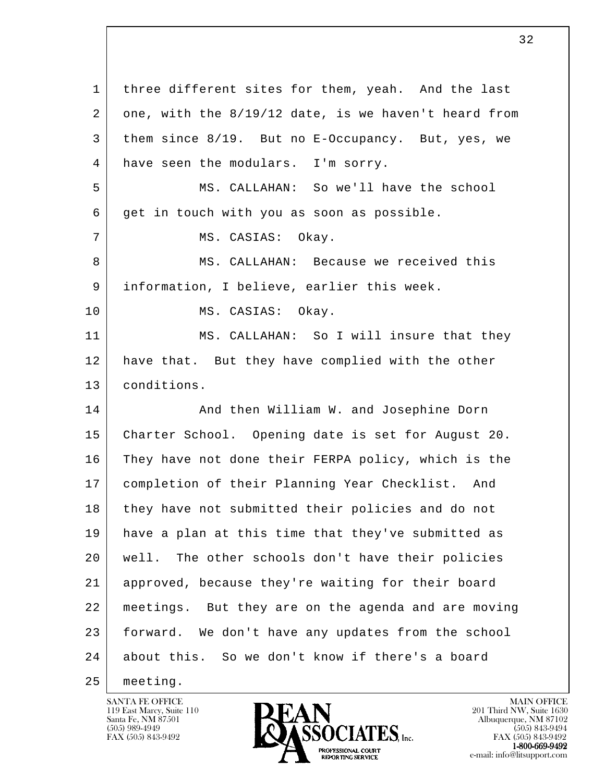| $\mathbf{1}$ | three different sites for them, yeah. And the last   |
|--------------|------------------------------------------------------|
| 2            | one, with the 8/19/12 date, is we haven't heard from |
| 3            | them since 8/19. But no E-Occupancy. But, yes, we    |
| 4            | have seen the modulars. I'm sorry.                   |
| 5            | MS. CALLAHAN: So we'll have the school               |
| 6            | get in touch with you as soon as possible.           |
| 7            | MS. CASIAS: Okay.                                    |
| 8            | MS. CALLAHAN: Because we received this               |
| 9            | information, I believe, earlier this week.           |
| 10           | MS. CASIAS: Okay.                                    |
| 11           | MS. CALLAHAN: So I will insure that they             |
| 12           | have that. But they have complied with the other     |
| 13           | conditions.                                          |
| 14           | And then William W. and Josephine Dorn               |
| 15           | Charter School. Opening date is set for August 20.   |
| 16           | They have not done their FERPA policy, which is the  |
| 17           | completion of their Planning Year Checklist. And     |
| 18           | they have not submitted their policies and do not    |
| 19           | have a plan at this time that they've submitted as   |
| 20           | The other schools don't have their policies<br>well. |
| 21           | approved, because they're waiting for their board    |
| 22           | meetings. But they are on the agenda and are moving  |
| 23           | forward. We don't have any updates from the school   |
| 24           | about this. So we don't know if there's a board      |
| 25           | meeting.                                             |

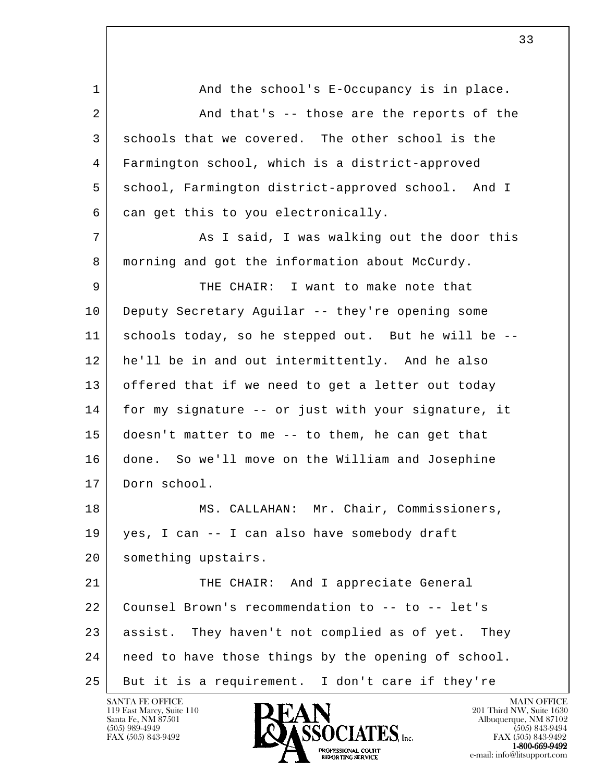l 1 and the school's E-Occupancy is in place. 2 And that's -- those are the reports of the 3 schools that we covered. The other school is the 4 Farmington school, which is a district-approved 5 school, Farmington district-approved school. And I  $6$  can get this to you electronically. 7 and T Said, I was walking out the door this 8 morning and got the information about McCurdy. 9 THE CHAIR: I want to make note that 10 Deputy Secretary Aguilar -- they're opening some 11 schools today, so he stepped out. But he will be -- 12 he'll be in and out intermittently. And he also 13 offered that if we need to get a letter out today 14 for my signature -- or just with your signature, it 15 doesn't matter to me -- to them, he can get that 16 done. So we'll move on the William and Josephine 17 Dorn school. 18 MS. CALLAHAN: Mr. Chair, Commissioners, 19 yes, I can -- I can also have somebody draft 20 | something upstairs. 21 THE CHAIR: And I appreciate General 22 Counsel Brown's recommendation to -- to -- let's 23 assist. They haven't not complied as of yet. They 24 | need to have those things by the opening of school. 25 But it is a requirement. I don't care if they're

119 East Marcy, Suite 110<br>Santa Fe, NM 87501

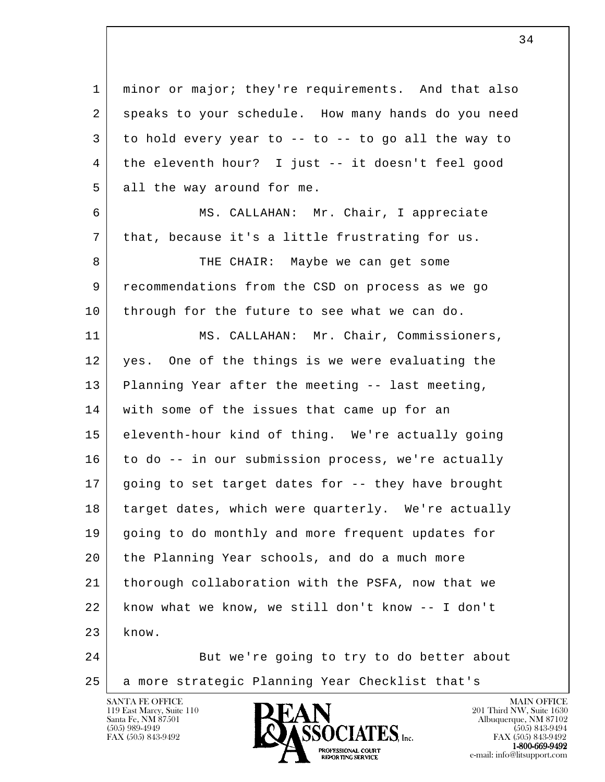l 1 minor or major; they're requirements. And that also 2 speaks to your schedule. How many hands do you need  $3$  to hold every year to -- to -- to go all the way to 4 the eleventh hour? I just -- it doesn't feel good 5 all the way around for me. 6 MS. CALLAHAN: Mr. Chair, I appreciate 7 | that, because it's a little frustrating for us. 8 THE CHAIR: Maybe we can get some 9 recommendations from the CSD on process as we go 10 through for the future to see what we can do. 11 | MS. CALLAHAN: Mr. Chair, Commissioners, 12 yes. One of the things is we were evaluating the 13 Planning Year after the meeting -- last meeting, 14 with some of the issues that came up for an 15 eleventh-hour kind of thing. We're actually going 16 to do -- in our submission process, we're actually 17 going to set target dates for -- they have brought 18 target dates, which were quarterly. We're actually 19 | going to do monthly and more frequent updates for 20 the Planning Year schools, and do a much more 21 thorough collaboration with the PSFA, now that we 22 know what we know, we still don't know -- I don't  $23$  know. 24 But we're going to try to do better about

119 East Marcy, Suite 110<br>Santa Fe, NM 87501



25 a more strategic Planning Year Checklist that's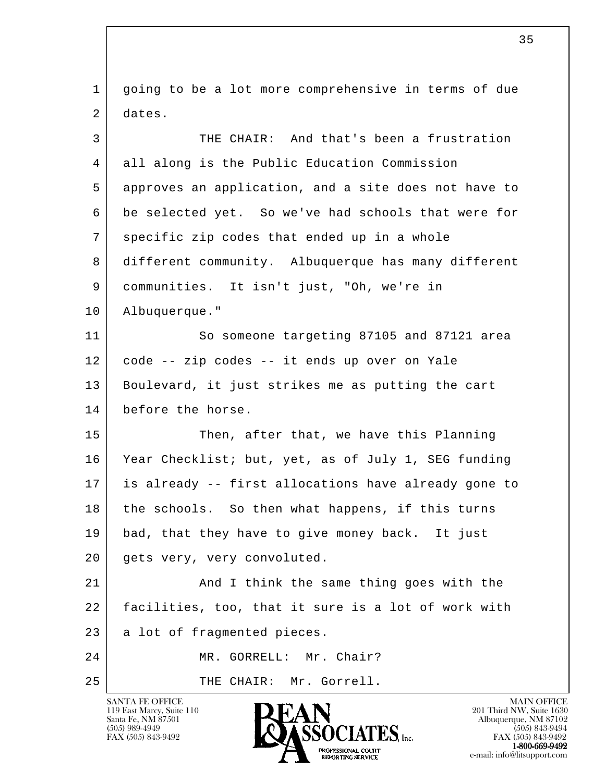l 1 going to be a lot more comprehensive in terms of due 2 dates. 3 THE CHAIR: And that's been a frustration 4 all along is the Public Education Commission 5 approves an application, and a site does not have to 6 be selected yet. So we've had schools that were for 7 specific zip codes that ended up in a whole 8 different community. Albuquerque has many different 9 communities. It isn't just, "Oh, we're in 10 Albuquerque." 11 So someone targeting 87105 and 87121 area 12 code -- zip codes -- it ends up over on Yale 13 | Boulevard, it just strikes me as putting the cart 14 before the horse. 15 Then, after that, we have this Planning 16 Year Checklist; but, yet, as of July 1, SEG funding 17 is already -- first allocations have already gone to 18 the schools. So then what happens, if this turns 19 bad, that they have to give money back. It just 20 gets very, very convoluted. 21 And I think the same thing goes with the 22 facilities, too, that it sure is a lot of work with 23 a lot of fragmented pieces. 24 MR. GORRELL: Mr. Chair? 25 | THE CHAIR: Mr. Gorrell.

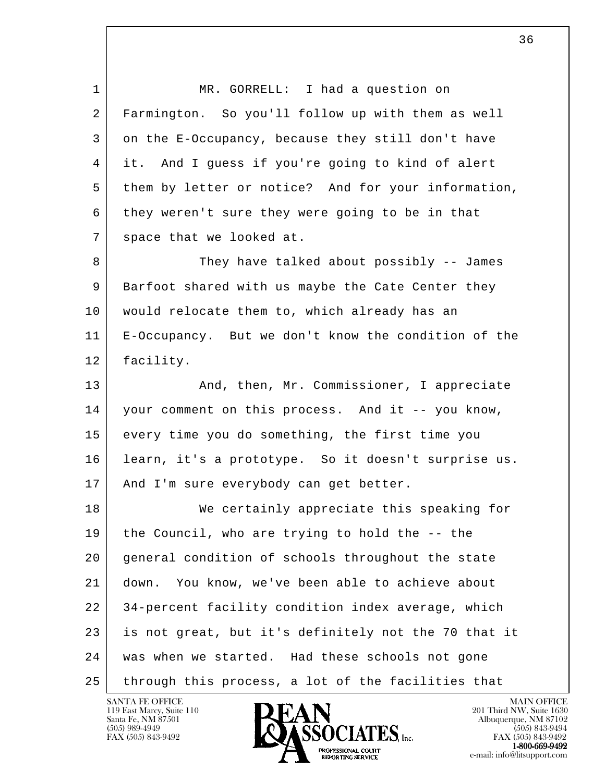l 1 MR. GORRELL: I had a question on 2 Farmington. So you'll follow up with them as well 3 on the E-Occupancy, because they still don't have 4 it. And I guess if you're going to kind of alert 5 them by letter or notice? And for your information, 6 they weren't sure they were going to be in that 7 space that we looked at. 8 They have talked about possibly -- James 9 Barfoot shared with us maybe the Cate Center they 10 | would relocate them to, which already has an 11 E-Occupancy. But we don't know the condition of the 12 facility. 13 | Then, Mr. Commissioner, I appreciate 14 your comment on this process. And it -- you know, 15 every time you do something, the first time you 16 learn, it's a prototype. So it doesn't surprise us. 17 | And I'm sure everybody can get better. 18 We certainly appreciate this speaking for 19 the Council, who are trying to hold the -- the 20 general condition of schools throughout the state 21 down. You know, we've been able to achieve about 22 34-percent facility condition index average, which 23 is not great, but it's definitely not the 70 that it 24 | was when we started. Had these schools not gone 25 through this process, a lot of the facilities that



FAX (505) 843-9492 FAX (505) 843-9492 **EXPORTING SERVICE**<br>REPORTING SERVICE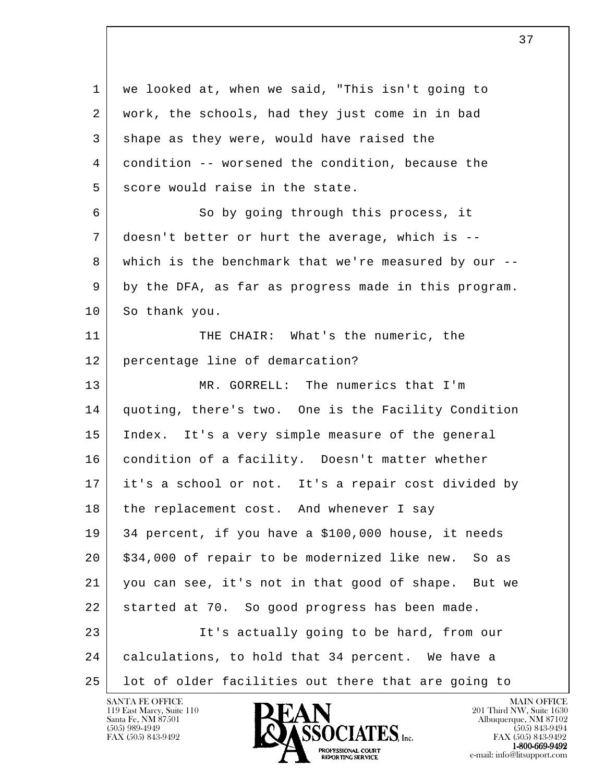l 1 we looked at, when we said, "This isn't going to 2 | work, the schools, had they just come in in bad 3 shape as they were, would have raised the 4 condition -- worsened the condition, because the 5 score would raise in the state. 6 So by going through this process, it 7 doesn't better or hurt the average, which is -- 8 which is the benchmark that we're measured by our -- 9 by the DFA, as far as progress made in this program. 10 So thank you. 11 THE CHAIR: What's the numeric, the 12 percentage line of demarcation? 13 MR. GORRELL: The numerics that I'm 14 quoting, there's two. One is the Facility Condition 15 Index. It's a very simple measure of the general 16 condition of a facility. Doesn't matter whether 17 it's a school or not. It's a repair cost divided by 18 the replacement cost. And whenever I say 19 34 percent, if you have a \$100,000 house, it needs 20 \$34,000 of repair to be modernized like new. So as 21 you can see, it's not in that good of shape. But we 22 started at 70. So good progress has been made. 23 It's actually going to be hard, from our 24 calculations, to hold that 34 percent. We have a 25 lot of older facilities out there that are going to

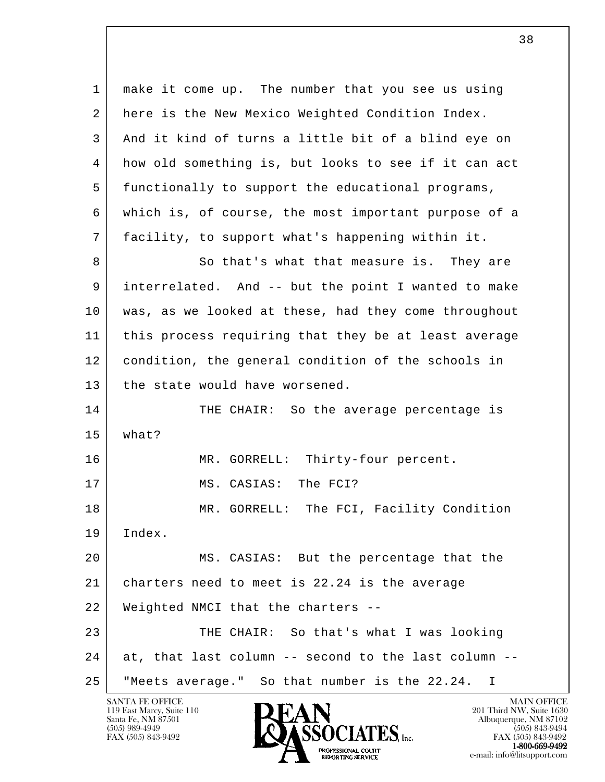l 1 make it come up. The number that you see us using 2 here is the New Mexico Weighted Condition Index. 3 And it kind of turns a little bit of a blind eye on 4 how old something is, but looks to see if it can act 5 functionally to support the educational programs, 6 which is, of course, the most important purpose of a 7 facility, to support what's happening within it. 8 So that's what that measure is. They are 9 interrelated. And -- but the point I wanted to make 10 was, as we looked at these, had they come throughout 11 this process requiring that they be at least average 12 condition, the general condition of the schools in 13 | the state would have worsened. 14 THE CHAIR: So the average percentage is 15 what? 16 MR. GORRELL: Thirty-four percent. 17 MS. CASIAS: The FCI? 18 MR. GORRELL: The FCI, Facility Condition 19 Index. 20 MS. CASIAS: But the percentage that the 21 charters need to meet is 22.24 is the average 22 Weighted NMCI that the charters -- 23 THE CHAIR: So that's what I was looking 24 at, that last column -- second to the last column --25 "Meets average." So that number is the 22.24. I

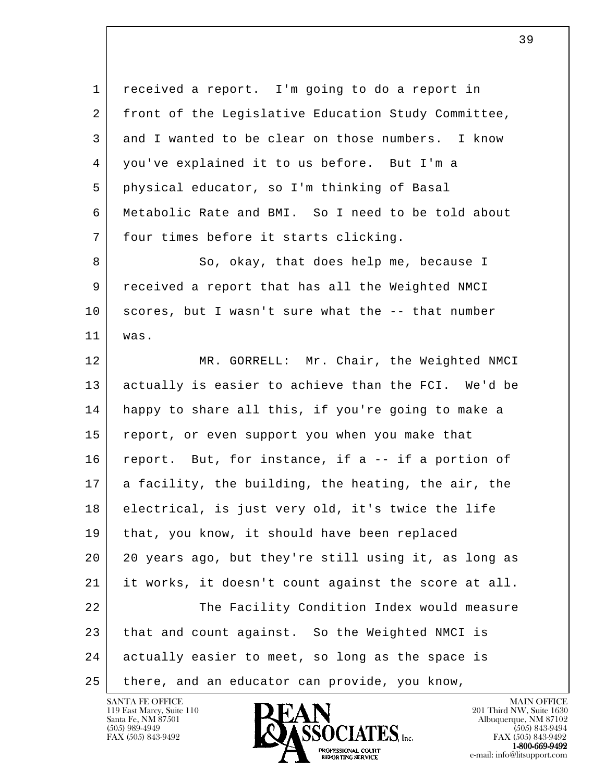l 1 received a report. I'm going to do a report in 2 | front of the Legislative Education Study Committee, 3 and I wanted to be clear on those numbers. I know 4 you've explained it to us before. But I'm a 5 physical educator, so I'm thinking of Basal 6 Metabolic Rate and BMI. So I need to be told about 7 four times before it starts clicking. 8 So, okay, that does help me, because I 9 received a report that has all the Weighted NMCI 10 scores, but I wasn't sure what the -- that number 11 was. 12 MR. GORRELL: Mr. Chair, the Weighted NMCI 13 actually is easier to achieve than the FCI. We'd be 14 happy to share all this, if you're going to make a 15 report, or even support you when you make that 16 report. But, for instance, if a -- if a portion of 17 a facility, the building, the heating, the air, the 18 electrical, is just very old, it's twice the life 19 | that, you know, it should have been replaced 20 20 years ago, but they're still using it, as long as 21 it works, it doesn't count against the score at all. 22 The Facility Condition Index would measure 23 that and count against. So the Weighted NMCI is 24 actually easier to meet, so long as the space is 25 there, and an educator can provide, you know,



FAX (505) 843-9492 FAX (505) 843-9492 **EXPORTING SERVICE**<br>REPORTING SERVICE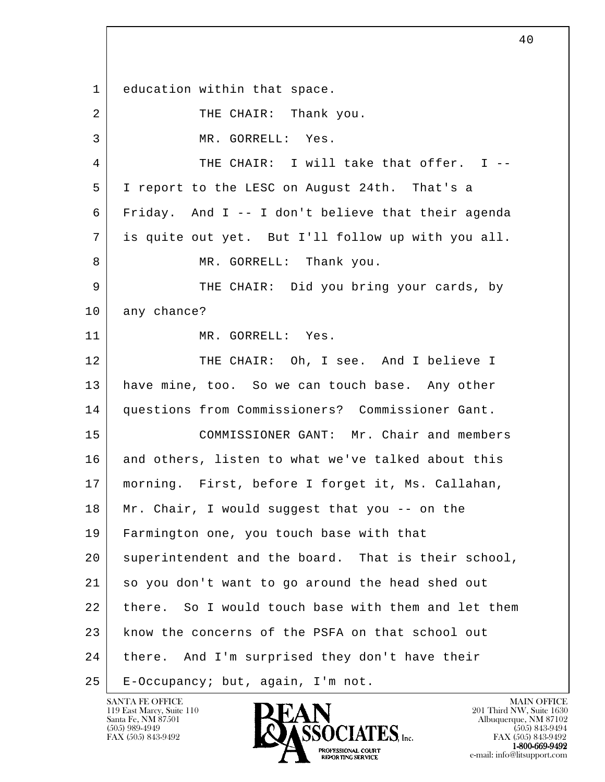l 1 education within that space. 2 THE CHAIR: Thank you. 3 MR. GORRELL: Yes. 4 THE CHAIR: I will take that offer. I -- 5 I report to the LESC on August 24th. That's a 6 Friday. And I -- I don't believe that their agenda 7 is quite out yet. But I'll follow up with you all. 8 MR. GORRELL: Thank you. 9 THE CHAIR: Did you bring your cards, by 10 any chance? 11 MR. GORRELL: Yes. 12 THE CHAIR: Oh, I see. And I believe I 13 have mine, too. So we can touch base. Any other 14 questions from Commissioners? Commissioner Gant. 15 COMMISSIONER GANT: Mr. Chair and members 16 and others, listen to what we've talked about this 17 morning. First, before I forget it, Ms. Callahan, 18 Mr. Chair, I would suggest that you -- on the 19 Farmington one, you touch base with that 20 superintendent and the board. That is their school, 21 so you don't want to go around the head shed out 22 there. So I would touch base with them and let them 23 know the concerns of the PSFA on that school out 24 | there. And I'm surprised they don't have their 25 E-Occupancy; but, again, I'm not.

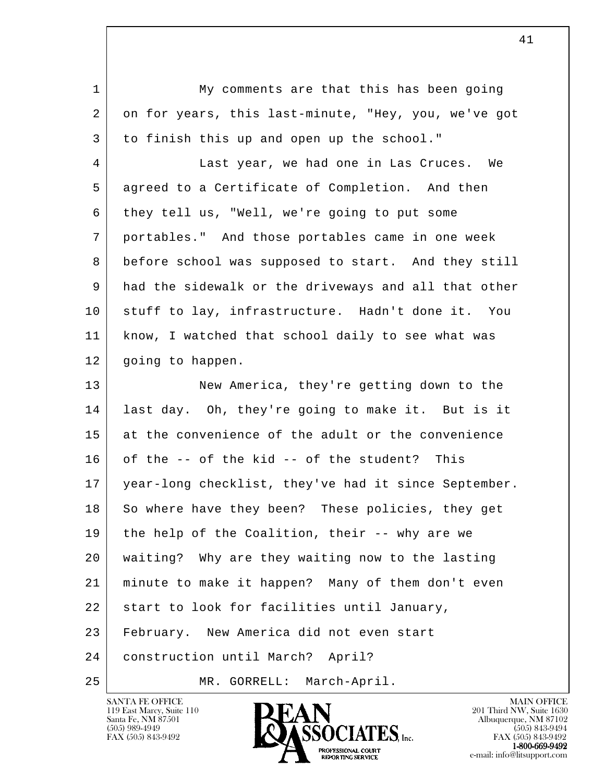| $\mathbf{1}$ | My comments are that this has been going             |
|--------------|------------------------------------------------------|
| 2            | on for years, this last-minute, "Hey, you, we've got |
| 3            | to finish this up and open up the school."           |
| 4            | Last year, we had one in Las Cruces. We              |
| 5            | agreed to a Certificate of Completion. And then      |
| 6            | they tell us, "Well, we're going to put some         |
| 7            | portables." And those portables came in one week     |
| 8            | before school was supposed to start. And they still  |
| 9            | had the sidewalk or the driveways and all that other |
| 10           | stuff to lay, infrastructure. Hadn't done it. You    |
| 11           | know, I watched that school daily to see what was    |
| 12           | going to happen.                                     |
| 13           | New America, they're getting down to the             |
| 14           | last day. Oh, they're going to make it. But is it    |
| 15           | at the convenience of the adult or the convenience   |
| 16           | of the -- of the kid -- of the student? This         |
| 17           | year-long checklist, they've had it since September. |
| 18           | So where have they been? These policies, they get    |
| 19           | the help of the Coalition, their -- why are we       |
| 20           | waiting? Why are they waiting now to the lasting     |
| 21           | minute to make it happen? Many of them don't even    |
| 22           | start to look for facilities until January,          |
| 23           | February. New America did not even start             |
| 24           | construction until March? April?                     |
| 25           | March-April.<br>MR. GORRELL:                         |

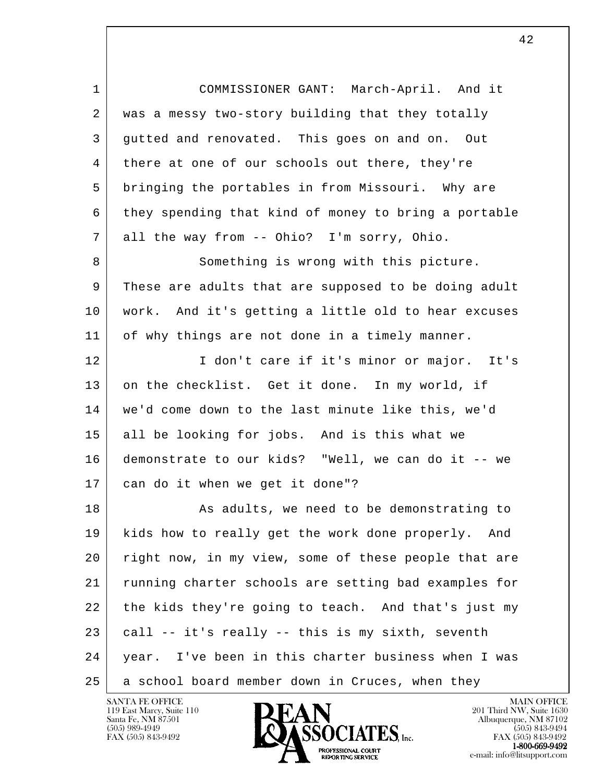l 1 COMMISSIONER GANT: March-April. And it 2 | was a messy two-story building that they totally 3 gutted and renovated. This goes on and on. Out 4 there at one of our schools out there, they're 5 bringing the portables in from Missouri. Why are 6 they spending that kind of money to bring a portable 7 all the way from -- Ohio? I'm sorry, Ohio. 8 Something is wrong with this picture. 9 These are adults that are supposed to be doing adult 10 work. And it's getting a little old to hear excuses 11 of why things are not done in a timely manner. 12 I don't care if it's minor or major. It's 13 on the checklist. Get it done. In my world, if 14 we'd come down to the last minute like this, we'd 15 all be looking for jobs. And is this what we 16 demonstrate to our kids? "Well, we can do it -- we 17 can do it when we get it done"? 18 | Research Manuel As adults, we need to be demonstrating to 19 kids how to really get the work done properly. And 20 right now, in my view, some of these people that are 21 running charter schools are setting bad examples for 22 the kids they're going to teach. And that's just my  $23$  call  $-$  it's really  $-$  this is my sixth, seventh 24 year. I've been in this charter business when I was 25 a school board member down in Cruces, when they

119 East Marcy, Suite 110<br>Santa Fe, NM 87501

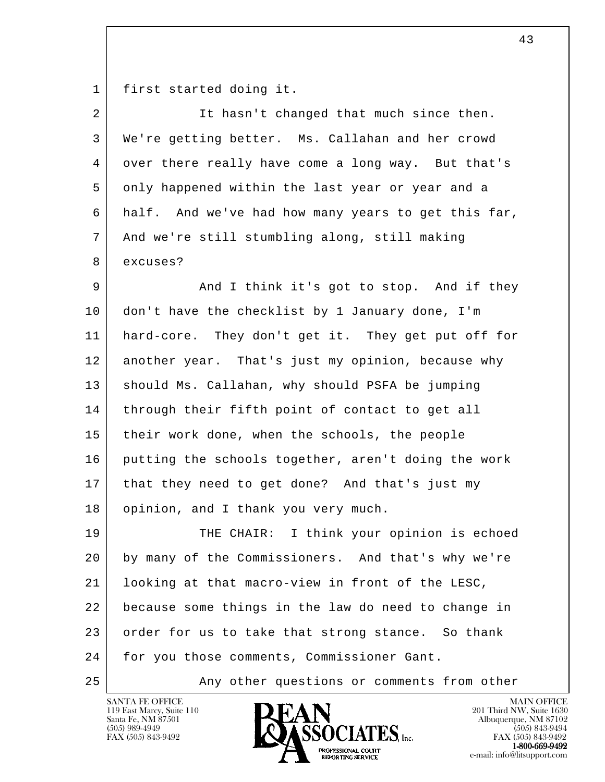1 first started doing it.

| 2  | It hasn't changed that much since then.             |
|----|-----------------------------------------------------|
| 3  | We're getting better. Ms. Callahan and her crowd    |
| 4  | over there really have come a long way. But that's  |
| 5  | only happened within the last year or year and a    |
| 6  | half. And we've had how many years to get this far, |
| 7  | And we're still stumbling along, still making       |
| 8  | excuses?                                            |
| 9  | And I think it's got to stop. And if they           |
| 10 | don't have the checklist by 1 January done, I'm     |
| 11 | hard-core. They don't get it. They get put off for  |
| 12 | another year. That's just my opinion, because why   |
| 13 | should Ms. Callahan, why should PSFA be jumping     |
| 14 | through their fifth point of contact to get all     |
| 15 | their work done, when the schools, the people       |
| 16 | putting the schools together, aren't doing the work |
| 17 | that they need to get done? And that's just my      |
| 18 | opinion, and I thank you very much.                 |
| 19 | I think your opinion is echoed<br>THE CHAIR:        |
| 20 | by many of the Commissioners. And that's why we're  |
| 21 | looking at that macro-view in front of the LESC,    |
| 22 | because some things in the law do need to change in |
| 23 | order for us to take that strong stance. So thank   |
| 24 | for you those comments, Commissioner Gant.          |
| 25 | Any other questions or comments from other          |

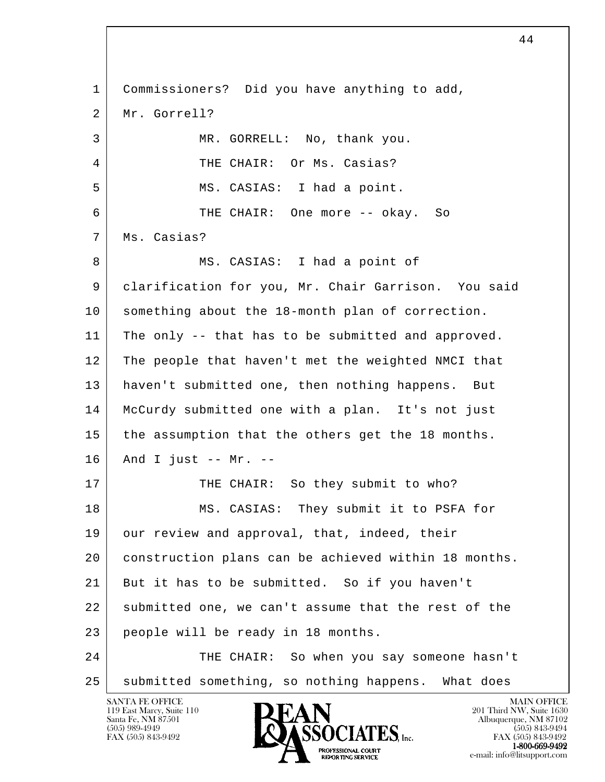l SANTA FE OFFICE MAIN OFFICE MAIN OFFICE MAIN OFFICE MAIN OFFICE 1 Commissioners? Did you have anything to add, 2 Mr. Gorrell? 3 MR. GORRELL: No, thank you. 4 THE CHAIR: Or Ms. Casias? 5 | MS. CASIAS: I had a point. 6 THE CHAIR: One more -- okay. So 7 | Ms. Casias? 8 | MS. CASIAS: I had a point of 9 clarification for you, Mr. Chair Garrison. You said 10 something about the 18-month plan of correction. 11 The only -- that has to be submitted and approved. 12 The people that haven't met the weighted NMCI that 13 haven't submitted one, then nothing happens. But 14 McCurdy submitted one with a plan. It's not just 15 the assumption that the others get the 18 months.  $16$  And I just -- Mr. --17 THE CHAIR: So they submit to who? 18 MS. CASIAS: They submit it to PSFA for 19 our review and approval, that, indeed, their 20 construction plans can be achieved within 18 months. 21 But it has to be submitted. So if you haven't 22 submitted one, we can't assume that the rest of the 23 people will be ready in 18 months. 24 THE CHAIR: So when you say someone hasn't 25 | submitted something, so nothing happens. What does

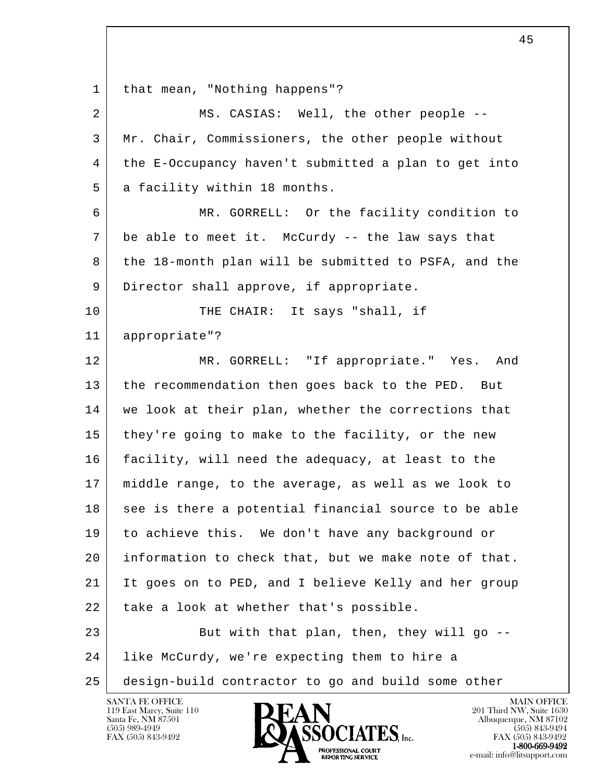l 1 | that mean, "Nothing happens"? 2 MS. CASIAS: Well, the other people -- 3 Mr. Chair, Commissioners, the other people without 4 the E-Occupancy haven't submitted a plan to get into 5 a facility within 18 months. 6 MR. GORRELL: Or the facility condition to 7 be able to meet it. McCurdy -- the law says that 8 the 18-month plan will be submitted to PSFA, and the 9 Director shall approve, if appropriate. 10 THE CHAIR: It says "shall, if 11 appropriate"? 12 MR. GORRELL: "If appropriate." Yes. And 13 the recommendation then goes back to the PED. But 14 | we look at their plan, whether the corrections that 15 they're going to make to the facility, or the new 16 facility, will need the adequacy, at least to the 17 middle range, to the average, as well as we look to 18 see is there a potential financial source to be able 19 to achieve this. We don't have any background or 20 information to check that, but we make note of that. 21 It goes on to PED, and I believe Kelly and her group 22 | take a look at whether that's possible. 23 But with that plan, then, they will go -- 24 like McCurdy, we're expecting them to hire a 25 design-build contractor to go and build some other



FAX (505) 843-9492 FAX (505) 843-9492 1-800-669-9492<br>PROFESSIONAL COURT **EXPORTING SERVICE**<br>REPORTING SERVICE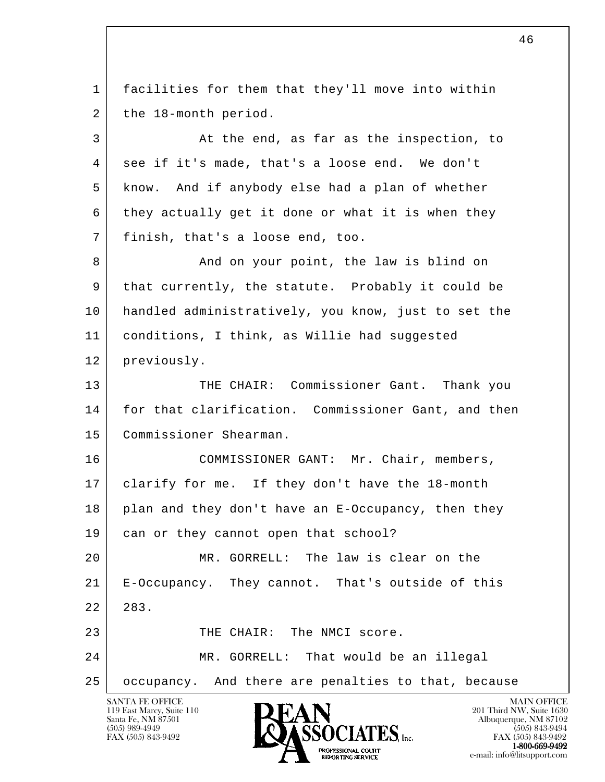l SANTA FE OFFICE MAIN OFFICE MAIN OFFICE MAIN OFFICE MAIN OFFICE 1 facilities for them that they'll move into within 2 the 18-month period. 3 At the end, as far as the inspection, to 4 see if it's made, that's a loose end. We don't 5 know. And if anybody else had a plan of whether 6 they actually get it done or what it is when they 7 finish, that's a loose end, too. 8 And on your point, the law is blind on 9 that currently, the statute. Probably it could be 10 handled administratively, you know, just to set the 11 conditions, I think, as Willie had suggested 12 previously. 13 THE CHAIR: Commissioner Gant. Thank you 14 for that clarification. Commissioner Gant, and then 15 Commissioner Shearman. 16 | COMMISSIONER GANT: Mr. Chair, members, 17 clarify for me. If they don't have the 18-month 18 plan and they don't have an E-Occupancy, then they 19 can or they cannot open that school? 20 MR. GORRELL: The law is clear on the 21 E-Occupancy. They cannot. That's outside of this 22 283. 23 THE CHAIR: The NMCI score. 24 MR. GORRELL: That would be an illegal 25 occupancy. And there are penalties to that, because

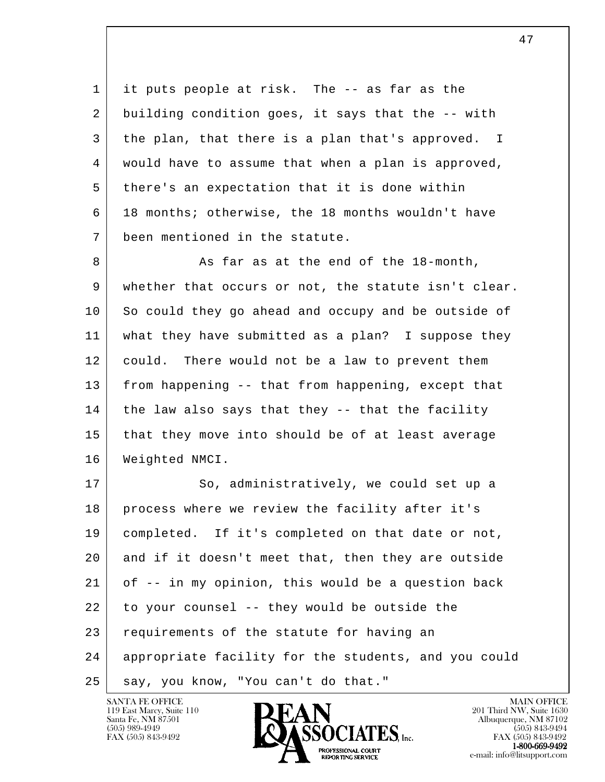1 it puts people at risk. The -- as far as the 2 building condition goes, it says that the -- with 3 the plan, that there is a plan that's approved. I 4 would have to assume that when a plan is approved, 5 there's an expectation that it is done within 6 18 months; otherwise, the 18 months wouldn't have 7 been mentioned in the statute.

8 As far as at the end of the 18-month, 9 whether that occurs or not, the statute isn't clear. 10 So could they go ahead and occupy and be outside of 11 what they have submitted as a plan? I suppose they 12 could. There would not be a law to prevent them 13 from happening -- that from happening, except that  $14$  the law also says that they  $-$ - that the facility 15 that they move into should be of at least average 16 Weighted NMCI.

l 17 So, administratively, we could set up a 18 process where we review the facility after it's 19 completed. If it's completed on that date or not, 20 and if it doesn't meet that, then they are outside  $21$  of  $-$  in my opinion, this would be a question back  $22$  to your counsel -- they would be outside the 23 requirements of the statute for having an 24 appropriate facility for the students, and you could 25 | say, you know, "You can't do that."

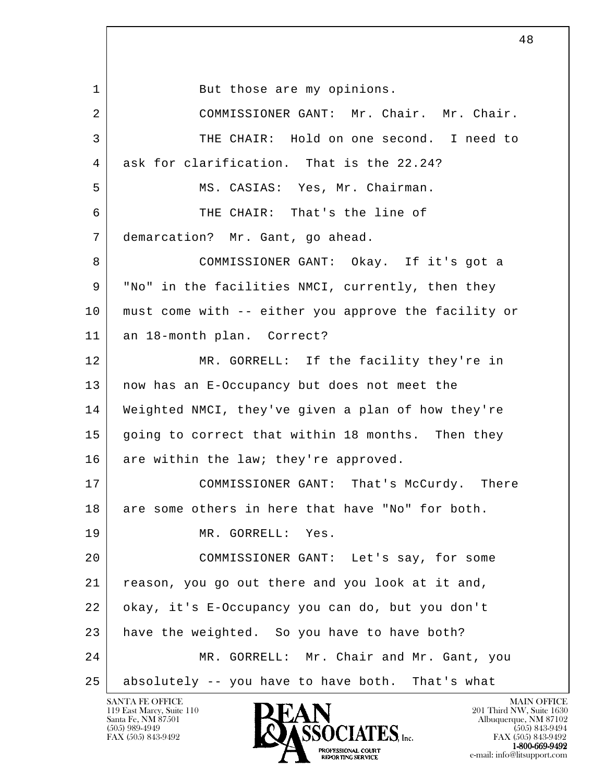l 1 But those are my opinions. 2 COMMISSIONER GANT: Mr. Chair. Mr. Chair. 3 THE CHAIR: Hold on one second. I need to 4 ask for clarification. That is the 22.24? 5 | MS. CASIAS: Yes, Mr. Chairman. 6 THE CHAIR: That's the line of 7 demarcation? Mr. Gant, go ahead. 8 COMMISSIONER GANT: Okay. If it's got a 9 "No" in the facilities NMCI, currently, then they 10 must come with -- either you approve the facility or 11 an 18-month plan. Correct? 12 MR. GORRELL: If the facility they're in 13 now has an E-Occupancy but does not meet the 14 Weighted NMCI, they've given a plan of how they're 15 going to correct that within 18 months. Then they 16 are within the law; they're approved. 17 COMMISSIONER GANT: That's McCurdy. There 18 are some others in here that have "No" for both. 19 MR. GORRELL: Yes. 20 COMMISSIONER GANT: Let's say, for some 21 reason, you go out there and you look at it and, 22 okay, it's E-Occupancy you can do, but you don't 23 have the weighted. So you have to have both? 24 MR. GORRELL: Mr. Chair and Mr. Gant, you 25 absolutely -- you have to have both. That's what

119 East Marcy, Suite 110<br>Santa Fe, NM 87501

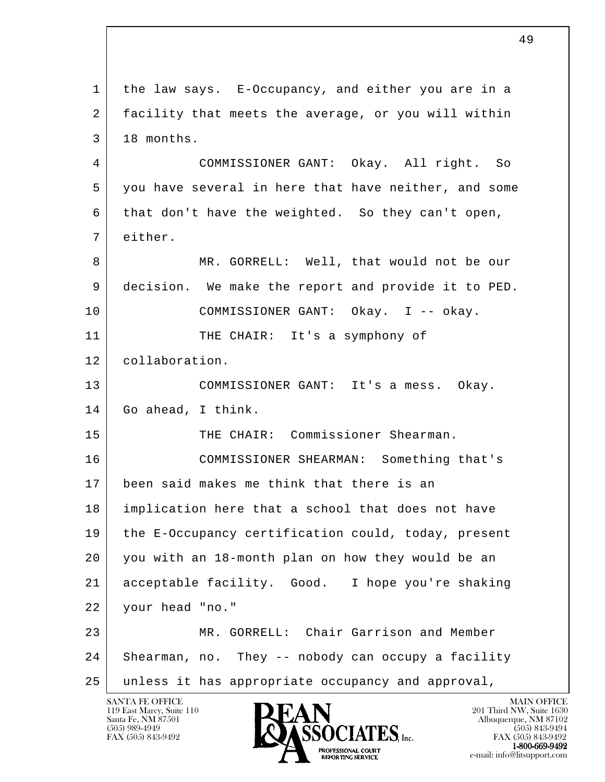l 1 the law says. E-Occupancy, and either you are in a 2 facility that meets the average, or you will within  $3 \mid 18$  months. 4 COMMISSIONER GANT: Okay. All right. So 5 you have several in here that have neither, and some 6 that don't have the weighted. So they can't open, 7 either. 8 MR. GORRELL: Well, that would not be our 9 decision. We make the report and provide it to PED. 10 COMMISSIONER GANT: Okay. I -- okay. 11 THE CHAIR: It's a symphony of 12 collaboration. 13 COMMISSIONER GANT: It's a mess. Okay. 14 Go ahead, I think. 15 THE CHAIR: Commissioner Shearman. 16 COMMISSIONER SHEARMAN: Something that's 17 been said makes me think that there is an 18 implication here that a school that does not have 19 the E-Occupancy certification could, today, present 20 you with an 18-month plan on how they would be an 21 acceptable facility. Good. I hope you're shaking 22 your head "no." 23 MR. GORRELL: Chair Garrison and Member 24 | Shearman, no. They -- nobody can occupy a facility 25 unless it has appropriate occupancy and approval,

119 East Marcy, Suite 110<br>Santa Fe, NM 87501

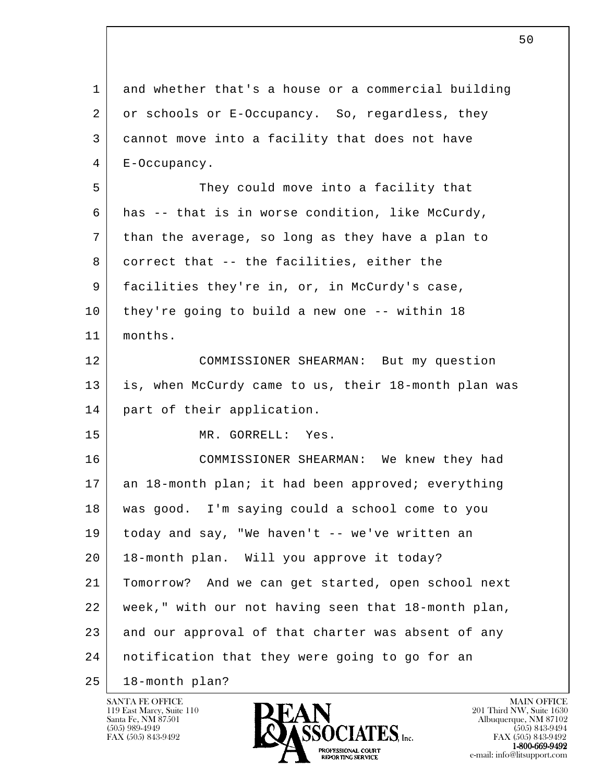l 1 and whether that's a house or a commercial building 2 or schools or E-Occupancy. So, regardless, they 3 cannot move into a facility that does not have 4 E-Occupancy. 5 They could move into a facility that 6 has -- that is in worse condition, like McCurdy, 7 than the average, so long as they have a plan to 8 correct that -- the facilities, either the 9 facilities they're in, or, in McCurdy's case, 10 they're going to build a new one -- within 18 11 months. 12 COMMISSIONER SHEARMAN: But my question 13 is, when McCurdy came to us, their 18-month plan was 14 part of their application. 15 MR. GORRELL: Yes. 16 COMMISSIONER SHEARMAN: We knew they had 17 an 18-month plan; it had been approved; everything 18 was good. I'm saying could a school come to you 19 today and say, "We haven't -- we've written an 20 18-month plan. Will you approve it today? 21 Tomorrow? And we can get started, open school next 22 week," with our not having seen that 18-month plan, 23 and our approval of that charter was absent of any 24 notification that they were going to go for an 25 18-month plan?

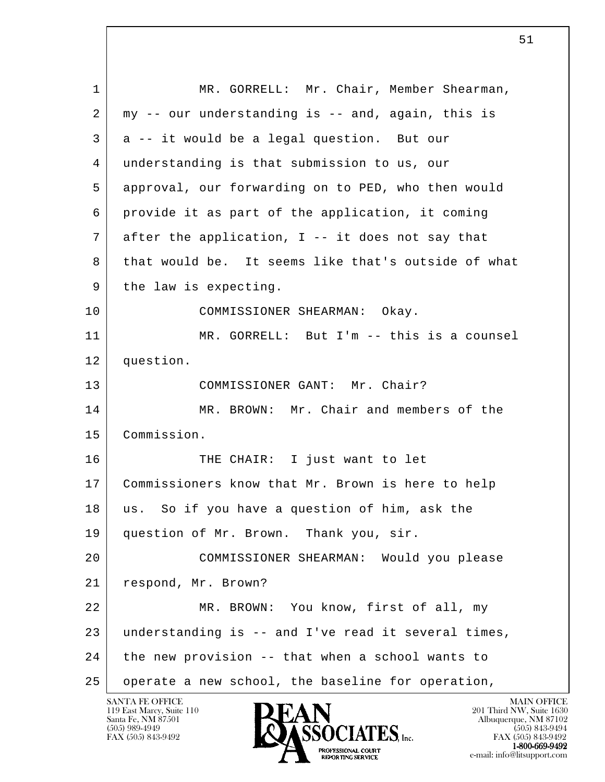| $\mathbf 1$    | MR. GORRELL: Mr. Chair, Member Shearman,            |
|----------------|-----------------------------------------------------|
| $\overline{2}$ | my -- our understanding is -- and, again, this is   |
| 3              | a -- it would be a legal question. But our          |
| 4              | understanding is that submission to us, our         |
| 5              | approval, our forwarding on to PED, who then would  |
| 6              | provide it as part of the application, it coming    |
| 7              | after the application, I -- it does not say that    |
| 8              | that would be. It seems like that's outside of what |
| 9              | the law is expecting.                               |
| 10             | COMMISSIONER SHEARMAN: Okay.                        |
| 11             | MR. GORRELL: But I'm -- this is a counsel           |
| 12             | question.                                           |
| 13             | COMMISSIONER GANT: Mr. Chair?                       |
| 14             | MR. BROWN: Mr. Chair and members of the             |
| 15             | Commission.                                         |
| 16             | THE CHAIR: I just want to let                       |
| 17             | Commissioners know that Mr. Brown is here to help   |
| 18             | So if you have a question of him, ask the<br>us.    |
| 19             | question of Mr. Brown. Thank you, sir.              |
| 20             | COMMISSIONER SHEARMAN: Would you please             |
| 21             | respond, Mr. Brown?                                 |
| 22             | MR. BROWN: You know, first of all, my               |
| 23             | understanding is -- and I've read it several times, |
| 24             | the new provision -- that when a school wants to    |
| 25             | operate a new school, the baseline for operation,   |

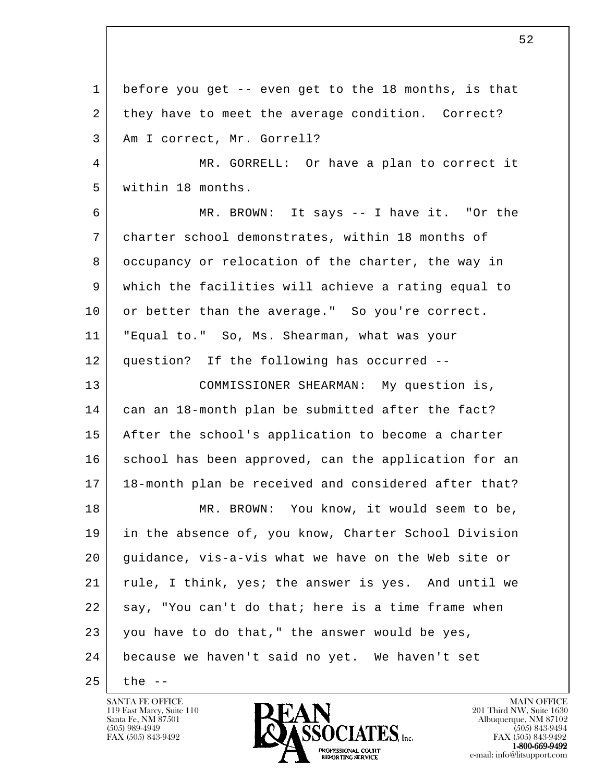l 1 before you get -- even get to the 18 months, is that 2 they have to meet the average condition. Correct? 3 Am I correct, Mr. Gorrell? 4 MR. GORRELL: Or have a plan to correct it 5 within 18 months. 6 MR. BROWN: It says -- I have it. "Or the 7 charter school demonstrates, within 18 months of 8 occupancy or relocation of the charter, the way in 9 which the facilities will achieve a rating equal to 10 or better than the average." So you're correct. 11 "Equal to." So, Ms. Shearman, what was your 12 question? If the following has occurred -- 13 COMMISSIONER SHEARMAN: My question is, 14 can an 18-month plan be submitted after the fact? 15 After the school's application to become a charter 16 school has been approved, can the application for an 17 18-month plan be received and considered after that? 18 MR. BROWN: You know, it would seem to be, 19 in the absence of, you know, Charter School Division 20 guidance, vis-a-vis what we have on the Web site or 21 rule, I think, yes; the answer is yes. And until we 22 say, "You can't do that; here is a time frame when 23 you have to do that," the answer would be yes, 24 because we haven't said no yet. We haven't set  $25$  the  $-$ 

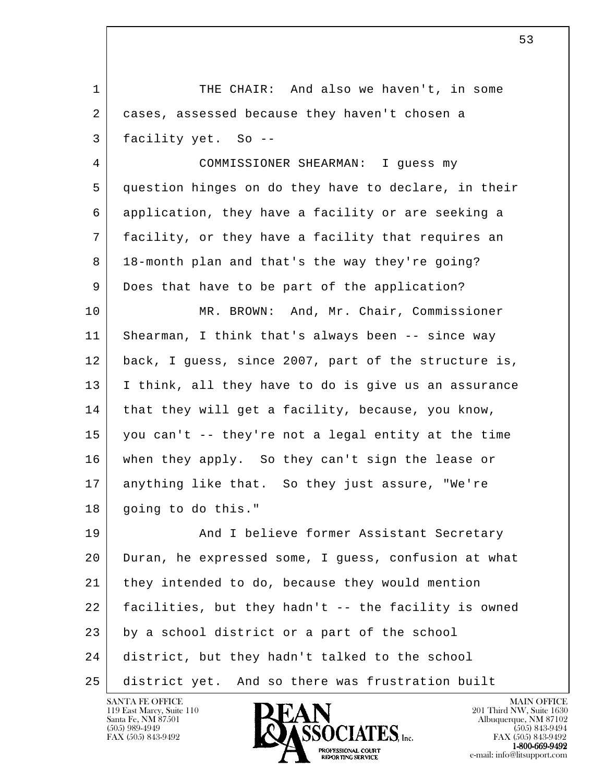l 1 THE CHAIR: And also we haven't, in some 2 cases, assessed because they haven't chosen a 3 facility yet. So -- 4 COMMISSIONER SHEARMAN: I guess my 5 question hinges on do they have to declare, in their 6 application, they have a facility or are seeking a 7 facility, or they have a facility that requires an 8 18-month plan and that's the way they're going? 9 Does that have to be part of the application? 10 | MR. BROWN: And, Mr. Chair, Commissioner 11 Shearman, I think that's always been -- since way 12 back, I guess, since 2007, part of the structure is, 13 | I think, all they have to do is give us an assurance 14 | that they will get a facility, because, you know, 15 you can't -- they're not a legal entity at the time 16 when they apply. So they can't sign the lease or 17 anything like that. So they just assure, "We're 18 | going to do this." 19 | And I believe former Assistant Secretary 20 Duran, he expressed some, I guess, confusion at what 21 they intended to do, because they would mention 22 facilities, but they hadn't -- the facility is owned 23 by a school district or a part of the school 24 district, but they hadn't talked to the school 25 district yet. And so there was frustration built

 $53$ 

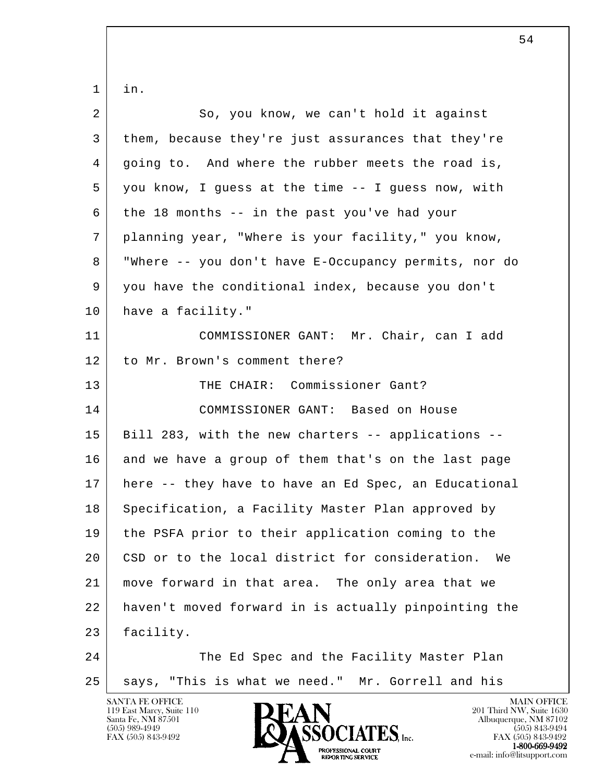l 1 in. 2 So, you know, we can't hold it against 3 them, because they're just assurances that they're 4 going to. And where the rubber meets the road is, 5 you know, I guess at the time -- I guess now, with 6 the 18 months  $-$  in the past you've had your 7 planning year, "Where is your facility," you know, 8 "Where -- you don't have E-Occupancy permits, nor do 9 you have the conditional index, because you don't 10 have a facility." 11 COMMISSIONER GANT: Mr. Chair, can I add 12 to Mr. Brown's comment there? 13 THE CHAIR: Commissioner Gant? 14 COMMISSIONER GANT: Based on House 15 Bill 283, with the new charters -- applications --16 and we have a group of them that's on the last page 17 here -- they have to have an Ed Spec, an Educational 18 Specification, a Facility Master Plan approved by 19 the PSFA prior to their application coming to the 20 CSD or to the local district for consideration. We 21 move forward in that area. The only area that we 22 haven't moved forward in is actually pinpointing the 23 facility. 24 The Ed Spec and the Facility Master Plan 25 | says, "This is what we need." Mr. Gorrell and his

119 East Marcy, Suite 110<br>Santa Fe, NM 87501

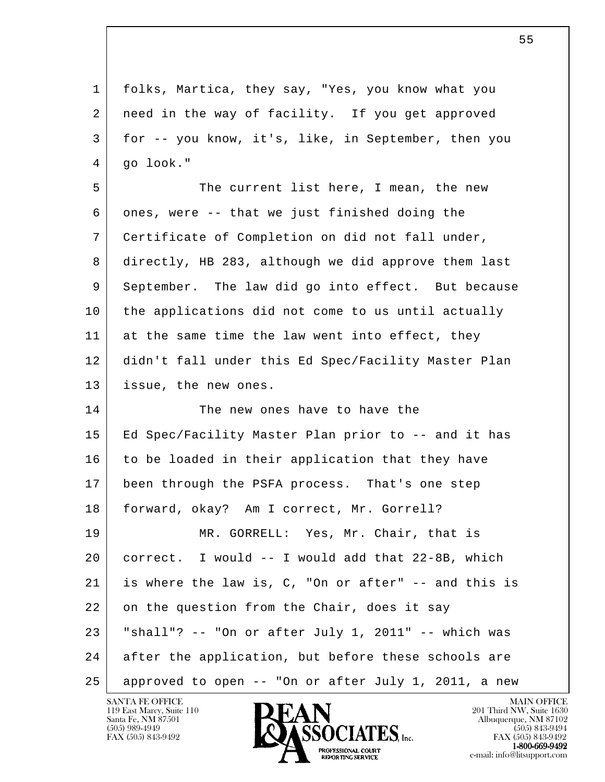| $\mathbf 1$ | folks, Martica, they say, "Yes, you know what you    |
|-------------|------------------------------------------------------|
| 2           | need in the way of facility. If you get approved     |
| 3           | for -- you know, it's, like, in September, then you  |
| 4           | go look."                                            |
| 5           | The current list here, I mean, the new               |
| 6           | ones, were -- that we just finished doing the        |
| 7           | Certificate of Completion on did not fall under,     |
| 8           | directly, HB 283, although we did approve them last  |
| 9           | September. The law did go into effect. But because   |
| 10          | the applications did not come to us until actually   |
| 11          | at the same time the law went into effect, they      |
| 12          | didn't fall under this Ed Spec/Facility Master Plan  |
| 13          | issue, the new ones.                                 |
| 14          | The new ones have to have the                        |
| 15          | Ed Spec/Facility Master Plan prior to -- and it has  |
| 16          | to be loaded in their application that they have     |
| 17          | been through the PSFA process. That's one step       |
| 18          | forward, okay? Am I correct, Mr. Gorrell?            |
| 19          | MR. GORRELL: Yes, Mr. Chair, that is                 |
| 20          | correct. I would -- I would add that 22-8B, which    |
| 21          | is where the law is, C, "On or after" -- and this is |
| 22          | on the question from the Chair, does it say          |
| 23          | "shall"? -- "On or after July 1, 2011" -- which was  |
| 24          | after the application, but before these schools are  |
| 25          | approved to open -- "On or after July 1, 2011, a new |

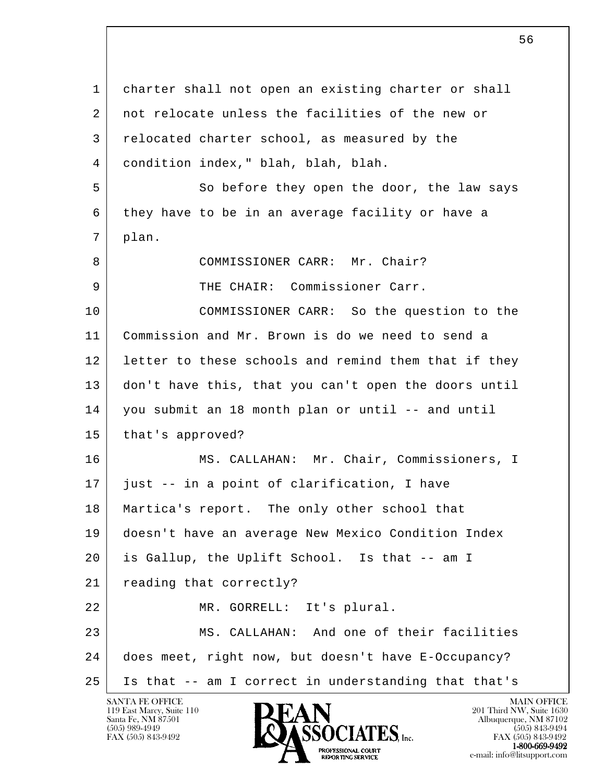l 1 charter shall not open an existing charter or shall 2 not relocate unless the facilities of the new or 3 relocated charter school, as measured by the 4 condition index," blah, blah, blah. 5 So before they open the door, the law says 6 they have to be in an average facility or have a 7 plan. 8 COMMISSIONER CARR: Mr. Chair? 9 THE CHAIR: Commissioner Carr. 10 COMMISSIONER CARR: So the question to the 11 Commission and Mr. Brown is do we need to send a 12 letter to these schools and remind them that if they 13 don't have this, that you can't open the doors until 14 you submit an 18 month plan or until -- and until 15 | that's approved? 16 MS. CALLAHAN: Mr. Chair, Commissioners, I 17 just -- in a point of clarification, I have 18 | Martica's report. The only other school that 19 doesn't have an average New Mexico Condition Index 20 is Gallup, the Uplift School. Is that -- am I 21 reading that correctly? 22 MR. GORRELL: It's plural. 23 | MS. CALLAHAN: And one of their facilities 24 does meet, right now, but doesn't have E-Occupancy? 25 Is that -- am I correct in understanding that that's

119 East Marcy, Suite 110<br>Santa Fe, NM 87501

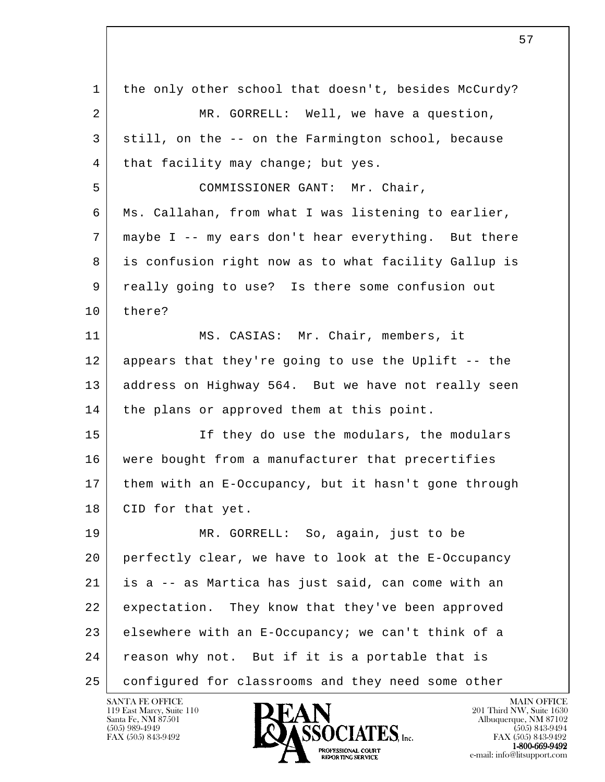l 1 the only other school that doesn't, besides McCurdy? 2 MR. GORRELL: Well, we have a question, 3 still, on the -- on the Farmington school, because 4 | that facility may change; but yes. 5 | COMMISSIONER GANT: Mr. Chair, 6 Ms. Callahan, from what I was listening to earlier, 7 maybe I -- my ears don't hear everything. But there 8 is confusion right now as to what facility Gallup is 9 really going to use? Is there some confusion out 10 there? 11 MS. CASIAS: Mr. Chair, members, it 12 appears that they're going to use the Uplift -- the 13 | address on Highway 564. But we have not really seen 14 | the plans or approved them at this point. 15 If they do use the modulars, the modulars 16 were bought from a manufacturer that precertifies 17 them with an E-Occupancy, but it hasn't gone through 18 | CID for that yet. 19 MR. GORRELL: So, again, just to be 20 perfectly clear, we have to look at the E-Occupancy 21 is a -- as Martica has just said, can come with an 22 expectation. They know that they've been approved 23 elsewhere with an E-Occupancy; we can't think of a 24 reason why not. But if it is a portable that is 25 configured for classrooms and they need some other

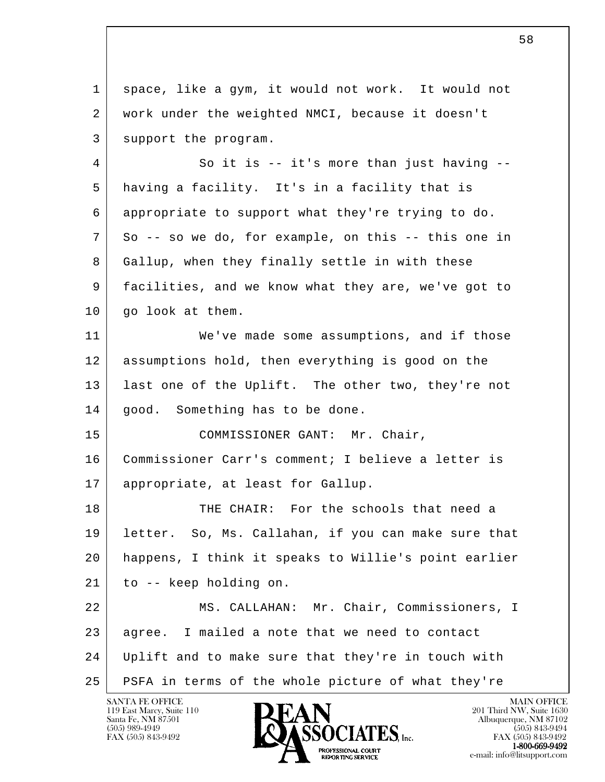l SANTA FE OFFICE MAIN OFFICE MAIN OFFICE MAIN OFFICE MAIN OFFICE 1 space, like a gym, it would not work. It would not 2 work under the weighted NMCI, because it doesn't 3 support the program. 4 | So it is -- it's more than just having -- 5 having a facility. It's in a facility that is 6 appropriate to support what they're trying to do. 7 So -- so we do, for example, on this -- this one in 8 Gallup, when they finally settle in with these 9 facilities, and we know what they are, we've got to 10 | go look at them. 11 We've made some assumptions, and if those 12 assumptions hold, then everything is good on the 13 | last one of the Uplift. The other two, they're not 14 | good. Something has to be done. 15 COMMISSIONER GANT: Mr. Chair, 16 Commissioner Carr's comment; I believe a letter is 17 appropriate, at least for Gallup. 18 THE CHAIR: For the schools that need a 19 letter. So, Ms. Callahan, if you can make sure that 20 happens, I think it speaks to Willie's point earlier 21 to -- keep holding on. 22 MS. CALLAHAN: Mr. Chair, Commissioners, I 23 agree. I mailed a note that we need to contact 24 Uplift and to make sure that they're in touch with 25 PSFA in terms of the whole picture of what they're

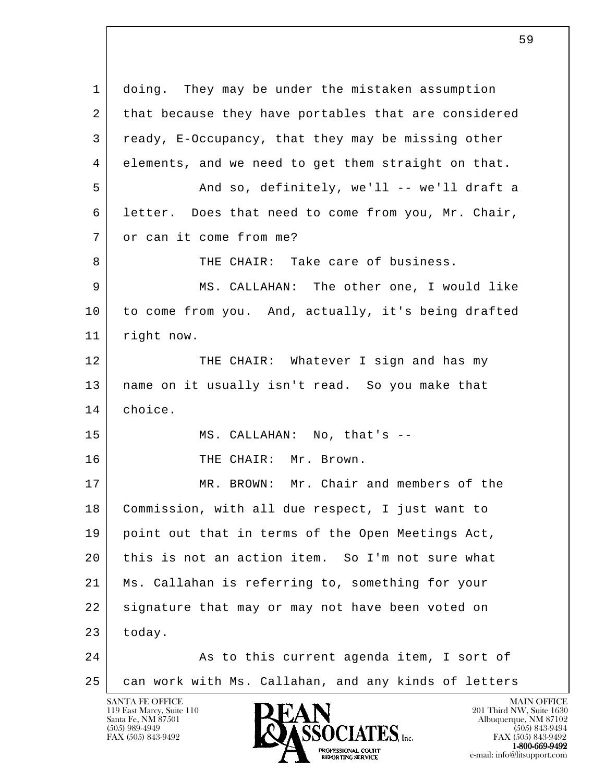l SANTA FE OFFICE MAIN OFFICE MAIN OFFICE MAIN OFFICE MAIN OFFICE 1 doing. They may be under the mistaken assumption 2 that because they have portables that are considered 3 ready, E-Occupancy, that they may be missing other 4 elements, and we need to get them straight on that. 5 And so, definitely, we'll -- we'll draft a 6 letter. Does that need to come from you, Mr. Chair, 7 or can it come from me? 8 THE CHAIR: Take care of business. 9 MS. CALLAHAN: The other one, I would like 10 to come from you. And, actually, it's being drafted 11 right now. 12 THE CHAIR: Whatever I sign and has my 13 name on it usually isn't read. So you make that 14 choice. 15 MS. CALLAHAN: No, that's --16 | THE CHAIR: Mr. Brown. 17 MR. BROWN: Mr. Chair and members of the 18 Commission, with all due respect, I just want to 19 point out that in terms of the Open Meetings Act, 20 this is not an action item. So I'm not sure what 21 Ms. Callahan is referring to, something for your 22 signature that may or may not have been voted on  $23$  today. 24 As to this current agenda item, I sort of 25 can work with Ms. Callahan, and any kinds of letters

119 East Marcy, Suite 110<br>Santa Fe, NM 87501

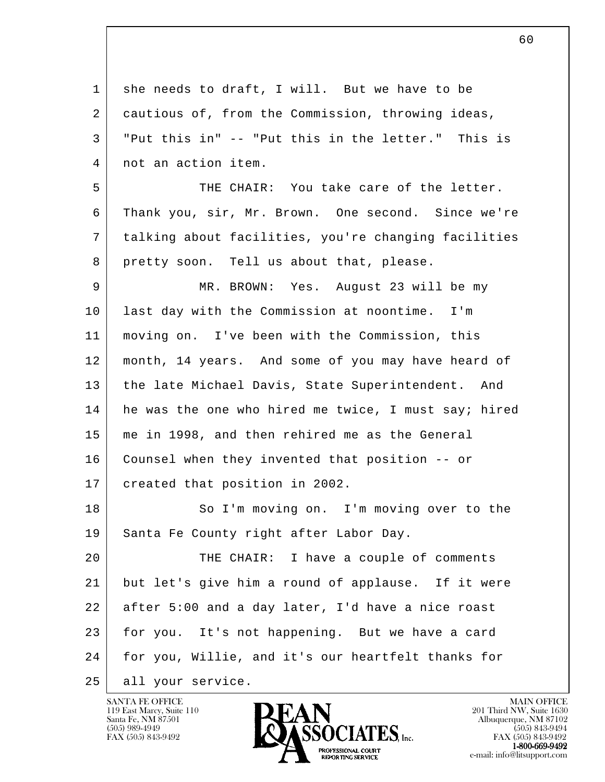| 1  | she needs to draft, I will. But we have to be        |
|----|------------------------------------------------------|
| 2  | cautious of, from the Commission, throwing ideas,    |
| 3  | "Put this in" -- "Put this in the letter." This is   |
| 4  | not an action item.                                  |
| 5  | THE CHAIR: You take care of the letter.              |
| 6  | Thank you, sir, Mr. Brown. One second. Since we're   |
| 7  | talking about facilities, you're changing facilities |
| 8  | pretty soon. Tell us about that, please.             |
| 9  | MR. BROWN: Yes. August 23 will be my                 |
| 10 | last day with the Commission at noontime. I'm        |
| 11 | moving on. I've been with the Commission, this       |
| 12 | month, 14 years. And some of you may have heard of   |
| 13 | the late Michael Davis, State Superintendent. And    |
| 14 | he was the one who hired me twice, I must say; hired |
| 15 | me in 1998, and then rehired me as the General       |
| 16 | Counsel when they invented that position -- or       |
| 17 | created that position in 2002.                       |
| 18 | So I'm moving on. I'm moving over to the             |
| 19 | Santa Fe County right after Labor Day.               |
| 20 | THE CHAIR: I have a couple of comments               |
| 21 | but let's give him a round of applause. If it were   |
| 22 | after 5:00 and a day later, I'd have a nice roast    |
| 23 | for you. It's not happening. But we have a card      |
| 24 | for you, Willie, and it's our heartfelt thanks for   |
| 25 | all your service.                                    |

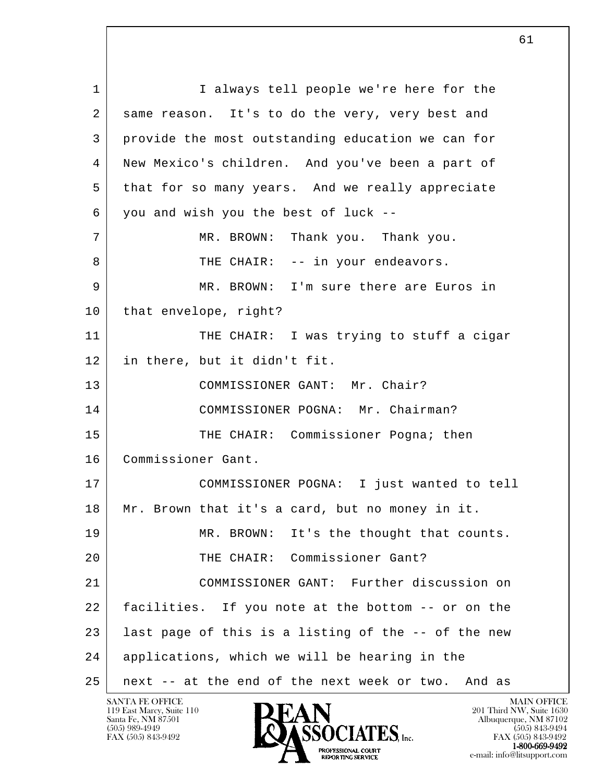l 1 | I always tell people we're here for the 2 same reason. It's to do the very, very best and 3 provide the most outstanding education we can for 4 New Mexico's children. And you've been a part of 5 that for so many years. And we really appreciate  $6$  you and wish you the best of luck --7 MR. BROWN: Thank you. Thank you. 8 | THE CHAIR: -- in your endeavors. 9 MR. BROWN: I'm sure there are Euros in 10 | that envelope, right? 11 THE CHAIR: I was trying to stuff a cigar 12 in there, but it didn't fit. 13 COMMISSIONER GANT: Mr. Chair? 14 COMMISSIONER POGNA: Mr. Chairman? 15 THE CHAIR: Commissioner Pogna; then 16 Commissioner Gant. 17 COMMISSIONER POGNA: I just wanted to tell 18 Mr. Brown that it's a card, but no money in it. 19 MR. BROWN: It's the thought that counts. 20 THE CHAIR: Commissioner Gant? 21 COMMISSIONER GANT: Further discussion on 22 facilities. If you note at the bottom -- or on the 23 | last page of this is a listing of the -- of the new 24 applications, which we will be hearing in the 25 next -- at the end of the next week or two. And as

119 East Marcy, Suite 110<br>Santa Fe, NM 87501



FAX (505) 843-9492 FAX (505) 843-9492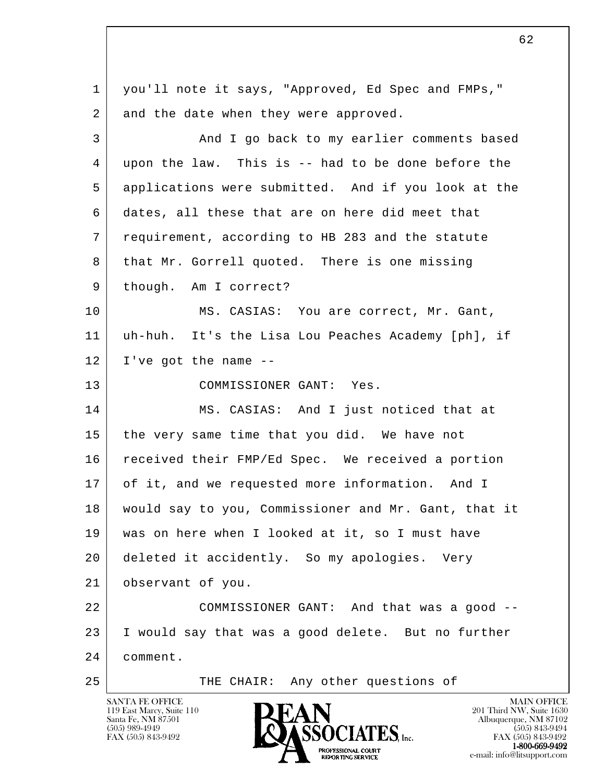l 1 you'll note it says, "Approved, Ed Spec and FMPs," 2 and the date when they were approved. 3 And I go back to my earlier comments based 4 upon the law. This is -- had to be done before the 5 applications were submitted. And if you look at the 6 dates, all these that are on here did meet that 7 requirement, according to HB 283 and the statute 8 that Mr. Gorrell quoted. There is one missing 9 | though. Am I correct? 10 MS. CASIAS: You are correct, Mr. Gant, 11 uh-huh. It's the Lisa Lou Peaches Academy [ph], if  $12$  I've got the name  $-$  13 COMMISSIONER GANT: Yes. 14 MS. CASIAS: And I just noticed that at 15 the very same time that you did. We have not 16 | received their FMP/Ed Spec. We received a portion 17 of it, and we requested more information. And I 18 would say to you, Commissioner and Mr. Gant, that it 19 was on here when I looked at it, so I must have 20 deleted it accidently. So my apologies. Very 21 observant of you. 22 COMMISSIONER GANT: And that was a good -- 23 I would say that was a good delete. But no further 24 comment. 25 | THE CHAIR: Any other questions of

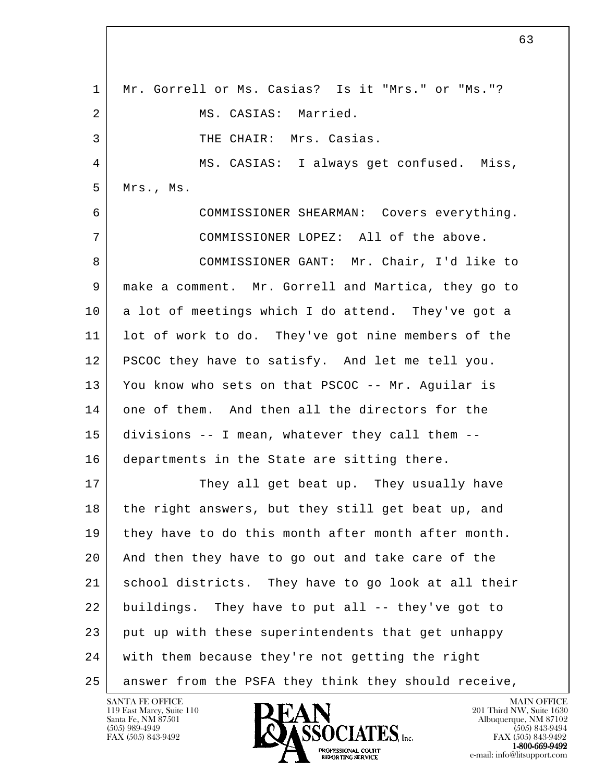l 1 Mr. Gorrell or Ms. Casias? Is it "Mrs." or "Ms."? 2 MS. CASIAS: Married. 3 THE CHAIR: Mrs. Casias. 4 MS. CASIAS: I always get confused. Miss, 5 Mrs., Ms. 6 COMMISSIONER SHEARMAN: Covers everything. 7 COMMISSIONER LOPEZ: All of the above. 8 | COMMISSIONER GANT: Mr. Chair, I'd like to 9 make a comment. Mr. Gorrell and Martica, they go to 10 a lot of meetings which I do attend. They've got a 11 lot of work to do. They've got nine members of the 12 PSCOC they have to satisfy. And let me tell you. 13 You know who sets on that PSCOC -- Mr. Aguilar is 14 one of them. And then all the directors for the 15 divisions -- I mean, whatever they call them -- 16 departments in the State are sitting there. 17 They all get beat up. They usually have 18 the right answers, but they still get beat up, and 19 they have to do this month after month after month. 20 And then they have to go out and take care of the 21 school districts. They have to go look at all their 22 buildings. They have to put all -- they've got to 23 put up with these superintendents that get unhappy 24 with them because they're not getting the right 25 answer from the PSFA they think they should receive,

119 East Marcy, Suite 110<br>Santa Fe, NM 87501

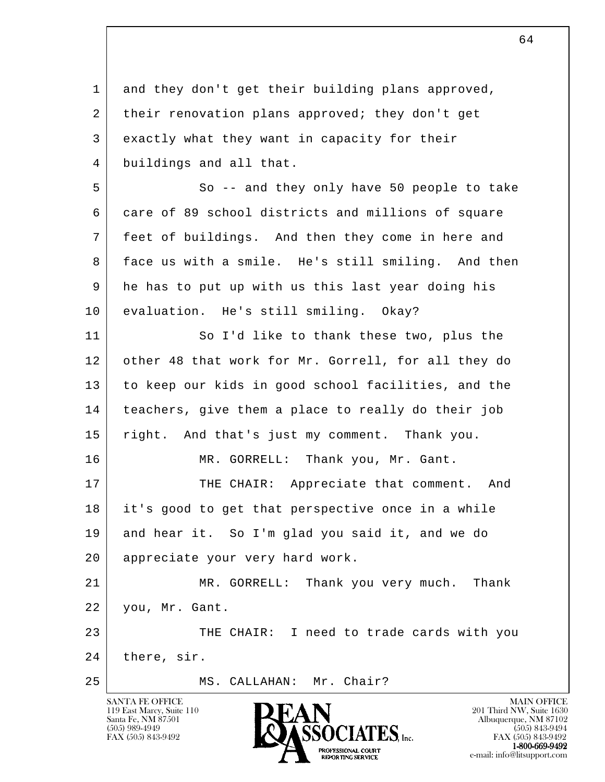l SANTA FE OFFICE MAIN OFFICE MAIN OFFICE MAIN OFFICE MAIN OFFICE 1 and they don't get their building plans approved, 2 their renovation plans approved; they don't get 3 exactly what they want in capacity for their 4 buildings and all that. 5 So -- and they only have 50 people to take 6 care of 89 school districts and millions of square 7 feet of buildings. And then they come in here and 8 face us with a smile. He's still smiling. And then 9 he has to put up with us this last year doing his 10 evaluation. He's still smiling. Okay? 11 So I'd like to thank these two, plus the 12 other 48 that work for Mr. Gorrell, for all they do 13 to keep our kids in good school facilities, and the 14 teachers, give them a place to really do their job 15 right. And that's just my comment. Thank you. 16 | MR. GORRELL: Thank you, Mr. Gant. 17 THE CHAIR: Appreciate that comment. And 18 it's good to get that perspective once in a while 19 and hear it. So I'm glad you said it, and we do 20 appreciate your very hard work. 21 MR. GORRELL: Thank you very much. Thank 22 you, Mr. Gant. 23 THE CHAIR: I need to trade cards with you 24 there, sir. 25 MS. CALLAHAN: Mr. Chair?



FAX (505) 843-9492 FAX (505) 843-9492 PROFESSIONAL COURT  $1-800-669-9492$ **EXPORTING SERVICE**<br>REPORTING SERVICE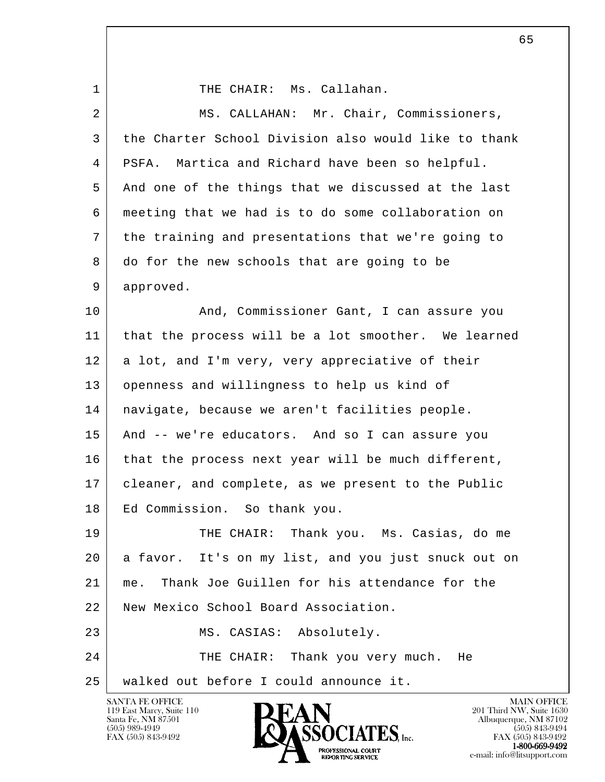l 1 THE CHAIR: Ms. Callahan. 2 MS. CALLAHAN: Mr. Chair, Commissioners, 3 the Charter School Division also would like to thank 4 PSFA. Martica and Richard have been so helpful. 5 And one of the things that we discussed at the last 6 meeting that we had is to do some collaboration on 7 the training and presentations that we're going to 8 do for the new schools that are going to be 9 approved. 10 | The And, Commissioner Gant, I can assure you 11 that the process will be a lot smoother. We learned 12 a lot, and I'm very, very appreciative of their 13 openness and willingness to help us kind of 14 navigate, because we aren't facilities people. 15 And -- we're educators. And so I can assure you 16 that the process next year will be much different, 17 cleaner, and complete, as we present to the Public 18 Ed Commission. So thank you. 19 THE CHAIR: Thank you. Ms. Casias, do me 20 a favor. It's on my list, and you just snuck out on 21 me. Thank Joe Guillen for his attendance for the 22 New Mexico School Board Association. 23 MS. CASIAS: Absolutely. 24 THE CHAIR: Thank you very much. He 25 walked out before I could announce it.

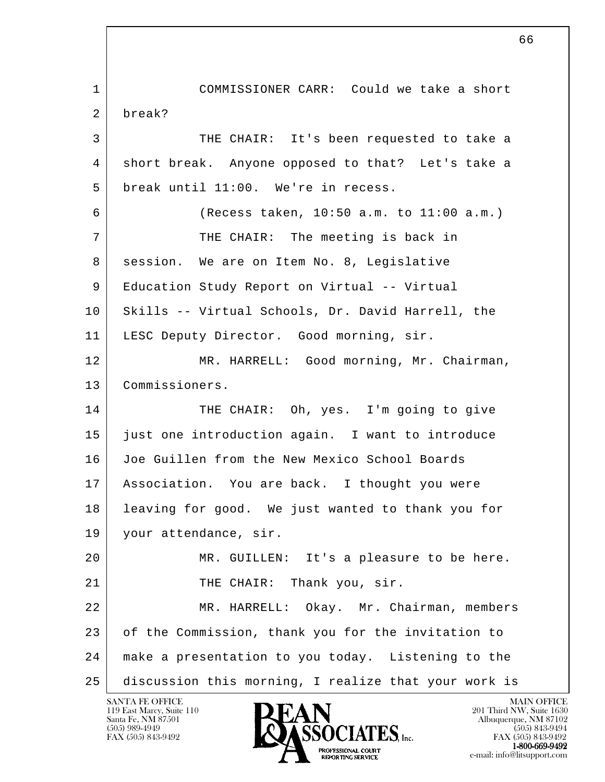l 1 COMMISSIONER CARR: Could we take a short 2 break? 3 THE CHAIR: It's been requested to take a 4 short break. Anyone opposed to that? Let's take a 5 break until 11:00. We're in recess. 6 (Recess taken, 10:50 a.m. to 11:00 a.m.) 7 THE CHAIR: The meeting is back in 8 session. We are on Item No. 8, Legislative 9 | Education Study Report on Virtual -- Virtual 10 | Skills -- Virtual Schools, Dr. David Harrell, the 11 | LESC Deputy Director. Good morning, sir. 12 MR. HARRELL: Good morning, Mr. Chairman, 13 Commissioners. 14 THE CHAIR: Oh, yes. I'm going to give 15 just one introduction again. I want to introduce 16 Joe Guillen from the New Mexico School Boards 17 Association. You are back. I thought you were 18 leaving for good. We just wanted to thank you for 19 your attendance, sir. 20 MR. GUILLEN: It's a pleasure to be here. 21 THE CHAIR: Thank you, sir. 22 MR. HARRELL: Okay. Mr. Chairman, members 23 of the Commission, thank you for the invitation to 24 make a presentation to you today. Listening to the 25 discussion this morning, I realize that your work is

119 East Marcy, Suite 110<br>Santa Fe, NM 87501

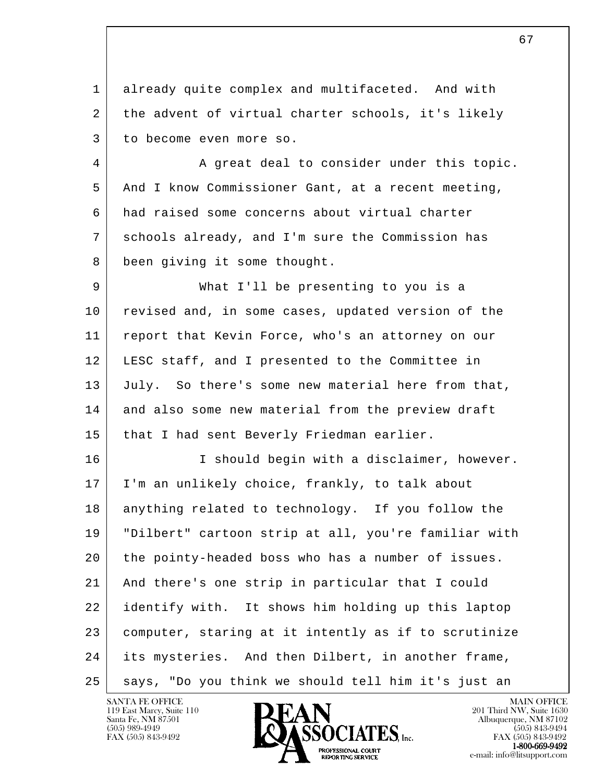1 already quite complex and multifaceted. And with 2 | the advent of virtual charter schools, it's likely 3 to become even more so.

4 A great deal to consider under this topic. 5 And I know Commissioner Gant, at a recent meeting, 6 had raised some concerns about virtual charter 7 schools already, and I'm sure the Commission has 8 been giving it some thought.

 9 What I'll be presenting to you is a 10 revised and, in some cases, updated version of the 11 report that Kevin Force, who's an attorney on our 12 LESC staff, and I presented to the Committee in 13 July. So there's some new material here from that, 14 and also some new material from the preview draft 15 that I had sent Beverly Friedman earlier.

l 16 | T should begin with a disclaimer, however. 17 I'm an unlikely choice, frankly, to talk about 18 anything related to technology. If you follow the 19 "Dilbert" cartoon strip at all, you're familiar with 20 the pointy-headed boss who has a number of issues. 21 And there's one strip in particular that I could 22 identify with. It shows him holding up this laptop 23 computer, staring at it intently as if to scrutinize 24 its mysteries. And then Dilbert, in another frame, 25 says, "Do you think we should tell him it's just an

119 East Marcy, Suite 110<br>Santa Fe, NM 87501



FAX (505) 843-9492 FAX (505) 843-9492 **EXPORTING SERVICE**<br>REPORTING SERVICE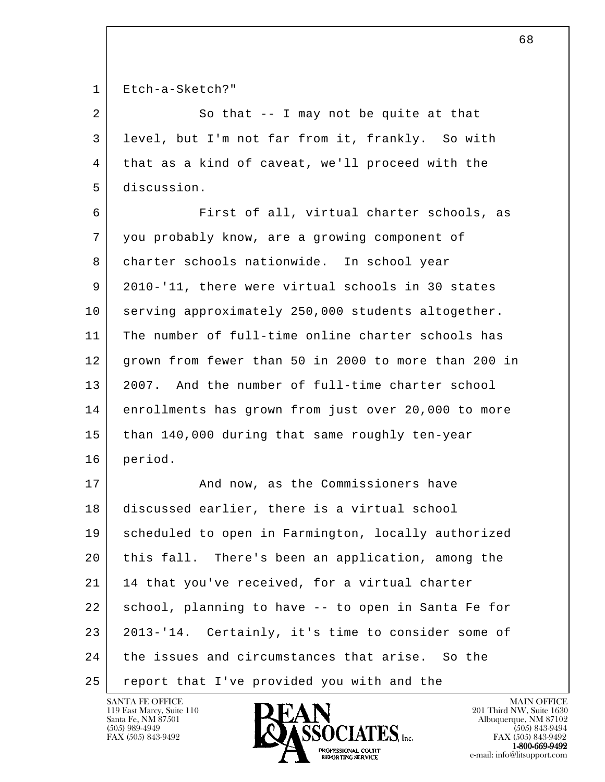1 Etch-a-Sketch?"

| So that $-$ - I may not be quite at that             |
|------------------------------------------------------|
| level, but I'm not far from it, frankly. So with     |
| 4   that as a kind of caveat, we'll proceed with the |
| 5 discussion.                                        |

 6 First of all, virtual charter schools, as 7 you probably know, are a growing component of 8 charter schools nationwide. In school year 9 2010-'11, there were virtual schools in 30 states 10 serving approximately 250,000 students altogether. 11 The number of full-time online charter schools has 12 grown from fewer than 50 in 2000 to more than 200 in 13 2007. And the number of full-time charter school 14 enrollments has grown from just over 20,000 to more 15 than 140,000 during that same roughly ten-year 16 period.

l 17 | And now, as the Commissioners have 18 discussed earlier, there is a virtual school 19 scheduled to open in Farmington, locally authorized 20 this fall. There's been an application, among the 21 | 14 that you've received, for a virtual charter 22 school, planning to have -- to open in Santa Fe for 23 2013-'14. Certainly, it's time to consider some of 24 the issues and circumstances that arise. So the 25 | report that I've provided you with and the

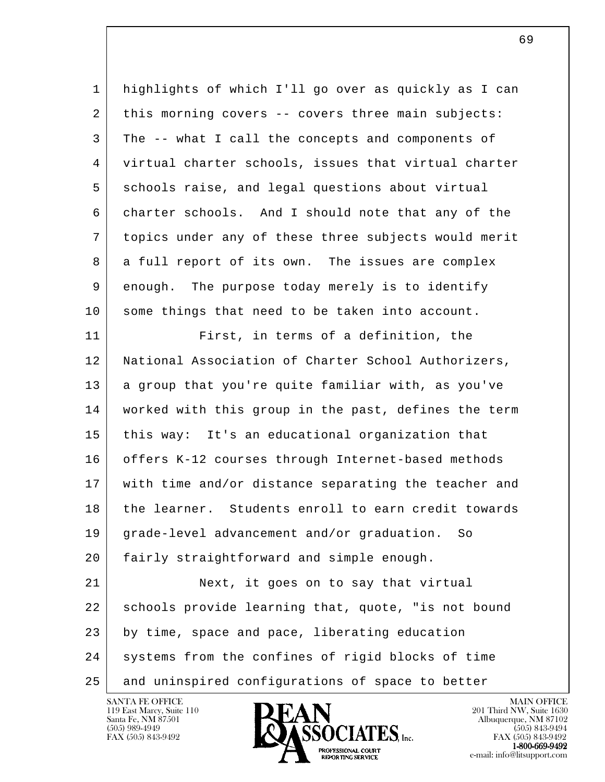1 highlights of which I'll go over as quickly as I can 2 this morning covers -- covers three main subjects: 3 The -- what I call the concepts and components of 4 virtual charter schools, issues that virtual charter 5 schools raise, and legal questions about virtual 6 charter schools. And I should note that any of the 7 topics under any of these three subjects would merit 8 a full report of its own. The issues are complex 9 enough. The purpose today merely is to identify 10 some things that need to be taken into account.

l 11 First, in terms of a definition, the 12 | National Association of Charter School Authorizers, 13 a group that you're quite familiar with, as you've 14 worked with this group in the past, defines the term 15 this way: It's an educational organization that 16 offers K-12 courses through Internet-based methods 17 with time and/or distance separating the teacher and 18 the learner. Students enroll to earn credit towards 19 grade-level advancement and/or graduation. So 20 fairly straightforward and simple enough. 21 Next, it goes on to say that virtual 22 schools provide learning that, quote, "is not bound 23 by time, space and pace, liberating education 24 systems from the confines of rigid blocks of time

25 and uninspired configurations of space to better

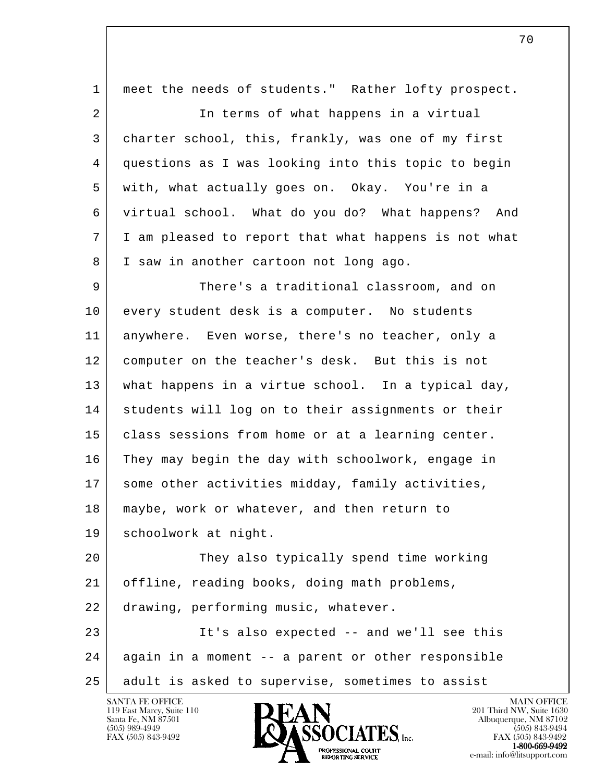l 1 meet the needs of students." Rather lofty prospect. 2 In terms of what happens in a virtual 3 charter school, this, frankly, was one of my first 4 questions as I was looking into this topic to begin 5 with, what actually goes on. Okay. You're in a 6 virtual school. What do you do? What happens? And 7 I am pleased to report that what happens is not what 8 I saw in another cartoon not long ago. 9 There's a traditional classroom, and on 10 every student desk is a computer. No students 11 anywhere. Even worse, there's no teacher, only a 12 computer on the teacher's desk. But this is not 13 what happens in a virtue school. In a typical day, 14 | students will log on to their assignments or their 15 | class sessions from home or at a learning center. 16 They may begin the day with schoolwork, engage in 17 some other activities midday, family activities, 18 maybe, work or whatever, and then return to 19 schoolwork at night. 20 They also typically spend time working 21 offline, reading books, doing math problems, 22 drawing, performing music, whatever. 23 It's also expected -- and we'll see this 24 again in a moment -- a parent or other responsible 25 adult is asked to supervise, sometimes to assist

119 East Marcy, Suite 110<br>Santa Fe, NM 87501

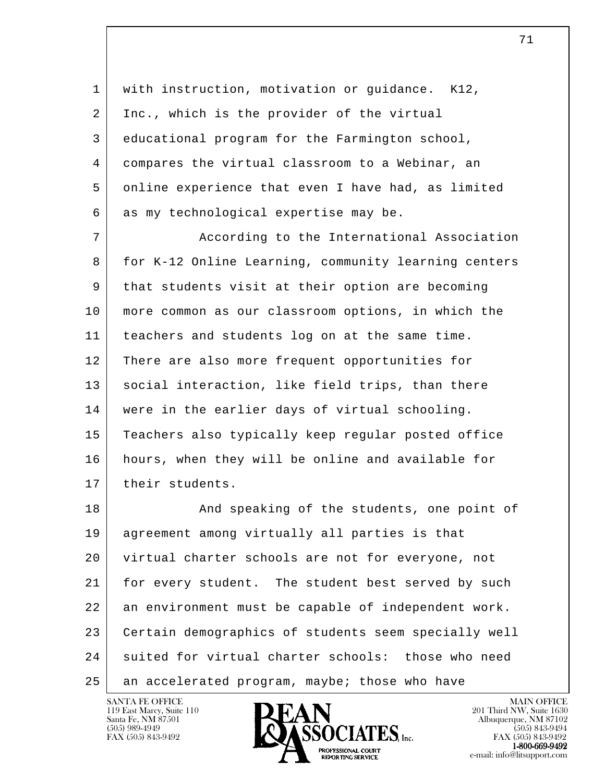1 with instruction, motivation or guidance. K12, 2 Inc., which is the provider of the virtual 3 educational program for the Farmington school, 4 compares the virtual classroom to a Webinar, an 5 online experience that even I have had, as limited  $6$  as my technological expertise may be.

7 | According to the International Association 8 for K-12 Online Learning, community learning centers 9 that students visit at their option are becoming 10 more common as our classroom options, in which the 11 teachers and students log on at the same time. 12 There are also more frequent opportunities for 13 | social interaction, like field trips, than there 14 were in the earlier days of virtual schooling. 15 Teachers also typically keep regular posted office 16 hours, when they will be online and available for 17 | their students.

l 18 And speaking of the students, one point of 19 agreement among virtually all parties is that 20 virtual charter schools are not for everyone, not 21 for every student. The student best served by such 22 an environment must be capable of independent work. 23 Certain demographics of students seem specially well 24 suited for virtual charter schools: those who need 25 an accelerated program, maybe; those who have

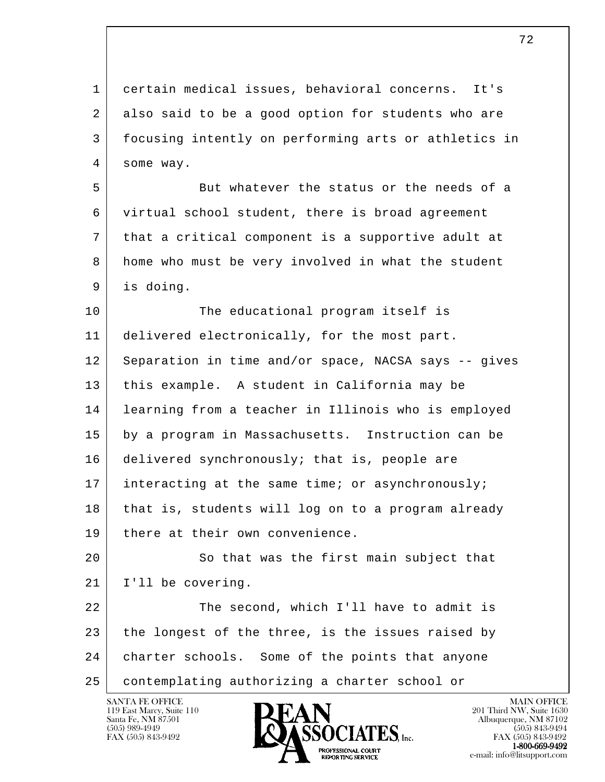l 1 certain medical issues, behavioral concerns. It's 2 also said to be a good option for students who are 3 focusing intently on performing arts or athletics in 4 some way. 5 But whatever the status or the needs of a 6 virtual school student, there is broad agreement 7 that a critical component is a supportive adult at 8 home who must be very involved in what the student 9 is doing. 10 The educational program itself is 11 delivered electronically, for the most part. 12 Separation in time and/or space, NACSA says -- gives 13 this example. A student in California may be 14 learning from a teacher in Illinois who is employed 15 by a program in Massachusetts. Instruction can be 16 delivered synchronously; that is, people are 17 interacting at the same time; or asynchronously; 18 that is, students will log on to a program already 19 there at their own convenience. 20 So that was the first main subject that 21 I'll be covering. 22 The second, which I'll have to admit is 23 the longest of the three, is the issues raised by

24 charter schools. Some of the points that anyone

25 contemplating authorizing a charter school or

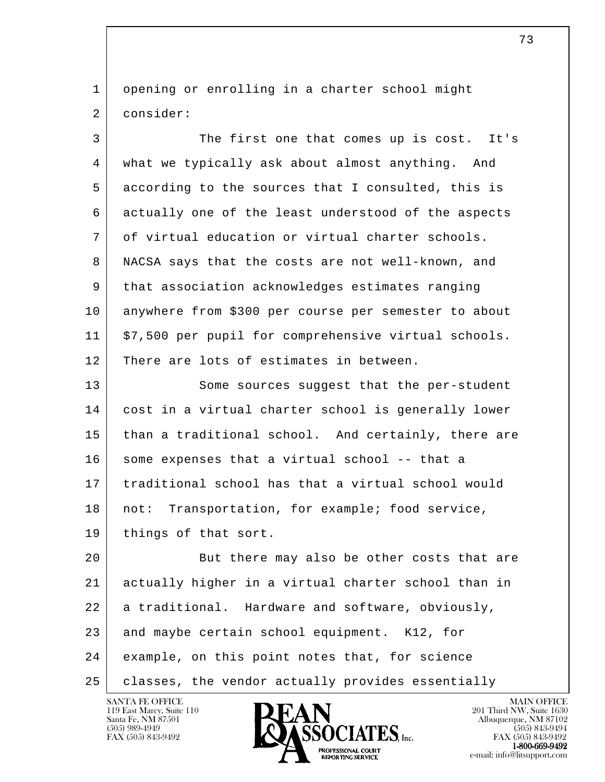1 opening or enrolling in a charter school might 2 consider:

 3 The first one that comes up is cost. It's 4 what we typically ask about almost anything. And 5 according to the sources that I consulted, this is 6 actually one of the least understood of the aspects 7 of virtual education or virtual charter schools. 8 NACSA says that the costs are not well-known, and 9 that association acknowledges estimates ranging 10 anywhere from \$300 per course per semester to about 11 \$7,500 per pupil for comprehensive virtual schools. 12 There are lots of estimates in between. 13 Some sources suggest that the per-student

 14 cost in a virtual charter school is generally lower 15 than a traditional school. And certainly, there are 16 some expenses that a virtual school -- that a 17 traditional school has that a virtual school would 18 | not: Transportation, for example; food service, 19 | things of that sort.

l 20 But there may also be other costs that are 21 actually higher in a virtual charter school than in 22 a traditional. Hardware and software, obviously, 23 and maybe certain school equipment. K12, for 24 example, on this point notes that, for science 25 | classes, the vendor actually provides essentially

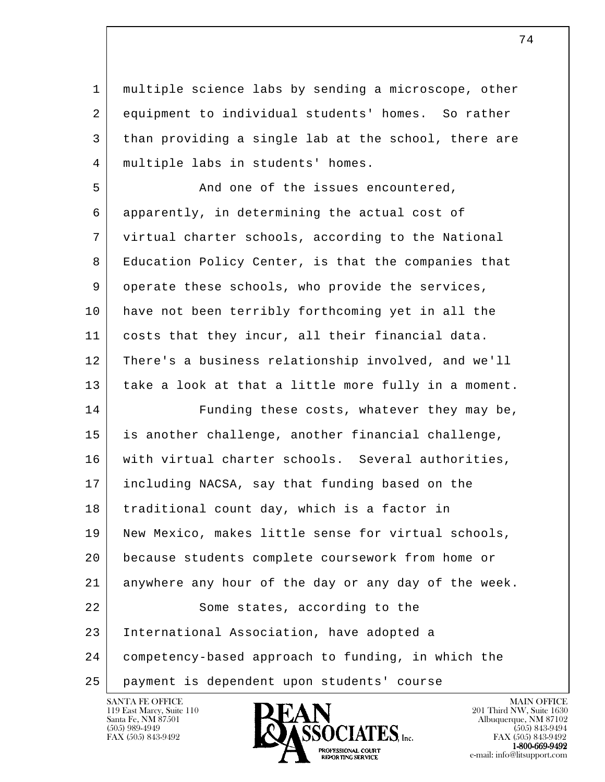1 multiple science labs by sending a microscope, other 2 equipment to individual students' homes. So rather 3 than providing a single lab at the school, there are 4 multiple labs in students' homes.

5 And one of the issues encountered, 6 apparently, in determining the actual cost of 7 virtual charter schools, according to the National 8 Education Policy Center, is that the companies that 9 operate these schools, who provide the services, 10 have not been terribly forthcoming yet in all the 11 costs that they incur, all their financial data. 12 There's a business relationship involved, and we'll 13 take a look at that a little more fully in a moment.

l 14 Funding these costs, whatever they may be, 15 is another challenge, another financial challenge, 16 | with virtual charter schools. Several authorities, 17 including NACSA, say that funding based on the 18 traditional count day, which is a factor in 19 | New Mexico, makes little sense for virtual schools, 20 because students complete coursework from home or 21 anywhere any hour of the day or any day of the week. 22 Some states, according to the 23 International Association, have adopted a 24 competency-based approach to funding, in which the 25 payment is dependent upon students' course

119 East Marcy, Suite 110<br>Santa Fe, NM 87501



FAX (505) 843-9492 FAX (505) 843-9492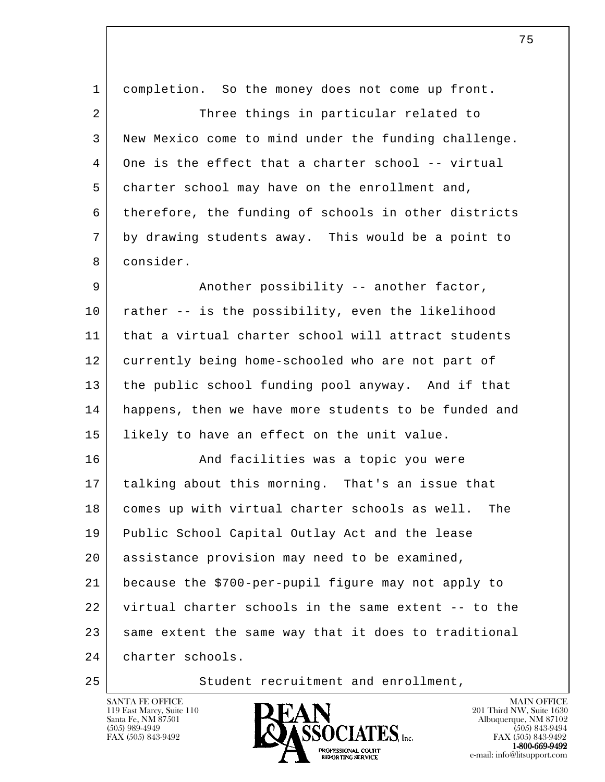| $\mathbf{1}$ | completion. So the money does not come up front.      |
|--------------|-------------------------------------------------------|
| 2            | Three things in particular related to                 |
| 3            | New Mexico come to mind under the funding challenge.  |
| 4            | One is the effect that a charter school -- virtual    |
| 5            | charter school may have on the enrollment and,        |
| 6            | therefore, the funding of schools in other districts  |
| 7            | by drawing students away. This would be a point to    |
| 8            | consider.                                             |
| 9            | Another possibility -- another factor,                |
| 10           | rather -- is the possibility, even the likelihood     |
| 11           | that a virtual charter school will attract students   |
| 12           | currently being home-schooled who are not part of     |
| 13           | the public school funding pool anyway. And if that    |
| 14           | happens, then we have more students to be funded and  |
| 15           | likely to have an effect on the unit value.           |
| 16           | And facilities was a topic you were                   |
| 17           | talking about this morning. That's an issue that      |
| 18           | comes up with virtual charter schools as well.<br>The |
| 19           | Public School Capital Outlay Act and the lease        |
| 20           | assistance provision may need to be examined,         |
| 21           | because the \$700-per-pupil figure may not apply to   |
| 22           | virtual charter schools in the same extent -- to the  |
| 23           | same extent the same way that it does to traditional  |
| 24           | charter schools.                                      |
|              |                                                       |

25 | Student recruitment and enrollment,



75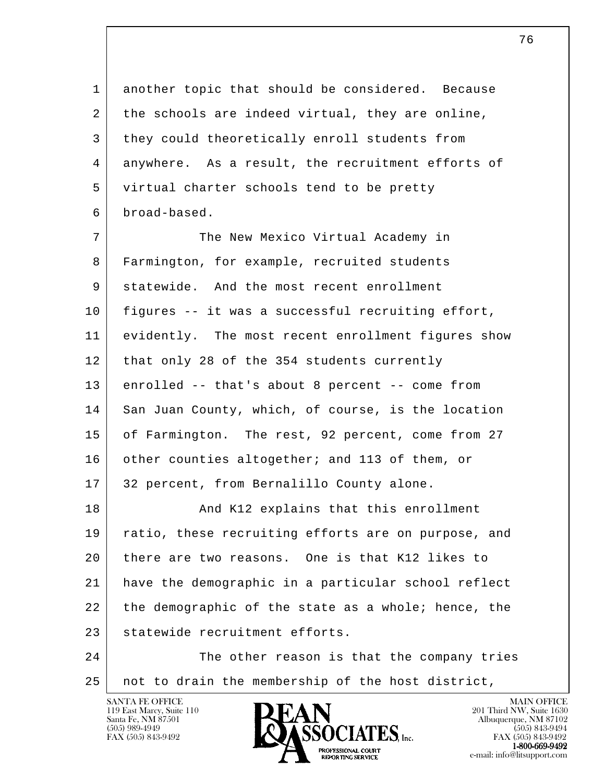1 another topic that should be considered. Because 2 the schools are indeed virtual, they are online, 3 they could theoretically enroll students from 4 anywhere. As a result, the recruitment efforts of 5 virtual charter schools tend to be pretty 6 broad-based.

7 The New Mexico Virtual Academy in 8 Farmington, for example, recruited students 9 statewide. And the most recent enrollment 10 figures -- it was a successful recruiting effort, 11 evidently. The most recent enrollment figures show 12 that only 28 of the 354 students currently 13 enrolled -- that's about 8 percent -- come from 14 San Juan County, which, of course, is the location 15 of Farmington. The rest, 92 percent, come from 27 16 other counties altogether; and 113 of them, or 17 32 percent, from Bernalillo County alone. 18 | Rand K12 explains that this enrollment 19 ratio, these recruiting efforts are on purpose, and 20 there are two reasons. One is that K12 likes to 21 have the demographic in a particular school reflect

l  $22$  the demographic of the state as a whole; hence, the 23 statewide recruitment efforts.

 24 The other reason is that the company tries 25 not to drain the membership of the host district,

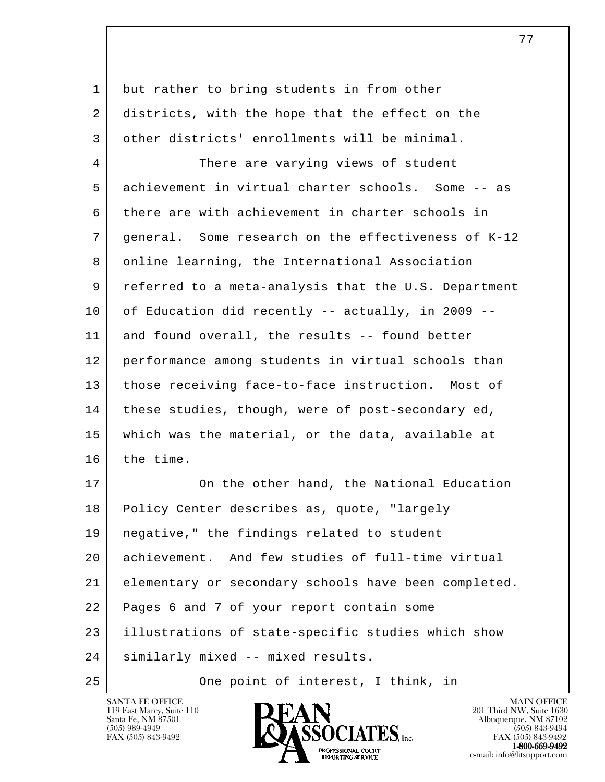| 1  | but rather to bring students in from other           |
|----|------------------------------------------------------|
| 2  | districts, with the hope that the effect on the      |
| 3  | other districts' enrollments will be minimal.        |
| 4  | There are varying views of student                   |
| 5  | achievement in virtual charter schools. Some -- as   |
| 6  | there are with achievement in charter schools in     |
| 7  | general. Some research on the effectiveness of K-12  |
| 8  | online learning, the International Association       |
| 9  | referred to a meta-analysis that the U.S. Department |
| 10 | of Education did recently -- actually, in 2009 --    |
| 11 | and found overall, the results -- found better       |
| 12 | performance among students in virtual schools than   |
| 13 | those receiving face-to-face instruction. Most of    |
| 14 | these studies, though, were of post-secondary ed,    |
| 15 | which was the material, or the data, available at    |
| 16 | the time.                                            |
| 17 | On the other hand, the National Education            |
| 18 | Policy Center describes as, quote, "largely          |
| 19 | negative," the findings related to student           |
| 20 | achievement. And few studies of full-time virtual    |
| 21 | elementary or secondary schools have been completed. |
| 22 | Pages 6 and 7 of your report contain some            |
| 23 | illustrations of state-specific studies which show   |
| 24 | similarly mixed -- mixed results.                    |
| 25 | One point of interest, I think, in                   |

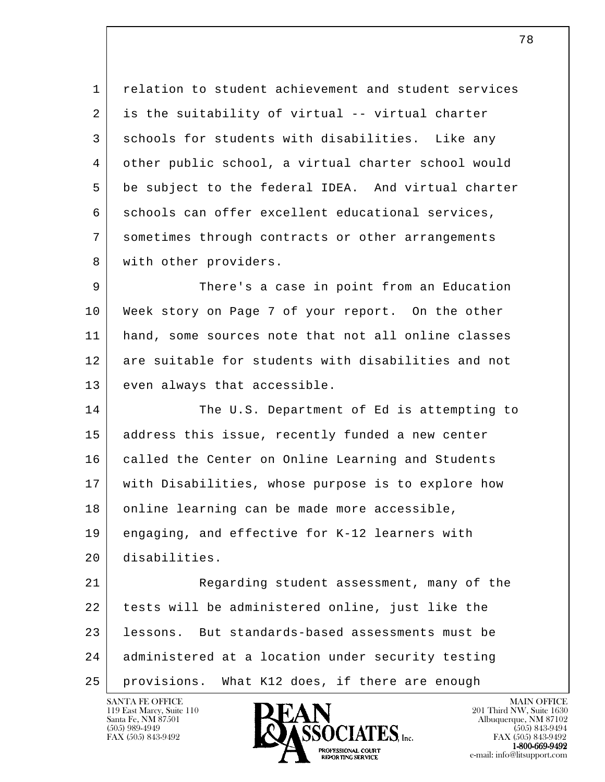1 relation to student achievement and student services 2 is the suitability of virtual -- virtual charter 3 schools for students with disabilities. Like any 4 other public school, a virtual charter school would 5 be subject to the federal IDEA. And virtual charter 6 schools can offer excellent educational services, 7 sometimes through contracts or other arrangements 8 | with other providers.

9 | There's a case in point from an Education 10 Week story on Page 7 of your report. On the other 11 hand, some sources note that not all online classes 12 are suitable for students with disabilities and not 13 even always that accessible.

14 The U.S. Department of Ed is attempting to 15 | address this issue, recently funded a new center 16 | called the Center on Online Learning and Students 17 with Disabilities, whose purpose is to explore how 18 online learning can be made more accessible, 19 engaging, and effective for K-12 learners with 20 disabilities.

l 21 Regarding student assessment, many of the 22 tests will be administered online, just like the 23 lessons. But standards-based assessments must be 24 administered at a location under security testing 25 provisions. What K12 does, if there are enough

119 East Marcy, Suite 110<br>Santa Fe, NM 87501



FAX (505) 843-9492 FAX (505) 843-9492 e-mail: info@litsupport.com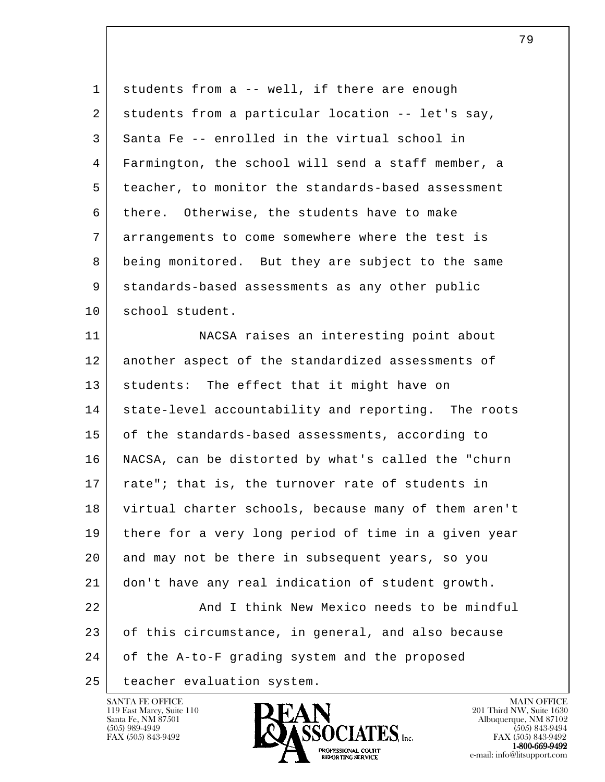l 1 students from a -- well, if there are enough 2 students from a particular location -- let's say, 3 Santa Fe -- enrolled in the virtual school in 4 Farmington, the school will send a staff member, a 5 teacher, to monitor the standards-based assessment 6 there. Otherwise, the students have to make 7 arrangements to come somewhere where the test is 8 being monitored. But they are subject to the same 9 standards-based assessments as any other public 10 school student. 11 | NACSA raises an interesting point about 12 another aspect of the standardized assessments of 13 students: The effect that it might have on 14 | state-level accountability and reporting. The roots 15 of the standards-based assessments, according to 16 NACSA, can be distorted by what's called the "churn 17 | rate"; that is, the turnover rate of students in 18 virtual charter schools, because many of them aren't 19 there for a very long period of time in a given year 20 and may not be there in subsequent years, so you 21 don't have any real indication of student growth. 22 And I think New Mexico needs to be mindful 23 of this circumstance, in general, and also because 24 of the A-to-F grading system and the proposed 25 | teacher evaluation system.

119 East Marcy, Suite 110<br>Santa Fe, NM 87501



79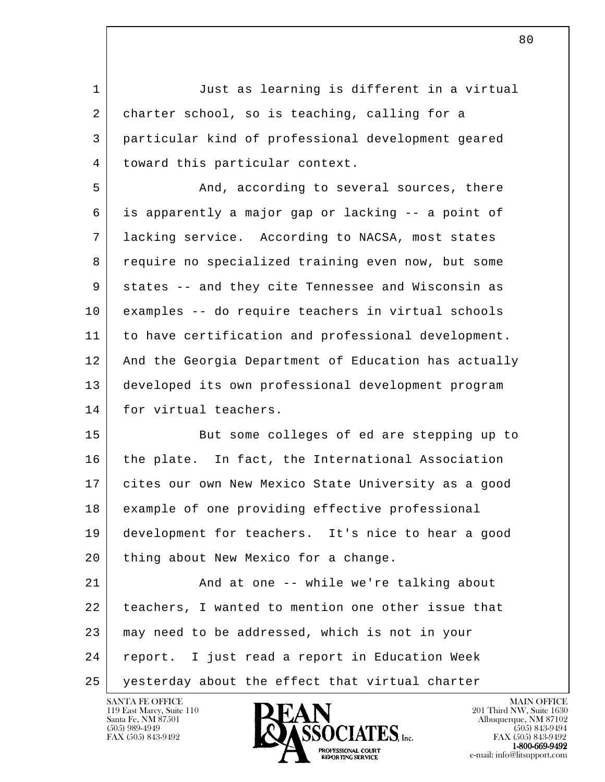l 1 Just as learning is different in a virtual 2 charter school, so is teaching, calling for a 3 particular kind of professional development geared 4 | toward this particular context. 5 And, according to several sources, there 6 is apparently a major gap or lacking -- a point of 7 lacking service. According to NACSA, most states 8 require no specialized training even now, but some 9 states -- and they cite Tennessee and Wisconsin as 10 examples -- do require teachers in virtual schools 11 to have certification and professional development. 12 And the Georgia Department of Education has actually 13 developed its own professional development program 14 for virtual teachers. 15 But some colleges of ed are stepping up to 16 | the plate. In fact, the International Association 17 cites our own New Mexico State University as a good 18 example of one providing effective professional 19 development for teachers. It's nice to hear a good 20 | thing about New Mexico for a change. 21 And at one -- while we're talking about 22 | teachers, I wanted to mention one other issue that 23 may need to be addressed, which is not in your 24 report. I just read a report in Education Week 25 yesterday about the effect that virtual charter

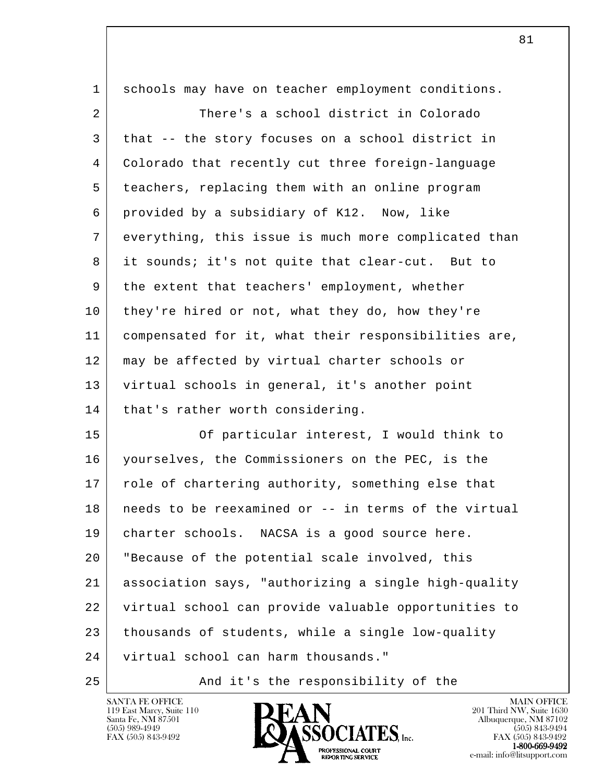| $\mathbf 1$     | schools may have on teacher employment conditions.   |
|-----------------|------------------------------------------------------|
| 2               | There's a school district in Colorado                |
| 3               | that -- the story focuses on a school district in    |
| $\overline{4}$  | Colorado that recently cut three foreign-language    |
| 5               | teachers, replacing them with an online program      |
| 6               | provided by a subsidiary of K12. Now, like           |
| 7               | everything, this issue is much more complicated than |
| 8               | it sounds; it's not quite that clear-cut. But to     |
| 9               | the extent that teachers' employment, whether        |
| 10              | they're hired or not, what they do, how they're      |
| 11              | compensated for it, what their responsibilities are, |
| 12              | may be affected by virtual charter schools or        |
| 13              | virtual schools in general, it's another point       |
| 14              | that's rather worth considering.                     |
| 15              | Of particular interest, I would think to             |
| 16              | yourselves, the Commissioners on the PEC, is the     |
| 17              | role of chartering authority, something else that    |
| 18 <sup>1</sup> | needs to be reexamined or -- in terms of the virtual |
| 19              | charter schools. NACSA is a good source here.        |
| 20              | "Because of the potential scale involved, this       |
| 21              | association says, "authorizing a single high-quality |
| 22              | virtual school can provide valuable opportunities to |
| 23              | thousands of students, while a single low-quality    |
| 24              | virtual school can harm thousands."                  |
|                 |                                                      |

25 And it's the responsibility of the



e-mail: info@litsupport.com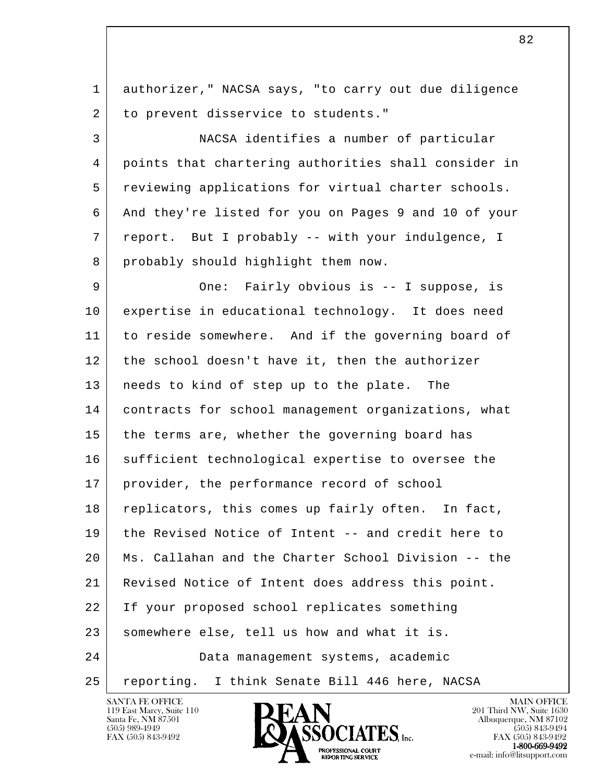l 1 authorizer," NACSA says, "to carry out due diligence 2 to prevent disservice to students." 3 NACSA identifies a number of particular 4 points that chartering authorities shall consider in 5 reviewing applications for virtual charter schools. 6 And they're listed for you on Pages 9 and 10 of your 7 report. But I probably -- with your indulgence, I 8 probably should highlight them now. 9 One: Fairly obvious is -- I suppose, is 10 expertise in educational technology. It does need 11 | to reside somewhere. And if the governing board of 12 the school doesn't have it, then the authorizer 13 needs to kind of step up to the plate. The 14 contracts for school management organizations, what 15 the terms are, whether the governing board has 16 sufficient technological expertise to oversee the 17 provider, the performance record of school 18 replicators, this comes up fairly often. In fact, 19 the Revised Notice of Intent -- and credit here to 20 Ms. Callahan and the Charter School Division -- the 21 Revised Notice of Intent does address this point. 22 If your proposed school replicates something 23 somewhere else, tell us how and what it is. 24 Data management systems, academic 25 | reporting. I think Senate Bill 446 here, NACSA



FAX (505) 843-9492 FAX (505) 843-9492 **EXECUTE EXECUTE:**<br>REPORTING SERVICE e-mail: info@litsupport.com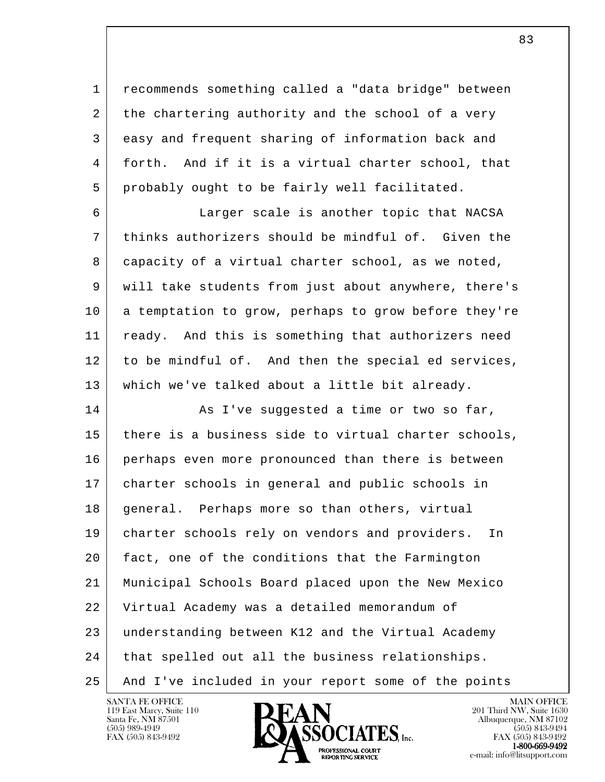1 recommends something called a "data bridge" between 2 the chartering authority and the school of a very 3 easy and frequent sharing of information back and 4 forth. And if it is a virtual charter school, that 5 probably ought to be fairly well facilitated.

 6 Larger scale is another topic that NACSA 7 thinks authorizers should be mindful of. Given the 8 capacity of a virtual charter school, as we noted, 9 will take students from just about anywhere, there's 10 a temptation to grow, perhaps to grow before they're 11 | ready. And this is something that authorizers need 12 to be mindful of. And then the special ed services, 13 which we've talked about a little bit already.

l 14 As I've suggested a time or two so far, 15 there is a business side to virtual charter schools, 16 perhaps even more pronounced than there is between 17 charter schools in general and public schools in 18 | general. Perhaps more so than others, virtual 19 charter schools rely on vendors and providers. In 20 fact, one of the conditions that the Farmington 21 Municipal Schools Board placed upon the New Mexico 22 Virtual Academy was a detailed memorandum of 23 understanding between K12 and the Virtual Academy 24 that spelled out all the business relationships. 25 And I've included in your report some of the points

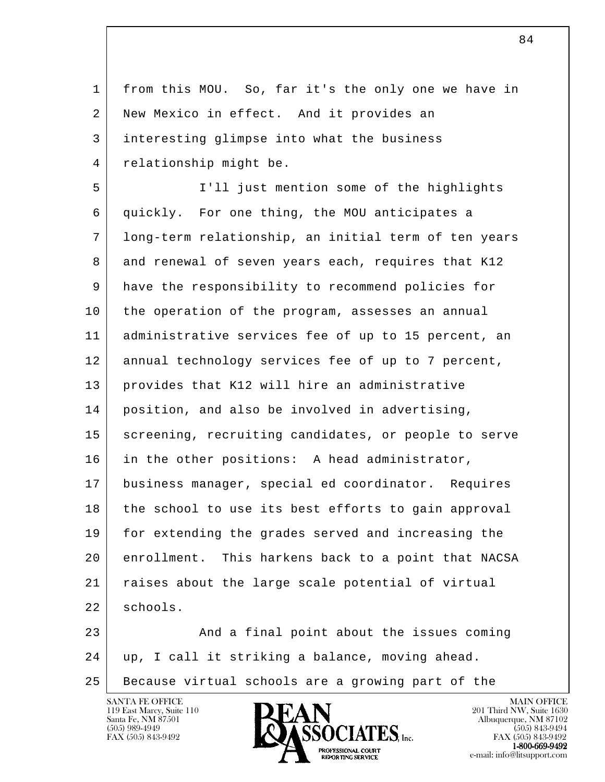l 1 from this MOU. So, far it's the only one we have in 2 New Mexico in effect. And it provides an 3 interesting glimpse into what the business 4 relationship might be. 5 I'll just mention some of the highlights 6 quickly. For one thing, the MOU anticipates a 7 long-term relationship, an initial term of ten years 8 and renewal of seven years each, requires that K12 9 have the responsibility to recommend policies for 10 the operation of the program, assesses an annual 11 | administrative services fee of up to 15 percent, an 12 annual technology services fee of up to 7 percent, 13 provides that K12 will hire an administrative 14 position, and also be involved in advertising, 15 | screening, recruiting candidates, or people to serve 16 in the other positions: A head administrator, 17 business manager, special ed coordinator. Requires 18 the school to use its best efforts to gain approval 19 for extending the grades served and increasing the 20 enrollment. This harkens back to a point that NACSA 21 raises about the large scale potential of virtual 22 schools. 23 And a final point about the issues coming 24 up, I call it striking a balance, moving ahead.

25 Because virtual schools are a growing part of the

119 East Marcy, Suite 110<br>Santa Fe, NM 87501



FAX (505) 843-9492 FAX (505) 843-9492 **EXECUTE EXECUTE:**<br>REPORTING SERVICE e-mail: info@litsupport.com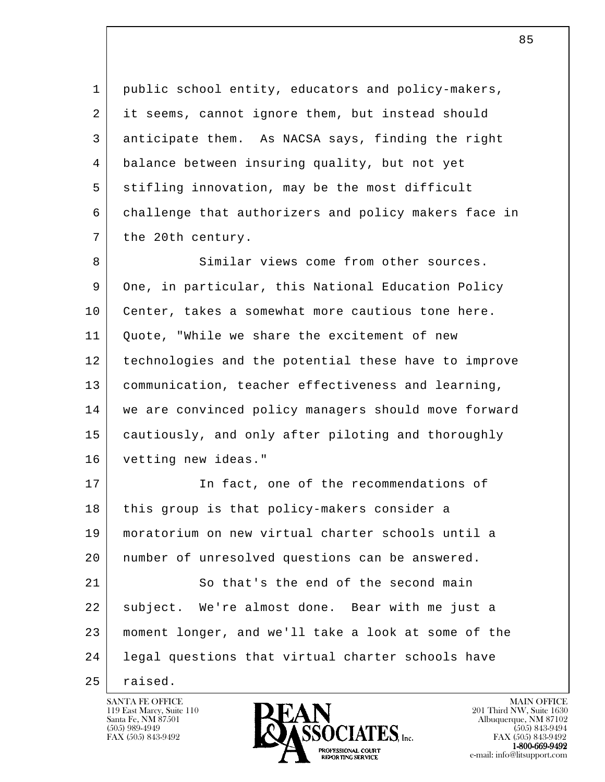1 public school entity, educators and policy-makers, 2 it seems, cannot ignore them, but instead should 3 anticipate them. As NACSA says, finding the right 4 balance between insuring quality, but not yet 5 stifling innovation, may be the most difficult 6 challenge that authorizers and policy makers face in 7 the 20th century.

8 Similar views come from other sources. 9 One, in particular, this National Education Policy 10 | Center, takes a somewhat more cautious tone here. 11 | Quote, "While we share the excitement of new 12 technologies and the potential these have to improve 13 communication, teacher effectiveness and learning, 14 we are convinced policy managers should move forward 15 cautiously, and only after piloting and thoroughly 16 vetting new ideas."

l 17 In fact, one of the recommendations of 18 this group is that policy-makers consider a 19 moratorium on new virtual charter schools until a 20 number of unresolved questions can be answered. 21 So that's the end of the second main 22 subject. We're almost done. Bear with me just a 23 moment longer, and we'll take a look at some of the 24 legal questions that virtual charter schools have

 $25$  raised.

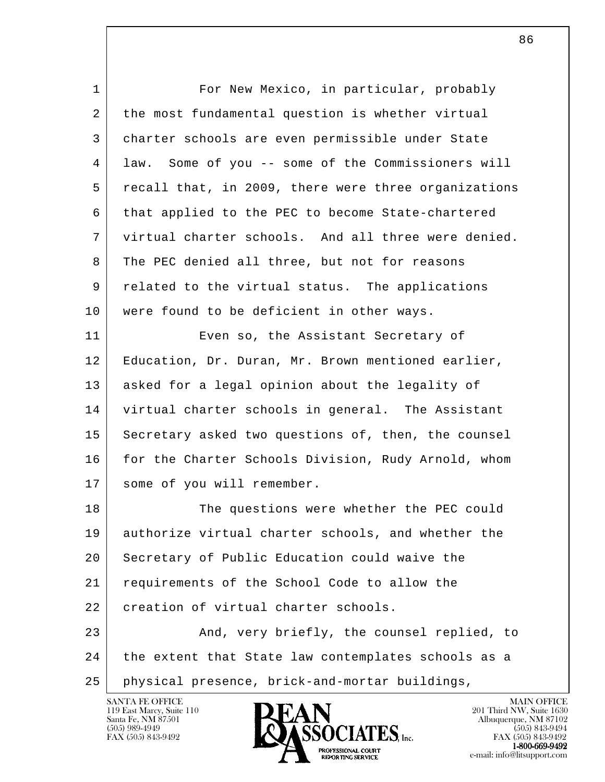| $\mathbf 1$ | For New Mexico, in particular, probably               |
|-------------|-------------------------------------------------------|
| 2           | the most fundamental question is whether virtual      |
| 3           | charter schools are even permissible under State      |
| 4           | Some of you -- some of the Commissioners will<br>law. |
| 5           | recall that, in 2009, there were three organizations  |
| 6           | that applied to the PEC to become State-chartered     |
| 7           | virtual charter schools. And all three were denied.   |
| 8           | The PEC denied all three, but not for reasons         |
| 9           | related to the virtual status. The applications       |
| 10          | were found to be deficient in other ways.             |
| 11          | Even so, the Assistant Secretary of                   |
| 12          | Education, Dr. Duran, Mr. Brown mentioned earlier,    |
| 13          | asked for a legal opinion about the legality of       |
| 14          | virtual charter schools in general. The Assistant     |
| 15          | Secretary asked two questions of, then, the counsel   |
| 16          | for the Charter Schools Division, Rudy Arnold, whom   |
| 17          | some of you will remember.                            |
| 18          | The questions were whether the PEC could              |
| 19          | authorize virtual charter schools, and whether the    |
| 20          | Secretary of Public Education could waive the         |
| 21          | requirements of the School Code to allow the          |
| 22          | creation of virtual charter schools.                  |
| 23          | And, very briefly, the counsel replied, to            |
| 24          | the extent that State law contemplates schools as a   |
| 25          | physical presence, brick-and-mortar buildings,        |
|             | SANTA FE OFFICE<br><b>MAIN OFFICE</b>                 |

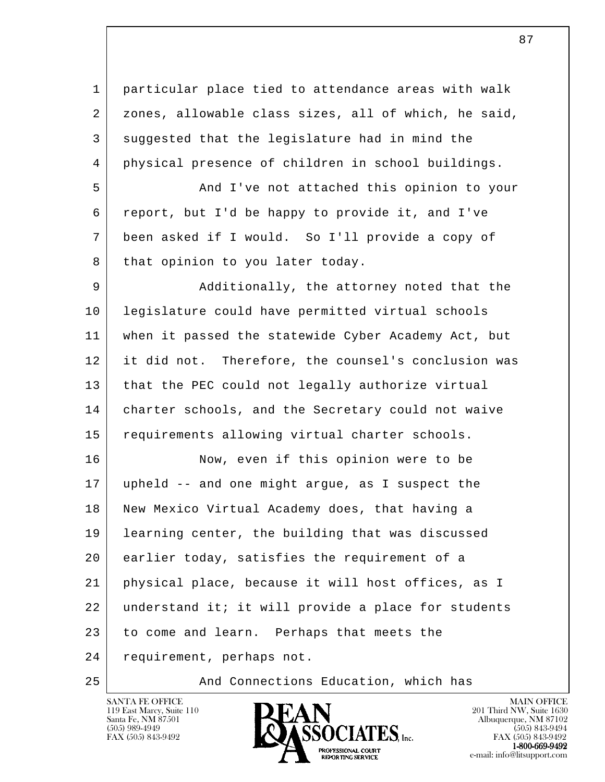1 particular place tied to attendance areas with walk 2 | zones, allowable class sizes, all of which, he said, 3 suggested that the legislature had in mind the 4 physical presence of children in school buildings.

 5 And I've not attached this opinion to your 6 report, but I'd be happy to provide it, and I've 7 been asked if I would. So I'll provide a copy of 8 that opinion to you later today.

9 Additionally, the attorney noted that the 10 legislature could have permitted virtual schools 11 when it passed the statewide Cyber Academy Act, but 12 it did not. Therefore, the counsel's conclusion was 13 | that the PEC could not legally authorize virtual 14 charter schools, and the Secretary could not waive 15 requirements allowing virtual charter schools.

l 16 Now, even if this opinion were to be 17 upheld -- and one might argue, as I suspect the 18 New Mexico Virtual Academy does, that having a 19 learning center, the building that was discussed 20 earlier today, satisfies the requirement of a 21 physical place, because it will host offices, as I 22 understand it; it will provide a place for students 23 to come and learn. Perhaps that meets the 24 requirement, perhaps not.

25 And Connections Education, which has



FAX (505) 843-9492 FAX (505) 843-9492 **1-800-669-9492**<br>PROFESSIONAL COURT **EXPORTING SERVICE**<br>REPORTING SERVICE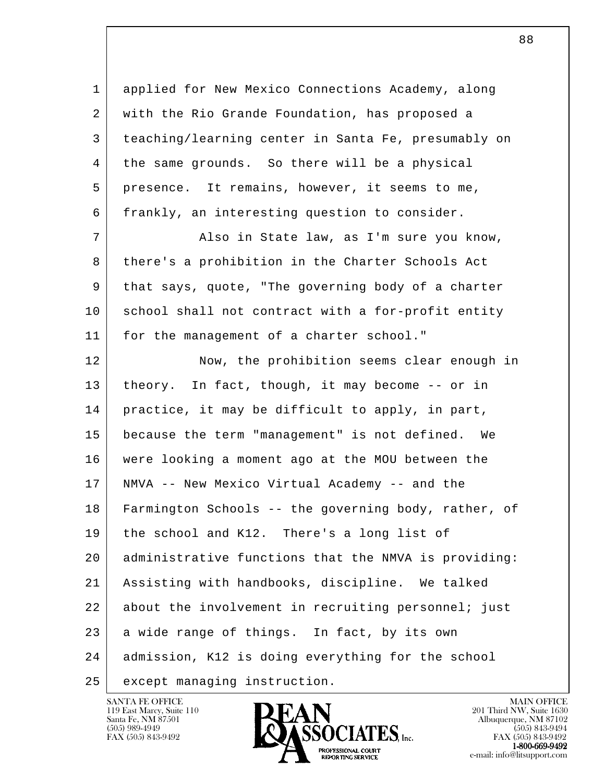1 applied for New Mexico Connections Academy, along 2 with the Rio Grande Foundation, has proposed a 3 teaching/learning center in Santa Fe, presumably on 4 the same grounds. So there will be a physical 5 presence. It remains, however, it seems to me, 6 frankly, an interesting question to consider.

 7 Also in State law, as I'm sure you know, 8 there's a prohibition in the Charter Schools Act 9 | that says, quote, "The governing body of a charter 10 school shall not contract with a for-profit entity 11 | for the management of a charter school."

l 12 Now, the prohibition seems clear enough in 13 | theory. In fact, though, it may become -- or in 14 practice, it may be difficult to apply, in part, 15 because the term "management" is not defined. We 16 were looking a moment ago at the MOU between the 17 NMVA -- New Mexico Virtual Academy -- and the 18 Farmington Schools -- the governing body, rather, of 19 the school and K12. There's a long list of 20 administrative functions that the NMVA is providing: 21 Assisting with handbooks, discipline. We talked 22 about the involvement in recruiting personnel; just 23 a wide range of things. In fact, by its own 24 admission, K12 is doing everything for the school 25 | except managing instruction.

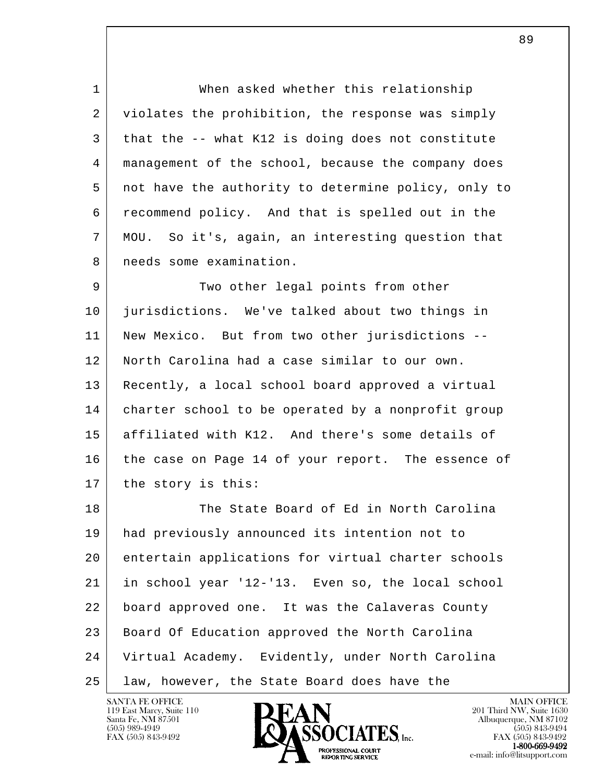1 When asked whether this relationship 2 violates the prohibition, the response was simply 3 that the -- what K12 is doing does not constitute 4 management of the school, because the company does 5 not have the authority to determine policy, only to 6 recommend policy. And that is spelled out in the 7 MOU. So it's, again, an interesting question that 8 | needs some examination.

9 Two other legal points from other 10 jurisdictions. We've talked about two things in 11 | New Mexico. But from two other jurisdictions -- 12 North Carolina had a case similar to our own. 13 Recently, a local school board approved a virtual 14 charter school to be operated by a nonprofit group 15 affiliated with K12. And there's some details of 16 the case on Page 14 of your report. The essence of 17 the story is this:

l 18 The State Board of Ed in North Carolina 19 had previously announced its intention not to 20 entertain applications for virtual charter schools 21 in school year '12-'13. Even so, the local school 22 board approved one. It was the Calaveras County 23 Board Of Education approved the North Carolina 24 Virtual Academy. Evidently, under North Carolina 25 law, however, the State Board does have the

119 East Marcy, Suite 110<br>Santa Fe, NM 87501



FAX (505) 843-9492 FAX (505) 843-9492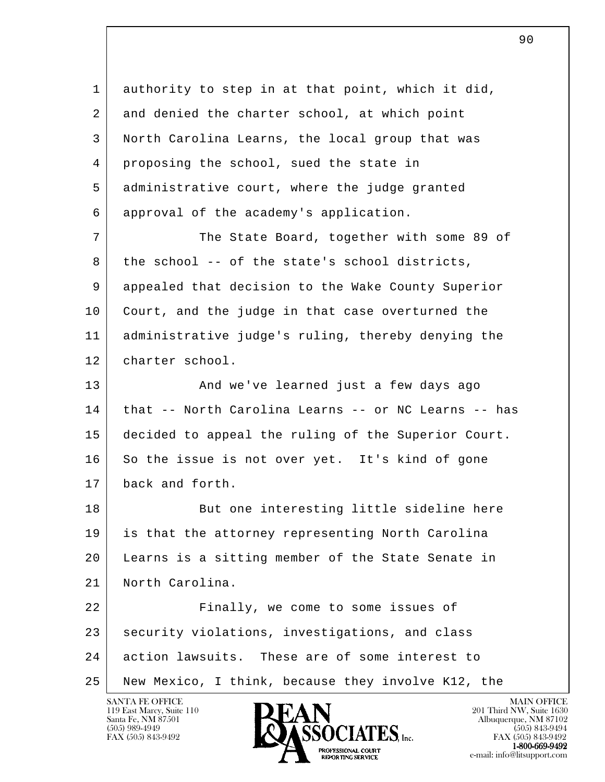l 1 authority to step in at that point, which it did, 2 and denied the charter school, at which point 3 North Carolina Learns, the local group that was 4 proposing the school, sued the state in 5 administrative court, where the judge granted 6 approval of the academy's application. 7 The State Board, together with some 89 of  $8$  the school -- of the state's school districts, 9 appealed that decision to the Wake County Superior 10 Court, and the judge in that case overturned the 11 administrative judge's ruling, thereby denying the 12 charter school. 13 | And we've learned just a few days ago 14 that -- North Carolina Learns -- or NC Learns -- has 15 decided to appeal the ruling of the Superior Court. 16 So the issue is not over yet. It's kind of gone 17 back and forth. 18 But one interesting little sideline here 19 is that the attorney representing North Carolina 20 Learns is a sitting member of the State Senate in 21 North Carolina. 22 Finally, we come to some issues of 23 security violations, investigations, and class 24 action lawsuits. These are of some interest to 25 New Mexico, I think, because they involve K12, the

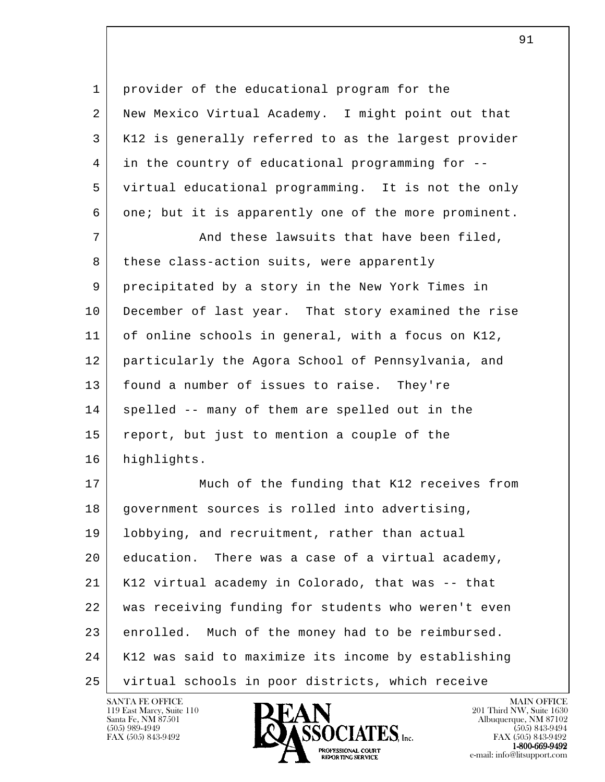| $\mathbf{1}$ | provider of the educational program for the          |
|--------------|------------------------------------------------------|
| 2            | New Mexico Virtual Academy. I might point out that   |
| 3            | K12 is generally referred to as the largest provider |
| 4            | in the country of educational programming for --     |
| 5            | virtual educational programming. It is not the only  |
| 6            | one; but it is apparently one of the more prominent. |
| 7            | And these lawsuits that have been filed,             |
| 8            | these class-action suits, were apparently            |
| 9            | precipitated by a story in the New York Times in     |
| 10           | December of last year. That story examined the rise  |
| 11           | of online schools in general, with a focus on K12,   |
| 12           | particularly the Agora School of Pennsylvania, and   |
| 13           | found a number of issues to raise. They're           |
| 14           | spelled -- many of them are spelled out in the       |
| 15           | report, but just to mention a couple of the          |
| 16           | highlights.                                          |
| 17           | Much of the funding that K12 receives from           |
| 18           | government sources is rolled into advertising,       |
| 19           | lobbying, and recruitment, rather than actual        |
| 20           | education. There was a case of a virtual academy,    |
| 21           | K12 virtual academy in Colorado, that was -- that    |
| 22           | was receiving funding for students who weren't even  |
| 23           | enrolled. Much of the money had to be reimbursed.    |
| 24           | K12 was said to maximize its income by establishing  |
| 25           | virtual schools in poor districts, which receive     |

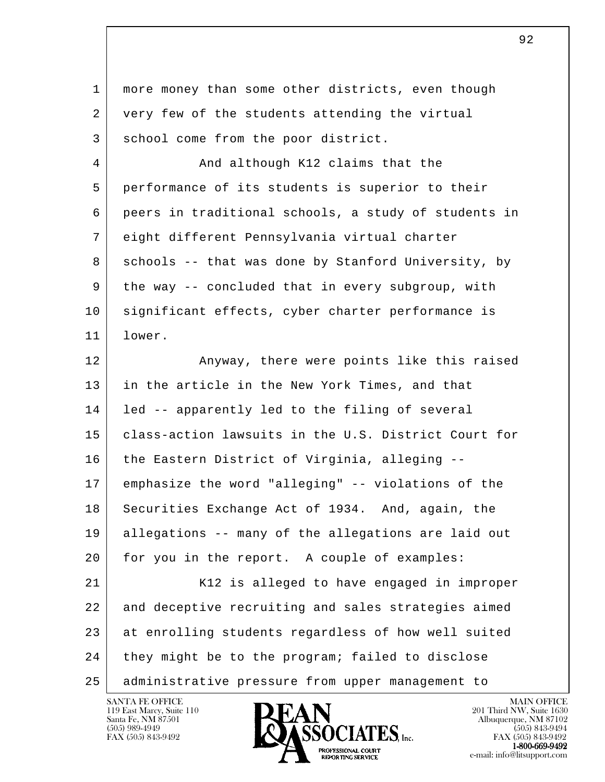| 1  | more money than some other districts, even though    |
|----|------------------------------------------------------|
| 2  | very few of the students attending the virtual       |
| 3  | school come from the poor district.                  |
| 4  | And although K12 claims that the                     |
| 5  | performance of its students is superior to their     |
| 6  | peers in traditional schools, a study of students in |
| 7  | eight different Pennsylvania virtual charter         |
| 8  | schools -- that was done by Stanford University, by  |
| 9  | the way -- concluded that in every subgroup, with    |
| 10 | significant effects, cyber charter performance is    |
| 11 | lower.                                               |
| 12 | Anyway, there were points like this raised           |
| 13 | in the article in the New York Times, and that       |
| 14 | led -- apparently led to the filing of several       |
| 15 | class-action lawsuits in the U.S. District Court for |
| 16 | the Eastern District of Virginia, alleging --        |
| 17 | emphasize the word "alleging" -- violations of the   |
| 18 | Securities Exchange Act of 1934. And, again, the     |
| 19 | allegations -- many of the allegations are laid out  |
| 20 | for you in the report. A couple of examples:         |
| 21 | K12 is alleged to have engaged in improper           |
| 22 | and deceptive recruiting and sales strategies aimed  |
| 23 | at enrolling students regardless of how well suited  |
| 24 | they might be to the program; failed to disclose     |
| 25 | administrative pressure from upper management to     |

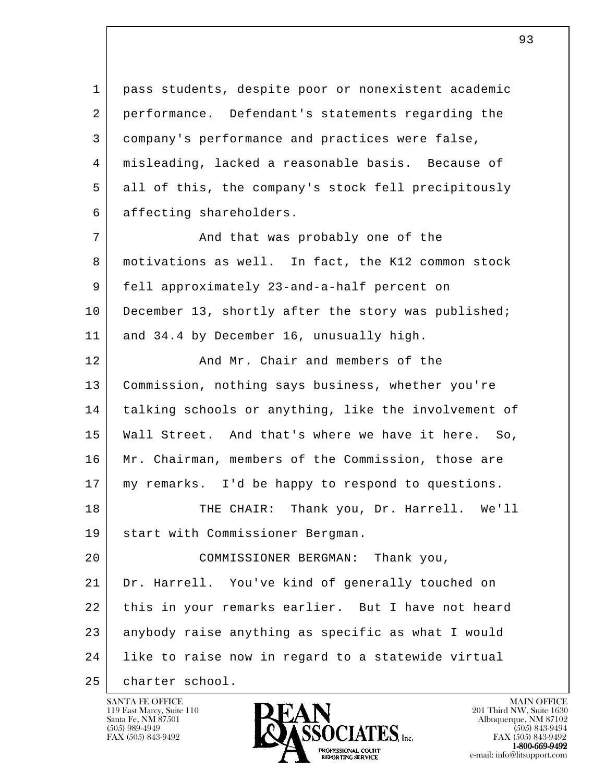1 pass students, despite poor or nonexistent academic 2 performance. Defendant's statements regarding the 3 company's performance and practices were false, 4 misleading, lacked a reasonable basis. Because of 5 all of this, the company's stock fell precipitously 6 affecting shareholders.

7 and that was probably one of the 8 motivations as well. In fact, the K12 common stock 9 fell approximately 23-and-a-half percent on 10 December 13, shortly after the story was published; 11 and 34.4 by December 16, unusually high.

12 And Mr. Chair and members of the 13 Commission, nothing says business, whether you're 14 talking schools or anything, like the involvement of 15 Wall Street. And that's where we have it here. So, 16 | Mr. Chairman, members of the Commission, those are 17 my remarks. I'd be happy to respond to questions.

18 THE CHAIR: Thank you, Dr. Harrell. We'll 19 start with Commissioner Bergman.

l 20 COMMISSIONER BERGMAN: Thank you, 21 Dr. Harrell. You've kind of generally touched on 22 | this in your remarks earlier. But I have not heard 23 anybody raise anything as specific as what I would 24 like to raise now in regard to a statewide virtual

25 | charter school.



FAX (505) 843-9492 FAX (505) 843-9492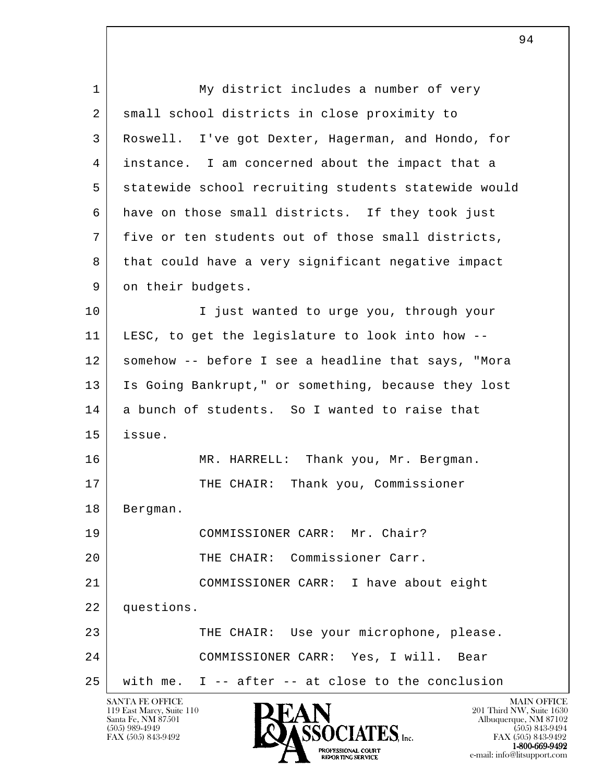l SANTA FE OFFICE MAIN OFFICE MAIN OFFICE MAIN OFFICE MAIN OFFICE 1 My district includes a number of very 2 small school districts in close proximity to 3 Roswell. I've got Dexter, Hagerman, and Hondo, for 4 instance. I am concerned about the impact that a 5 statewide school recruiting students statewide would 6 have on those small districts. If they took just 7 five or ten students out of those small districts, 8 that could have a very significant negative impact 9 on their budgets. 10 I just wanted to urge you, through your 11 LESC, to get the legislature to look into how -- 12 somehow -- before I see a headline that says, "Mora 13 Is Going Bankrupt," or something, because they lost 14 a bunch of students. So I wanted to raise that 15 issue. 16 MR. HARRELL: Thank you, Mr. Bergman. 17 | THE CHAIR: Thank you, Commissioner 18 | Bergman. 19 COMMISSIONER CARR: Mr. Chair? 20 THE CHAIR: Commissioner Carr. 21 COMMISSIONER CARR: I have about eight 22 questions. 23 | THE CHAIR: Use your microphone, please. 24 COMMISSIONER CARR: Yes, I will. Bear 25 with me. I -- after -- at close to the conclusion

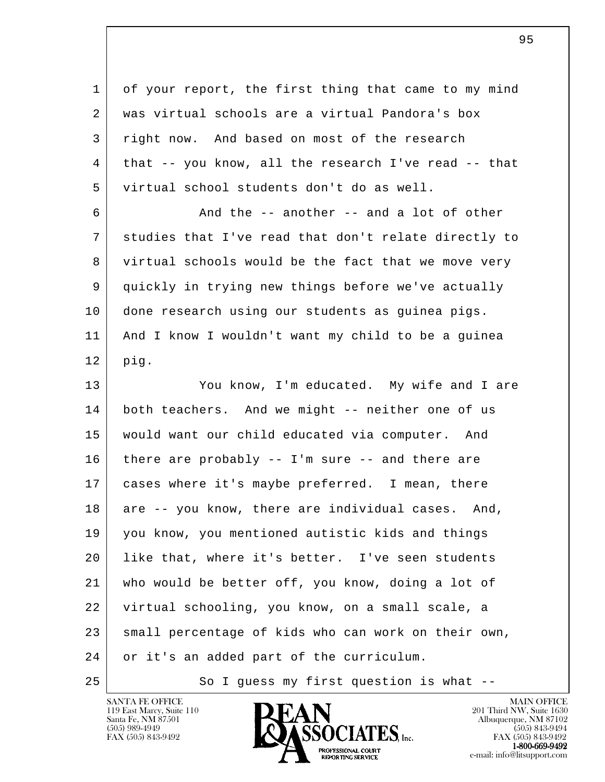l 1 of your report, the first thing that came to my mind 2 was virtual schools are a virtual Pandora's box 3 right now. And based on most of the research 4 that -- you know, all the research I've read -- that 5 virtual school students don't do as well.  $6$   $\vert$  and the -- another -- and a lot of other 7 studies that I've read that don't relate directly to 8 virtual schools would be the fact that we move very 9 quickly in trying new things before we've actually 10 done research using our students as guinea pigs. 11 And I know I wouldn't want my child to be a guinea 12 pig. 13 You know, I'm educated. My wife and I are 14 both teachers. And we might -- neither one of us 15 would want our child educated via computer. And  $16$  there are probably -- I'm sure -- and there are 17 cases where it's maybe preferred. I mean, there 18 are -- you know, there are individual cases. And, 19 you know, you mentioned autistic kids and things 20 | like that, where it's better. I've seen students 21 who would be better off, you know, doing a lot of 22 virtual schooling, you know, on a small scale, a 23 small percentage of kids who can work on their own, 24 or it's an added part of the curriculum. 25 So I guess my first question is what --

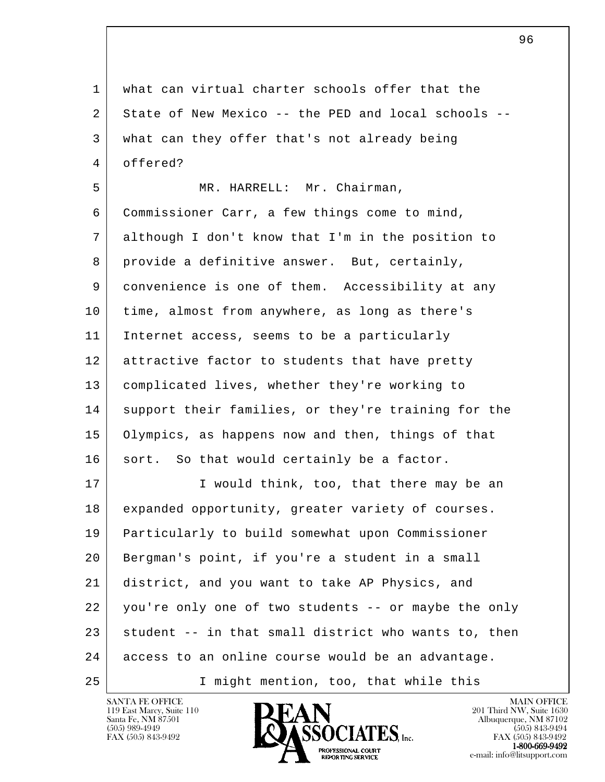l 1 what can virtual charter schools offer that the 2 State of New Mexico -- the PED and local schools -- 3 what can they offer that's not already being 4 offered? 5 | MR. HARRELL: Mr. Chairman, 6 Commissioner Carr, a few things come to mind, 7 although I don't know that I'm in the position to 8 provide a definitive answer. But, certainly, 9 convenience is one of them. Accessibility at any 10 time, almost from anywhere, as long as there's 11 Internet access, seems to be a particularly 12 attractive factor to students that have pretty 13 complicated lives, whether they're working to 14 support their families, or they're training for the 15 Olympics, as happens now and then, things of that 16 sort. So that would certainly be a factor. 17 I would think, too, that there may be an 18 expanded opportunity, greater variety of courses. 19 Particularly to build somewhat upon Commissioner 20 Bergman's point, if you're a student in a small 21 district, and you want to take AP Physics, and 22 you're only one of two students -- or maybe the only  $23$  student  $-$  in that small district who wants to, then 24 access to an online course would be an advantage. 25 I might mention, too, that while this

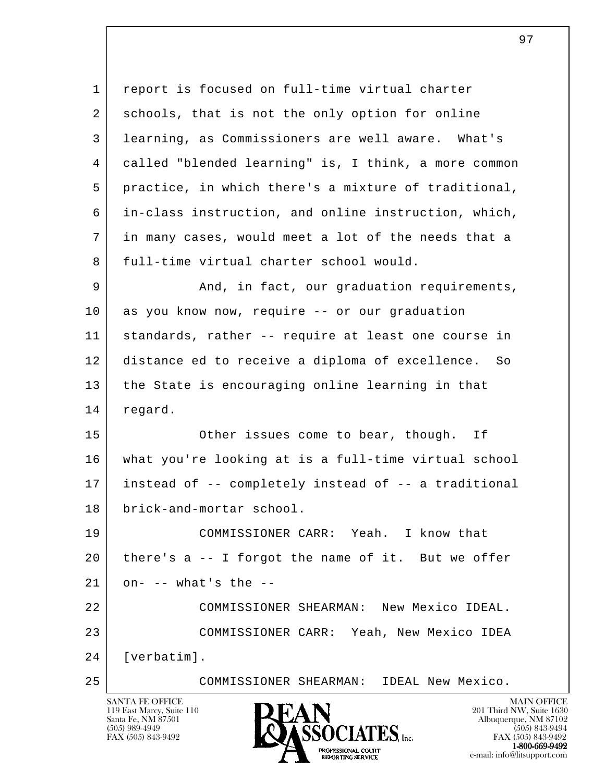l 1 report is focused on full-time virtual charter 2 schools, that is not the only option for online 3 learning, as Commissioners are well aware. What's 4 called "blended learning" is, I think, a more common 5 practice, in which there's a mixture of traditional, 6 in-class instruction, and online instruction, which, 7 in many cases, would meet a lot of the needs that a 8 full-time virtual charter school would. 9 And, in fact, our graduation requirements, 10 as you know now, require -- or our graduation 11 standards, rather -- require at least one course in 12 distance ed to receive a diploma of excellence. So 13 the State is encouraging online learning in that 14 regard. 15 Other issues come to bear, though. If 16 what you're looking at is a full-time virtual school 17 instead of -- completely instead of -- a traditional 18 brick-and-mortar school. 19 COMMISSIONER CARR: Yeah. I know that 20 there's a -- I forgot the name of it. But we offer  $21$  on- -- what's the -- 22 COMMISSIONER SHEARMAN: New Mexico IDEAL. 23 COMMISSIONER CARR: Yeah, New Mexico IDEA 24 [verbatim]. 25 COMMISSIONER SHEARMAN: IDEAL New Mexico.

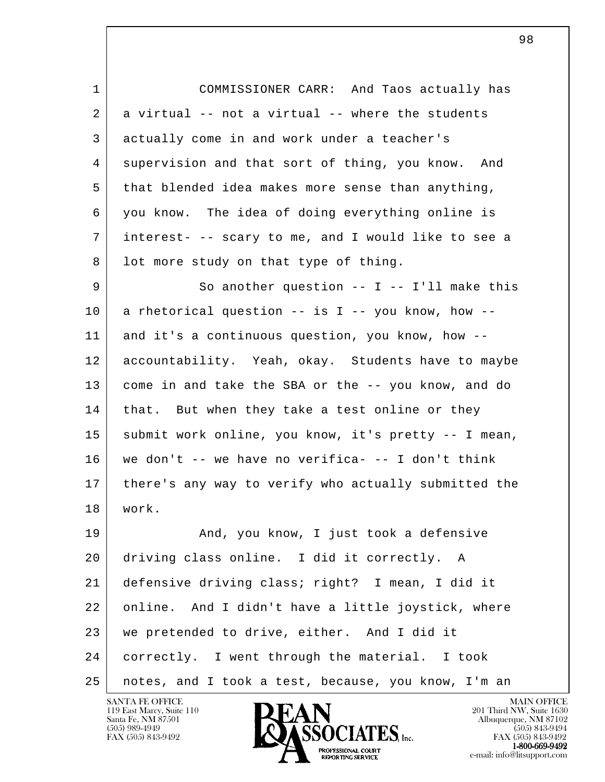l 1 COMMISSIONER CARR: And Taos actually has  $2$  a virtual  $-$  not a virtual  $-$  where the students 3 actually come in and work under a teacher's 4 supervision and that sort of thing, you know. And 5 that blended idea makes more sense than anything, 6 you know. The idea of doing everything online is 7 interest- -- scary to me, and I would like to see a 8 | lot more study on that type of thing. 9 So another question -- I -- I'll make this 10 a rhetorical question -- is I -- you know, how -- 11 and it's a continuous question, you know, how -- 12 accountability. Yeah, okay. Students have to maybe 13 come in and take the SBA or the -- you know, and do 14 | that. But when they take a test online or they 15 submit work online, you know, it's pretty -- I mean, 16 we don't -- we have no verifica- -- I don't think 17 there's any way to verify who actually submitted the 18 work. 19 | And, you know, I just took a defensive 20 driving class online. I did it correctly. A 21 defensive driving class; right? I mean, I did it 22 online. And I didn't have a little joystick, where 23 we pretended to drive, either. And I did it 24 correctly. I went through the material. I took 25 notes, and I took a test, because, you know, I'm an

119 East Marcy, Suite 110<br>Santa Fe, NM 87501



98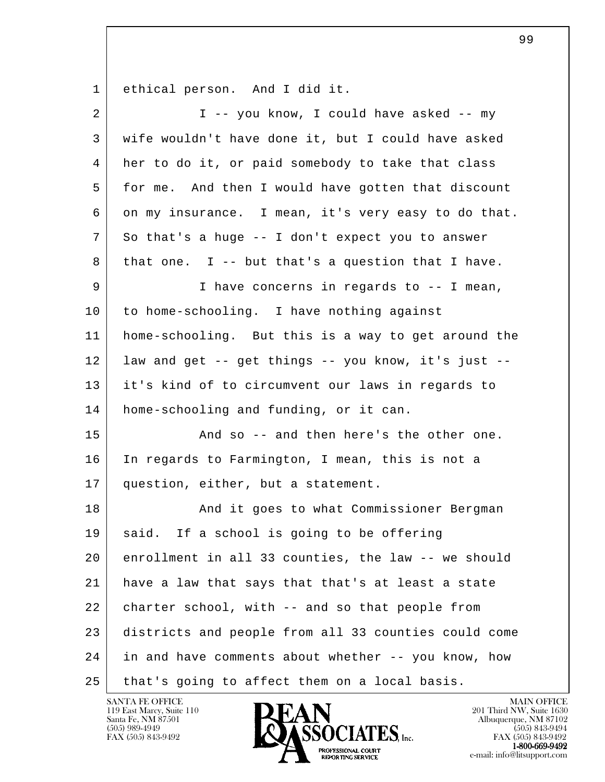1 ethical person. And I did it.

| $\overline{2}$ | I -- you know, I could have asked -- my              |
|----------------|------------------------------------------------------|
| 3              | wife wouldn't have done it, but I could have asked   |
| 4              | her to do it, or paid somebody to take that class    |
| 5              | for me. And then I would have gotten that discount   |
| 6              | on my insurance. I mean, it's very easy to do that.  |
| 7              | So that's a huge -- I don't expect you to answer     |
| 8              | that one. I -- but that's a question that I have.    |
| 9              | I have concerns in regards to -- I mean,             |
| 10             | to home-schooling. I have nothing against            |
| 11             | home-schooling. But this is a way to get around the  |
| 12             | law and get -- get things -- you know, it's just --  |
| 13             | it's kind of to circumvent our laws in regards to    |
| 14             | home-schooling and funding, or it can.               |
| 15             | And so -- and then here's the other one.             |
| 16             | In regards to Farmington, I mean, this is not a      |
| 17             | question, either, but a statement.                   |
| 18             | And it goes to what Commissioner Bergman             |
| 19             | said. If a school is going to be offering            |
| 20             | enrollment in all 33 counties, the law -- we should  |
| 21             | have a law that says that that's at least a state    |
| 22             | charter school, with -- and so that people from      |
| 23             | districts and people from all 33 counties could come |
| 24             | in and have comments about whether -- you know, how  |
| 25             | that's going to affect them on a local basis.        |

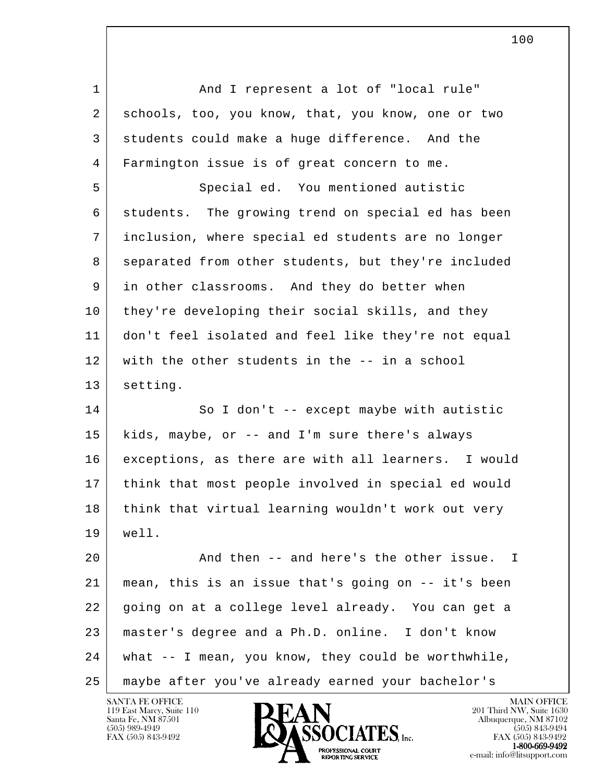l 1 | And I represent a lot of "local rule" 2 schools, too, you know, that, you know, one or two 3 students could make a huge difference. And the 4 Farmington issue is of great concern to me. 5 Special ed. You mentioned autistic 6 students. The growing trend on special ed has been 7 inclusion, where special ed students are no longer 8 separated from other students, but they're included 9 in other classrooms. And they do better when 10 they're developing their social skills, and they 11 don't feel isolated and feel like they're not equal 12 with the other students in the -- in a school 13 setting. 14 So I don't -- except maybe with autistic 15 kids, maybe, or -- and I'm sure there's always 16 | exceptions, as there are with all learners. I would 17 think that most people involved in special ed would 18 think that virtual learning wouldn't work out very 19 well. 20 And then -- and here's the other issue. I 21 mean, this is an issue that's going on -- it's been 22 going on at a college level already. You can get a 23 master's degree and a Ph.D. online. I don't know 24 what -- I mean, you know, they could be worthwhile, 25 maybe after you've already earned your bachelor's

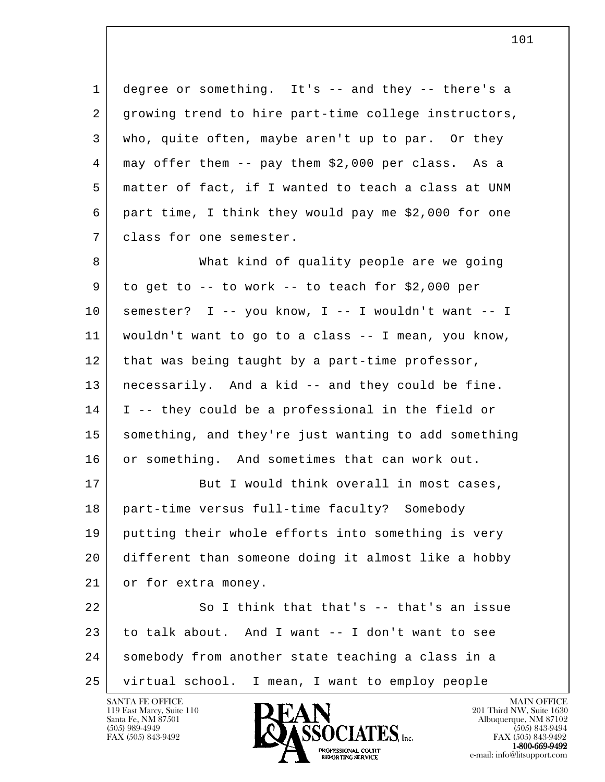1 degree or something. It's -- and they -- there's a 2 growing trend to hire part-time college instructors, 3 who, quite often, maybe aren't up to par. Or they 4 may offer them -- pay them \$2,000 per class. As a 5 matter of fact, if I wanted to teach a class at UNM 6 part time, I think they would pay me \$2,000 for one 7 | class for one semester.

8 What kind of quality people are we going  $9$  to get to  $-$  to work  $-$  to teach for \$2,000 per  $10$  semester? I -- you know, I -- I wouldn't want -- I 11 wouldn't want to go to a class -- I mean, you know, 12 that was being taught by a part-time professor, 13 necessarily. And a kid -- and they could be fine. 14 I -- they could be a professional in the field or 15 something, and they're just wanting to add something 16 or something. And sometimes that can work out.

17 But I would think overall in most cases, 18 part-time versus full-time faculty? Somebody 19 putting their whole efforts into something is very 20 different than someone doing it almost like a hobby 21 or for extra money.

l 22 So I think that that's -- that's an issue 23 to talk about. And I want -- I don't want to see 24 somebody from another state teaching a class in a 25 virtual school. I mean, I want to employ people

119 East Marcy, Suite 110<br>Santa Fe, NM 87501



FAX (505) 843-9492 FAX (505) 843-9492 e-mail: info@litsupport.com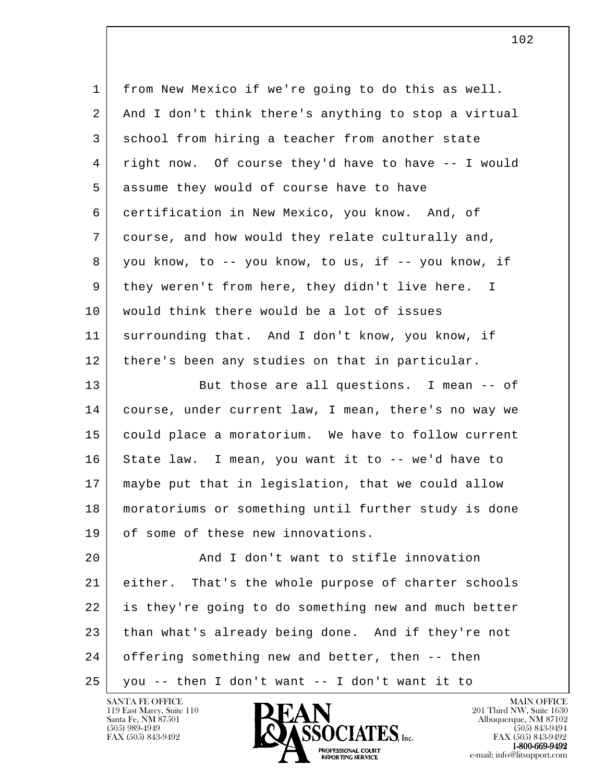| 1  | from New Mexico if we're going to do this as well.     |
|----|--------------------------------------------------------|
| 2  | And I don't think there's anything to stop a virtual   |
| 3  | school from hiring a teacher from another state        |
| 4  | right now. Of course they'd have to have -- I would    |
| 5  | assume they would of course have to have               |
| 6  | certification in New Mexico, you know. And, of         |
| 7  | course, and how would they relate culturally and,      |
| 8  | you know, to -- you know, to us, if -- you know, if    |
| 9  | they weren't from here, they didn't live here. I       |
| 10 | would think there would be a lot of issues             |
| 11 | surrounding that. And I don't know, you know, if       |
| 12 | there's been any studies on that in particular.        |
| 13 | But those are all questions. I mean -- of              |
| 14 | course, under current law, I mean, there's no way we   |
| 15 | could place a moratorium. We have to follow current    |
| 16 | State law. I mean, you want it to -- we'd have to      |
| 17 | maybe put that in legislation, that we could allow     |
| 18 | moratoriums or something until further study is done   |
| 19 | of some of these new innovations.                      |
| 20 | And I don't want to stifle innovation                  |
| 21 | That's the whole purpose of charter schools<br>either. |
| 22 | is they're going to do something new and much better   |
| 23 | than what's already being done. And if they're not     |
| 24 | offering something new and better, then -- then        |
| 25 | you -- then I don't want -- I don't want it to         |

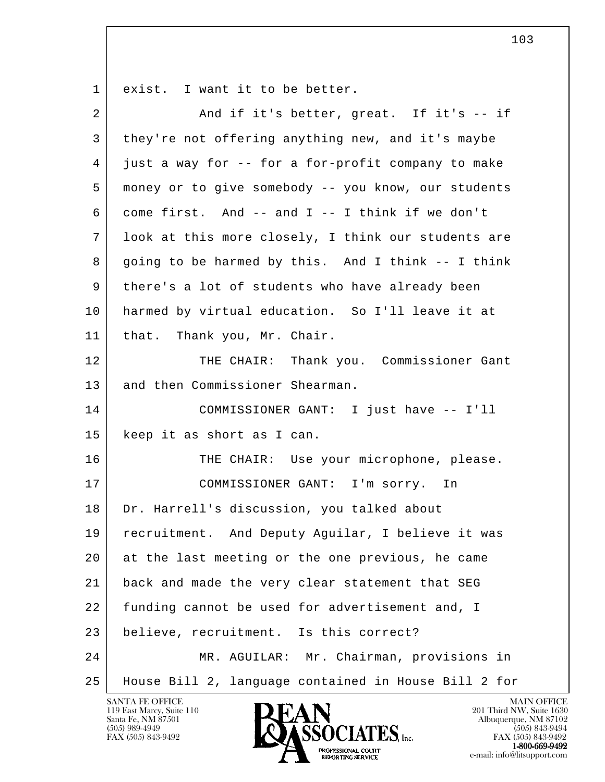1 exist. I want it to be better.

| $\overline{a}$ | And if it's better, great. If it's -- if             |
|----------------|------------------------------------------------------|
| 3              | they're not offering anything new, and it's maybe    |
| 4              | just a way for -- for a for-profit company to make   |
| 5              | money or to give somebody -- you know, our students  |
| 6              | come first. And -- and I -- I think if we don't      |
| 7              | look at this more closely, I think our students are  |
| 8              | going to be harmed by this. And I think -- I think   |
| 9              | there's a lot of students who have already been      |
| 10             | harmed by virtual education. So I'll leave it at     |
| 11             | that. Thank you, Mr. Chair.                          |
| 12             | THE CHAIR: Thank you. Commissioner Gant              |
| 13             | and then Commissioner Shearman.                      |
| 14             | COMMISSIONER GANT: I just have -- I'll               |
| 15             | keep it as short as I can.                           |
| 16             | THE CHAIR: Use your microphone, please.              |
| 17             | COMMISSIONER GANT: I'm sorry. In                     |
| 18             | Dr. Harrell's discussion, you talked about           |
| 19             | recruitment. And Deputy Aguilar, I believe it was    |
| 20             | at the last meeting or the one previous, he came     |
| 21             | back and made the very clear statement that SEG      |
| 22             | funding cannot be used for advertisement and, I      |
| 23             | believe, recruitment. Is this correct?               |
| 24             | MR. AGUILAR: Mr. Chairman, provisions in             |
| 25             | House Bill 2, language contained in House Bill 2 for |

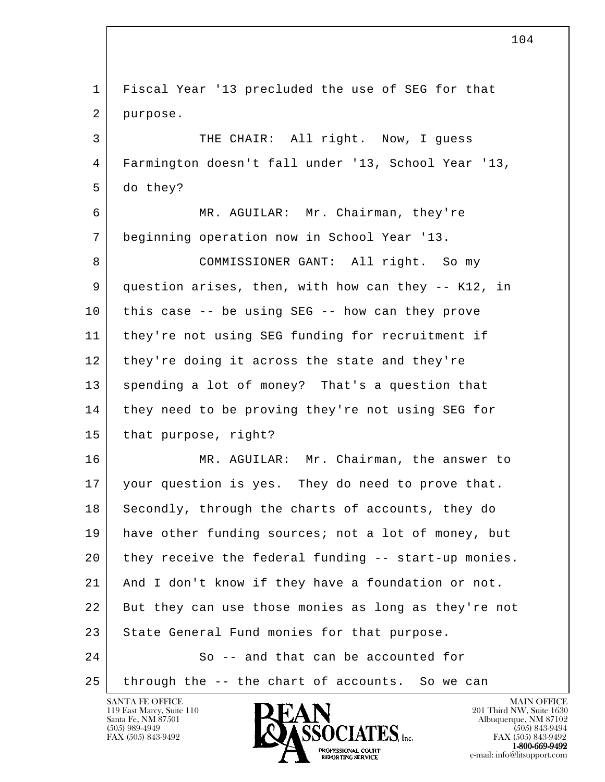| $\mathbf{1}$ | Fiscal Year '13 precluded the use of SEG for that    |
|--------------|------------------------------------------------------|
| 2            | purpose.                                             |
| 3            | THE CHAIR: All right. Now, I guess                   |
| 4            | Farmington doesn't fall under '13, School Year '13,  |
| 5            | do they?                                             |
| 6            | MR. AGUILAR: Mr. Chairman, they're                   |
| 7            | beginning operation now in School Year '13.          |
| 8            | COMMISSIONER GANT: All right. So my                  |
| 9            | question arises, then, with how can they -- K12, in  |
| 10           | this case -- be using SEG -- how can they prove      |
| 11           | they're not using SEG funding for recruitment if     |
| 12           | they're doing it across the state and they're        |
| 13           | spending a lot of money? That's a question that      |
| 14           | they need to be proving they're not using SEG for    |
| 15           | that purpose, right?                                 |
| 16           | MR. AGUILAR: Mr. Chairman, the answer to             |
| 17           | your question is yes. They do need to prove that.    |
| 18           | Secondly, through the charts of accounts, they do    |
| 19           | have other funding sources; not a lot of money, but  |
| 20           | they receive the federal funding -- start-up monies. |
| 21           | And I don't know if they have a foundation or not.   |
| 22           | But they can use those monies as long as they're not |
| 23           | State General Fund monies for that purpose.          |
| 24           | So -- and that can be accounted for                  |
| 25           | through the -- the chart of accounts. So we can      |
|              | <b>SANTA FE OFFICE</b><br><b>MAIN OFFICE</b>         |

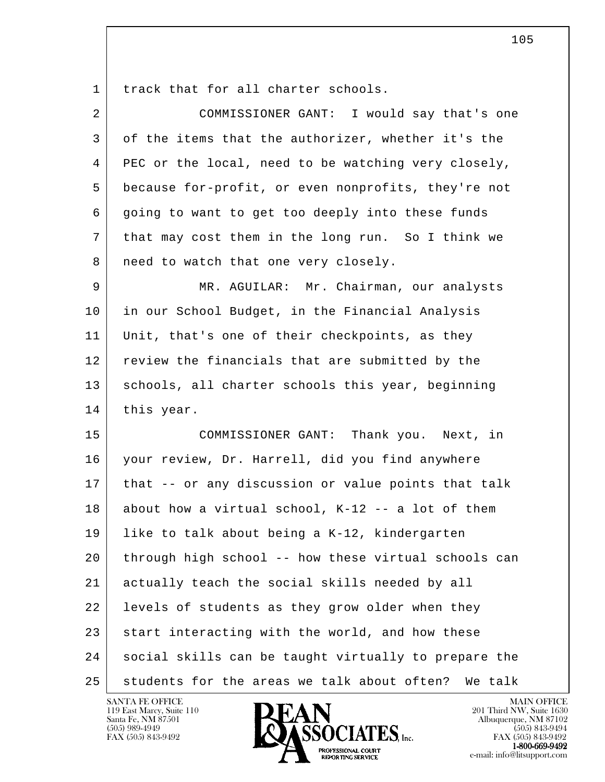1 track that for all charter schools.

| $\overline{2}$ | COMMISSIONER GANT: I would say that's one            |
|----------------|------------------------------------------------------|
| 3              | of the items that the authorizer, whether it's the   |
| 4              | PEC or the local, need to be watching very closely,  |
| 5              | because for-profit, or even nonprofits, they're not  |
| 6              | going to want to get too deeply into these funds     |
| 7              | that may cost them in the long run. So I think we    |
| 8              | need to watch that one very closely.                 |
| 9              | MR. AGUILAR: Mr. Chairman, our analysts              |
| 10             | in our School Budget, in the Financial Analysis      |
| 11             | Unit, that's one of their checkpoints, as they       |
| 12             | review the financials that are submitted by the      |
| 13             | schools, all charter schools this year, beginning    |
| 14             | this year.                                           |
| 15             | COMMISSIONER GANT: Thank you. Next, in               |
| 16             | your review, Dr. Harrell, did you find anywhere      |
| 17             | that -- or any discussion or value points that talk  |
| 18             | about how a virtual school, K-12 -- a lot of them    |
| 19             | like to talk about being a K-12, kindergarten        |
| 20             | through high school -- how these virtual schools can |
| 21             | actually teach the social skills needed by all       |
| 22             | levels of students as they grow older when they      |
| 23             | start interacting with the world, and how these      |
| 24             | social skills can be taught virtually to prepare the |
| 25             | students for the areas we talk about often? We talk  |



e-mail: info@litsupport.com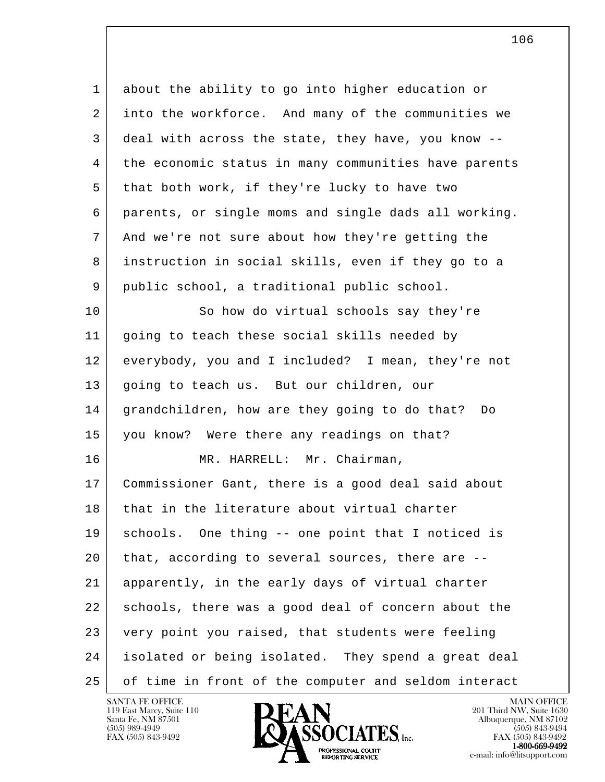| $\mathbf 1$ | about the ability to go into higher education or     |
|-------------|------------------------------------------------------|
| 2           | into the workforce. And many of the communities we   |
| 3           | deal with across the state, they have, you know --   |
| 4           | the economic status in many communities have parents |
| 5           | that both work, if they're lucky to have two         |
| 6           | parents, or single moms and single dads all working. |
| 7           | And we're not sure about how they're getting the     |
| 8           | instruction in social skills, even if they go to a   |
| 9           | public school, a traditional public school.          |
| 10          | So how do virtual schools say they're                |
| 11          | going to teach these social skills needed by         |
| 12          | everybody, you and I included? I mean, they're not   |
| 13          | going to teach us. But our children, our             |
| 14          | grandchildren, how are they going to do that?<br>Do  |
| 15          | you know? Were there any readings on that?           |
| 16          | MR. HARRELL: Mr. Chairman,                           |
| 17          | Commissioner Gant, there is a good deal said about   |
| 18          | that in the literature about virtual charter         |
| 19          | One thing -- one point that I noticed is<br>schools. |
| 20          | that, according to several sources, there are --     |
| 21          | apparently, in the early days of virtual charter     |
| 22          | schools, there was a good deal of concern about the  |
| 23          | very point you raised, that students were feeling    |
| 24          | isolated or being isolated. They spend a great deal  |
| 25          | of time in front of the computer and seldom interact |

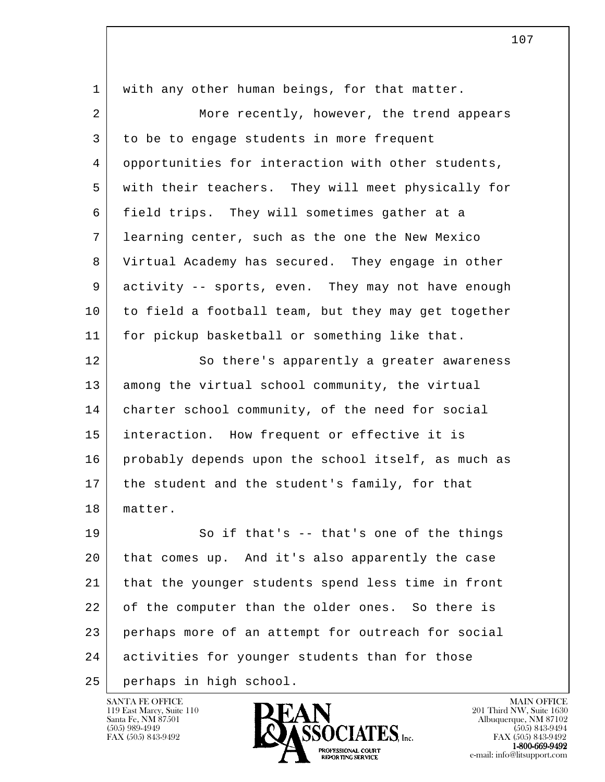| $\mathbf{1}$   | with any other human beings, for that matter.       |
|----------------|-----------------------------------------------------|
| $\overline{2}$ | More recently, however, the trend appears           |
| 3              | to be to engage students in more frequent           |
| 4              | opportunities for interaction with other students,  |
| 5              | with their teachers. They will meet physically for  |
| 6              | field trips. They will sometimes gather at a        |
| 7              | learning center, such as the one the New Mexico     |
| 8              | Virtual Academy has secured. They engage in other   |
| 9              | activity -- sports, even. They may not have enough  |
| 10             | to field a football team, but they may get together |
| 11             | for pickup basketball or something like that.       |
| 12             | So there's apparently a greater awareness           |
| 13             | among the virtual school community, the virtual     |
| 14             | charter school community, of the need for social    |
| 15             | interaction. How frequent or effective it is        |
| 16             | probably depends upon the school itself, as much as |
| 17             | the student and the student's family, for that      |
| 18             | matter.                                             |
| 19             | So if that's -- that's one of the things            |
| 20             | that comes up. And it's also apparently the case    |
| 21             | that the younger students spend less time in front  |
| 22             | of the computer than the older ones. So there is    |
| 23             | perhaps more of an attempt for outreach for social  |
| 24             | activities for younger students than for those      |
| 25             | perhaps in high school.                             |

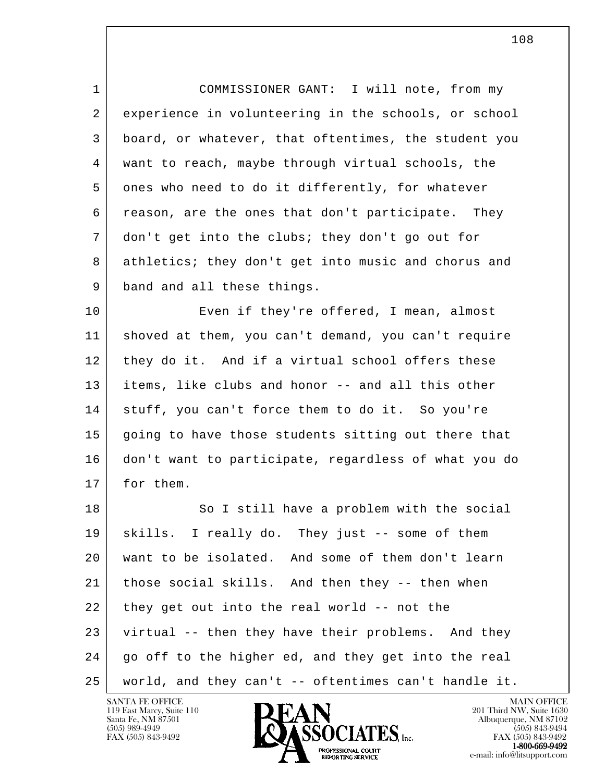1 COMMISSIONER GANT: I will note, from my 2 experience in volunteering in the schools, or school 3 board, or whatever, that oftentimes, the student you 4 want to reach, maybe through virtual schools, the 5 ones who need to do it differently, for whatever 6 reason, are the ones that don't participate. They 7 don't get into the clubs; they don't go out for 8 athletics; they don't get into music and chorus and 9 band and all these things.

10 Even if they're offered, I mean, almost 11 shoved at them, you can't demand, you can't require 12 they do it. And if a virtual school offers these 13 items, like clubs and honor -- and all this other 14 stuff, you can't force them to do it. So you're 15 going to have those students sitting out there that 16 don't want to participate, regardless of what you do 17 for them.

l 18 So I still have a problem with the social 19 skills. I really do. They just -- some of them 20 want to be isolated. And some of them don't learn 21 those social skills. And then they -- then when  $22$  they get out into the real world  $-$  not the 23 virtual -- then they have their problems. And they 24 | go off to the higher ed, and they get into the real 25 world, and they can't -- oftentimes can't handle it.

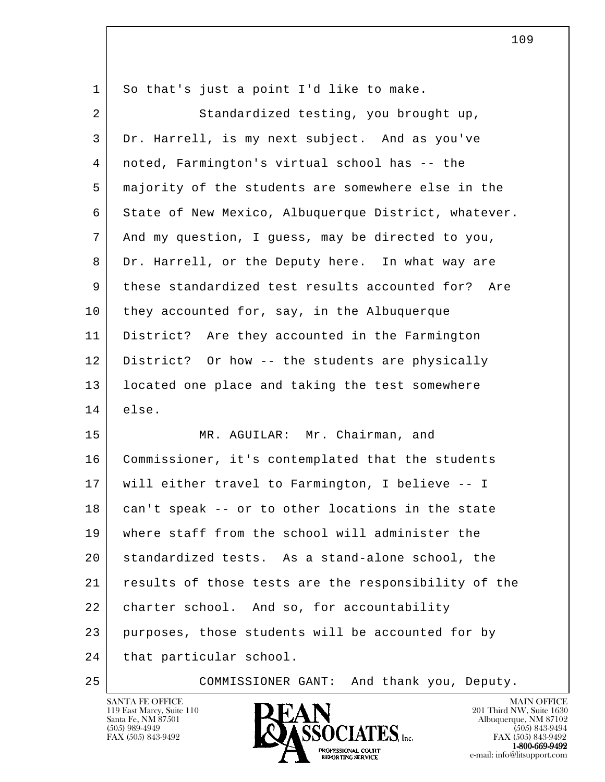| 1  | So that's just a point I'd like to make.              |
|----|-------------------------------------------------------|
| 2  | Standardized testing, you brought up,                 |
| 3  | Dr. Harrell, is my next subject. And as you've        |
| 4  | noted, Farmington's virtual school has -- the         |
| 5  | majority of the students are somewhere else in the    |
| 6  | State of New Mexico, Albuquerque District, whatever.  |
| 7  | And my question, I guess, may be directed to you,     |
| 8  | Dr. Harrell, or the Deputy here. In what way are      |
| 9  | these standardized test results accounted for?<br>Are |
| 10 | they accounted for, say, in the Albuquerque           |
| 11 | District? Are they accounted in the Farmington        |
| 12 | District? Or how -- the students are physically       |
| 13 | located one place and taking the test somewhere       |
| 14 | else.                                                 |
| 15 | MR. AGUILAR: Mr. Chairman, and                        |
| 16 | Commissioner, it's contemplated that the students     |
| 17 | will either travel to Farmington, I believe -- I      |
| 18 | can't speak -- or to other locations in the state     |
| 19 | where staff from the school will administer the       |
| 20 | standardized tests. As a stand-alone school, the      |
| 21 | results of those tests are the responsibility of the  |
| 22 | charter school. And so, for accountability            |
| 23 | purposes, those students will be accounted for by     |
| 24 | that particular school.                               |
|    |                                                       |



25 COMMISSIONER GANT: And thank you, Deputy.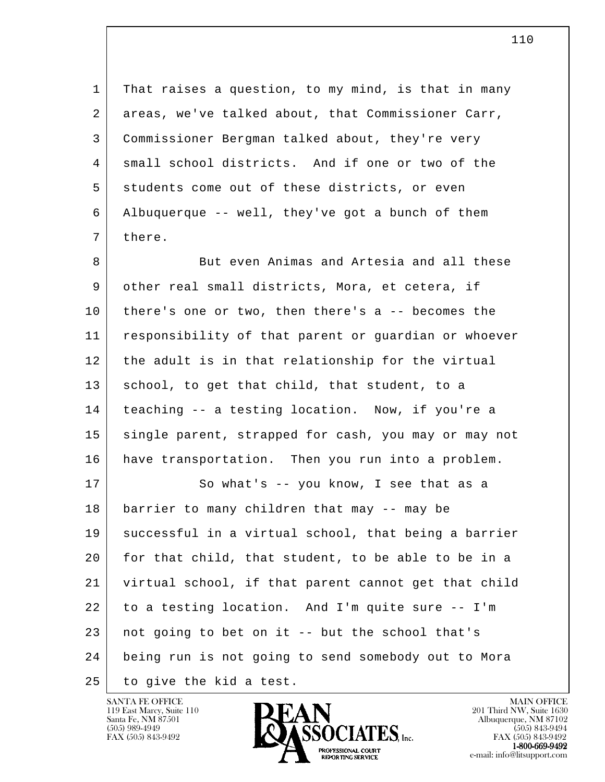1 That raises a question, to my mind, is that in many 2 areas, we've talked about, that Commissioner Carr, 3 Commissioner Bergman talked about, they're very 4 small school districts. And if one or two of the 5 students come out of these districts, or even 6 Albuquerque -- well, they've got a bunch of them 7 there.

8 But even Animas and Artesia and all these 9 other real small districts, Mora, et cetera, if 10 there's one or two, then there's a -- becomes the 11 responsibility of that parent or guardian or whoever 12 the adult is in that relationship for the virtual 13 school, to get that child, that student, to a 14 teaching -- a testing location. Now, if you're a 15 single parent, strapped for cash, you may or may not 16 have transportation. Then you run into a problem.

l 17 So what's -- you know, I see that as a 18 barrier to many children that may -- may be 19 successful in a virtual school, that being a barrier 20 for that child, that student, to be able to be in a 21 virtual school, if that parent cannot get that child 22 to a testing location. And I'm quite sure -- I'm 23 not going to bet on it -- but the school that's 24 being run is not going to send somebody out to Mora 25 to give the kid a test.

119 East Marcy, Suite 110<br>Santa Fe, NM 87501



FAX (505) 843-9492 FAX (505) 843-9492 e-mail: info@litsupport.com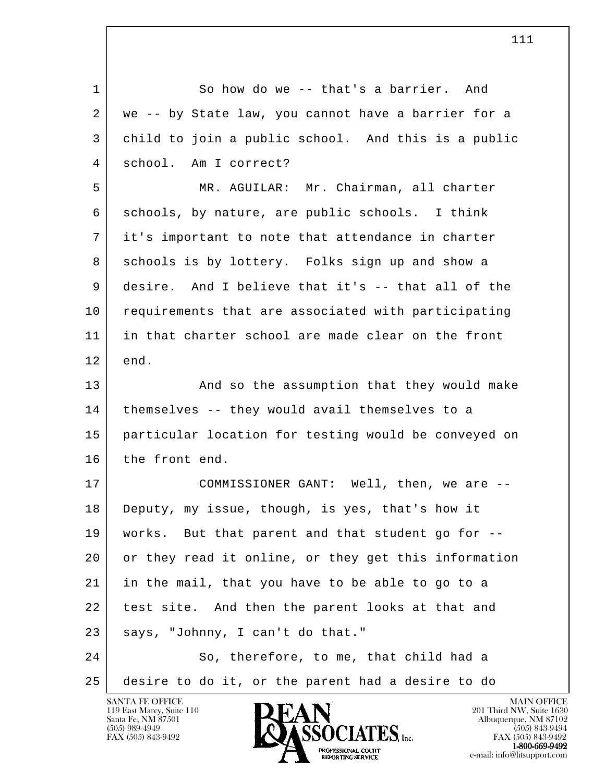l 1 So how do we -- that's a barrier. And 2 | we -- by State law, you cannot have a barrier for a 3 child to join a public school. And this is a public 4 school. Am I correct? 5 MR. AGUILAR: Mr. Chairman, all charter 6 schools, by nature, are public schools. I think 7 it's important to note that attendance in charter 8 schools is by lottery. Folks sign up and show a 9 desire. And I believe that it's -- that all of the 10 requirements that are associated with participating 11 in that charter school are made clear on the front  $12$  end. 13 | And so the assumption that they would make 14 | themselves -- they would avail themselves to a 15 particular location for testing would be conveyed on 16 the front end. 17 COMMISSIONER GANT: Well, then, we are -- 18 Deputy, my issue, though, is yes, that's how it 19 works. But that parent and that student go for -- 20 or they read it online, or they get this information 21 in the mail, that you have to be able to go to a 22 test site. And then the parent looks at that and 23 | says, "Johnny, I can't do that." 24 So, therefore, to me, that child had a 25 desire to do it, or the parent had a desire to do

119 East Marcy, Suite 110<br>Santa Fe, NM 87501

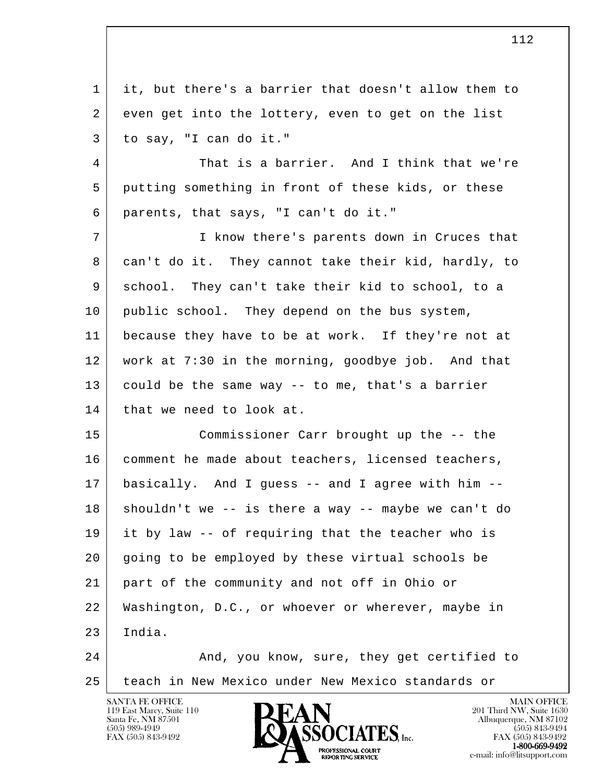l 1 it, but there's a barrier that doesn't allow them to 2 even get into the lottery, even to get on the list 3 to say, "I can do it." 4 That is a barrier. And I think that we're 5 putting something in front of these kids, or these 6 parents, that says, "I can't do it." 7 I know there's parents down in Cruces that 8 can't do it. They cannot take their kid, hardly, to 9 school. They can't take their kid to school, to a 10 public school. They depend on the bus system, 11 because they have to be at work. If they're not at 12 work at 7:30 in the morning, goodbye job. And that 13 could be the same way -- to me, that's a barrier 14 | that we need to look at. 15 Commissioner Carr brought up the -- the 16 | comment he made about teachers, licensed teachers, 17 basically. And I guess -- and I agree with him --  $18$  shouldn't we -- is there a way -- maybe we can't do 19 it by law -- of requiring that the teacher who is 20 going to be employed by these virtual schools be 21 part of the community and not off in Ohio or 22 Washington, D.C., or whoever or wherever, maybe in 23 India. 24 And, you know, sure, they get certified to 25 teach in New Mexico under New Mexico standards or

119 East Marcy, Suite 110<br>Santa Fe, NM 87501

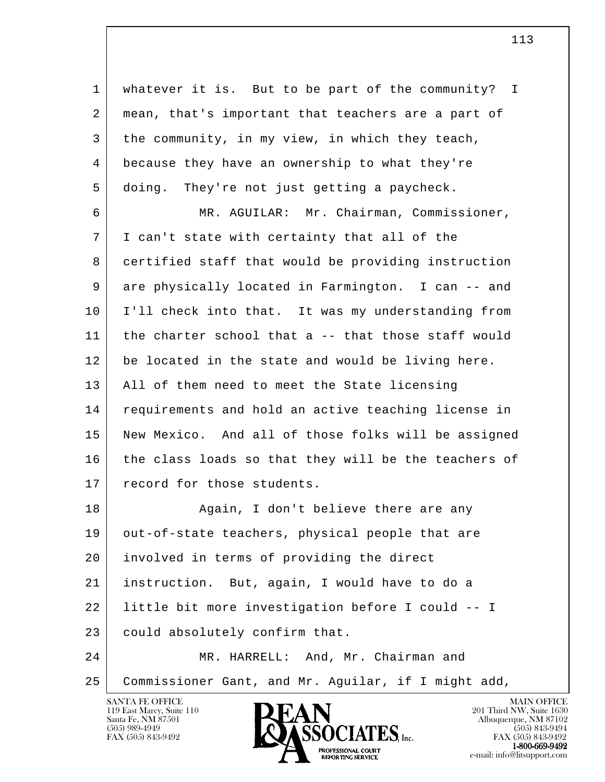l 1 whatever it is. But to be part of the community? I 2 | mean, that's important that teachers are a part of 3 the community, in my view, in which they teach, 4 because they have an ownership to what they're 5 doing. They're not just getting a paycheck. 6 MR. AGUILAR: Mr. Chairman, Commissioner, 7 I can't state with certainty that all of the 8 certified staff that would be providing instruction 9 are physically located in Farmington. I can -- and 10 I'll check into that. It was my understanding from 11 the charter school that a -- that those staff would 12 be located in the state and would be living here. 13 All of them need to meet the State licensing 14 requirements and hold an active teaching license in 15 New Mexico. And all of those folks will be assigned 16 the class loads so that they will be the teachers of 17 record for those students. 18 | Reain, I don't believe there are any 19 | out-of-state teachers, physical people that are 20 involved in terms of providing the direct 21 instruction. But, again, I would have to do a 22 little bit more investigation before I could -- I 23 could absolutely confirm that. 24 | MR. HARRELL: And, Mr. Chairman and 25 Commissioner Gant, and Mr. Aguilar, if I might add,

119 East Marcy, Suite 110<br>Santa Fe, NM 87501



FAX (505) 843-9492 FAX (505) 843-9492 1-800-669-9492<br>PROFESSIONAL COURT **EXECUTE EXECUTE:**<br>REPORTING SERVICE e-mail: info@litsupport.com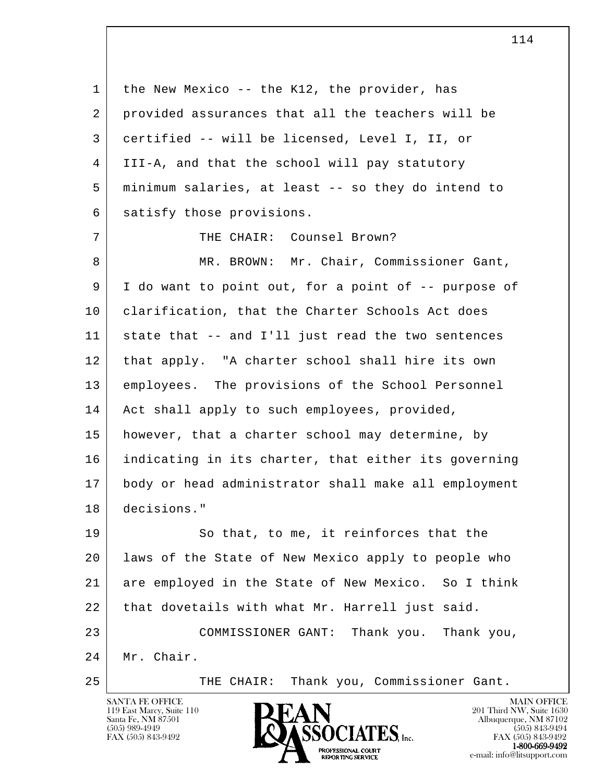l 1 | the New Mexico -- the K12, the provider, has 2 provided assurances that all the teachers will be 3 certified -- will be licensed, Level I, II, or 4 III-A, and that the school will pay statutory 5 minimum salaries, at least -- so they do intend to 6 satisfy those provisions. 7 | THE CHAIR: Counsel Brown? 8 MR. BROWN: Mr. Chair, Commissioner Gant, 9 I do want to point out, for a point of -- purpose of 10 clarification, that the Charter Schools Act does 11 state that -- and I'll just read the two sentences 12 that apply. "A charter school shall hire its own 13 employees. The provisions of the School Personnel 14 | Act shall apply to such employees, provided, 15 however, that a charter school may determine, by 16 indicating in its charter, that either its governing 17 body or head administrator shall make all employment 18 decisions." 19 So that, to me, it reinforces that the 20 laws of the State of New Mexico apply to people who 21 are employed in the State of New Mexico. So I think 22 that dovetails with what Mr. Harrell just said. 23 COMMISSIONER GANT: Thank you. Thank you,

 24 Mr. Chair.

25 | THE CHAIR: Thank you, Commissioner Gant.

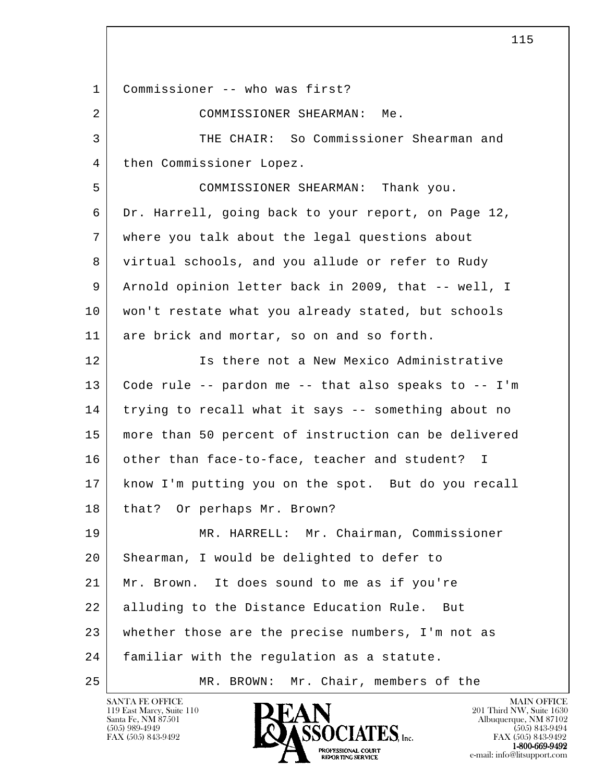l 1 Commissioner -- who was first? 2 COMMISSIONER SHEARMAN: Me. 3 THE CHAIR: So Commissioner Shearman and 4 | then Commissioner Lopez. 5 COMMISSIONER SHEARMAN: Thank you. 6 Dr. Harrell, going back to your report, on Page 12, 7 where you talk about the legal questions about 8 virtual schools, and you allude or refer to Rudy 9 Arnold opinion letter back in 2009, that -- well, I 10 won't restate what you already stated, but schools 11 are brick and mortar, so on and so forth. 12 Is there not a New Mexico Administrative 13 Code rule -- pardon me -- that also speaks to -- I'm 14 trying to recall what it says -- something about no 15 more than 50 percent of instruction can be delivered 16 other than face-to-face, teacher and student? I 17 know I'm putting you on the spot. But do you recall 18 | that? Or perhaps Mr. Brown? 19 MR. HARRELL: Mr. Chairman, Commissioner 20 | Shearman, I would be delighted to defer to 21 Mr. Brown. It does sound to me as if you're 22 alluding to the Distance Education Rule. But 23 whether those are the precise numbers, I'm not as 24 familiar with the regulation as a statute. 25 MR. BROWN: Mr. Chair, members of the

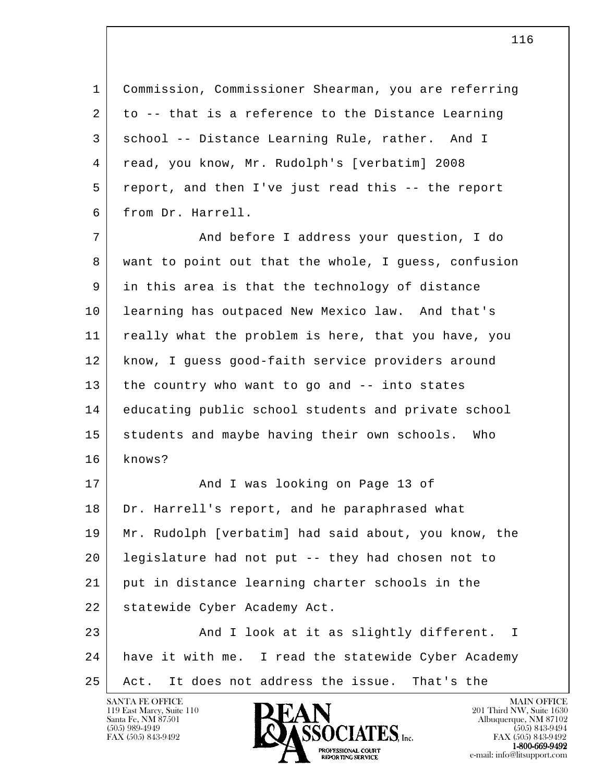1 Commission, Commissioner Shearman, you are referring 2 to -- that is a reference to the Distance Learning 3 school -- Distance Learning Rule, rather. And I 4 read, you know, Mr. Rudolph's [verbatim] 2008 5 report, and then I've just read this -- the report 6 from Dr. Harrell.

 7 And before I address your question, I do 8 want to point out that the whole, I guess, confusion 9 in this area is that the technology of distance 10 learning has outpaced New Mexico law. And that's 11 really what the problem is here, that you have, you 12 know, I guess good-faith service providers around 13 the country who want to go and -- into states 14 educating public school students and private school 15 students and maybe having their own schools. Who 16 knows?

17 And I was looking on Page 13 of 18 Dr. Harrell's report, and he paraphrased what 19 Mr. Rudolph [verbatim] had said about, you know, the 20 legislature had not put -- they had chosen not to 21 put in distance learning charter schools in the 22 | statewide Cyber Academy Act. 23 And I look at it as slightly different. I

l 24 have it with me. I read the statewide Cyber Academy 25 Act. It does not address the issue. That's the

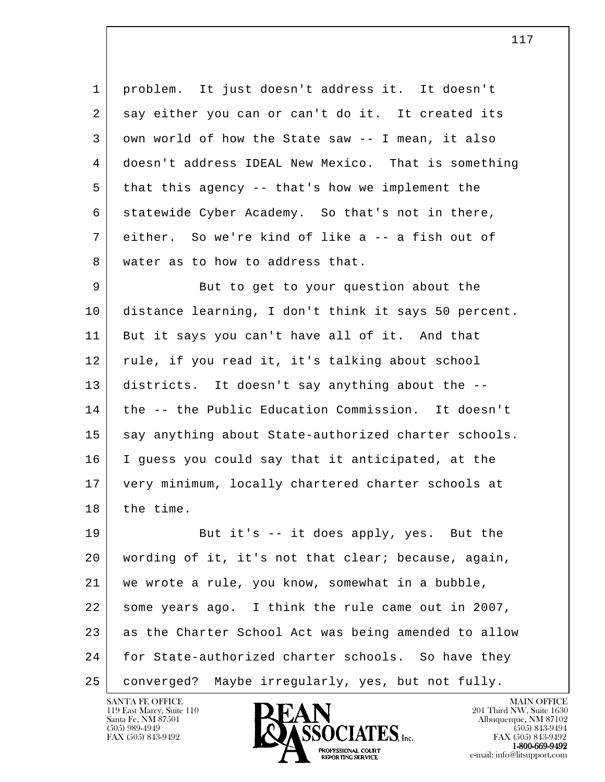1 problem. It just doesn't address it. It doesn't 2 say either you can or can't do it. It created its 3 own world of how the State saw -- I mean, it also 4 doesn't address IDEAL New Mexico. That is something 5 that this agency -- that's how we implement the 6 statewide Cyber Academy. So that's not in there, 7 either. So we're kind of like a -- a fish out of 8 water as to how to address that.

9 But to get to your question about the 10 distance learning, I don't think it says 50 percent. 11 But it says you can't have all of it. And that 12 rule, if you read it, it's talking about school 13 districts. It doesn't say anything about the -- 14 the -- the Public Education Commission. It doesn't 15 say anything about State-authorized charter schools. 16 I guess you could say that it anticipated, at the 17 very minimum, locally chartered charter schools at 18 the time.

l 19 But it's -- it does apply, yes. But the 20 wording of it, it's not that clear; because, again, 21 we wrote a rule, you know, somewhat in a bubble, 22 some years ago. I think the rule came out in 2007, 23 as the Charter School Act was being amended to allow 24 | for State-authorized charter schools. So have they 25 converged? Maybe irregularly, yes, but not fully.

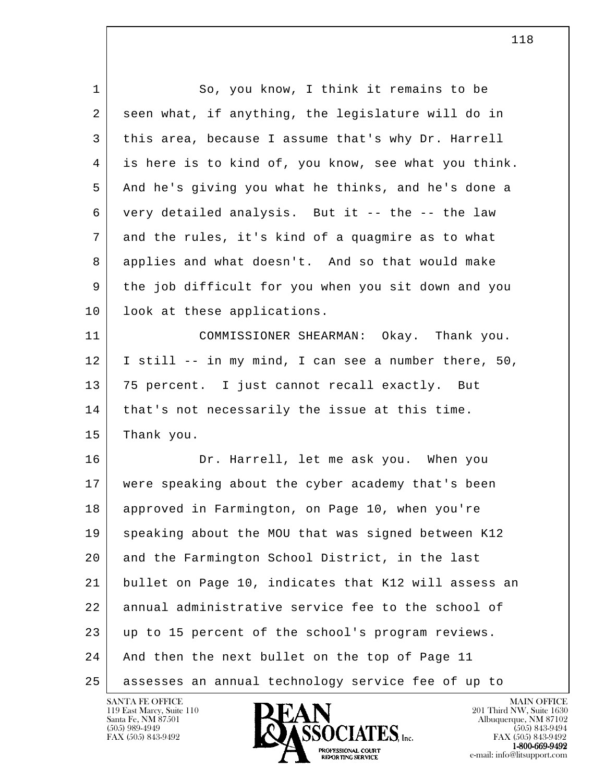| $\mathbf{1}$ | So, you know, I think it remains to be               |
|--------------|------------------------------------------------------|
| 2            | seen what, if anything, the legislature will do in   |
| 3            | this area, because I assume that's why Dr. Harrell   |
| 4            | is here is to kind of, you know, see what you think. |
| 5            | And he's giving you what he thinks, and he's done a  |
| 6            | very detailed analysis. But it -- the -- the law     |
| 7            | and the rules, it's kind of a quagmire as to what    |
| 8            | applies and what doesn't. And so that would make     |
| 9            | the job difficult for you when you sit down and you  |
| 10           | look at these applications.                          |
| 11           | COMMISSIONER SHEARMAN: Okay. Thank you.              |
| 12           | I still -- in my mind, I can see a number there, 50, |
| 13           | 75 percent. I just cannot recall exactly. But        |
| 14           | that's not necessarily the issue at this time.       |
| 15           | Thank you.                                           |
| 16           | Dr. Harrell, let me ask you. When you                |
| 17           | were speaking about the cyber academy that's been    |
| 18           | approved in Farmington, on Page 10, when you're      |
| 19           | speaking about the MOU that was signed between K12   |
| 20           | and the Farmington School District, in the last      |
| 21           | bullet on Page 10, indicates that K12 will assess an |
| 22           | annual administrative service fee to the school of   |
| 23           | up to 15 percent of the school's program reviews.    |
| 24           | And then the next bullet on the top of Page 11       |
| 25           | assesses an annual technology service fee of up to   |

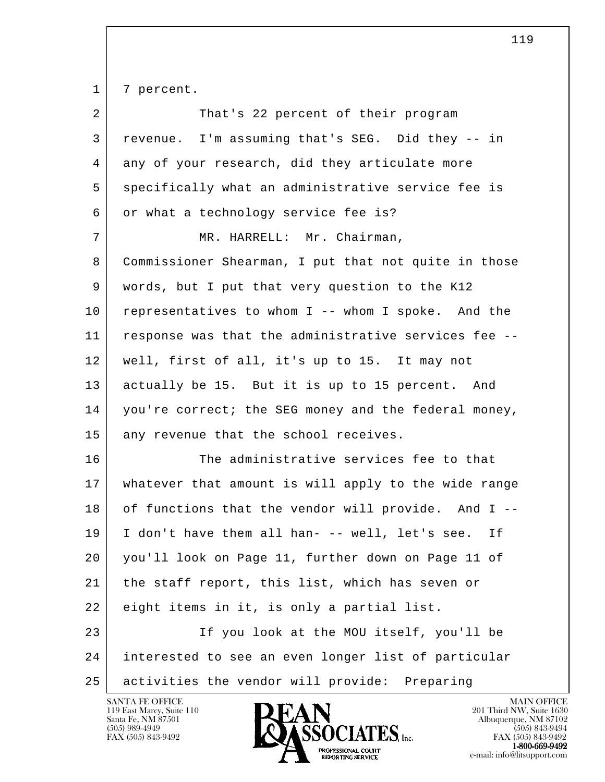1 | 7 percent.

| $\overline{a}$ | That's 22 percent of their program                   |
|----------------|------------------------------------------------------|
| 3              | revenue. I'm assuming that's SEG. Did they -- in     |
| 4              | any of your research, did they articulate more       |
| 5              | specifically what an administrative service fee is   |
| 6              | or what a technology service fee is?                 |
| 7              | MR. HARRELL: Mr. Chairman,                           |
| 8              | Commissioner Shearman, I put that not quite in those |
| 9              | words, but I put that very question to the K12       |
| 10             | representatives to whom I -- whom I spoke. And the   |
| 11             | response was that the administrative services fee -- |
| 12             | well, first of all, it's up to 15. It may not        |
| 13             | actually be 15. But it is up to 15 percent. And      |
| 14             | you're correct; the SEG money and the federal money, |
| 15             | any revenue that the school receives.                |
| 16             | The administrative services fee to that              |
| 17             | whatever that amount is will apply to the wide range |
| 18             | of functions that the vendor will provide. And I --  |
| 19             | I don't have them all han- -- well, let's see. If    |
| 20             | you'll look on Page 11, further down on Page 11 of   |
| 21             | the staff report, this list, which has seven or      |
| 22             | eight items in it, is only a partial list.           |
| 23             | If you look at the MOU itself, you'll be             |
| 24             | interested to see an even longer list of particular  |
| 25             | activities the vendor will provide: Preparing        |

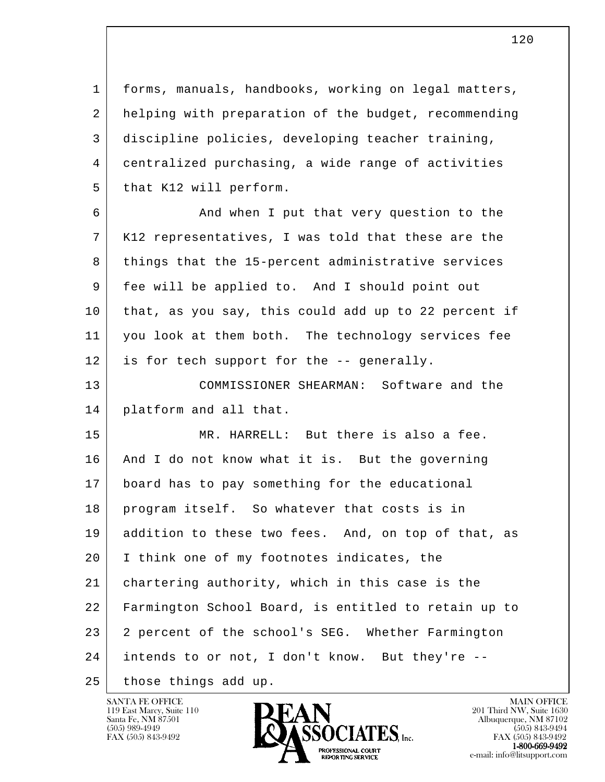1 forms, manuals, handbooks, working on legal matters, 2 helping with preparation of the budget, recommending 3 discipline policies, developing teacher training, 4 centralized purchasing, a wide range of activities 5 | that K12 will perform.

6 And when I put that very question to the 7 K12 representatives, I was told that these are the 8 things that the 15-percent administrative services 9 fee will be applied to. And I should point out 10 that, as you say, this could add up to 22 percent if 11 you look at them both. The technology services fee 12 is for tech support for the -- generally.

 13 COMMISSIONER SHEARMAN: Software and the 14 platform and all that.

l 15 MR. HARRELL: But there is also a fee. 16 And I do not know what it is. But the governing 17 board has to pay something for the educational 18 program itself. So whatever that costs is in 19 addition to these two fees. And, on top of that, as 20 I think one of my footnotes indicates, the 21 chartering authority, which in this case is the 22 Farmington School Board, is entitled to retain up to 23 2 percent of the school's SEG. Whether Farmington 24 intends to or not, I don't know. But they're -- 25 | those things add up.

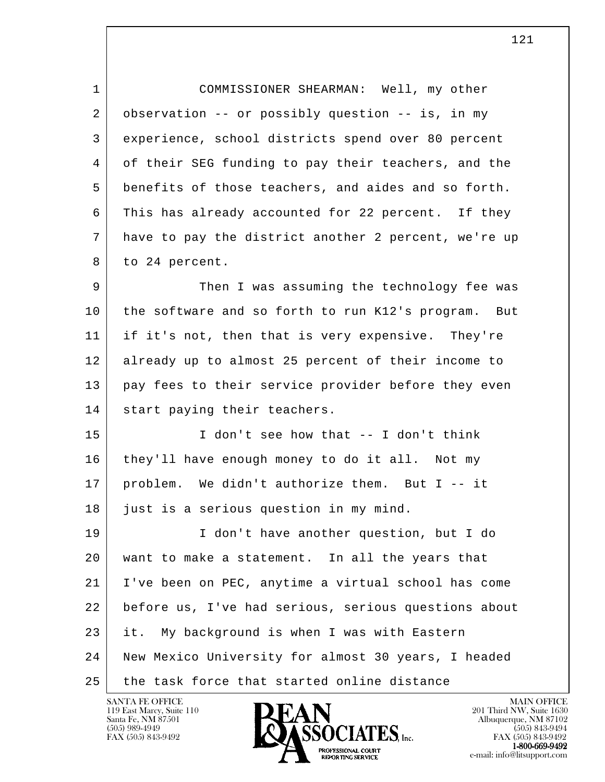1 COMMISSIONER SHEARMAN: Well, my other 2 observation -- or possibly question -- is, in my 3 experience, school districts spend over 80 percent 4 of their SEG funding to pay their teachers, and the 5 benefits of those teachers, and aides and so forth. 6 This has already accounted for 22 percent. If they 7 have to pay the district another 2 percent, we're up 8 to 24 percent.

9 Then I was assuming the technology fee was 10 the software and so forth to run K12's program. But 11 if it's not, then that is very expensive. They're 12 already up to almost 25 percent of their income to 13 pay fees to their service provider before they even 14 | start paying their teachers.

 15 I don't see how that -- I don't think 16 they'll have enough money to do it all. Not my 17 problem. We didn't authorize them. But I -- it 18 just is a serious question in my mind.

l 19 I don't have another question, but I do 20 want to make a statement. In all the years that 21 I've been on PEC, anytime a virtual school has come 22 before us, I've had serious, serious questions about 23 it. My background is when I was with Eastern 24 New Mexico University for almost 30 years, I headed 25 the task force that started online distance

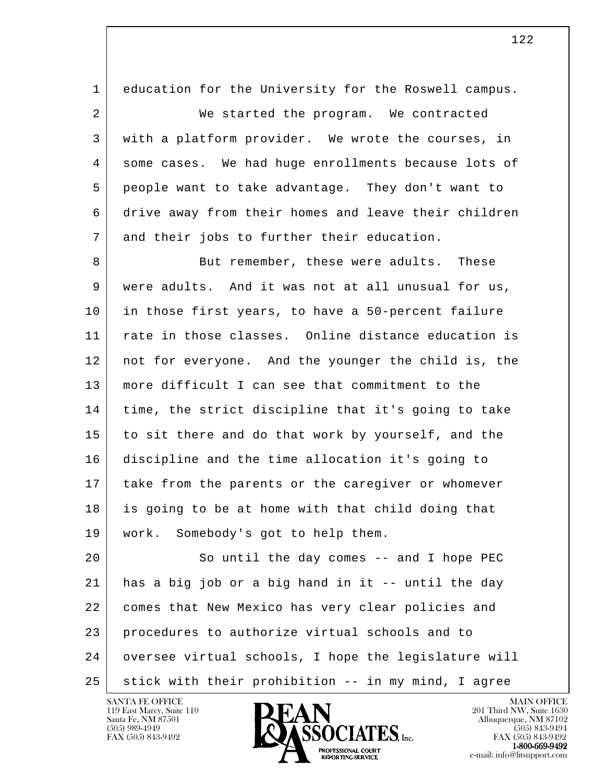| 1  | education for the University for the Roswell campus. |
|----|------------------------------------------------------|
| 2  | We started the program. We contracted                |
| 3  | with a platform provider. We wrote the courses, in   |
| 4  | some cases. We had huge enrollments because lots of  |
| 5  | people want to take advantage. They don't want to    |
| 6  | drive away from their homes and leave their children |
| 7  | and their jobs to further their education.           |
| 8  | But remember, these were adults.<br>These            |
| 9  | were adults. And it was not at all unusual for us,   |
| 10 | in those first years, to have a 50-percent failure   |
| 11 | rate in those classes. Online distance education is  |
| 12 | not for everyone. And the younger the child is, the  |
| 13 | more difficult I can see that commitment to the      |
| 14 | time, the strict discipline that it's going to take  |
| 15 | to sit there and do that work by yourself, and the   |
| 16 | discipline and the time allocation it's going to     |
| 17 | take from the parents or the caregiver or whomever   |
| 18 | is going to be at home with that child doing that    |
| 19 | work. Somebody's got to help them.                   |
| 20 | So until the day comes $-$ and I hope PEC            |
| 21 | has a big job or a big hand in it -- until the day   |
| 22 | comes that New Mexico has very clear policies and    |
| 23 | procedures to authorize virtual schools and to       |
| 24 | oversee virtual schools, I hope the legislature will |
| 25 | stick with their prohibition -- in my mind, I agree  |

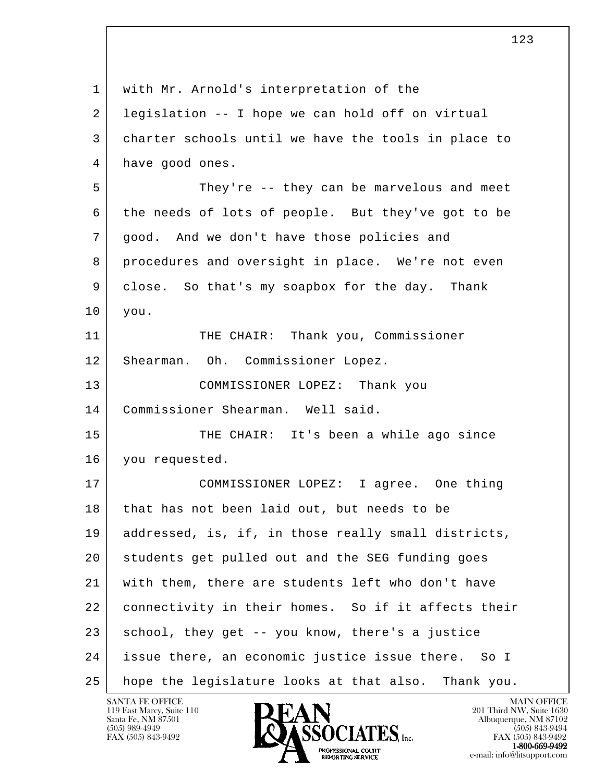| $\mathbf 1$ | with Mr. Arnold's interpretation of the             |
|-------------|-----------------------------------------------------|
| 2           | legislation -- I hope we can hold off on virtual    |
| 3           | charter schools until we have the tools in place to |
| 4           | have good ones.                                     |
| 5           | They're -- they can be marvelous and meet           |
| 6           | the needs of lots of people. But they've got to be  |
| 7           | good. And we don't have those policies and          |
| 8           | procedures and oversight in place. We're not even   |
| 9           | close. So that's my soapbox for the day. Thank      |
| 10          | you.                                                |
| 11          | THE CHAIR: Thank you, Commissioner                  |
| 12          | Shearman. Oh. Commissioner Lopez.                   |
| 13          | COMMISSIONER LOPEZ: Thank you                       |
| 14          | Commissioner Shearman. Well said.                   |
| 15          | THE CHAIR: It's been a while ago since              |
| 16          | you requested.                                      |
| 17          | COMMISSIONER LOPEZ: I agree. One thing              |
| 18          | that has not been laid out, but needs to be         |
| 19          | addressed, is, if, in those really small districts, |
| 20          | students get pulled out and the SEG funding goes    |
| 21          | with them, there are students left who don't have   |
| 22          | connectivity in their homes. So if it affects their |
| 23          | school, they get -- you know, there's a justice     |
| 24          | issue there, an economic justice issue there. So I  |
| 25          | hope the legislature looks at that also. Thank you. |

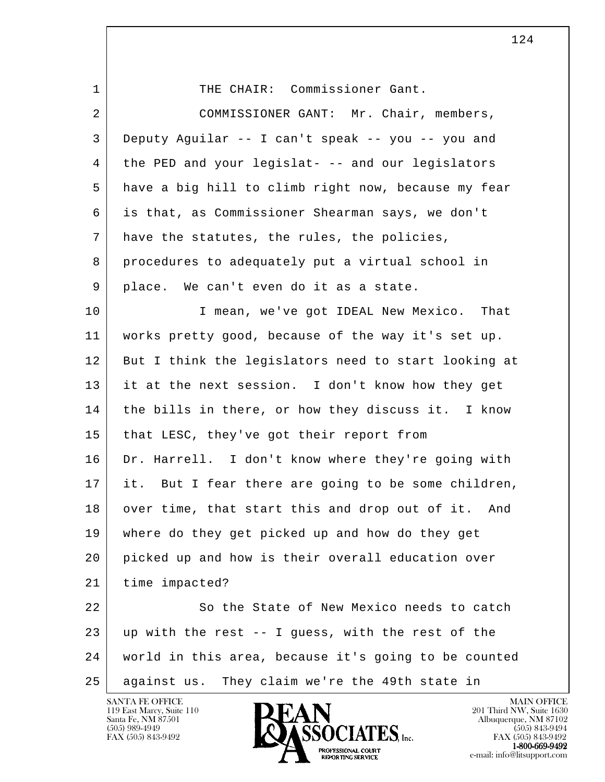1 THE CHAIR: Commissioner Gant.

l 2 COMMISSIONER GANT: Mr. Chair, members, 3 Deputy Aguilar -- I can't speak -- you -- you and 4 the PED and your legislat- -- and our legislators 5 have a big hill to climb right now, because my fear 6 is that, as Commissioner Shearman says, we don't 7 have the statutes, the rules, the policies, 8 procedures to adequately put a virtual school in 9 place. We can't even do it as a state. 10 I mean, we've got IDEAL New Mexico. That 11 works pretty good, because of the way it's set up. 12 But I think the legislators need to start looking at 13 it at the next session. I don't know how they get 14 the bills in there, or how they discuss it. I know 15 that LESC, they've got their report from 16 Dr. Harrell. I don't know where they're going with 17 it. But I fear there are going to be some children, 18 over time, that start this and drop out of it. And 19 where do they get picked up and how do they get 20 picked up and how is their overall education over 21 time impacted? 22 So the State of New Mexico needs to catch  $23$  up with the rest  $-$  I quess, with the rest of the 24 world in this area, because it's going to be counted 25 against us. They claim we're the 49th state in

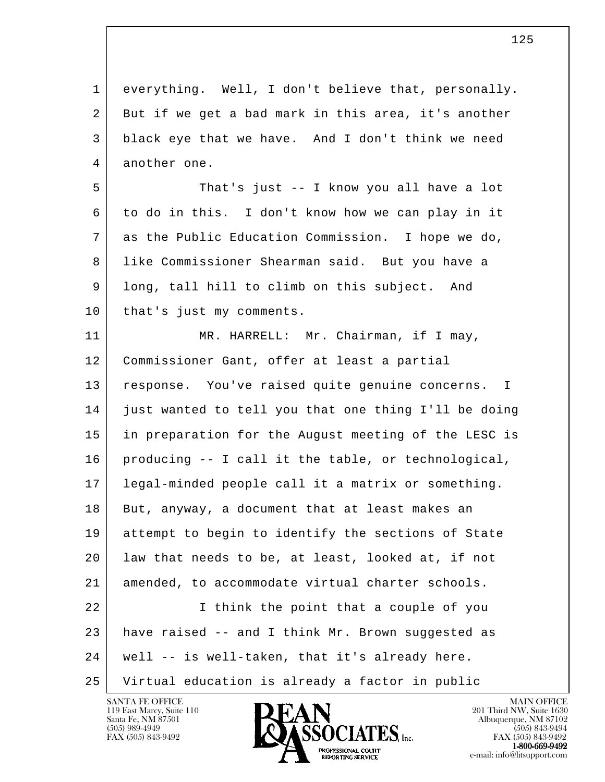| $\mathbf{1}$ | everything. Well, I don't believe that, personally.  |
|--------------|------------------------------------------------------|
| 2            | But if we get a bad mark in this area, it's another  |
| 3            | black eye that we have. And I don't think we need    |
| 4            | another one.                                         |
| 5            | That's just -- I know you all have a lot             |
| 6            | to do in this. I don't know how we can play in it    |
| 7            | as the Public Education Commission. I hope we do,    |
| 8            | like Commissioner Shearman said. But you have a      |
| 9            | long, tall hill to climb on this subject. And        |
| 10           | that's just my comments.                             |
| 11           | MR. HARRELL: Mr. Chairman, if I may,                 |
| 12           | Commissioner Gant, offer at least a partial          |
| 13           | response. You've raised quite genuine concerns. I    |
| 14           | just wanted to tell you that one thing I'll be doing |
| 15           | in preparation for the August meeting of the LESC is |
| 16           | producing -- I call it the table, or technological,  |
| 17           | legal-minded people call it a matrix or something.   |
| 18           | But, anyway, a document that at least makes an       |
| 19           | attempt to begin to identify the sections of State   |
| 20           | law that needs to be, at least, looked at, if not    |
| 21           | amended, to accommodate virtual charter schools.     |
| 22           | I think the point that a couple of you               |
| 23           | have raised -- and I think Mr. Brown suggested as    |
| 24           | well -- is well-taken, that it's already here.       |
| 25           | Virtual education is already a factor in public      |

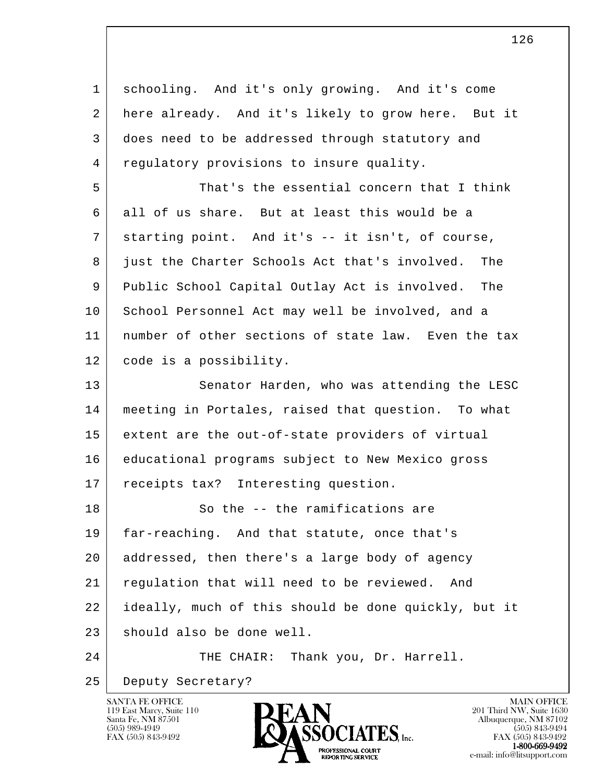| $\mathbf{1}$   | schooling. And it's only growing. And it's come      |
|----------------|------------------------------------------------------|
| $\overline{2}$ | here already. And it's likely to grow here. But it   |
| 3              | does need to be addressed through statutory and      |
| 4              | regulatory provisions to insure quality.             |
| 5              | That's the essential concern that I think            |
| 6              | all of us share. But at least this would be a        |
| 7              | starting point. And it's -- it isn't, of course,     |
| 8              | just the Charter Schools Act that's involved.<br>The |
| 9              | Public School Capital Outlay Act is involved. The    |
| 10             | School Personnel Act may well be involved, and a     |
| 11             | number of other sections of state law. Even the tax  |
| 12             | code is a possibility.                               |
| 13             | Senator Harden, who was attending the LESC           |
| 14             | meeting in Portales, raised that question. To what   |
| 15             | extent are the out-of-state providers of virtual     |
| 16             | educational programs subject to New Mexico gross     |
| 17             | receipts tax? Interesting question.                  |
| 18             | So the -- the ramifications are                      |
| 19             | far-reaching. And that statute, once that's          |
| 20             | addressed, then there's a large body of agency       |
| 21             | regulation that will need to be reviewed.<br>And     |
| 22             | ideally, much of this should be done quickly, but it |
| 23             | should also be done well.                            |
| 24             | Thank you, Dr. Harrell.<br>THE CHAIR:                |
| 25             | Deputy Secretary?                                    |

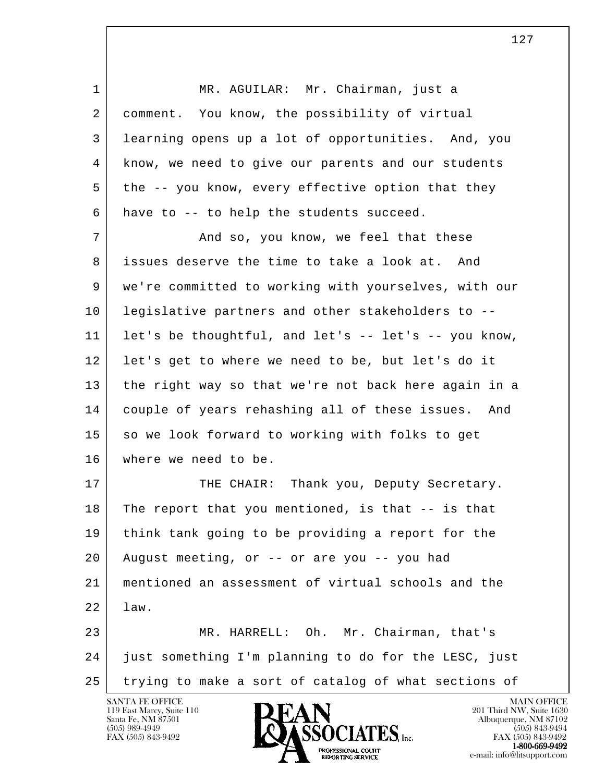1 MR. AGUILAR: Mr. Chairman, just a 2 comment. You know, the possibility of virtual 3 learning opens up a lot of opportunities. And, you 4 know, we need to give our parents and our students 5 the -- you know, every effective option that they 6 have to -- to help the students succeed. 7 and so, you know, we feel that these 8 issues deserve the time to take a look at. And 9 we're committed to working with yourselves, with our 10 legislative partners and other stakeholders to -- 11 let's be thoughtful, and let's -- let's -- you know, 12 let's get to where we need to be, but let's do it 13 the right way so that we're not back here again in a 14 couple of years rehashing all of these issues. And 15 so we look forward to working with folks to get 16 where we need to be. 17 THE CHAIR: Thank you, Deputy Secretary.

l 18 The report that you mentioned, is that -- is that 19 think tank going to be providing a report for the 20 August meeting, or -- or are you -- you had 21 mentioned an assessment of virtual schools and the 22 law. 23 MR. HARRELL: Oh. Mr. Chairman, that's

 24 just something I'm planning to do for the LESC, just 25 trying to make a sort of catalog of what sections of

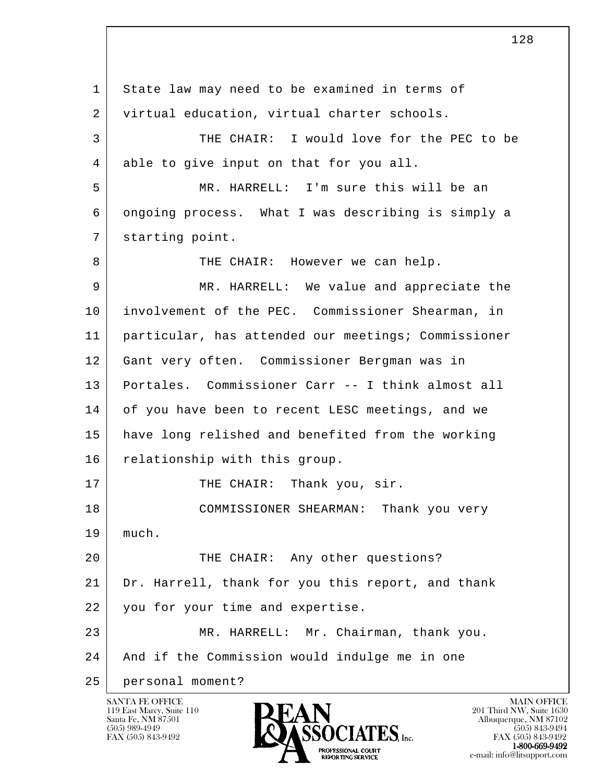l 1 State law may need to be examined in terms of 2 virtual education, virtual charter schools. 3 THE CHAIR: I would love for the PEC to be 4 able to give input on that for you all. 5 MR. HARRELL: I'm sure this will be an 6 ongoing process. What I was describing is simply a 7 | starting point. 8 THE CHAIR: However we can help. 9 MR. HARRELL: We value and appreciate the 10 involvement of the PEC. Commissioner Shearman, in 11 particular, has attended our meetings; Commissioner 12 Gant very often. Commissioner Bergman was in 13 Portales. Commissioner Carr -- I think almost all 14 of you have been to recent LESC meetings, and we 15 have long relished and benefited from the working 16 relationship with this group. 17 THE CHAIR: Thank you, sir. 18 COMMISSIONER SHEARMAN: Thank you very 19 much. 20 THE CHAIR: Any other questions? 21 Dr. Harrell, thank for you this report, and thank 22 you for your time and expertise. 23 MR. HARRELL: Mr. Chairman, thank you. 24 And if the Commission would indulge me in one 25 personal moment?

128

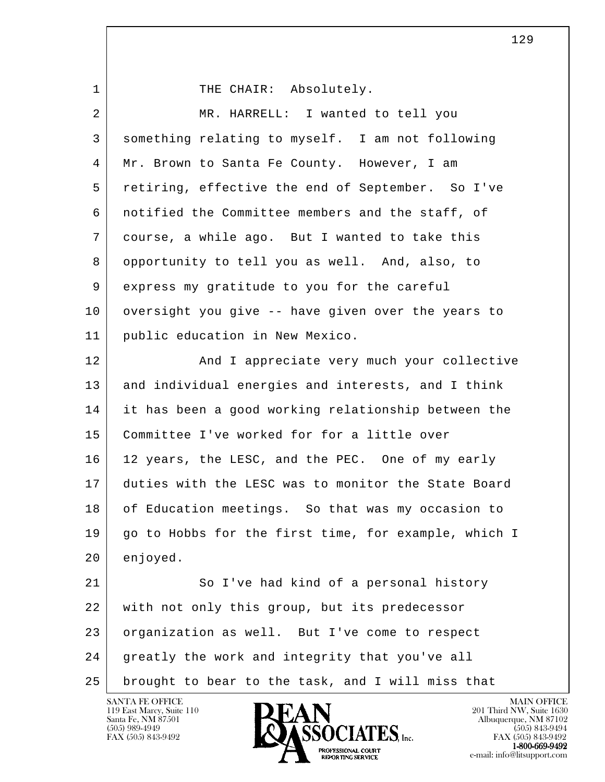l 1 THE CHAIR: Absolutely. 2 MR. HARRELL: I wanted to tell you 3 something relating to myself. I am not following 4 Mr. Brown to Santa Fe County. However, I am 5 retiring, effective the end of September. So I've 6 notified the Committee members and the staff, of 7 course, a while ago. But I wanted to take this 8 opportunity to tell you as well. And, also, to 9 express my gratitude to you for the careful 10 oversight you give -- have given over the years to 11 public education in New Mexico. 12 | And I appreciate very much your collective 13 and individual energies and interests, and I think 14 it has been a good working relationship between the 15 Committee I've worked for for a little over 16 12 years, the LESC, and the PEC. One of my early 17 duties with the LESC was to monitor the State Board 18 of Education meetings. So that was my occasion to 19 | go to Hobbs for the first time, for example, which I 20 enjoyed. 21 So I've had kind of a personal history 22 with not only this group, but its predecessor 23 organization as well. But I've come to respect

25 brought to bear to the task, and I will miss that

24 greatly the work and integrity that you've all

119 East Marcy, Suite 110<br>Santa Fe, NM 87501



FAX (505) 843-9492 FAX (505) 843-9492 **EXPORTING SERVICE**<br>REPORTING SERVICE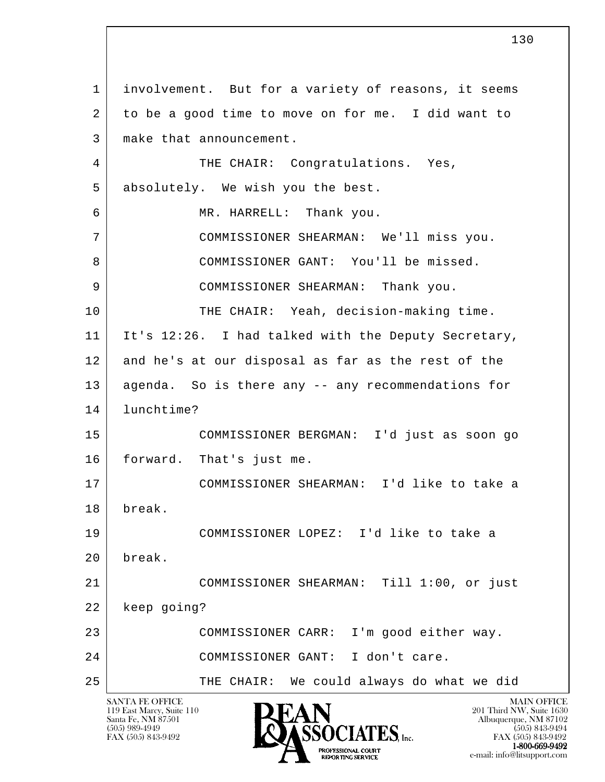l SANTA FE OFFICE MAIN OFFICE MAIN OFFICE MAIN OFFICE MAIN OFFICE 119 East Marcy, Suite 110<br>Santa Fe, NM 87501 Santa Fe, NM 87501 Albuquerque, NM 87102  $\overline{\text{S5OCIATES}}_{\text{Lnc.}}$  (505) 989-4949 (505) 843-9492 (505) 843-9492 (505) 843-9492 1 involvement. But for a variety of reasons, it seems 2 to be a good time to move on for me. I did want to 3 make that announcement. 4 THE CHAIR: Congratulations. Yes, 5 absolutely. We wish you the best. 6 MR. HARRELL: Thank you. 7 COMMISSIONER SHEARMAN: We'll miss you. 8 COMMISSIONER GANT: You'll be missed. 9 COMMISSIONER SHEARMAN: Thank you. 10 THE CHAIR: Yeah, decision-making time. 11 It's 12:26. I had talked with the Deputy Secretary, 12 and he's at our disposal as far as the rest of the 13 agenda. So is there any -- any recommendations for 14 lunchtime? 15 COMMISSIONER BERGMAN: I'd just as soon go 16 forward. That's just me. 17 COMMISSIONER SHEARMAN: I'd like to take a 18 break. 19 COMMISSIONER LOPEZ: I'd like to take a 20 break. 21 COMMISSIONER SHEARMAN: Till 1:00, or just 22 keep going? 23 COMMISSIONER CARR: I'm good either way. 24 COMMISSIONER GANT: I don't care. 25 THE CHAIR: We could always do what we did

FAX (505) 843-9492<br>1-800-669-9492 **1-800-669-9492**<br> **EXALTENDAM CN BT** e-mail: info@litsupport.com<br>REPORTING SERVICE REDUCED E-mail: info@litsupport.com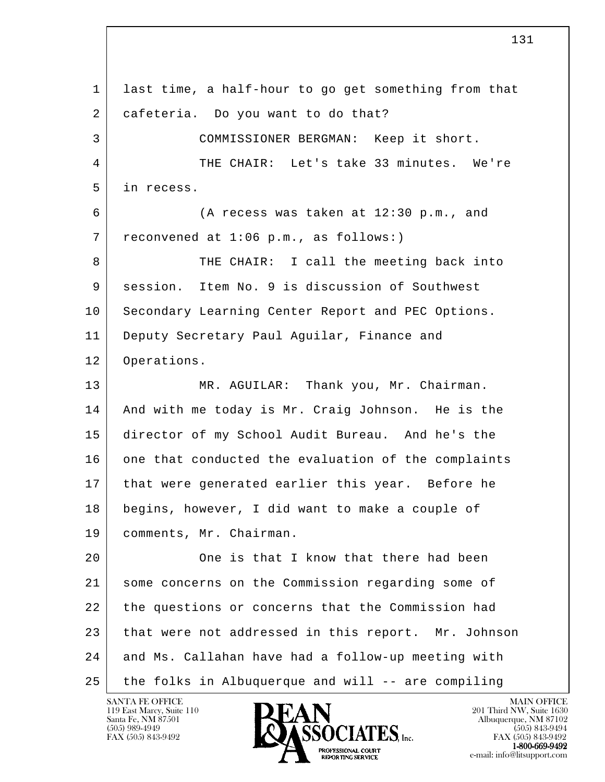l 1 last time, a half-hour to go get something from that 2 cafeteria. Do you want to do that? 3 COMMISSIONER BERGMAN: Keep it short. 4 THE CHAIR: Let's take 33 minutes. We're 5 in recess. 6 (A recess was taken at 12:30 p.m., and 7 reconvened at 1:06 p.m., as follows:) 8 THE CHAIR: I call the meeting back into 9 session. Item No. 9 is discussion of Southwest 10 | Secondary Learning Center Report and PEC Options. 11 Deputy Secretary Paul Aguilar, Finance and 12 Operations. 13 MR. AGUILAR: Thank you, Mr. Chairman. 14 And with me today is Mr. Craig Johnson. He is the 15 director of my School Audit Bureau. And he's the 16 one that conducted the evaluation of the complaints 17 | that were generated earlier this year. Before he 18 begins, however, I did want to make a couple of 19 | comments, Mr. Chairman. 20 One is that I know that there had been 21 some concerns on the Commission regarding some of 22 the questions or concerns that the Commission had 23 that were not addressed in this report. Mr. Johnson 24 and Ms. Callahan have had a follow-up meeting with 25 the folks in Albuquerque and will -- are compiling

119 East Marcy, Suite 110<br>Santa Fe, NM 87501

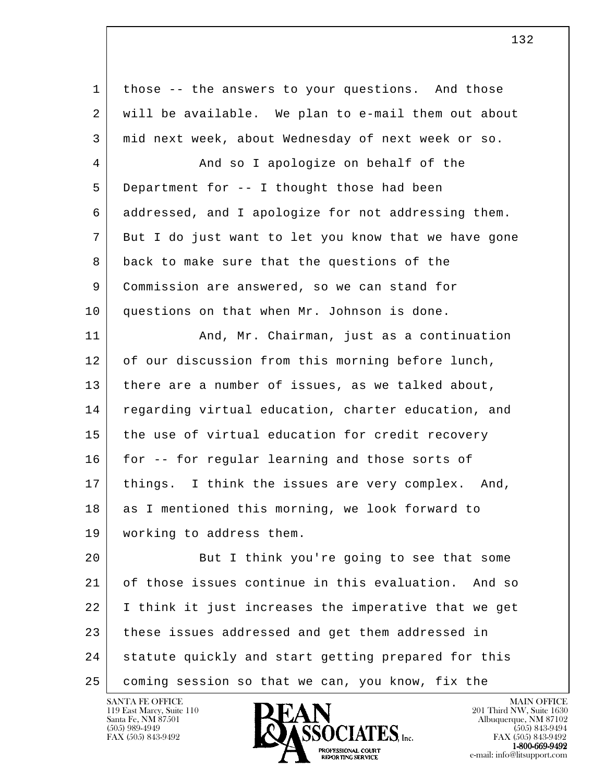| $\mathbf 1$    | those -- the answers to your questions. And those    |
|----------------|------------------------------------------------------|
| 2              | will be available. We plan to e-mail them out about  |
| 3              | mid next week, about Wednesday of next week or so.   |
| $\overline{4}$ | And so I apologize on behalf of the                  |
| 5              | Department for -- I thought those had been           |
| 6              | addressed, and I apologize for not addressing them.  |
| 7              | But I do just want to let you know that we have gone |
| 8              | back to make sure that the questions of the          |
| 9              | Commission are answered, so we can stand for         |
| 10             | questions on that when Mr. Johnson is done.          |
| 11             | And, Mr. Chairman, just as a continuation            |
| 12             | of our discussion from this morning before lunch,    |
| 13             | there are a number of issues, as we talked about,    |
| 14             | regarding virtual education, charter education, and  |
| 15             | the use of virtual education for credit recovery     |
| 16             | for -- for regular learning and those sorts of       |
| 17             | things. I think the issues are very complex.<br>And, |
| 18             | as I mentioned this morning, we look forward to      |
| 19             | working to address them.                             |
| 20             | But I think you're going to see that some            |
| 21             | of those issues continue in this evaluation. And so  |
| 22             | I think it just increases the imperative that we get |
| 23             | these issues addressed and get them addressed in     |
| 24             | statute quickly and start getting prepared for this  |
| 25             | coming session so that we can, you know, fix the     |

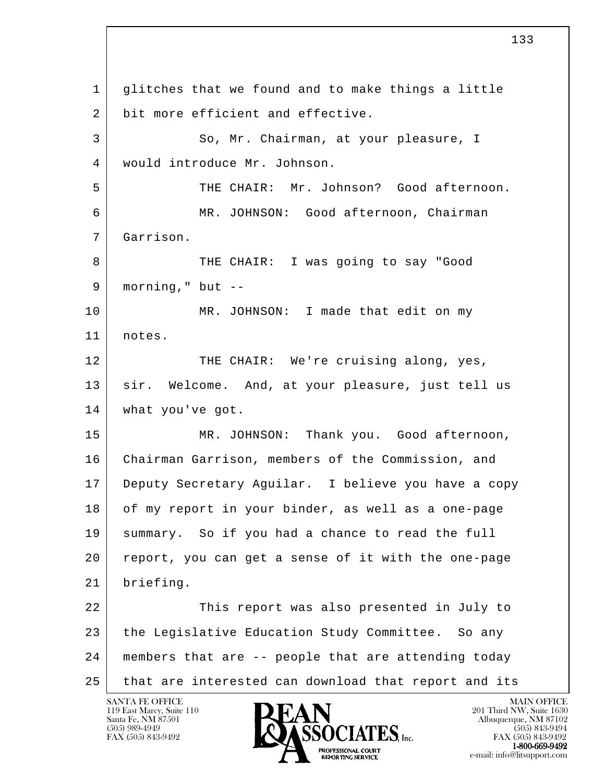l 1 glitches that we found and to make things a little 2 bit more efficient and effective. 3 So, Mr. Chairman, at your pleasure, I 4 would introduce Mr. Johnson. 5 THE CHAIR: Mr. Johnson? Good afternoon. 6 MR. JOHNSON: Good afternoon, Chairman 7 Garrison. 8 THE CHAIR: I was going to say "Good  $9$  morning," but  $-$ 10 | MR. JOHNSON: I made that edit on my 11 notes. 12 THE CHAIR: We're cruising along, yes, 13 sir. Welcome. And, at your pleasure, just tell us 14 | what you've got. 15 MR. JOHNSON: Thank you. Good afternoon, 16 Chairman Garrison, members of the Commission, and 17 Deputy Secretary Aguilar. I believe you have a copy 18 of my report in your binder, as well as a one-page 19 summary. So if you had a chance to read the full 20 report, you can get a sense of it with the one-page 21 briefing. 22 This report was also presented in July to 23 the Legislative Education Study Committee. So any 24 members that are -- people that are attending today 25 that are interested can download that report and its

119 East Marcy, Suite 110<br>Santa Fe, NM 87501

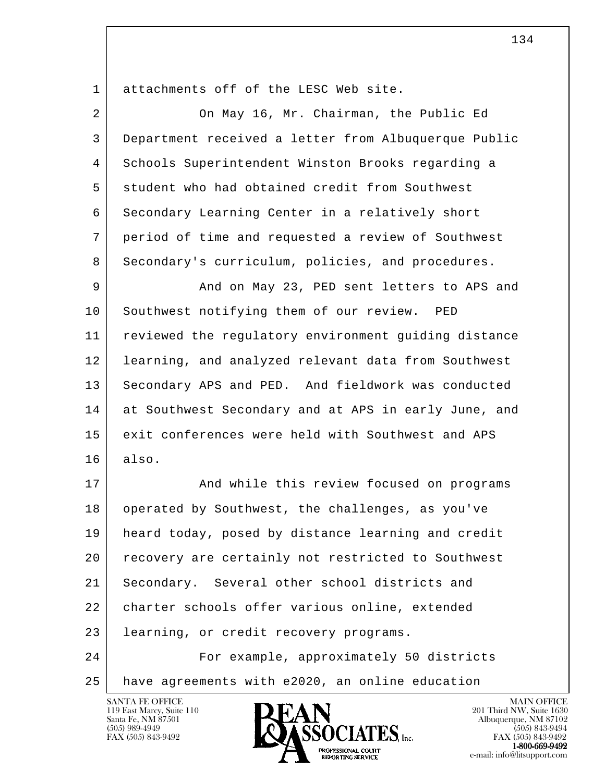1 attachments off of the LESC Web site.

| 2  | On May 16, Mr. Chairman, the Public Ed               |
|----|------------------------------------------------------|
| 3  | Department received a letter from Albuquerque Public |
| 4  | Schools Superintendent Winston Brooks regarding a    |
| 5  | student who had obtained credit from Southwest       |
| 6  | Secondary Learning Center in a relatively short      |
| 7  | period of time and requested a review of Southwest   |
| 8  | Secondary's curriculum, policies, and procedures.    |
| 9  | And on May 23, PED sent letters to APS and           |
| 10 | Southwest notifying them of our review. PED          |
| 11 | reviewed the regulatory environment guiding distance |
| 12 | learning, and analyzed relevant data from Southwest  |
| 13 | Secondary APS and PED. And fieldwork was conducted   |
| 14 | at Southwest Secondary and at APS in early June, and |
| 15 | exit conferences were held with Southwest and APS    |
| 16 | also.                                                |
| 17 | And while this review focused on programs            |
| 18 | operated by Southwest, the challenges, as you've     |
| 19 | heard today, posed by distance learning and credit   |
| 20 | recovery are certainly not restricted to Southwest   |
| 21 | Secondary. Several other school districts and        |
| 22 | charter schools offer various online, extended       |
| 23 | learning, or credit recovery programs.               |
| 24 | For example, approximately 50 districts              |
| 25 | have agreements with e2020, an online education      |

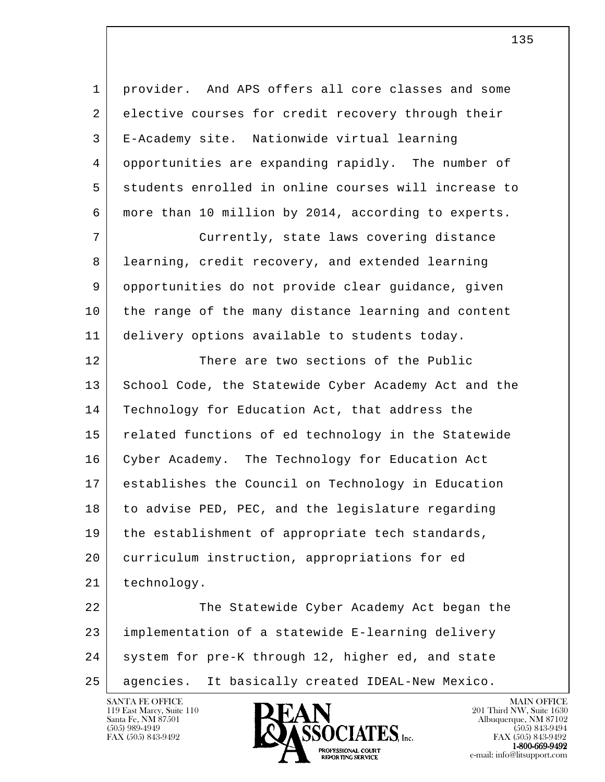1 provider. And APS offers all core classes and some 2 elective courses for credit recovery through their 3 E-Academy site. Nationwide virtual learning 4 opportunities are expanding rapidly. The number of 5 students enrolled in online courses will increase to 6 more than 10 million by 2014, according to experts.

 7 Currently, state laws covering distance 8 learning, credit recovery, and extended learning 9 opportunities do not provide clear guidance, given 10 the range of the many distance learning and content 11 delivery options available to students today.

12 There are two sections of the Public 13 School Code, the Statewide Cyber Academy Act and the 14 | Technology for Education Act, that address the 15 related functions of ed technology in the Statewide 16 Cyber Academy. The Technology for Education Act 17 establishes the Council on Technology in Education 18 to advise PED, PEC, and the legislature regarding 19 the establishment of appropriate tech standards, 20 curriculum instruction, appropriations for ed 21 technology.

l 22 The Statewide Cyber Academy Act began the 23 implementation of a statewide E-learning delivery 24 system for pre-K through 12, higher ed, and state 25 agencies. It basically created IDEAL-New Mexico.

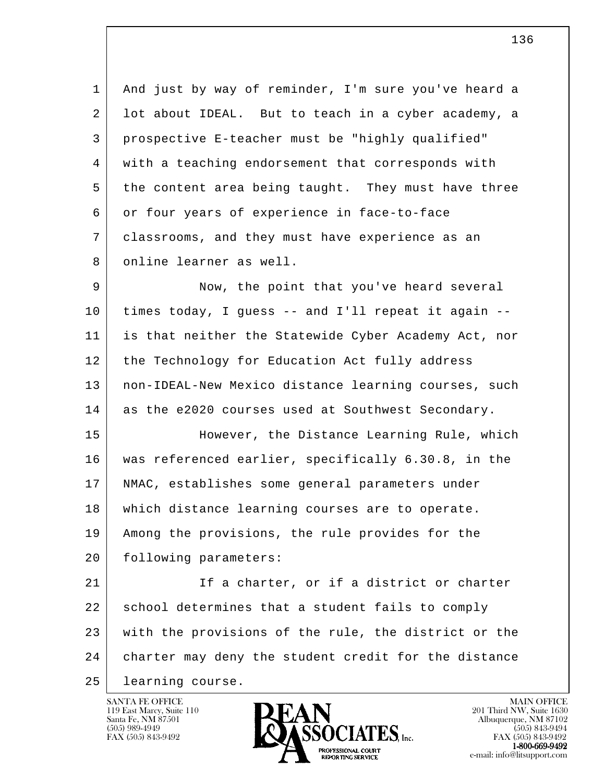1 And just by way of reminder, I'm sure you've heard a 2 lot about IDEAL. But to teach in a cyber academy, a 3 prospective E-teacher must be "highly qualified" 4 with a teaching endorsement that corresponds with 5 the content area being taught. They must have three 6 or four years of experience in face-to-face 7 classrooms, and they must have experience as an 8 online learner as well.

 9 Now, the point that you've heard several 10 times today, I guess -- and I'll repeat it again -- 11 is that neither the Statewide Cyber Academy Act, nor 12 the Technology for Education Act fully address 13 | non-IDEAL-New Mexico distance learning courses, such 14 as the e2020 courses used at Southwest Secondary.

 15 However, the Distance Learning Rule, which 16 was referenced earlier, specifically 6.30.8, in the 17 NMAC, establishes some general parameters under 18 which distance learning courses are to operate. 19 Among the provisions, the rule provides for the 20 following parameters:

l 21 If a charter, or if a district or charter 22 school determines that a student fails to comply 23 with the provisions of the rule, the district or the 24 charter may deny the student credit for the distance 25 learning course.

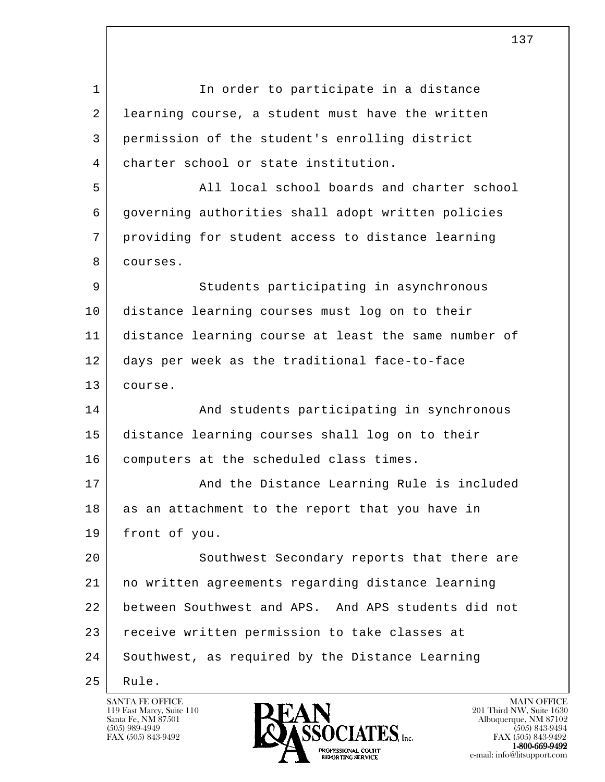l 1 In order to participate in a distance 2 learning course, a student must have the written 3 permission of the student's enrolling district 4 charter school or state institution. 5 All local school boards and charter school 6 governing authorities shall adopt written policies 7 providing for student access to distance learning 8 courses. 9 Students participating in asynchronous 10 distance learning courses must log on to their 11 distance learning course at least the same number of 12 days per week as the traditional face-to-face 13 course. 14 And students participating in synchronous 15 distance learning courses shall log on to their 16 | computers at the scheduled class times. 17 | And the Distance Learning Rule is included  $18$  as an attachment to the report that you have in 19 front of you. 20 Southwest Secondary reports that there are 21 no written agreements regarding distance learning 22 between Southwest and APS. And APS students did not 23 receive written permission to take classes at 24 Southwest, as required by the Distance Learning 25 Rule.

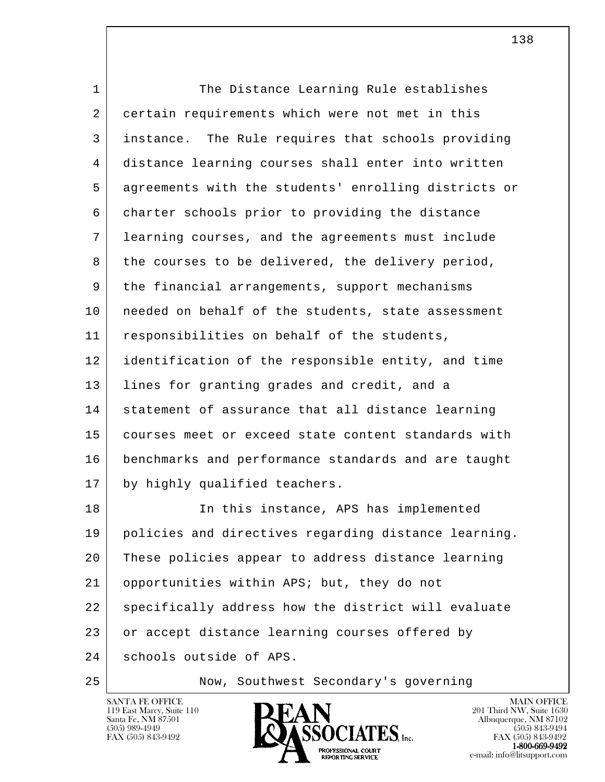| $\mathbf{1}$ | The Distance Learning Rule establishes               |
|--------------|------------------------------------------------------|
| 2            | certain requirements which were not met in this      |
| 3            | instance. The Rule requires that schools providing   |
| 4            | distance learning courses shall enter into written   |
| 5            | agreements with the students' enrolling districts or |
| 6            | charter schools prior to providing the distance      |
| 7            | learning courses, and the agreements must include    |
| 8            | the courses to be delivered, the delivery period,    |
| 9            | the financial arrangements, support mechanisms       |
| 10           | needed on behalf of the students, state assessment   |
| 11           | responsibilities on behalf of the students,          |
| 12           | identification of the responsible entity, and time   |
| 13           | lines for granting grades and credit, and a          |
| 14           | statement of assurance that all distance learning    |
| 15           | courses meet or exceed state content standards with  |
| 16           | benchmarks and performance standards and are taught  |
| 17           | by highly qualified teachers.                        |
| 18           | In this instance, APS has implemented                |
| 19           | policies and directives regarding distance learning. |
| 20           | These policies appear to address distance learning   |
| 21           | opportunities within APS; but, they do not           |
| 22           | specifically address how the district will evaluate  |
| 23           | or accept distance learning courses offered by       |
| 24           | schools outside of APS.                              |
|              |                                                      |



e-mail: info@litsupport.com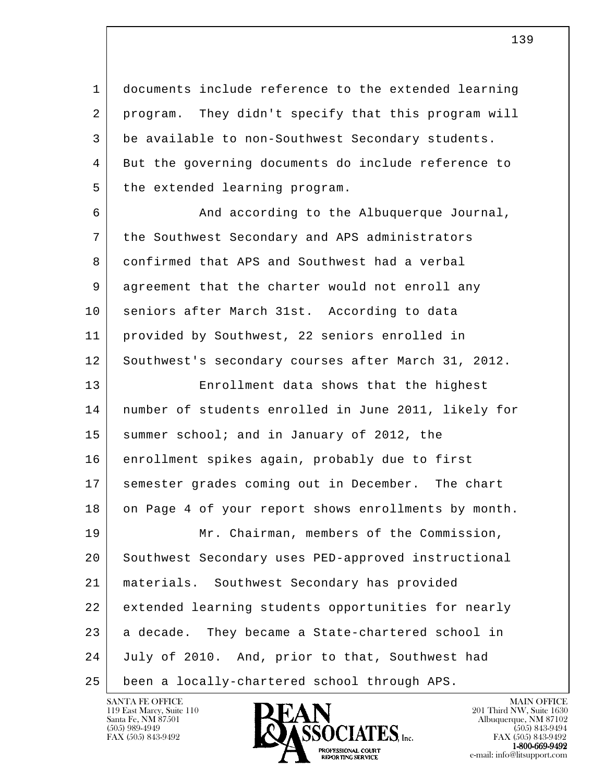1 documents include reference to the extended learning 2 | program. They didn't specify that this program will 3 be available to non-Southwest Secondary students. 4 But the governing documents do include reference to 5 the extended learning program.

6 And according to the Albuquerque Journal, 7 the Southwest Secondary and APS administrators 8 confirmed that APS and Southwest had a verbal 9 agreement that the charter would not enroll any 10 seniors after March 31st. According to data 11 provided by Southwest, 22 seniors enrolled in 12 Southwest's secondary courses after March 31, 2012. 13 Enrollment data shows that the highest

 14 number of students enrolled in June 2011, likely for 15 summer school; and in January of 2012, the 16 enrollment spikes again, probably due to first 17 semester grades coming out in December. The chart 18 on Page 4 of your report shows enrollments by month. 19 Mr. Chairman, members of the Commission, 20 Southwest Secondary uses PED-approved instructional 21 materials. Southwest Secondary has provided

l 22 extended learning students opportunities for nearly 23 a decade. They became a State-chartered school in

 24 July of 2010. And, prior to that, Southwest had

25 been a locally-chartered school through APS.

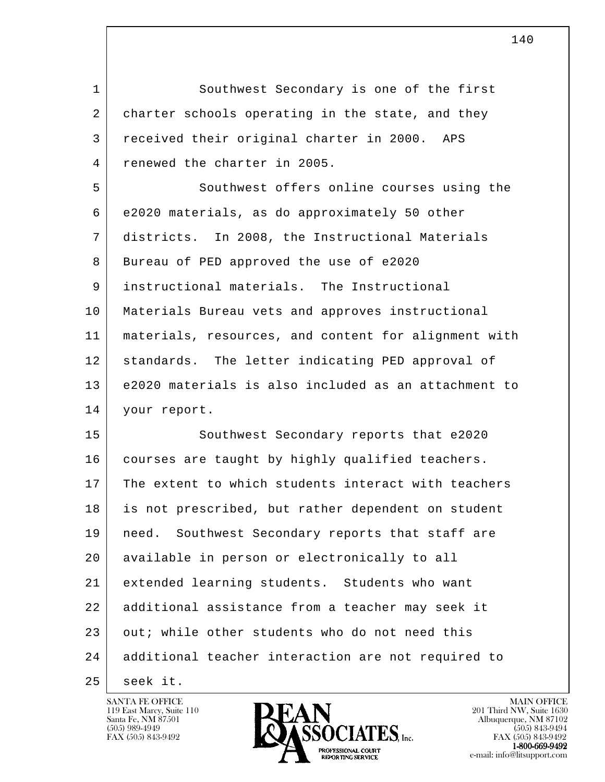l 1 Southwest Secondary is one of the first 2 charter schools operating in the state, and they 3 received their original charter in 2000. APS 4 renewed the charter in 2005. 5 Southwest offers online courses using the 6 e2020 materials, as do approximately 50 other 7 districts. In 2008, the Instructional Materials 8 Bureau of PED approved the use of e2020 9 instructional materials. The Instructional 10 Materials Bureau vets and approves instructional 11 materials, resources, and content for alignment with 12 standards. The letter indicating PED approval of 13 e2020 materials is also included as an attachment to 14 your report. 15 Southwest Secondary reports that e2020 16 | courses are taught by highly qualified teachers. 17 The extent to which students interact with teachers 18 is not prescribed, but rather dependent on student 19 need. Southwest Secondary reports that staff are 20 available in person or electronically to all 21 extended learning students. Students who want 22 additional assistance from a teacher may seek it 23 out; while other students who do not need this 24 additional teacher interaction are not required to 25 seek it.

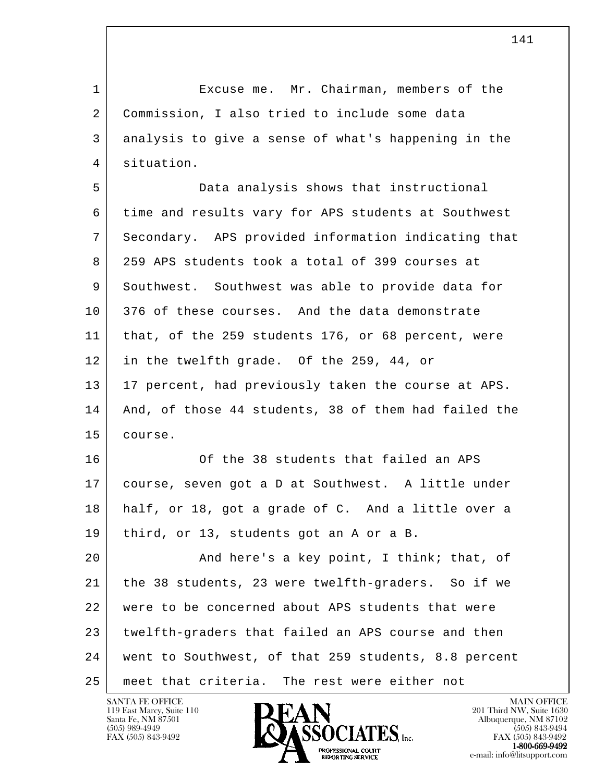1 Excuse me. Mr. Chairman, members of the 2 Commission, I also tried to include some data 3 analysis to give a sense of what's happening in the 4 situation.

 5 Data analysis shows that instructional 6 time and results vary for APS students at Southwest 7 Secondary. APS provided information indicating that 8 259 APS students took a total of 399 courses at 9 Southwest. Southwest was able to provide data for 10 376 of these courses. And the data demonstrate 11 | that, of the 259 students 176, or 68 percent, were 12 in the twelfth grade. Of the 259, 44, or 13 17 percent, had previously taken the course at APS. 14 And, of those 44 students, 38 of them had failed the 15 course.

16 Of the 38 students that failed an APS 17 course, seven got a D at Southwest. A little under 18 half, or 18, got a grade of C. And a little over a 19 third, or 13, students got an A or a B.

l 20 | Think; that, of and here's a key point, I think; that, of 21 the 38 students, 23 were twelfth-graders. So if we 22 were to be concerned about APS students that were 23 twelfth-graders that failed an APS course and then 24 went to Southwest, of that 259 students, 8.8 percent 25 meet that criteria. The rest were either not

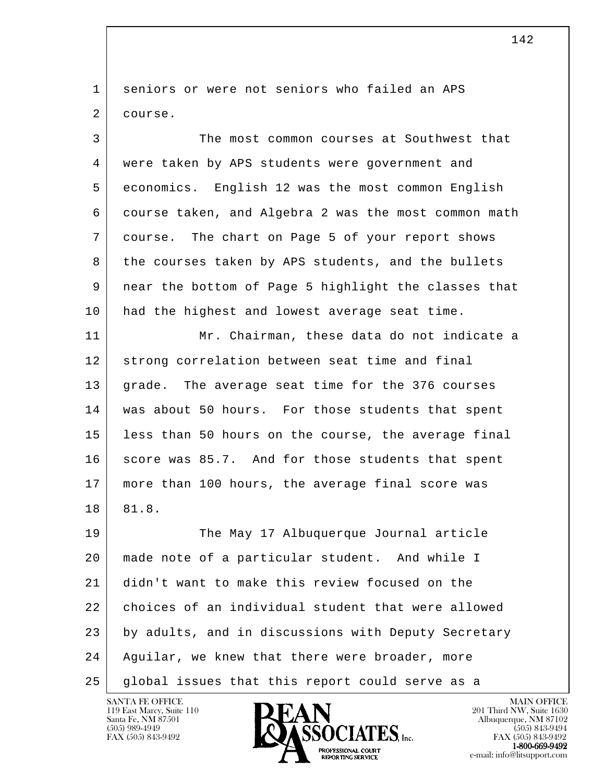1 seniors or were not seniors who failed an APS 2 course.

 3 The most common courses at Southwest that 4 were taken by APS students were government and 5 economics. English 12 was the most common English 6 course taken, and Algebra 2 was the most common math 7 course. The chart on Page 5 of your report shows 8 the courses taken by APS students, and the bullets 9 near the bottom of Page 5 highlight the classes that 10 had the highest and lowest average seat time.

11 Mr. Chairman, these data do not indicate a 12 strong correlation between seat time and final 13 | grade. The average seat time for the 376 courses 14 was about 50 hours. For those students that spent 15 less than 50 hours on the course, the average final 16 score was 85.7. And for those students that spent 17 more than 100 hours, the average final score was 18 81.8.

l 19 The May 17 Albuquerque Journal article 20 made note of a particular student. And while I 21 didn't want to make this review focused on the 22 choices of an individual student that were allowed 23 by adults, and in discussions with Deputy Secretary 24 Aguilar, we knew that there were broader, more 25 global issues that this report could serve as a



FAX (505) 843-9492 FAX (505) 843-9492 **EXPORTING SERVICE**<br>REPORTING SERVICE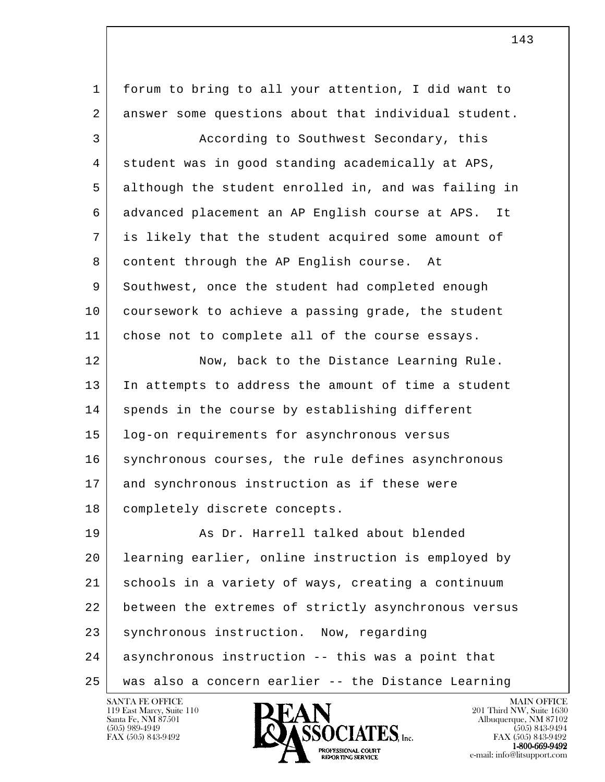l 1 forum to bring to all your attention, I did want to 2 answer some questions about that individual student. 3 According to Southwest Secondary, this 4 student was in good standing academically at APS, 5 although the student enrolled in, and was failing in 6 advanced placement an AP English course at APS. It 7 is likely that the student acquired some amount of 8 content through the AP English course. At 9 Southwest, once the student had completed enough 10 coursework to achieve a passing grade, the student 11 chose not to complete all of the course essays. 12 Now, back to the Distance Learning Rule. 13 In attempts to address the amount of time a student 14 spends in the course by establishing different 15 log-on requirements for asynchronous versus 16 synchronous courses, the rule defines asynchronous 17 and synchronous instruction as if these were 18 | completely discrete concepts. 19 As Dr. Harrell talked about blended 20 learning earlier, online instruction is employed by 21 schools in a variety of ways, creating a continuum 22 between the extremes of strictly asynchronous versus 23 synchronous instruction. Now, regarding 24 asynchronous instruction -- this was a point that 25 was also a concern earlier -- the Distance Learning

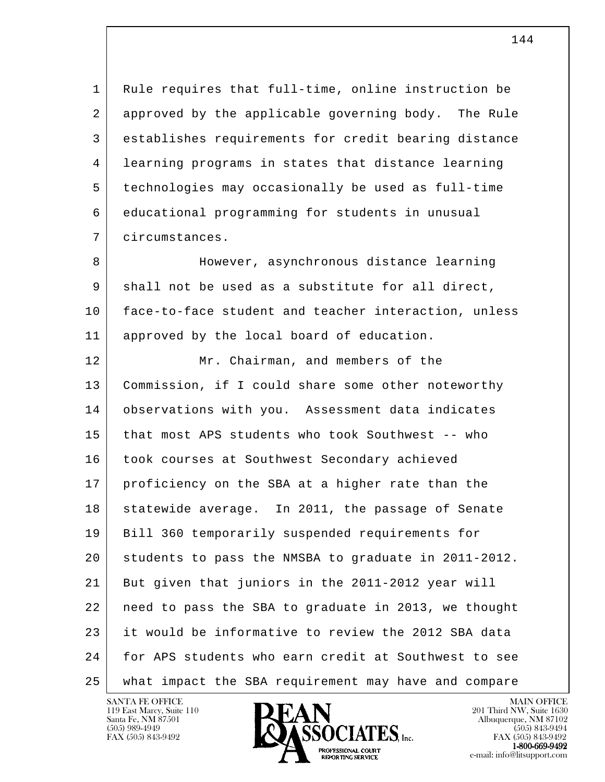1 Rule requires that full-time, online instruction be 2 approved by the applicable governing body. The Rule 3 establishes requirements for credit bearing distance 4 learning programs in states that distance learning 5 technologies may occasionally be used as full-time 6 educational programming for students in unusual 7 circumstances.

8 However, asynchronous distance learning 9 shall not be used as a substitute for all direct, 10 face-to-face student and teacher interaction, unless 11 | approved by the local board of education.

l 12 Mr. Chairman, and members of the 13 Commission, if I could share some other noteworthy 14 observations with you. Assessment data indicates 15 that most APS students who took Southwest -- who 16 took courses at Southwest Secondary achieved 17 proficiency on the SBA at a higher rate than the 18 statewide average. In 2011, the passage of Senate 19 Bill 360 temporarily suspended requirements for 20 students to pass the NMSBA to graduate in 2011-2012. 21 But given that juniors in the 2011-2012 year will 22 need to pass the SBA to graduate in 2013, we thought 23 it would be informative to review the 2012 SBA data 24 for APS students who earn credit at Southwest to see 25 what impact the SBA requirement may have and compare

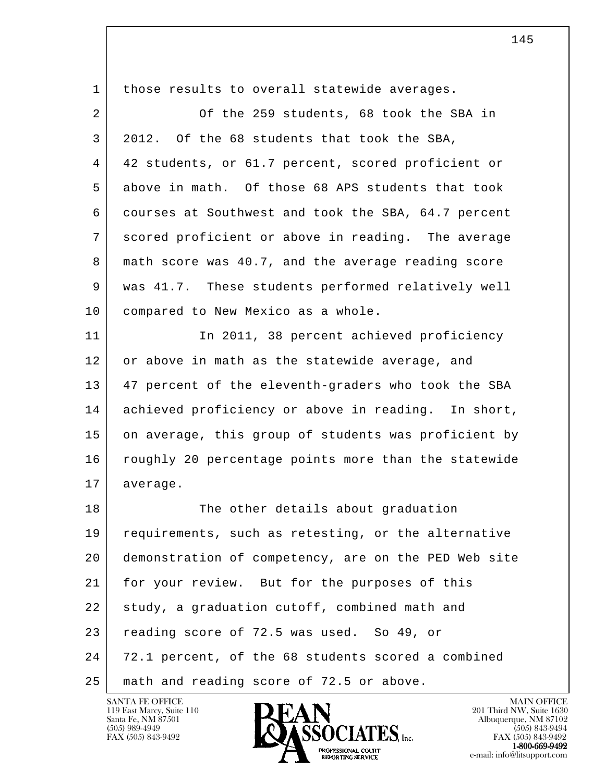| $\mathbf{1}$ | those results to overall statewide averages.         |
|--------------|------------------------------------------------------|
| 2            | Of the 259 students, 68 took the SBA in              |
| 3            | 2012. Of the 68 students that took the SBA,          |
| 4            | 42 students, or 61.7 percent, scored proficient or   |
| 5            | above in math. Of those 68 APS students that took    |
| 6            | courses at Southwest and took the SBA, 64.7 percent  |
| 7            | scored proficient or above in reading. The average   |
| 8            | math score was 40.7, and the average reading score   |
| 9            | was 41.7. These students performed relatively well   |
| 10           | compared to New Mexico as a whole.                   |
| 11           | In 2011, 38 percent achieved proficiency             |
| 12           | or above in math as the statewide average, and       |
| 13           | 47 percent of the eleventh-graders who took the SBA  |
| 14           | achieved proficiency or above in reading. In short,  |
| 15           | on average, this group of students was proficient by |
| 16           | roughly 20 percentage points more than the statewide |
| 17           | average.                                             |
| 18           | The other details about graduation                   |
| 19           | requirements, such as retesting, or the alternative  |
| 20           | demonstration of competency, are on the PED Web site |
| 21           | for your review. But for the purposes of this        |
| 22           | study, a graduation cutoff, combined math and        |
| 23           | reading score of 72.5 was used. So 49, or            |
| 24           | 72.1 percent, of the 68 students scored a combined   |
| 25           | math and reading score of 72.5 or above.             |

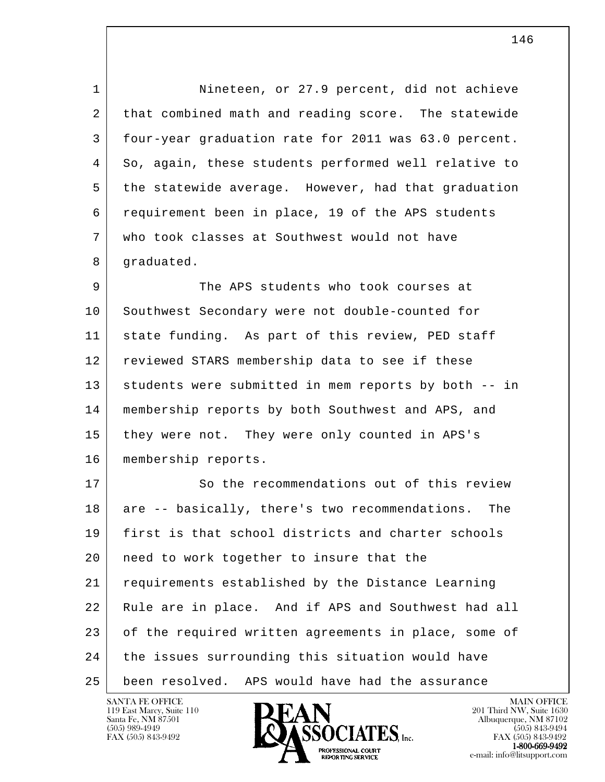1 Nineteen, or 27.9 percent, did not achieve 2 that combined math and reading score. The statewide 3 four-year graduation rate for 2011 was 63.0 percent. 4 So, again, these students performed well relative to 5 the statewide average. However, had that graduation 6 requirement been in place, 19 of the APS students 7 who took classes at Southwest would not have 8 | graduated.

9 The APS students who took courses at 10 Southwest Secondary were not double-counted for 11 state funding. As part of this review, PED staff 12 reviewed STARS membership data to see if these 13 students were submitted in mem reports by both -- in 14 membership reports by both Southwest and APS, and 15 they were not. They were only counted in APS's 16 membership reports.

l 17 So the recommendations out of this review 18 are -- basically, there's two recommendations. The 19 first is that school districts and charter schools 20 | need to work together to insure that the 21 requirements established by the Distance Learning 22 Rule are in place. And if APS and Southwest had all 23 of the required written agreements in place, some of 24 the issues surrounding this situation would have 25 been resolved. APS would have had the assurance

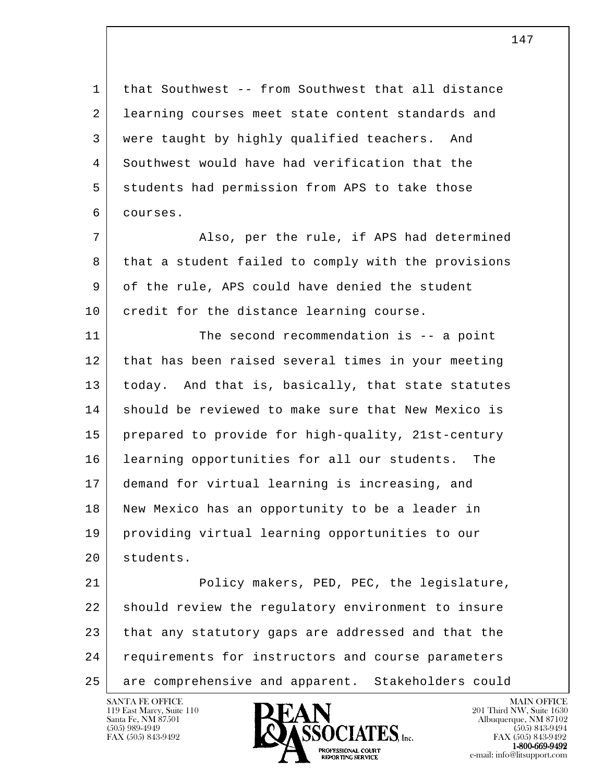1 | that Southwest -- from Southwest that all distance 2 learning courses meet state content standards and 3 were taught by highly qualified teachers. And 4 Southwest would have had verification that the 5 students had permission from APS to take those 6 courses.

7 | Also, per the rule, if APS had determined 8 that a student failed to comply with the provisions 9 of the rule, APS could have denied the student 10 credit for the distance learning course.

11 The second recommendation is -- a point 12 that has been raised several times in your meeting 13 | today. And that is, basically, that state statutes 14 | should be reviewed to make sure that New Mexico is 15 prepared to provide for high-quality, 21st-century 16 learning opportunities for all our students. The 17 demand for virtual learning is increasing, and 18 New Mexico has an opportunity to be a leader in 19 providing virtual learning opportunities to our 20 students.

l 21 Policy makers, PED, PEC, the legislature, 22 should review the regulatory environment to insure 23 | that any statutory gaps are addressed and that the 24 | requirements for instructors and course parameters 25 are comprehensive and apparent. Stakeholders could

119 East Marcy, Suite 110<br>Santa Fe, NM 87501



FAX (505) 843-9492 FAX (505) 843-9492 **EXECUTE EXECUTE:**<br>REPORTING SERVICE e-mail: info@litsupport.com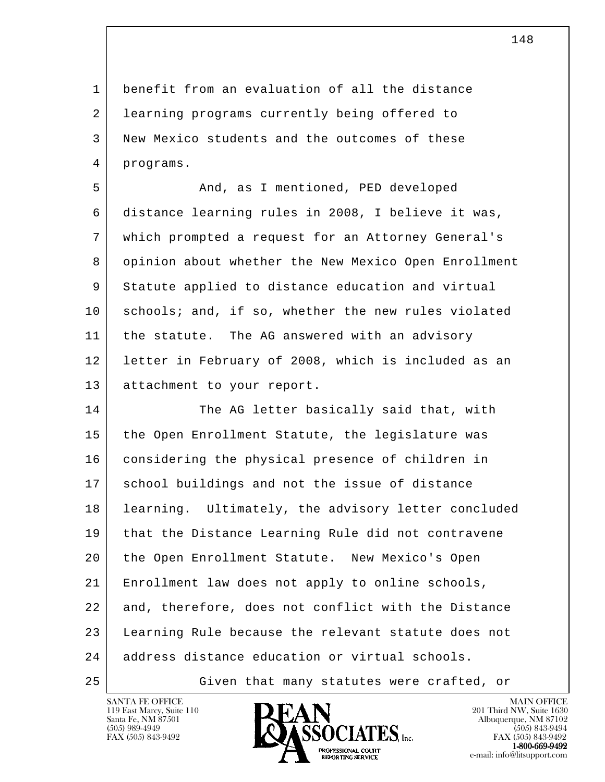1 benefit from an evaluation of all the distance 2 | learning programs currently being offered to 3 New Mexico students and the outcomes of these 4 programs.

5 And, as I mentioned, PED developed 6 distance learning rules in 2008, I believe it was, 7 which prompted a request for an Attorney General's 8 opinion about whether the New Mexico Open Enrollment 9 Statute applied to distance education and virtual 10 schools; and, if so, whether the new rules violated 11 | the statute. The AG answered with an advisory 12 letter in February of 2008, which is included as an 13 attachment to your report.

l 14 The AG letter basically said that, with 15 the Open Enrollment Statute, the legislature was 16 | considering the physical presence of children in 17 school buildings and not the issue of distance 18 learning. Ultimately, the advisory letter concluded 19 that the Distance Learning Rule did not contravene 20 the Open Enrollment Statute. New Mexico's Open 21 Enrollment law does not apply to online schools, 22 and, therefore, does not conflict with the Distance 23 Learning Rule because the relevant statute does not 24 address distance education or virtual schools. 25 Given that many statutes were crafted, or

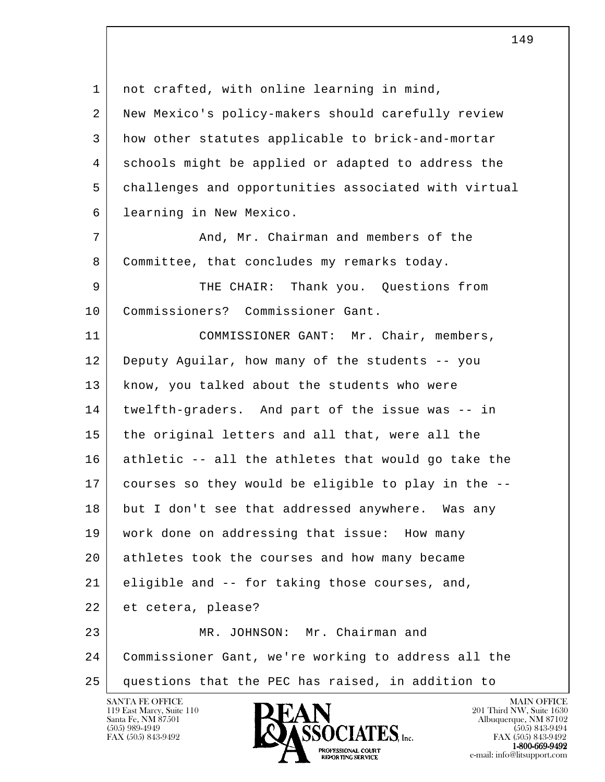l 1 | not crafted, with online learning in mind, 2 New Mexico's policy-makers should carefully review 3 how other statutes applicable to brick-and-mortar 4 schools might be applied or adapted to address the 5 challenges and opportunities associated with virtual 6 learning in New Mexico. 7 And, Mr. Chairman and members of the 8 Committee, that concludes my remarks today. 9 THE CHAIR: Thank you. Questions from 10 Commissioners? Commissioner Gant. 11 | COMMISSIONER GANT: Mr. Chair, members, 12 Deputy Aguilar, how many of the students -- you 13 | know, you talked about the students who were 14 twelfth-graders. And part of the issue was -- in 15 the original letters and all that, were all the 16 athletic -- all the athletes that would go take the 17 courses so they would be eligible to play in the -- 18 but I don't see that addressed anywhere. Was any 19 work done on addressing that issue: How many 20 athletes took the courses and how many became 21 eligible and -- for taking those courses, and, 22 et cetera, please? 23 MR. JOHNSON: Mr. Chairman and 24 Commissioner Gant, we're working to address all the 25 questions that the PEC has raised, in addition to

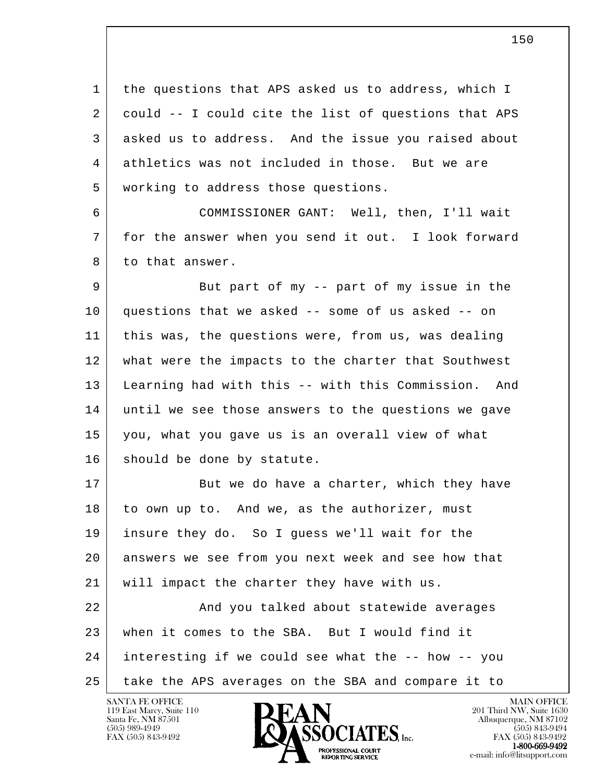l 1 the questions that APS asked us to address, which I 2 could -- I could cite the list of questions that APS 3 asked us to address. And the issue you raised about 4 athletics was not included in those. But we are 5 working to address those questions. 6 COMMISSIONER GANT: Well, then, I'll wait 7 for the answer when you send it out. I look forward 8 to that answer. 9 But part of my -- part of my issue in the 10 questions that we asked -- some of us asked -- on 11 this was, the questions were, from us, was dealing 12 what were the impacts to the charter that Southwest 13 Learning had with this -- with this Commission. And 14 until we see those answers to the questions we gave 15 you, what you gave us is an overall view of what 16 should be done by statute. 17 But we do have a charter, which they have 18 to own up to. And we, as the authorizer, must 19 insure they do. So I guess we'll wait for the 20 answers we see from you next week and see how that 21 | will impact the charter they have with us. 22 | And you talked about statewide averages 23 when it comes to the SBA. But I would find it 24 interesting if we could see what the -- how -- you 25 take the APS averages on the SBA and compare it to

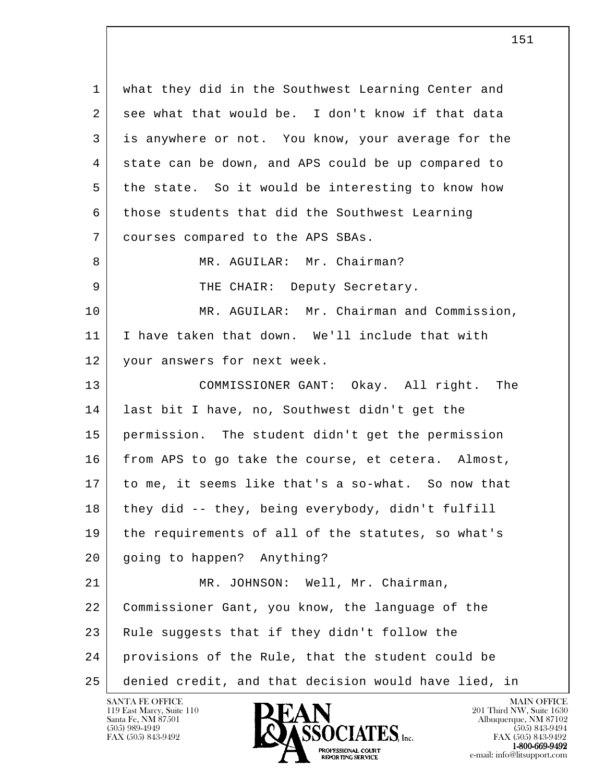l 1 what they did in the Southwest Learning Center and 2 see what that would be. I don't know if that data 3 is anywhere or not. You know, your average for the 4 state can be down, and APS could be up compared to 5 the state. So it would be interesting to know how 6 those students that did the Southwest Learning 7 courses compared to the APS SBAs. 8 MR. AGUILAR: Mr. Chairman? 9 THE CHAIR: Deputy Secretary. 10 MR. AGUILAR: Mr. Chairman and Commission, 11 I have taken that down. We'll include that with 12 your answers for next week. 13 COMMISSIONER GANT: Okay. All right. The 14 last bit I have, no, Southwest didn't get the 15 permission. The student didn't get the permission 16 from APS to go take the course, et cetera. Almost, 17 to me, it seems like that's a so-what. So now that 18 they did -- they, being everybody, didn't fulfill 19 the requirements of all of the statutes, so what's 20 going to happen? Anything? 21 MR. JOHNSON: Well, Mr. Chairman, 22 Commissioner Gant, you know, the language of the 23 Rule suggests that if they didn't follow the 24 provisions of the Rule, that the student could be 25 denied credit, and that decision would have lied, in

151

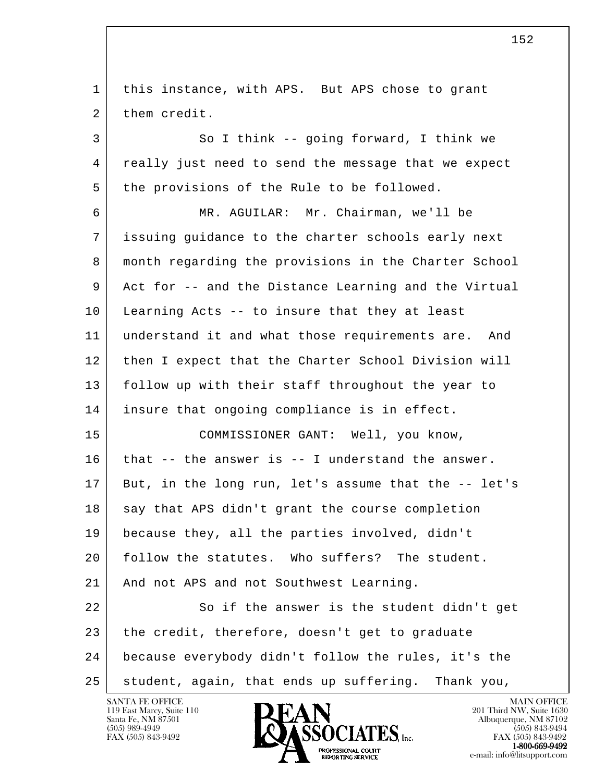l 1 | this instance, with APS. But APS chose to grant 2 them credit. 3 So I think -- going forward, I think we 4 really just need to send the message that we expect 5 the provisions of the Rule to be followed. 6 MR. AGUILAR: Mr. Chairman, we'll be 7 issuing guidance to the charter schools early next 8 month regarding the provisions in the Charter School 9 Act for -- and the Distance Learning and the Virtual 10 Learning Acts -- to insure that they at least 11 understand it and what those requirements are. And 12 then I expect that the Charter School Division will 13 follow up with their staff throughout the year to 14 insure that ongoing compliance is in effect. 15 COMMISSIONER GANT: Well, you know,  $16$  that -- the answer is -- I understand the answer. 17 But, in the long run, let's assume that the -- let's 18 say that APS didn't grant the course completion 19 because they, all the parties involved, didn't 20 follow the statutes. Who suffers? The student. 21 | And not APS and not Southwest Learning. 22 So if the answer is the student didn't get  $23$  the credit, therefore, doesn't get to graduate 24 because everybody didn't follow the rules, it's the 25 student, again, that ends up suffering. Thank you,

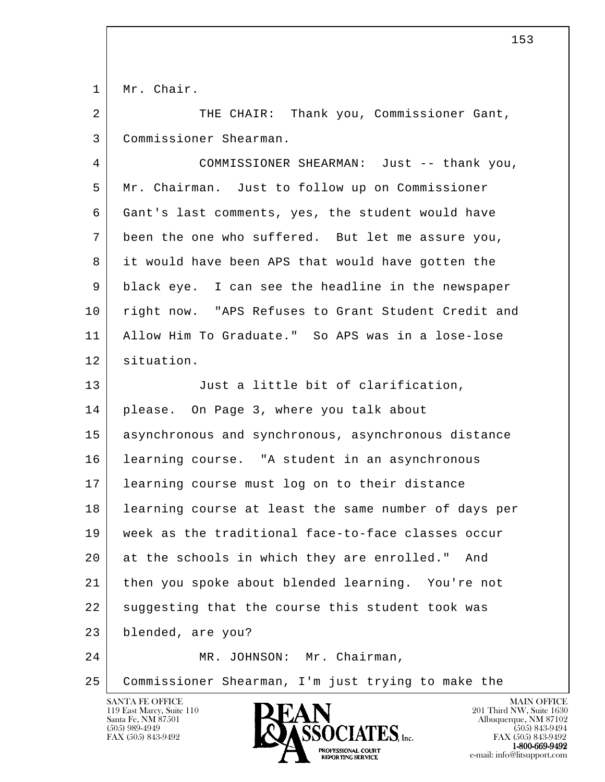1 Mr. Chair.

2 THE CHAIR: Thank you, Commissioner Gant, 3 Commissioner Shearman.

 4 COMMISSIONER SHEARMAN: Just -- thank you, 5 Mr. Chairman. Just to follow up on Commissioner 6 Gant's last comments, yes, the student would have 7 been the one who suffered. But let me assure you, 8 it would have been APS that would have gotten the 9 black eye. I can see the headline in the newspaper 10 right now. "APS Refuses to Grant Student Credit and 11 Allow Him To Graduate." So APS was in a lose-lose 12 situation. 13 Just a little bit of clarification, 14 | please. On Page 3, where you talk about 15 asynchronous and synchronous, asynchronous distance 16 learning course. "A student in an asynchronous 17 learning course must log on to their distance 18 learning course at least the same number of days per 19 week as the traditional face-to-face classes occur

 20 at the schools in which they are enrolled." And 21 then you spoke about blended learning. You're not 22 suggesting that the course this student took was

l 23 blended, are you?

24 MR. JOHNSON: Mr. Chairman,

25 Commissioner Shearman, I'm just trying to make the

119 East Marcy, Suite 110<br>Santa Fe, NM 87501

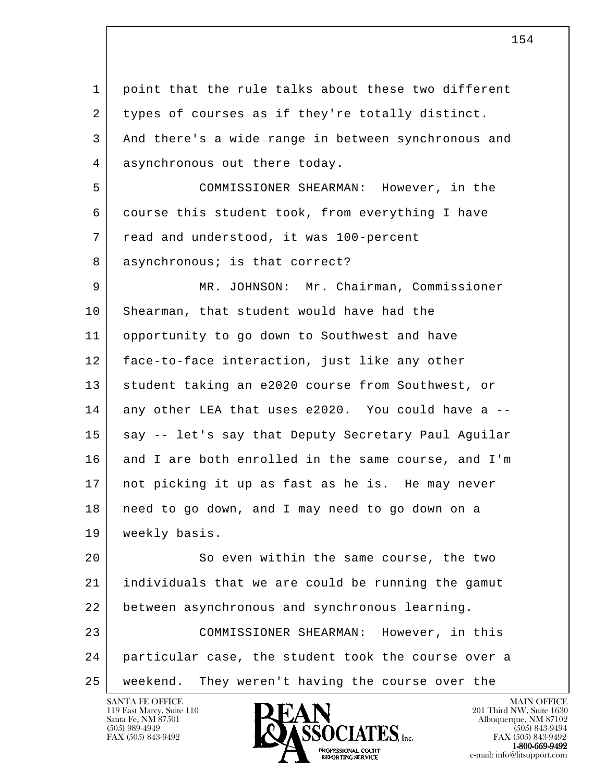l 1 point that the rule talks about these two different 2 types of courses as if they're totally distinct. 3 And there's a wide range in between synchronous and 4 asynchronous out there today. 5 COMMISSIONER SHEARMAN: However, in the 6 course this student took, from everything I have 7 read and understood, it was 100-percent 8 asynchronous; is that correct? 9 MR. JOHNSON: Mr. Chairman, Commissioner 10 Shearman, that student would have had the 11 opportunity to go down to Southwest and have 12 face-to-face interaction, just like any other 13 student taking an e2020 course from Southwest, or 14 any other LEA that uses e2020. You could have a -- 15 say -- let's say that Deputy Secretary Paul Aguilar 16 and I are both enrolled in the same course, and I'm 17 not picking it up as fast as he is. He may never 18 need to go down, and I may need to go down on a 19 | weekly basis. 20 So even within the same course, the two 21 individuals that we are could be running the gamut 22 between asynchronous and synchronous learning. 23 COMMISSIONER SHEARMAN: However, in this 24 particular case, the student took the course over a 25 weekend. They weren't having the course over the

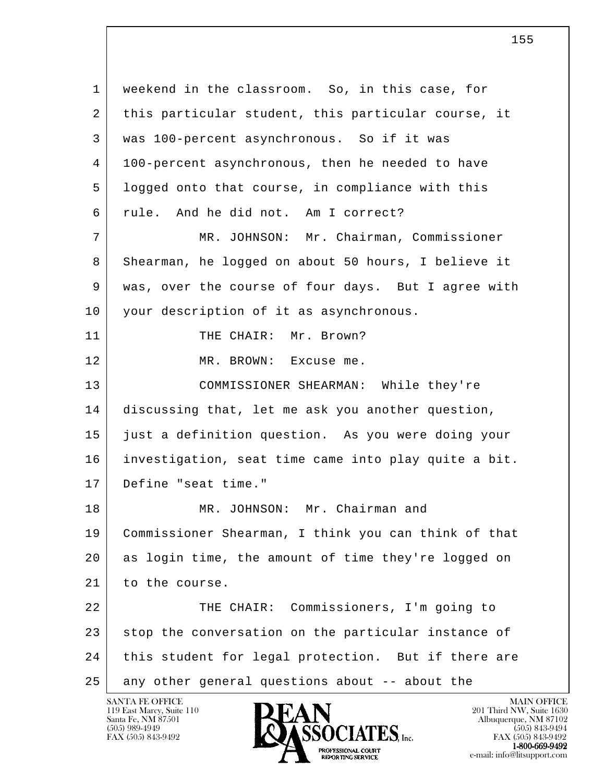l 1 weekend in the classroom. So, in this case, for 2 | this particular student, this particular course, it 3 was 100-percent asynchronous. So if it was 4 100-percent asynchronous, then he needed to have 5 logged onto that course, in compliance with this 6 rule. And he did not. Am I correct? 7 MR. JOHNSON: Mr. Chairman, Commissioner 8 Shearman, he logged on about 50 hours, I believe it 9 was, over the course of four days. But I agree with 10 | your description of it as asynchronous. 11 THE CHAIR: Mr. Brown? 12 MR. BROWN: Excuse me. 13 COMMISSIONER SHEARMAN: While they're 14 discussing that, let me ask you another question, 15 just a definition question. As you were doing your 16 investigation, seat time came into play quite a bit. 17 Define "seat time." 18 MR. JOHNSON: Mr. Chairman and 19 Commissioner Shearman, I think you can think of that 20 as login time, the amount of time they're logged on 21 to the course. 22 | THE CHAIR: Commissioners, I'm going to 23 stop the conversation on the particular instance of 24 this student for legal protection. But if there are 25 any other general questions about -- about the

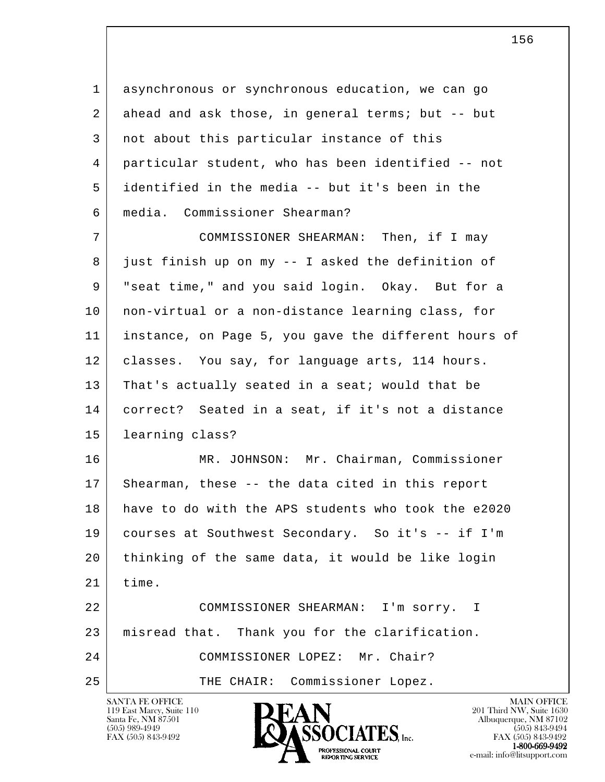| 1  | asynchronous or synchronous education, we can go     |
|----|------------------------------------------------------|
| 2  | ahead and ask those, in general terms; but -- but    |
| 3  | not about this particular instance of this           |
| 4  | particular student, who has been identified -- not   |
| 5  | identified in the media -- but it's been in the      |
| 6  | media. Commissioner Shearman?                        |
| 7  | COMMISSIONER SHEARMAN: Then, if I may                |
| 8  | just finish up on my -- I asked the definition of    |
| 9  | "seat time," and you said login. Okay. But for a     |
| 10 | non-virtual or a non-distance learning class, for    |
| 11 | instance, on Page 5, you gave the different hours of |
| 12 | classes. You say, for language arts, 114 hours.      |
| 13 | That's actually seated in a seat; would that be      |
| 14 | correct? Seated in a seat, if it's not a distance    |
| 15 | learning class?                                      |
| 16 | MR. JOHNSON: Mr. Chairman, Commissioner              |
| 17 | Shearman, these -- the data cited in this report     |
| 18 | have to do with the APS students who took the e2020  |
| 19 | courses at Southwest Secondary. So it's -- if I'm    |
| 20 | thinking of the same data, it would be like login    |
| 21 | time.                                                |
| 22 | COMMISSIONER SHEARMAN: I'm sorry. I                  |
| 23 | misread that. Thank you for the clarification.       |
| 24 | COMMISSIONER LOPEZ: Mr. Chair?                       |
| 25 | THE CHAIR: Commissioner Lopez.                       |

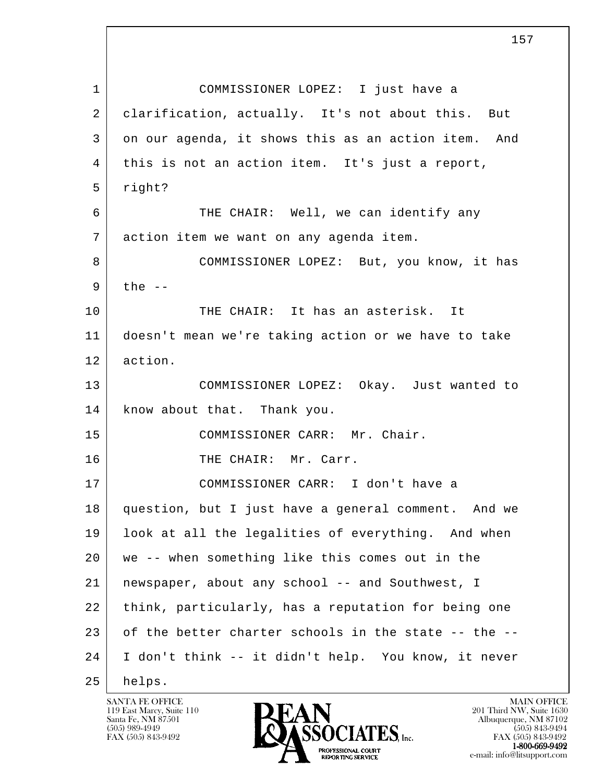l 1 COMMISSIONER LOPEZ: I just have a 2 | clarification, actually. It's not about this. But 3 on our agenda, it shows this as an action item. And 4 this is not an action item. It's just a report, 5 right? 6 THE CHAIR: Well, we can identify any 7 action item we want on any agenda item. 8 COMMISSIONER LOPEZ: But, you know, it has  $9$  the  $-$ 10 THE CHAIR: It has an asterisk. It 11 doesn't mean we're taking action or we have to take 12 action. 13 COMMISSIONER LOPEZ: Okay. Just wanted to 14 | know about that. Thank you. 15 COMMISSIONER CARR: Mr. Chair. 16 THE CHAIR: Mr. Carr. 17 | COMMISSIONER CARR: I don't have a 18 question, but I just have a general comment. And we 19 look at all the legalities of everything. And when 20 we -- when something like this comes out in the 21 | newspaper, about any school -- and Southwest, I 22 think, particularly, has a reputation for being one 23 of the better charter schools in the state -- the -- 24 I don't think -- it didn't help. You know, it never 25 helps.

119 East Marcy, Suite 110<br>Santa Fe, NM 87501

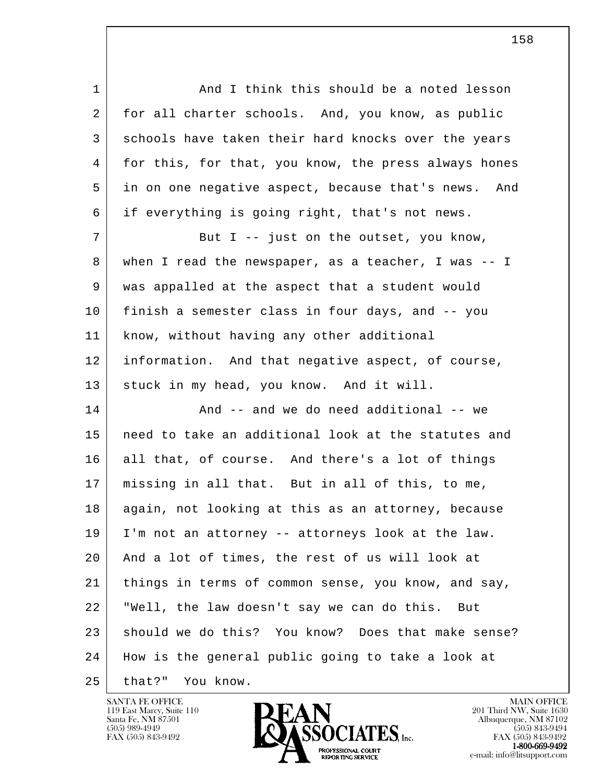1 and I think this should be a noted lesson 2 for all charter schools. And, you know, as public 3 schools have taken their hard knocks over the years 4 for this, for that, you know, the press always hones 5 in on one negative aspect, because that's news. And 6 if everything is going right, that's not news. 7 | But I -- just on the outset, you know, 8 when I read the newspaper, as a teacher, I was -- I 9 was appalled at the aspect that a student would 10 finish a semester class in four days, and -- you 11 know, without having any other additional 12 information. And that negative aspect, of course, 13 stuck in my head, you know. And it will. 14 And -- and we do need additional -- we 15 need to take an additional look at the statutes and 16 all that, of course. And there's a lot of things 17 missing in all that. But in all of this, to me, 18 again, not looking at this as an attorney, because 19 I'm not an attorney -- attorneys look at the law. 20 And a lot of times, the rest of us will look at 21 things in terms of common sense, you know, and say, 22 "Well, the law doesn't say we can do this. But

l 23 should we do this? You know? Does that make sense?

- 24 How is the general public going to take a look at
- 25 that?" You know.

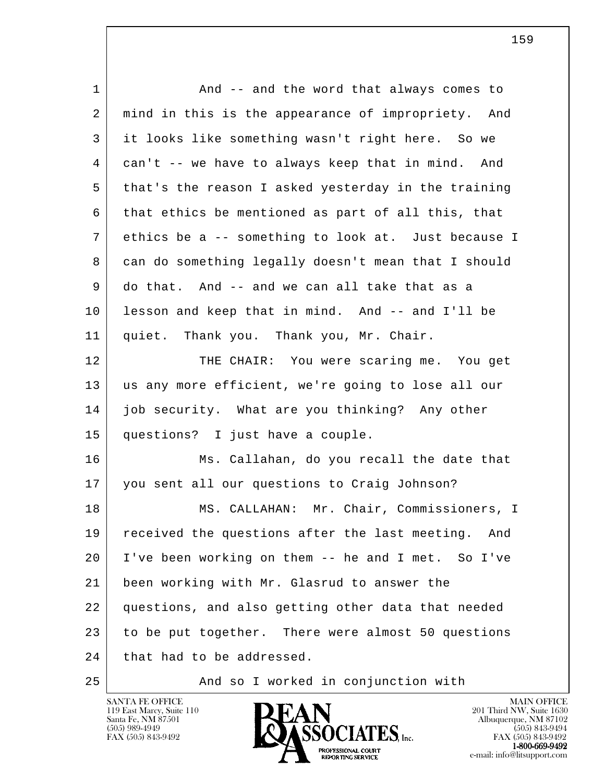| 1  | And -- and the word that always comes to              |
|----|-------------------------------------------------------|
| 2  | mind in this is the appearance of impropriety. And    |
| 3  | it looks like something wasn't right here. So we      |
| 4  | can't -- we have to always keep that in mind. And     |
| 5  | that's the reason I asked yesterday in the training   |
| 6  | that ethics be mentioned as part of all this, that    |
| 7  | ethics be a -- something to look at. Just because I   |
| 8  | can do something legally doesn't mean that I should   |
| 9  | do that. And -- and we can all take that as a         |
| 10 | lesson and keep that in mind. And -- and I'll be      |
| 11 | quiet. Thank you. Thank you, Mr. Chair.               |
| 12 | THE CHAIR: You were scaring me. You get               |
| 13 | us any more efficient, we're going to lose all our    |
| 14 | job security. What are you thinking? Any other        |
| 15 | questions? I just have a couple.                      |
| 16 | Ms. Callahan, do you recall the date that             |
| 17 | you sent all our questions to Craig Johnson?          |
| 18 | MS. CALLAHAN: Mr. Chair, Commissioners, I             |
| 19 | received the questions after the last meeting.<br>And |
| 20 | I've been working on them -- he and I met. So I've    |
| 21 | been working with Mr. Glasrud to answer the           |
| 22 | questions, and also getting other data that needed    |
| 23 | to be put together. There were almost 50 questions    |
| 24 | that had to be addressed.                             |
|    |                                                       |



119 East Marcy, Suite 110 **201 Third NW**, Suite 1630  $\blacksquare$ Santa Fe, NM 87501 Albuquerque, NM 87102  $(505)$  989-4949  $\blacksquare$   $\blacksquare$   $\blacksquare$   $\blacksquare$   $\blacksquare$   $\blacksquare$   $\blacksquare$   $\blacksquare$   $\blacksquare$   $\blacksquare$   $\blacksquare$   $\blacksquare$   $\blacksquare$   $\blacksquare$   $\blacksquare$   $\blacksquare$   $\blacksquare$   $\blacksquare$   $\blacksquare$   $\blacksquare$   $\blacksquare$   $\blacksquare$   $\blacksquare$   $\blacksquare$   $\blacksquare$   $\blacksquare$   $\blacksquare$   $\blacksquare$   $\blacksquare$  FAX (505) 843-9492 **FAX (505) 843-9492** FAX (505) 843-9492 **1-800-669-9492**<br> **EXALTENDAM CN BT** e-mail: info@litsupport.com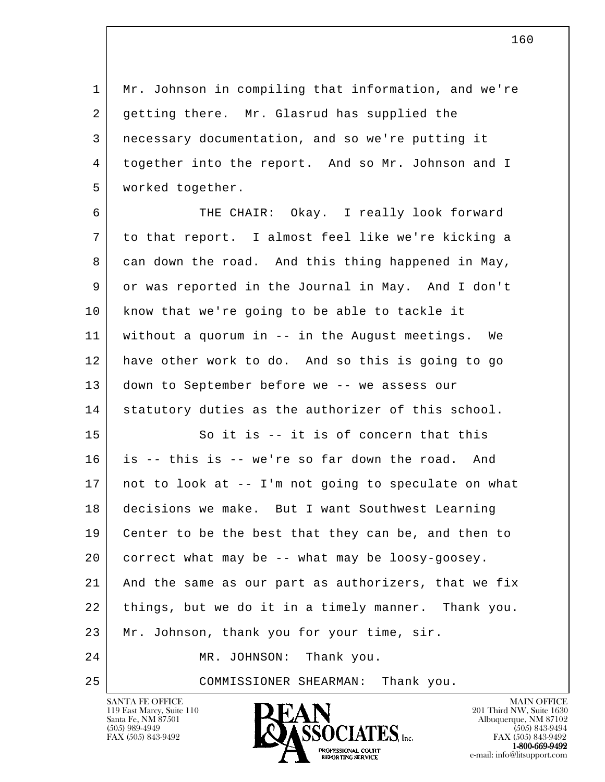1 Mr. Johnson in compiling that information, and we're 2 getting there. Mr. Glasrud has supplied the 3 necessary documentation, and so we're putting it 4 together into the report. And so Mr. Johnson and I 5 worked together.

 6 THE CHAIR: Okay. I really look forward 7 to that report. I almost feel like we're kicking a 8 can down the road. And this thing happened in May, 9 or was reported in the Journal in May. And I don't 10 | know that we're going to be able to tackle it 11 without a quorum in -- in the August meetings. We 12 have other work to do. And so this is going to go 13 down to September before we -- we assess our 14 statutory duties as the authorizer of this school. 15 So it is -- it is of concern that this 16 is -- this is -- we're so far down the road. And 17 not to look at -- I'm not going to speculate on what 18 decisions we make. But I want Southwest Learning 19 Center to be the best that they can be, and then to 20 correct what may be -- what may be loosy-goosey. 21 And the same as our part as authorizers, that we fix

22 things, but we do it in a timely manner. Thank you.

l 23 | Mr. Johnson, thank you for your time, sir.

 24 MR. JOHNSON: Thank you.

25 COMMISSIONER SHEARMAN: Thank you.

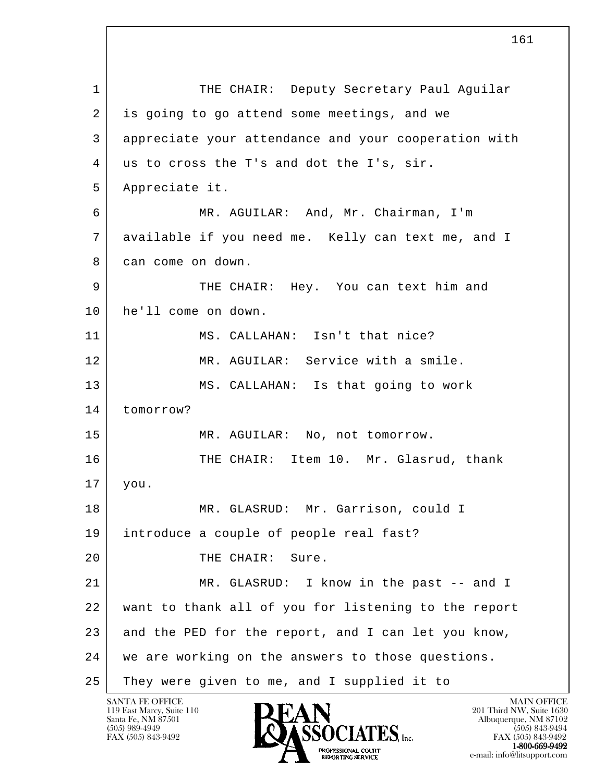l 1 | THE CHAIR: Deputy Secretary Paul Aguilar 2 is going to go attend some meetings, and we 3 appreciate your attendance and your cooperation with 4 us to cross the T's and dot the I's, sir. 5 Appreciate it. 6 MR. AGUILAR: And, Mr. Chairman, I'm 7 available if you need me. Kelly can text me, and I 8 can come on down. 9 THE CHAIR: Hey. You can text him and 10 he'll come on down. 11 MS. CALLAHAN: Isn't that nice? 12 MR. AGUILAR: Service with a smile. 13 MS. CALLAHAN: Is that going to work 14 tomorrow? 15 MR. AGUILAR: No, not tomorrow. 16 THE CHAIR: Item 10. Mr. Glasrud, thank 17 you. 18 MR. GLASRUD: Mr. Garrison, could I 19 introduce a couple of people real fast? 20 THE CHAIR: Sure. 21 MR. GLASRUD: I know in the past -- and I 22 want to thank all of you for listening to the report 23 and the PED for the report, and I can let you know, 24 we are working on the answers to those questions. 25 They were given to me, and I supplied it to

119 East Marcy, Suite 110<br>Santa Fe, NM 87501



FAX (505) 843-9492<br>1-800-669-9492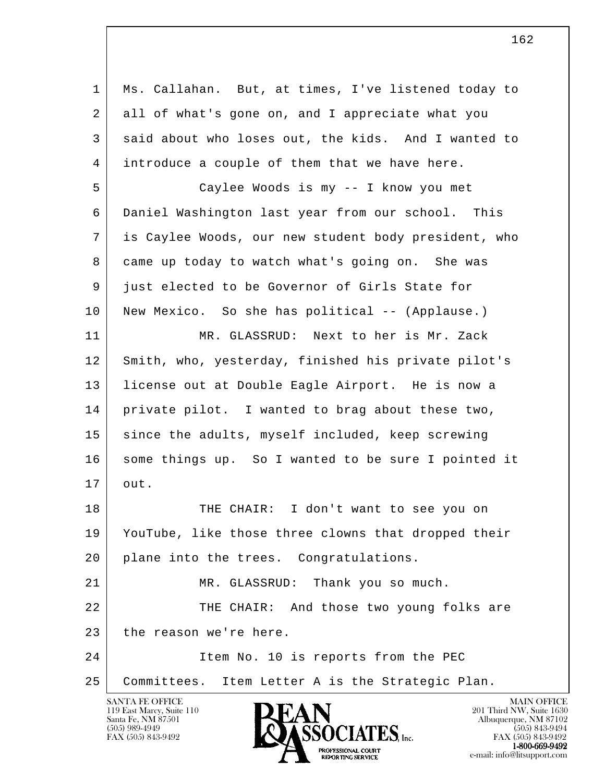l 1 Ms. Callahan. But, at times, I've listened today to 2 all of what's gone on, and I appreciate what you 3 said about who loses out, the kids. And I wanted to 4 introduce a couple of them that we have here. 5 Caylee Woods is my -- I know you met 6 Daniel Washington last year from our school. This 7 is Caylee Woods, our new student body president, who 8 came up today to watch what's going on. She was 9 just elected to be Governor of Girls State for 10 | New Mexico. So she has political -- (Applause.) 11 MR. GLASSRUD: Next to her is Mr. Zack 12 Smith, who, yesterday, finished his private pilot's 13 license out at Double Eagle Airport. He is now a 14 private pilot. I wanted to brag about these two, 15 since the adults, myself included, keep screwing 16 | some things up. So I wanted to be sure I pointed it 17 out. 18 THE CHAIR: I don't want to see you on 19 YouTube, like those three clowns that dropped their 20 plane into the trees. Congratulations. 21 MR. GLASSRUD: Thank you so much. 22 THE CHAIR: And those two young folks are 23 the reason we're here. 24 Item No. 10 is reports from the PEC 25 Committees. Item Letter A is the Strategic Plan.

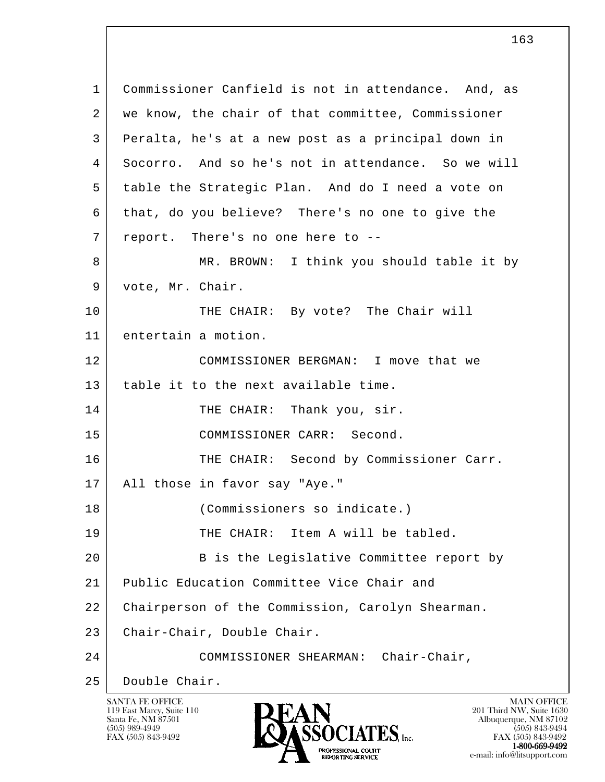l 1 Commissioner Canfield is not in attendance. And, as 2 | we know, the chair of that committee, Commissioner 3 Peralta, he's at a new post as a principal down in 4 Socorro. And so he's not in attendance. So we will 5 table the Strategic Plan. And do I need a vote on 6 that, do you believe? There's no one to give the 7 | report. There's no one here to --8 MR. BROWN: I think you should table it by 9 vote, Mr. Chair. 10 THE CHAIR: By vote? The Chair will 11 entertain a motion. 12 COMMISSIONER BERGMAN: I move that we 13 | table it to the next available time. 14 THE CHAIR: Thank you, sir. 15 COMMISSIONER CARR: Second. 16 THE CHAIR: Second by Commissioner Carr. 17 All those in favor say "Aye." 18 (Commissioners so indicate.) 19 THE CHAIR: Item A will be tabled. 20 B is the Legislative Committee report by 21 Public Education Committee Vice Chair and 22 Chairperson of the Commission, Carolyn Shearman. 23 | Chair-Chair, Double Chair. 24 COMMISSIONER SHEARMAN: Chair-Chair, 25 Double Chair.

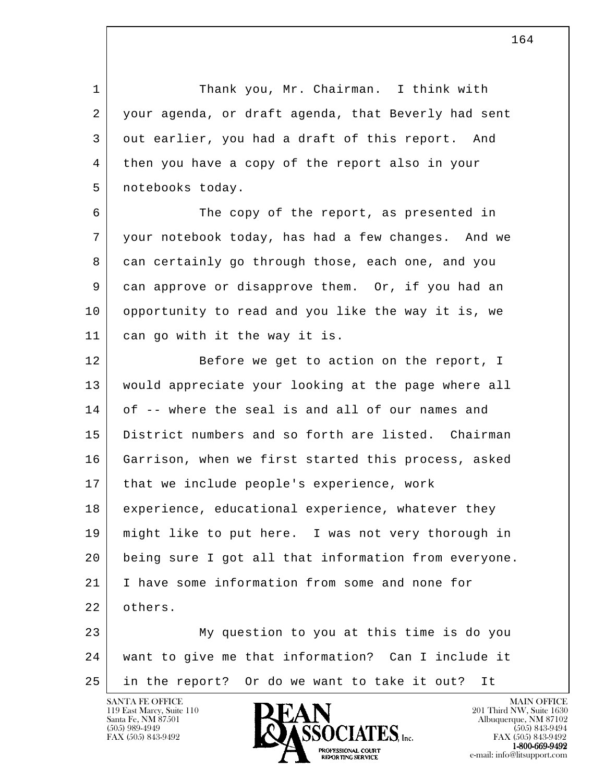1 Thank you, Mr. Chairman. I think with 2 your agenda, or draft agenda, that Beverly had sent 3 out earlier, you had a draft of this report. And 4 then you have a copy of the report also in your 5 notebooks today.

 6 The copy of the report, as presented in 7 your notebook today, has had a few changes. And we 8 can certainly go through those, each one, and you 9 can approve or disapprove them. Or, if you had an 10 opportunity to read and you like the way it is, we 11 can go with it the way it is.

12 Before we get to action on the report, I 13 would appreciate your looking at the page where all 14 of -- where the seal is and all of our names and 15 District numbers and so forth are listed. Chairman 16 Garrison, when we first started this process, asked 17 that we include people's experience, work 18 experience, educational experience, whatever they 19 might like to put here. I was not very thorough in 20 being sure I got all that information from everyone. 21 I have some information from some and none for 22 others.

l 23 My question to you at this time is do you 24 want to give me that information? Can I include it 25 in the report? Or do we want to take it out? It



FAX (505) 843-9492 FAX (505) 843-9492 **EXPORTING SERVICE**<br>REPORTING SERVICE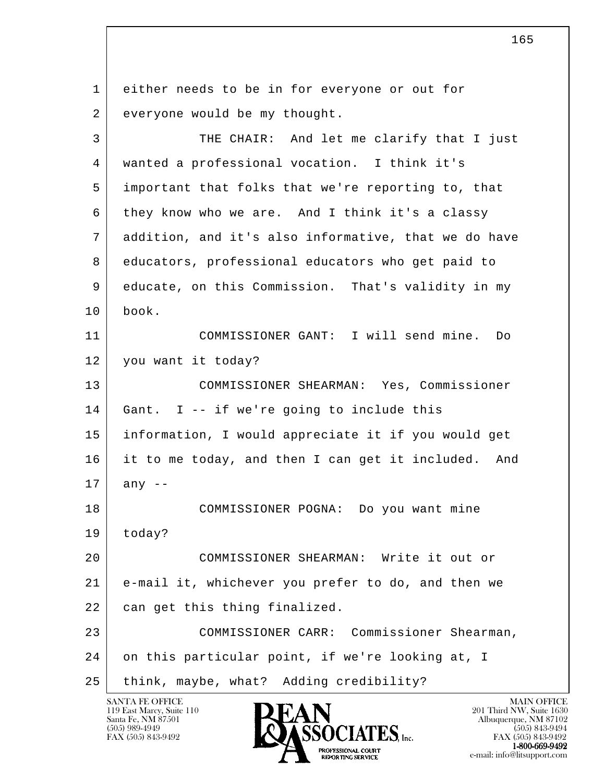l 1 either needs to be in for everyone or out for 2 everyone would be my thought. 3 THE CHAIR: And let me clarify that I just 4 wanted a professional vocation. I think it's 5 important that folks that we're reporting to, that 6 they know who we are. And I think it's a classy 7 addition, and it's also informative, that we do have 8 educators, professional educators who get paid to 9 educate, on this Commission. That's validity in my 10 book. 11 COMMISSIONER GANT: I will send mine. Do 12 you want it today? 13 COMMISSIONER SHEARMAN: Yes, Commissioner 14 Gant. I -- if we're going to include this 15 information, I would appreciate it if you would get 16 it to me today, and then I can get it included. And  $17$  any  $-$  18 COMMISSIONER POGNA: Do you want mine 19 today? 20 COMMISSIONER SHEARMAN: Write it out or 21 e-mail it, whichever you prefer to do, and then we 22 can get this thing finalized. 23 COMMISSIONER CARR: Commissioner Shearman, 24 on this particular point, if we're looking at, I 25 | think, maybe, what? Adding credibility?

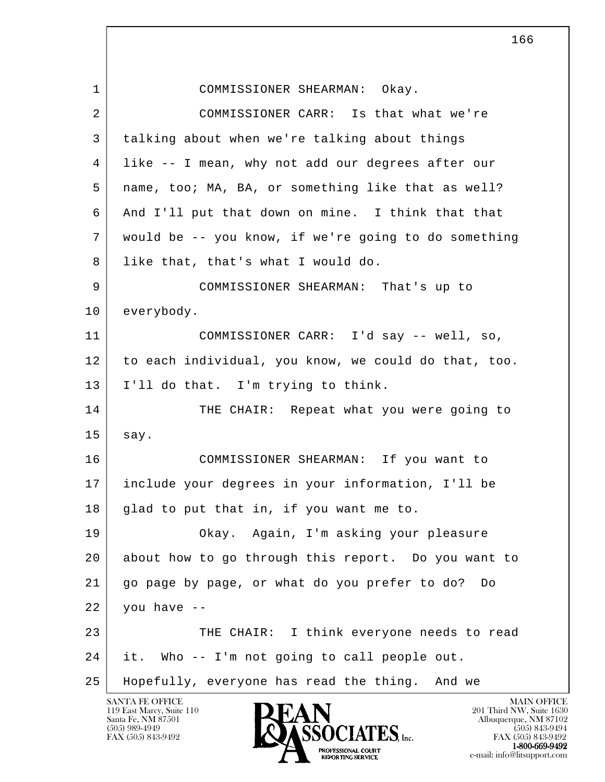l SANTA FE OFFICE MAIN OFFICE MAIN OFFICE MAIN OFFICE MAIN OFFICE 1 COMMISSIONER SHEARMAN: Okay. 2 COMMISSIONER CARR: Is that what we're 3 talking about when we're talking about things 4 like -- I mean, why not add our degrees after our 5 name, too; MA, BA, or something like that as well? 6 And I'll put that down on mine. I think that that 7 would be -- you know, if we're going to do something 8 | like that, that's what I would do. 9 COMMISSIONER SHEARMAN: That's up to 10 everybody. 11 COMMISSIONER CARR: I'd say -- well, so, 12 to each individual, you know, we could do that, too. 13 I'll do that. I'm trying to think. 14 THE CHAIR: Repeat what you were going to  $15$  say. 16 COMMISSIONER SHEARMAN: If you want to 17 include your degrees in your information, I'll be  $18$  glad to put that in, if you want me to. 19 Okay. Again, I'm asking your pleasure 20 about how to go through this report. Do you want to 21 go page by page, or what do you prefer to do? Do  $22$  you have  $-$ 23 THE CHAIR: I think everyone needs to read 24 it. Who -- I'm not going to call people out. 25 Hopefully, everyone has read the thing. And we



FAX (505) 843-9492 FAX (505) 843-9492 PROFESSIONAL COURT  $1-800-669-9492$ **EXPORTING SERVICE**<br>REPORTING SERVICE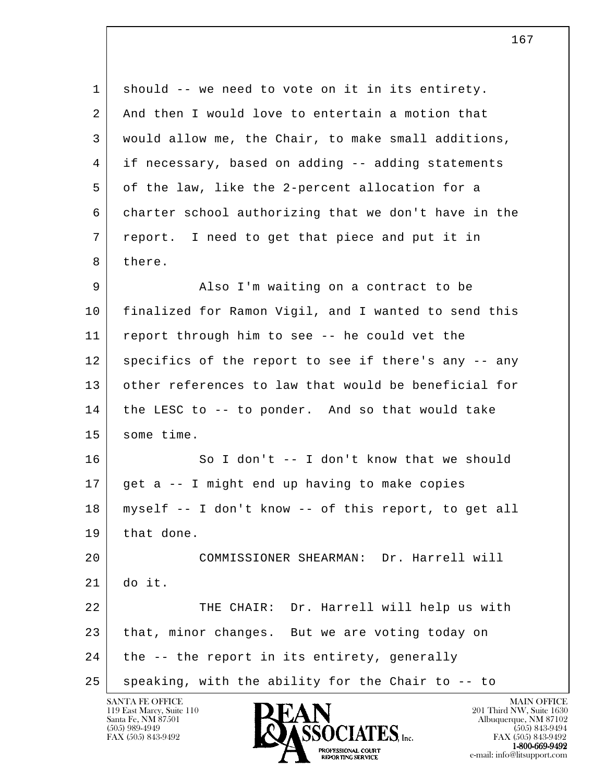l 1 should -- we need to vote on it in its entirety. 2 And then I would love to entertain a motion that 3 would allow me, the Chair, to make small additions, 4 if necessary, based on adding -- adding statements 5 of the law, like the 2-percent allocation for a 6 charter school authorizing that we don't have in the 7 report. I need to get that piece and put it in 8 there. 9 Also I'm waiting on a contract to be 10 finalized for Ramon Vigil, and I wanted to send this 11 report through him to see -- he could vet the 12 specifics of the report to see if there's any -- any 13 other references to law that would be beneficial for 14 the LESC to -- to ponder. And so that would take 15 some time. 16 So I don't -- I don't know that we should  $17$  get a  $-1$  might end up having to make copies 18 myself -- I don't know -- of this report, to get all 19 that done. 20 COMMISSIONER SHEARMAN: Dr. Harrell will  $21$  do it. 22 | THE CHAIR: Dr. Harrell will help us with 23 that, minor changes. But we are voting today on  $24$  the  $-$ - the report in its entirety, generally  $25$  speaking, with the ability for the Chair to  $-$ - to



FAX (505) 843-9492 FAX (505) 843-9492 1-800-669-9492<br>PROFESSIONAL COURT **EXPORTING SERVICE**<br>REPORTING SERVICE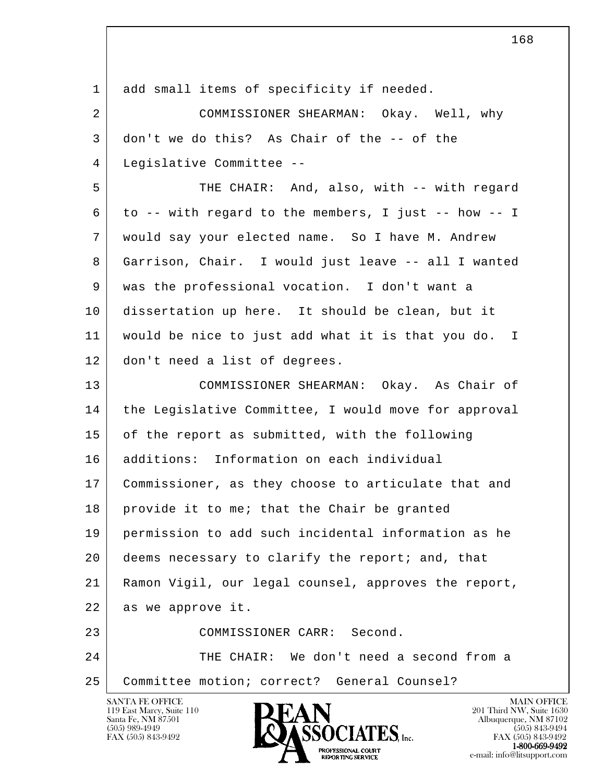| 1  | add small items of specificity if needed.            |
|----|------------------------------------------------------|
| 2  | COMMISSIONER SHEARMAN: Okay. Well, why               |
| 3  | don't we do this? As Chair of the -- of the          |
| 4  | Legislative Committee --                             |
| 5  | THE CHAIR: And, also, with -- with regard            |
| 6  | to -- with regard to the members, I just -- how -- I |
| 7  | would say your elected name. So I have M. Andrew     |
| 8  | Garrison, Chair. I would just leave -- all I wanted  |
| 9  | was the professional vocation. I don't want a        |
| 10 | dissertation up here. It should be clean, but it     |
| 11 | would be nice to just add what it is that you do. I  |
| 12 | don't need a list of degrees.                        |
| 13 | COMMISSIONER SHEARMAN: Okay. As Chair of             |
| 14 | the Legislative Committee, I would move for approval |
| 15 | of the report as submitted, with the following       |
| 16 | additions: Information on each individual            |
| 17 | Commissioner, as they choose to articulate that and  |
| 18 | provide it to me; that the Chair be granted          |
| 19 | permission to add such incidental information as he  |
| 20 | deems necessary to clarify the report; and, that     |
| 21 | Ramon Vigil, our legal counsel, approves the report, |
| 22 | as we approve it.                                    |
| 23 | COMMISSIONER CARR: Second.                           |
| 24 | THE CHAIR: We don't need a second from a             |
| 25 | Committee motion; correct? General Counsel?          |
|    | <b>SANTA FE OFFICE</b><br><b>MAIN OFFICE</b>         |

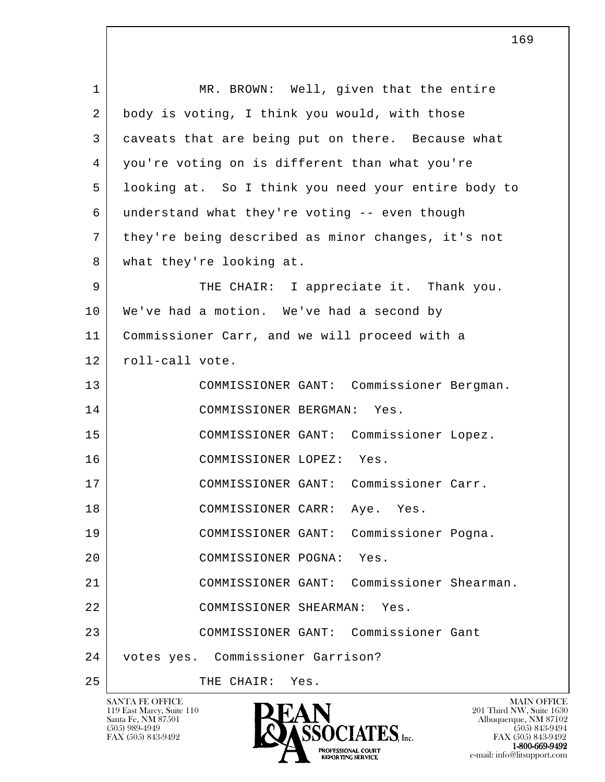| $\mathbf 1$ | MR. BROWN: Well, given that the entire              |
|-------------|-----------------------------------------------------|
| 2           | body is voting, I think you would, with those       |
| 3           | caveats that are being put on there. Because what   |
| 4           | you're voting on is different than what you're      |
| 5           | looking at. So I think you need your entire body to |
| 6           | understand what they're voting -- even though       |
| 7           | they're being described as minor changes, it's not  |
| 8           | what they're looking at.                            |
| 9           | THE CHAIR: I appreciate it. Thank you.              |
| 10          | We've had a motion. We've had a second by           |
| 11          | Commissioner Carr, and we will proceed with a       |
| 12          | roll-call vote.                                     |
| 13          | COMMISSIONER GANT: Commissioner Bergman.            |
| 14          | COMMISSIONER BERGMAN: Yes.                          |
| 15          | COMMISSIONER GANT: Commissioner Lopez.              |
| 16          | COMMISSIONER LOPEZ: Yes.                            |
| 17          | COMMISSIONER GANT: Commissioner Carr.               |
| 18          | COMMISSIONER CARR:<br>Aye. Yes.                     |
| 19          | Commissioner Pogna.<br>COMMISSIONER GANT:           |
| 20          | COMMISSIONER POGNA:<br>Yes.                         |
| 21          | Commissioner Shearman.<br>COMMISSIONER GANT:        |
| 22          | COMMISSIONER SHEARMAN:<br>Yes.                      |
| 23          | COMMISSIONER GANT: Commissioner Gant                |
| 24          | votes yes. Commissioner Garrison?                   |
| 25          | THE CHAIR:<br>Yes.                                  |

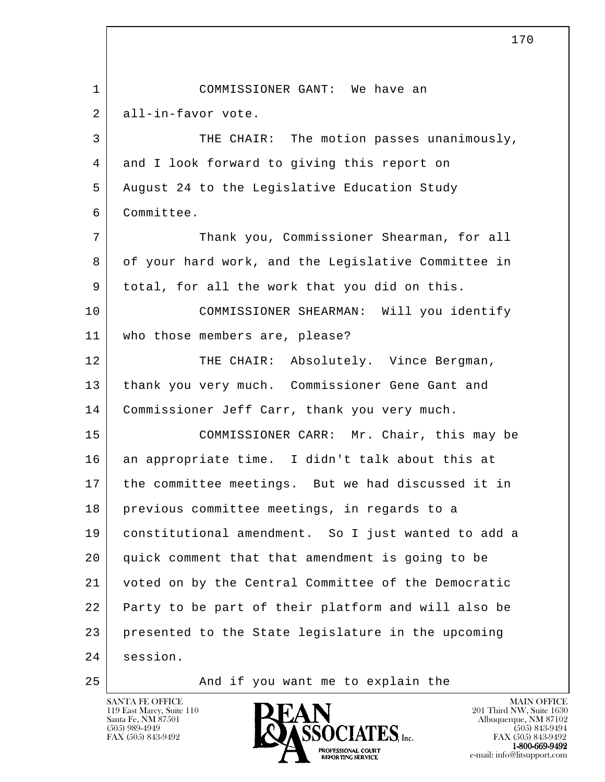l 170 1 COMMISSIONER GANT: We have an 2 all-in-favor vote. 3 THE CHAIR: The motion passes unanimously, 4 and I look forward to giving this report on 5 August 24 to the Legislative Education Study 6 Committee. 7 Thank you, Commissioner Shearman, for all 8 of your hard work, and the Legislative Committee in 9 total, for all the work that you did on this. 10 COMMISSIONER SHEARMAN: Will you identify 11 who those members are, please? 12 THE CHAIR: Absolutely. Vince Bergman, 13 thank you very much. Commissioner Gene Gant and 14 Commissioner Jeff Carr, thank you very much. 15 COMMISSIONER CARR: Mr. Chair, this may be 16 an appropriate time. I didn't talk about this at 17 the committee meetings. But we had discussed it in 18 previous committee meetings, in regards to a 19 constitutional amendment. So I just wanted to add a 20 quick comment that that amendment is going to be 21 voted on by the Central Committee of the Democratic 22 Party to be part of their platform and will also be 23 presented to the State legislature in the upcoming 24 session. 25 | The Mand if you want me to explain the

119 East Marcy, Suite 110<br>Santa Fe, NM 87501



FAX (505) 843-9492 FAX (505) 843-9492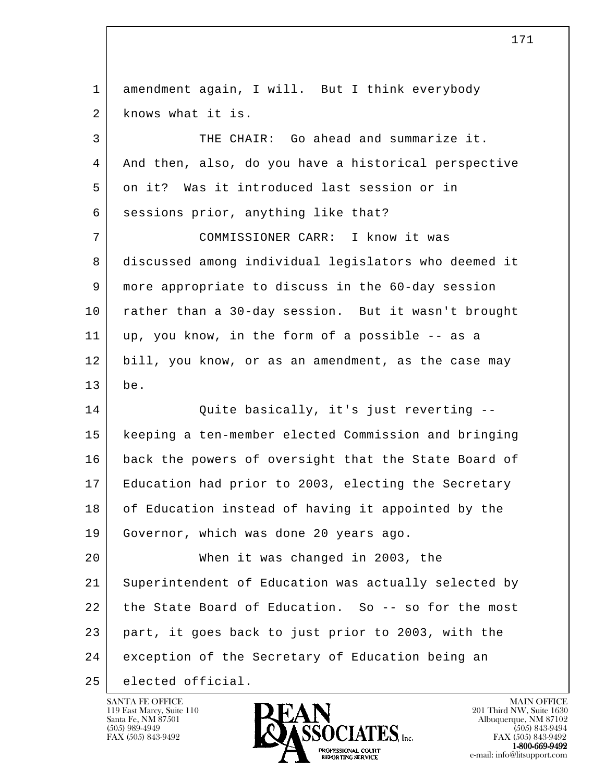| 1  | amendment again, I will. But I think everybody       |
|----|------------------------------------------------------|
| 2  | knows what it is.                                    |
| 3  | THE CHAIR: Go ahead and summarize it.                |
| 4  | And then, also, do you have a historical perspective |
| 5  | on it? Was it introduced last session or in          |
| 6  | sessions prior, anything like that?                  |
| 7  | COMMISSIONER CARR: I know it was                     |
| 8  | discussed among individual legislators who deemed it |
| 9  | more appropriate to discuss in the 60-day session    |
| 10 | rather than a 30-day session. But it wasn't brought  |
| 11 | up, you know, in the form of a possible -- as a      |
| 12 | bill, you know, or as an amendment, as the case may  |
|    |                                                      |
| 13 | be.                                                  |
| 14 | Quite basically, it's just reverting --              |
| 15 | keeping a ten-member elected Commission and bringing |
| 16 | back the powers of oversight that the State Board of |
| 17 | Education had prior to 2003, electing the Secretary  |
| 18 | of Education instead of having it appointed by the   |
| 19 | Governor, which was done 20 years ago.               |
| 20 | When it was changed in 2003, the                     |
| 21 | Superintendent of Education was actually selected by |
| 22 | the State Board of Education. So -- so for the most  |
| 23 | part, it goes back to just prior to 2003, with the   |
| 24 | exception of the Secretary of Education being an     |

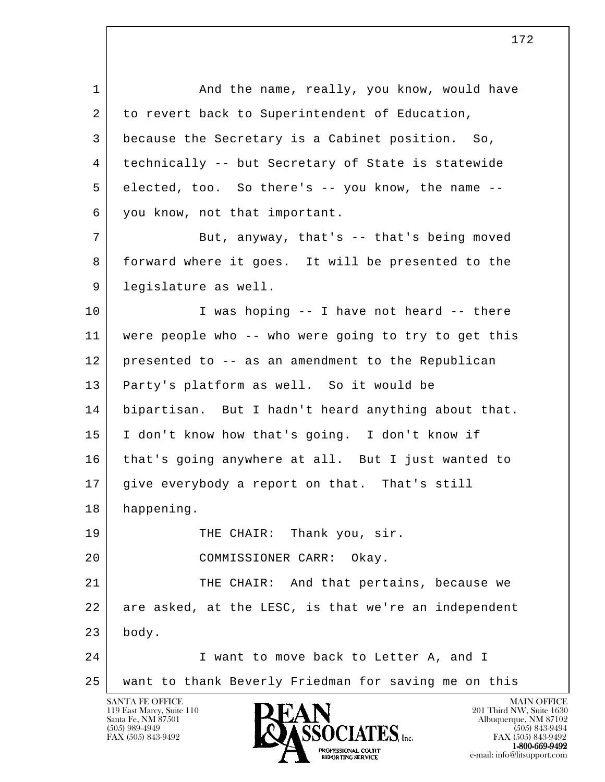l SANTA FE OFFICE MAIN OFFICE MAIN OFFICE MAIN OFFICE MAIN OFFICE 1 And the name, really, you know, would have 2 to revert back to Superintendent of Education, 3 because the Secretary is a Cabinet position. So, 4 technically -- but Secretary of State is statewide 5 elected, too. So there's -- you know, the name -- 6 you know, not that important. 7 But, anyway, that's -- that's being moved 8 forward where it goes. It will be presented to the 9 legislature as well. 10 | T was hoping -- I have not heard -- there 11 were people who -- who were going to try to get this 12 presented to -- as an amendment to the Republican 13 Party's platform as well. So it would be 14 bipartisan. But I hadn't heard anything about that. 15 I don't know how that's going. I don't know if 16 that's going anywhere at all. But I just wanted to 17 give everybody a report on that. That's still 18 happening. 19 THE CHAIR: Thank you, sir. 20 COMMISSIONER CARR: Okay. 21 THE CHAIR: And that pertains, because we 22 are asked, at the LESC, is that we're an independent  $23$  body. 24 I want to move back to Letter A, and I 25 want to thank Beverly Friedman for saving me on this

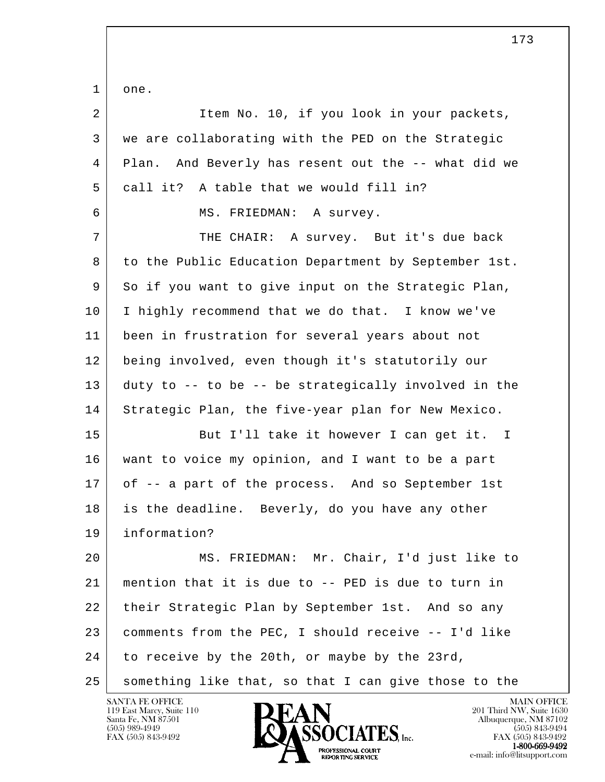l 1 one. 2 | Ttem No. 10, if you look in your packets, 3 we are collaborating with the PED on the Strategic 4 Plan. And Beverly has resent out the -- what did we 5 call it? A table that we would fill in? 6 MS. FRIEDMAN: A survey. 7 | THE CHAIR: A survey. But it's due back 8 to the Public Education Department by September 1st. 9 So if you want to give input on the Strategic Plan, 10 I highly recommend that we do that. I know we've 11 been in frustration for several years about not 12 being involved, even though it's statutorily our 13 duty to -- to be -- be strategically involved in the 14 Strategic Plan, the five-year plan for New Mexico. 15 But I'll take it however I can get it. I 16 want to voice my opinion, and I want to be a part 17 of -- a part of the process. And so September 1st 18 is the deadline. Beverly, do you have any other 19 information? 20 MS. FRIEDMAN: Mr. Chair, I'd just like to 21 mention that it is due to -- PED is due to turn in 22 their Strategic Plan by September 1st. And so any 23 comments from the PEC, I should receive -- I'd like 24 to receive by the 20th, or maybe by the 23rd, 25 something like that, so that I can give those to the



FAX (505) 843-9492<br>1-800-669-9492 e-mail: info@litsupport.com<br>REPORTING SERVICE e-mail: info@litsupport.com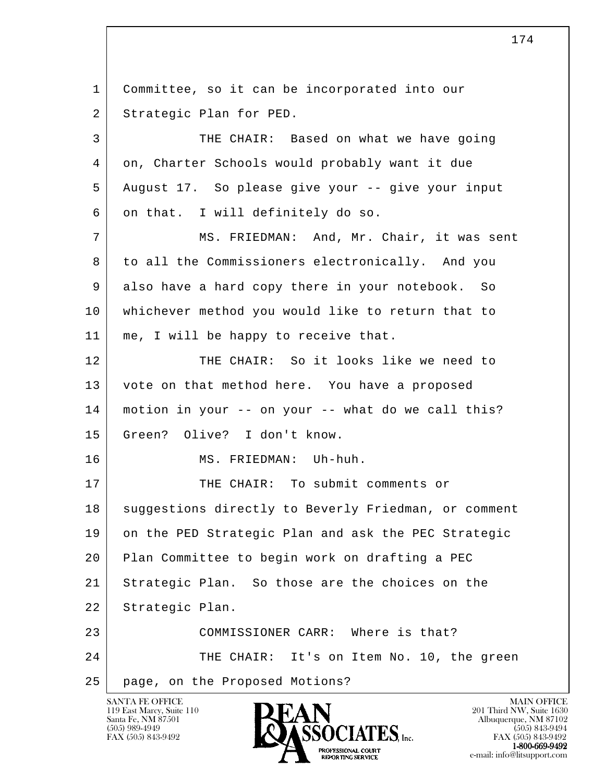l SANTA FE OFFICE MAIN OFFICE MAIN OFFICE MAIN OFFICE MAIN OFFICE 1 Committee, so it can be incorporated into our 2 Strategic Plan for PED. 3 THE CHAIR: Based on what we have going 4 on, Charter Schools would probably want it due 5 August 17. So please give your -- give your input 6 on that. I will definitely do so. 7 | MS. FRIEDMAN: And, Mr. Chair, it was sent 8 to all the Commissioners electronically. And you 9 also have a hard copy there in your notebook. So 10 whichever method you would like to return that to 11 | me, I will be happy to receive that. 12 THE CHAIR: So it looks like we need to 13 vote on that method here. You have a proposed 14 motion in your -- on your -- what do we call this? 15 Green? Olive? I don't know. 16 | MS. FRIEDMAN: Uh-huh. 17 THE CHAIR: To submit comments or 18 | suggestions directly to Beverly Friedman, or comment 19 on the PED Strategic Plan and ask the PEC Strategic 20 Plan Committee to begin work on drafting a PEC 21 Strategic Plan. So those are the choices on the 22 Strategic Plan. 23 COMMISSIONER CARR: Where is that? 24 THE CHAIR: It's on Item No. 10, the green 25 page, on the Proposed Motions?

119 East Marcy, Suite 110<br>Santa Fe, NM 87501

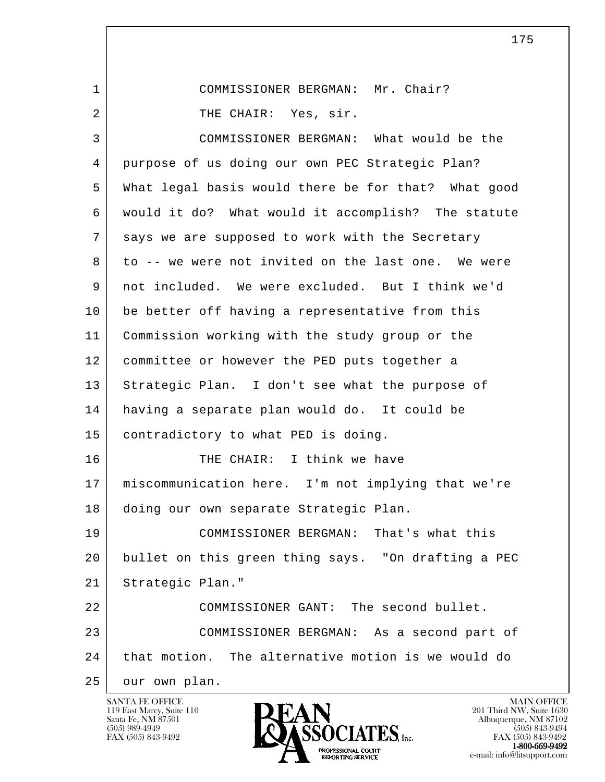l 1 COMMISSIONER BERGMAN: Mr. Chair? 2 THE CHAIR: Yes, sir. 3 COMMISSIONER BERGMAN: What would be the 4 purpose of us doing our own PEC Strategic Plan? 5 What legal basis would there be for that? What good 6 would it do? What would it accomplish? The statute 7 says we are supposed to work with the Secretary 8 to -- we were not invited on the last one. We were 9 not included. We were excluded. But I think we'd 10 be better off having a representative from this 11 Commission working with the study group or the 12 committee or however the PED puts together a 13 Strategic Plan. I don't see what the purpose of 14 having a separate plan would do. It could be 15 contradictory to what PED is doing. 16 THE CHAIR: I think we have 17 miscommunication here. I'm not implying that we're 18 doing our own separate Strategic Plan. 19 COMMISSIONER BERGMAN: That's what this 20 bullet on this green thing says. "On drafting a PEC 21 Strategic Plan." 22 COMMISSIONER GANT: The second bullet. 23 COMMISSIONER BERGMAN: As a second part of 24 that motion. The alternative motion is we would do 25 our own plan.

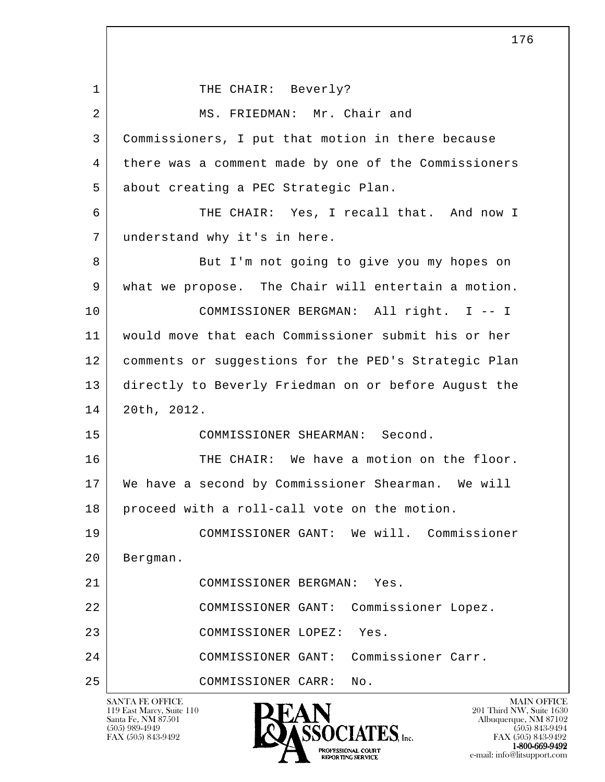l SANTA FE OFFICE MAIN OFFICE MAIN OFFICE MAIN OFFICE MAIN OFFICE 119 East Marcy, Suite 110<br>Santa Fe, NM 87501 1 THE CHAIR: Beverly? 2 MS. FRIEDMAN: Mr. Chair and 3 Commissioners, I put that motion in there because 4 there was a comment made by one of the Commissioners 5 about creating a PEC Strategic Plan. 6 THE CHAIR: Yes, I recall that. And now I 7 understand why it's in here. 8 But I'm not going to give you my hopes on 9 what we propose. The Chair will entertain a motion. 10 COMMISSIONER BERGMAN: All right. I -- I 11 would move that each Commissioner submit his or her 12 comments or suggestions for the PED's Strategic Plan 13 directly to Beverly Friedman on or before August the 14 20th, 2012. 15 COMMISSIONER SHEARMAN: Second. 16 THE CHAIR: We have a motion on the floor. 17 We have a second by Commissioner Shearman. We will 18 proceed with a roll-call vote on the motion. 19 COMMISSIONER GANT: We will. Commissioner 20 Bergman. 21 COMMISSIONER BERGMAN: Yes. 22 COMMISSIONER GANT: Commissioner Lopez. 23 COMMISSIONER LOPEZ: Yes. 24 COMMISSIONER GANT: Commissioner Carr. 25 COMMISSIONER CARR: No.

Santa Fe, NM 87501 Albuquerque, NM 87102  $\overline{\text{S5OCIATES}}_{\text{Lnc.}}$  (505) 989-4949 (505) 843-9492 (505) 843-9492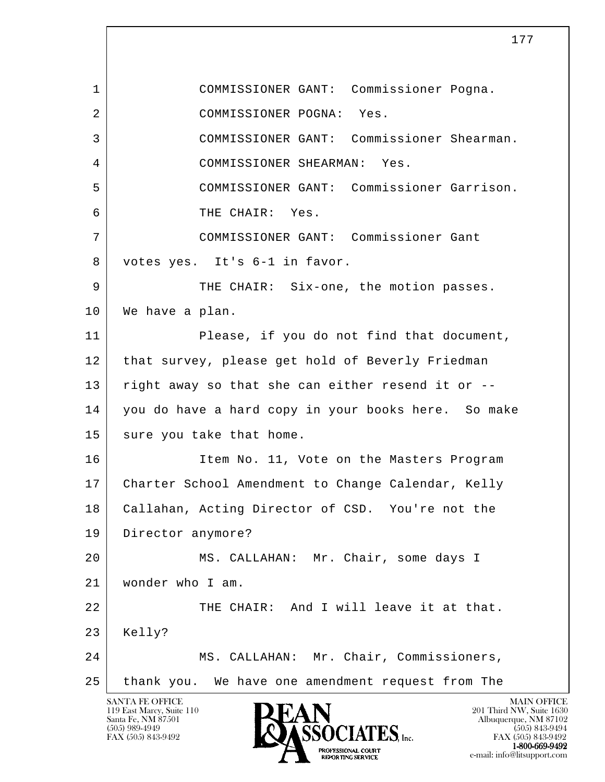l SANTA FE OFFICE MAIN OFFICE MAIN OFFICE MAIN OFFICE MAIN OFFICE 1 COMMISSIONER GANT: Commissioner Pogna. 2 COMMISSIONER POGNA: Yes. 3 COMMISSIONER GANT: Commissioner Shearman. 4 COMMISSIONER SHEARMAN: Yes. 5 COMMISSIONER GANT: Commissioner Garrison. 6 THE CHAIR: Yes. 7 COMMISSIONER GANT: Commissioner Gant 8 votes yes. It's 6-1 in favor. 9 THE CHAIR: Six-one, the motion passes. 10 | We have a plan. 11 Please, if you do not find that document, 12 that survey, please get hold of Beverly Friedman 13 right away so that she can either resend it or -- 14 you do have a hard copy in your books here. So make 15 sure you take that home. 16 Item No. 11, Vote on the Masters Program 17 Charter School Amendment to Change Calendar, Kelly 18 | Callahan, Acting Director of CSD. You're not the 19 Director anymore? 20 MS. CALLAHAN: Mr. Chair, some days I 21 wonder who I am. 22 THE CHAIR: And I will leave it at that. 23 | Kelly? 24 MS. CALLAHAN: Mr. Chair, Commissioners, 25 thank you. We have one amendment request from The

119 East Marcy, Suite 110<br>Santa Fe, NM 87501

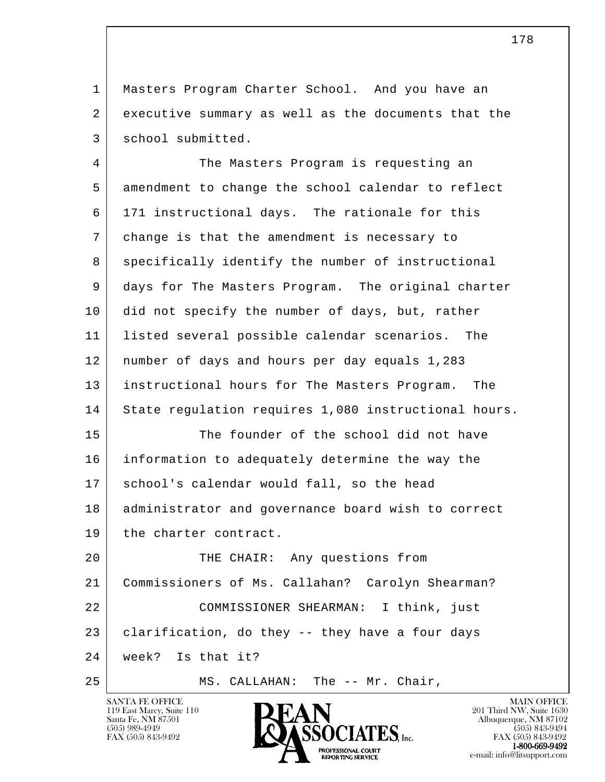1 Masters Program Charter School. And you have an 2 executive summary as well as the documents that the 3 school submitted.

 4 The Masters Program is requesting an 5 amendment to change the school calendar to reflect 6 171 instructional days. The rationale for this 7 change is that the amendment is necessary to 8 specifically identify the number of instructional 9 days for The Masters Program. The original charter 10 did not specify the number of days, but, rather 11 listed several possible calendar scenarios. The 12 number of days and hours per day equals 1,283 13 instructional hours for The Masters Program. The 14 State regulation requires 1,080 instructional hours. 15 The founder of the school did not have 16 information to adequately determine the way the 17 school's calendar would fall, so the head 18 | administrator and governance board wish to correct 19 the charter contract. 20 THE CHAIR: Any questions from 21 Commissioners of Ms. Callahan? Carolyn Shearman? 22 COMMISSIONER SHEARMAN: I think, just

l  $23$  clarification, do they -- they have a four days

 24 week? Is that it?

25 | MS. CALLAHAN: The -- Mr. Chair,



FAX (505) 843-9492 FAX (505) 843-9492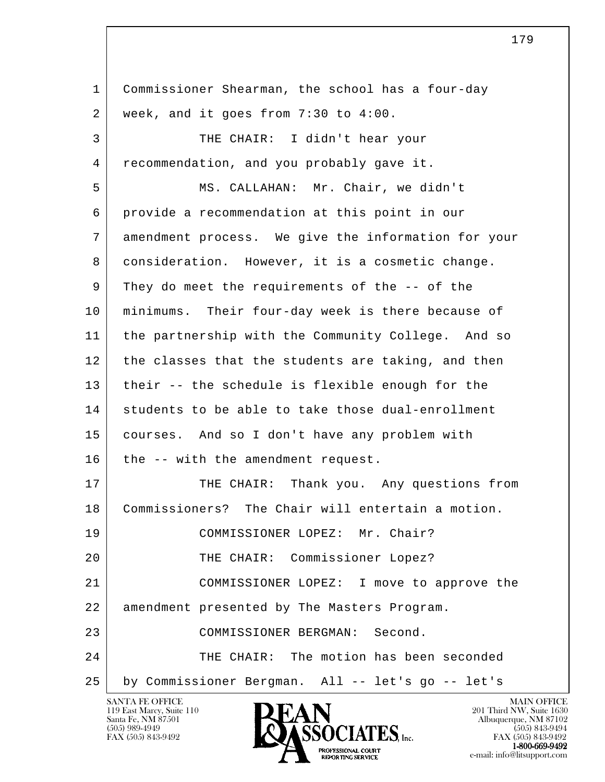l 1 Commissioner Shearman, the school has a four-day 2 week, and it goes from 7:30 to 4:00. 3 | THE CHAIR: I didn't hear your 4 recommendation, and you probably gave it. 5 MS. CALLAHAN: Mr. Chair, we didn't 6 provide a recommendation at this point in our 7 amendment process. We give the information for your 8 consideration. However, it is a cosmetic change. 9 They do meet the requirements of the -- of the 10 minimums. Their four-day week is there because of 11 the partnership with the Community College. And so 12 the classes that the students are taking, and then 13 their -- the schedule is flexible enough for the 14 students to be able to take those dual-enrollment 15 courses. And so I don't have any problem with  $16$  the  $-$ - with the amendment request. 17 THE CHAIR: Thank you. Any questions from 18 Commissioners? The Chair will entertain a motion. 19 COMMISSIONER LOPEZ: Mr. Chair? 20 | THE CHAIR: Commissioner Lopez? 21 COMMISSIONER LOPEZ: I move to approve the 22 amendment presented by The Masters Program. 23 COMMISSIONER BERGMAN: Second. 24 THE CHAIR: The motion has been seconded 25 by Commissioner Bergman. All -- let's go -- let's

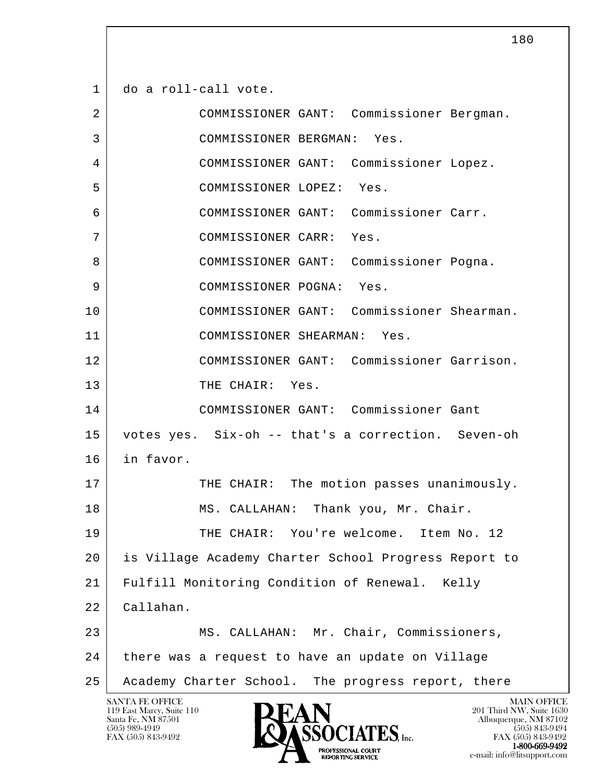l SANTA FE OFFICE MAIN OFFICE MAIN OFFICE MAIN OFFICE MAIN OFFICE 1 do a roll-call vote. 2 COMMISSIONER GANT: Commissioner Bergman. 3 COMMISSIONER BERGMAN: Yes. 4 COMMISSIONER GANT: Commissioner Lopez. 5 COMMISSIONER LOPEZ: Yes. 6 COMMISSIONER GANT: Commissioner Carr. 7 COMMISSIONER CARR: Yes. 8 COMMISSIONER GANT: Commissioner Pogna. 9 COMMISSIONER POGNA: Yes. 10 COMMISSIONER GANT: Commissioner Shearman. 11 COMMISSIONER SHEARMAN: Yes. 12 COMMISSIONER GANT: Commissioner Garrison. 13 THE CHAIR: Yes. 14 COMMISSIONER GANT: Commissioner Gant 15 votes yes. Six-oh -- that's a correction. Seven-oh 16 in favor. 17 THE CHAIR: The motion passes unanimously. 18 | MS. CALLAHAN: Thank you, Mr. Chair. 19 THE CHAIR: You're welcome. Item No. 12 20 is Village Academy Charter School Progress Report to 21 Fulfill Monitoring Condition of Renewal. Kelly 22 Callahan. 23 MS. CALLAHAN: Mr. Chair, Commissioners, 24 there was a request to have an update on Village 25 Academy Charter School. The progress report, there

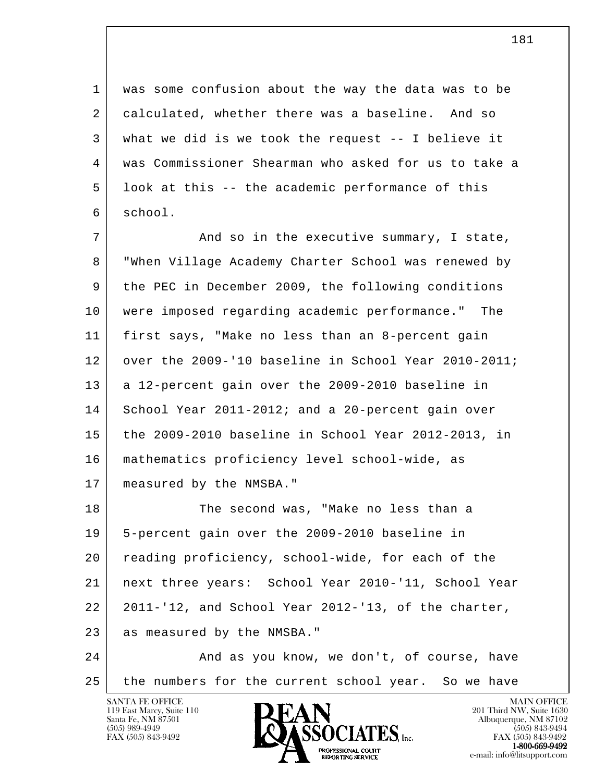1 was some confusion about the way the data was to be 2 calculated, whether there was a baseline. And so 3 what we did is we took the request -- I believe it 4 was Commissioner Shearman who asked for us to take a 5 look at this -- the academic performance of this 6 school.

7 and so in the executive summary, I state, 8 "When Village Academy Charter School was renewed by 9 the PEC in December 2009, the following conditions 10 were imposed regarding academic performance." The 11 first says, "Make no less than an 8-percent gain 12 over the 2009-'10 baseline in School Year 2010-2011; 13 a 12-percent gain over the 2009-2010 baseline in 14 School Year 2011-2012; and a 20-percent gain over 15 the 2009-2010 baseline in School Year 2012-2013, in 16 mathematics proficiency level school-wide, as 17 | measured by the NMSBA."

l 18 The second was, "Make no less than a 19 5-percent gain over the 2009-2010 baseline in 20 reading proficiency, school-wide, for each of the 21 next three years: School Year 2010-'11, School Year 22 2011-'12, and School Year 2012-'13, of the charter, 23 as measured by the NMSBA."

 24 And as you know, we don't, of course, have 25 the numbers for the current school year. So we have

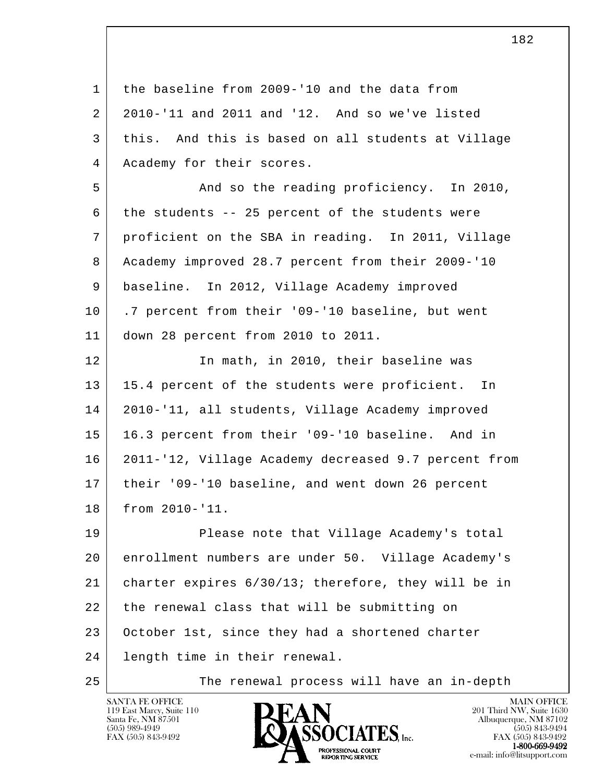| $\mathbf{1}$ | the baseline from 2009-'10 and the data from         |
|--------------|------------------------------------------------------|
| 2            | 2010-'11 and 2011 and '12. And so we've listed       |
| 3            | this. And this is based on all students at Village   |
| 4            | Academy for their scores.                            |
| 5            | And so the reading proficiency. In 2010,             |
| 6            | the students -- 25 percent of the students were      |
| 7            | proficient on the SBA in reading. In 2011, Village   |
| 8            | Academy improved 28.7 percent from their 2009-'10    |
| 9            | baseline. In 2012, Village Academy improved          |
| 10           | .7 percent from their '09-'10 baseline, but went     |
| 11           | down 28 percent from 2010 to 2011.                   |
| 12           | In math, in 2010, their baseline was                 |
| 13           | 15.4 percent of the students were proficient.<br>In  |
| 14           | 2010-'11, all students, Village Academy improved     |
| 15           | 16.3 percent from their '09-'10 baseline. And in     |
| 16           | 2011-'12, Village Academy decreased 9.7 percent from |
| 17           | their '09-'10 baseline, and went down 26 percent     |
| 18           | from 2010-'11.                                       |
| 19           | Please note that Village Academy's total             |
| 20           | enrollment numbers are under 50. Village Academy's   |
| 21           | charter expires 6/30/13; therefore, they will be in  |
| 22           | the renewal class that will be submitting on         |
| 23           | October 1st, since they had a shortened charter      |
| 24           | length time in their renewal.                        |
| 25           | The renewal process will have an in-depth            |

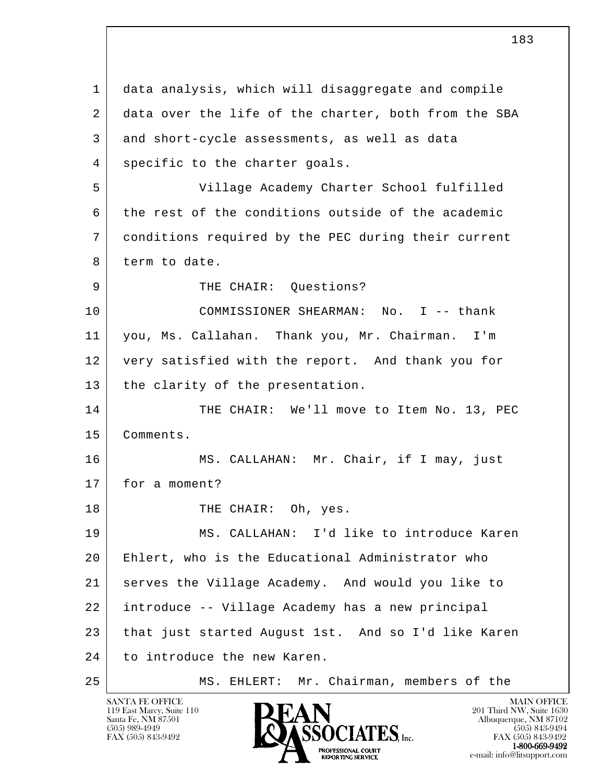l 1 data analysis, which will disaggregate and compile 2 data over the life of the charter, both from the SBA 3 | and short-cycle assessments, as well as data 4 | specific to the charter goals. 5 Village Academy Charter School fulfilled 6 the rest of the conditions outside of the academic 7 conditions required by the PEC during their current 8 term to date. 9 | THE CHAIR: Ouestions? 10 COMMISSIONER SHEARMAN: No. I -- thank 11 you, Ms. Callahan. Thank you, Mr. Chairman. I'm 12 very satisfied with the report. And thank you for 13 | the clarity of the presentation. 14 THE CHAIR: We'll move to Item No. 13, PEC 15 Comments. 16 MS. CALLAHAN: Mr. Chair, if I may, just 17 for a moment? 18 | THE CHAIR: Oh, yes. 19 MS. CALLAHAN: I'd like to introduce Karen 20 Ehlert, who is the Educational Administrator who 21 serves the Village Academy. And would you like to 22 introduce -- Village Academy has a new principal 23 that just started August 1st. And so I'd like Karen 24 to introduce the new Karen. 25 | MS. EHLERT: Mr. Chairman, members of the

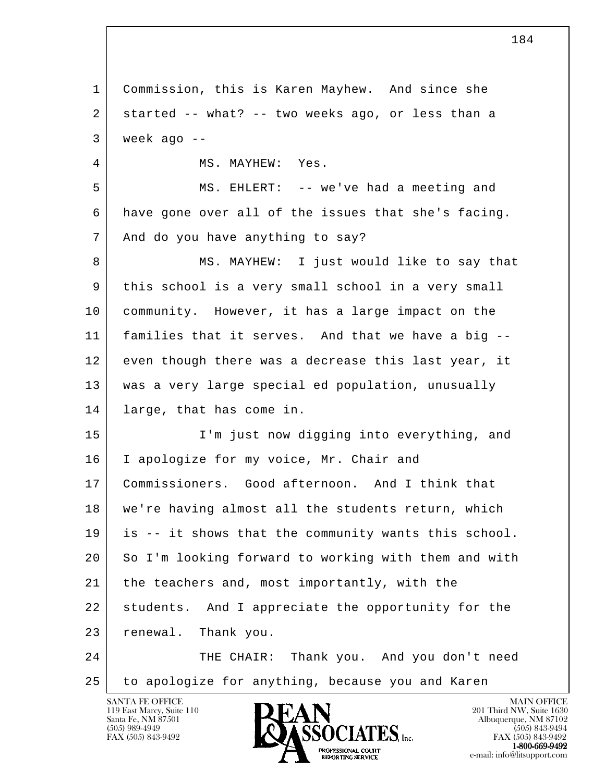l 1 Commission, this is Karen Mayhew. And since she  $2$  started -- what? -- two weeks ago, or less than a  $3$  week ago  $-$ 4 MS. MAYHEW: Yes. 5 | MS. EHLERT: -- we've had a meeting and 6 have gone over all of the issues that she's facing. 7 | And do you have anything to say? 8 MS. MAYHEW: I just would like to say that 9 this school is a very small school in a very small 10 community. However, it has a large impact on the 11 families that it serves. And that we have a big -- 12 even though there was a decrease this last year, it 13 was a very large special ed population, unusually 14 large, that has come in. 15 I'm just now digging into everything, and 16 | I apologize for my voice, Mr. Chair and 17 Commissioners. Good afternoon. And I think that 18 we're having almost all the students return, which 19 is -- it shows that the community wants this school. 20 So I'm looking forward to working with them and with 21 the teachers and, most importantly, with the 22 students. And I appreciate the opportunity for the 23 renewal. Thank you. 24 THE CHAIR: Thank you. And you don't need 25 to apologize for anything, because you and Karen

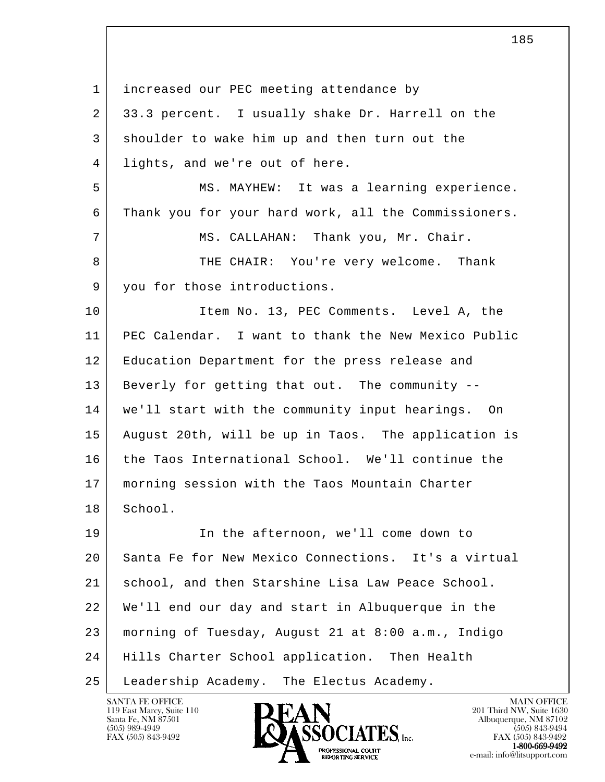l 1 | increased our PEC meeting attendance by 2 33.3 percent. I usually shake Dr. Harrell on the 3 shoulder to wake him up and then turn out the 4 lights, and we're out of here. 5 MS. MAYHEW: It was a learning experience. 6 Thank you for your hard work, all the Commissioners. 7 MS. CALLAHAN: Thank you, Mr. Chair. 8 THE CHAIR: You're very welcome. Thank 9 you for those introductions. 10 Item No. 13, PEC Comments. Level A, the 11 PEC Calendar. I want to thank the New Mexico Public 12 | Education Department for the press release and 13 Beverly for getting that out. The community -- 14 we'll start with the community input hearings. On 15 August 20th, will be up in Taos. The application is 16 the Taos International School. We'll continue the 17 morning session with the Taos Mountain Charter 18 School. 19 In the afternoon, we'll come down to 20 Santa Fe for New Mexico Connections. It's a virtual 21 school, and then Starshine Lisa Law Peace School. 22 We'll end our day and start in Albuquerque in the 23 morning of Tuesday, August 21 at 8:00 a.m., Indigo 24 Hills Charter School application. Then Health 25 Leadership Academy. The Electus Academy.

119 East Marcy, Suite 110<br>Santa Fe, NM 87501

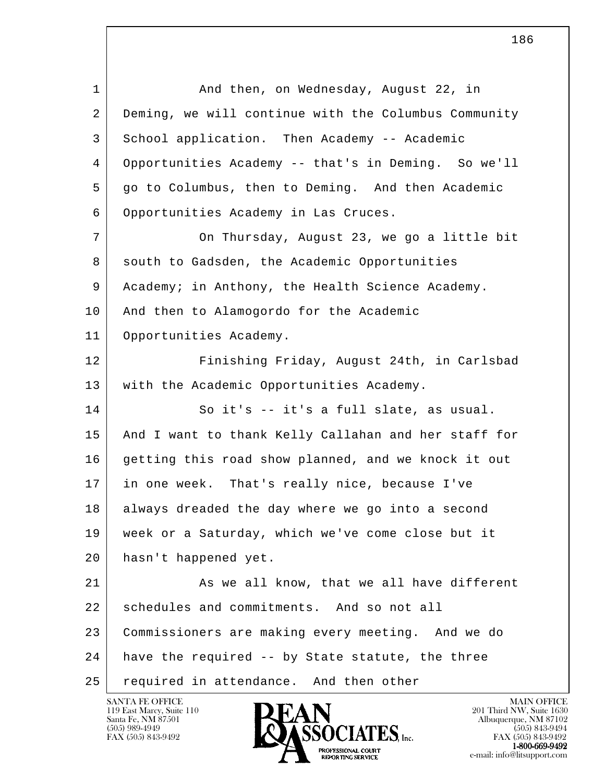l 1 and then, on Wednesday, August 22, in 2 Deming, we will continue with the Columbus Community 3 School application. Then Academy -- Academic 4 Opportunities Academy -- that's in Deming. So we'll 5 go to Columbus, then to Deming. And then Academic 6 Opportunities Academy in Las Cruces. 7 | On Thursday, August 23, we go a little bit 8 south to Gadsden, the Academic Opportunities 9 Academy; in Anthony, the Health Science Academy. 10 | And then to Alamogordo for the Academic 11 Opportunities Academy. 12 Finishing Friday, August 24th, in Carlsbad 13 | with the Academic Opportunities Academy. 14 So it's -- it's a full slate, as usual. 15 And I want to thank Kelly Callahan and her staff for 16 getting this road show planned, and we knock it out 17 in one week. That's really nice, because I've 18 always dreaded the day where we go into a second 19 week or a Saturday, which we've come close but it 20 hasn't happened yet. 21 As we all know, that we all have different 22 schedules and commitments. And so not all 23 Commissioners are making every meeting. And we do 24 have the required -- by State statute, the three 25 required in attendance. And then other

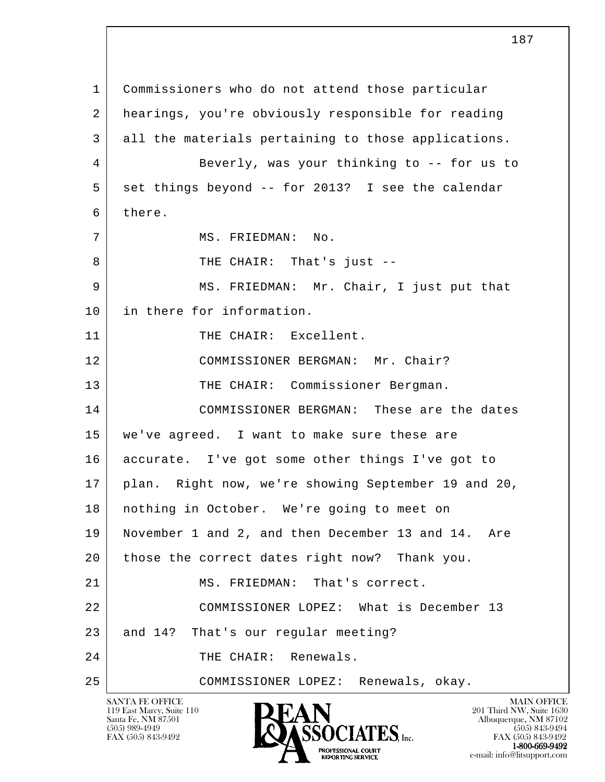l SANTA FE OFFICE MAIN OFFICE MAIN OFFICE MAIN OFFICE MAIN OFFICE 119 East Marcy, Suite 110<br>Santa Fe, NM 87501 Santa Fe, NM 87501 Albuquerque, NM 87102 1 Commissioners who do not attend those particular 2 hearings, you're obviously responsible for reading 3 all the materials pertaining to those applications. 4 Beverly, was your thinking to -- for us to 5 set things beyond -- for 2013? I see the calendar 6 there. 7 | MS. FRIEDMAN: No. 8 | THE CHAIR: That's just --9 MS. FRIEDMAN: Mr. Chair, I just put that 10 in there for information. 11 THE CHAIR: Excellent. 12 COMMISSIONER BERGMAN: Mr. Chair? 13 | THE CHAIR: Commissioner Bergman. 14 COMMISSIONER BERGMAN: These are the dates 15 we've agreed. I want to make sure these are 16 accurate. I've got some other things I've got to 17 | plan. Right now, we're showing September 19 and 20, 18 nothing in October. We're going to meet on 19 November 1 and 2, and then December 13 and 14. Are 20 those the correct dates right now? Thank you. 21 MS. FRIEDMAN: That's correct. 22 COMMISSIONER LOPEZ: What is December 13 23 and 14? That's our regular meeting? 24 THE CHAIR: Renewals. 25 COMMISSIONER LOPEZ: Renewals, okay.

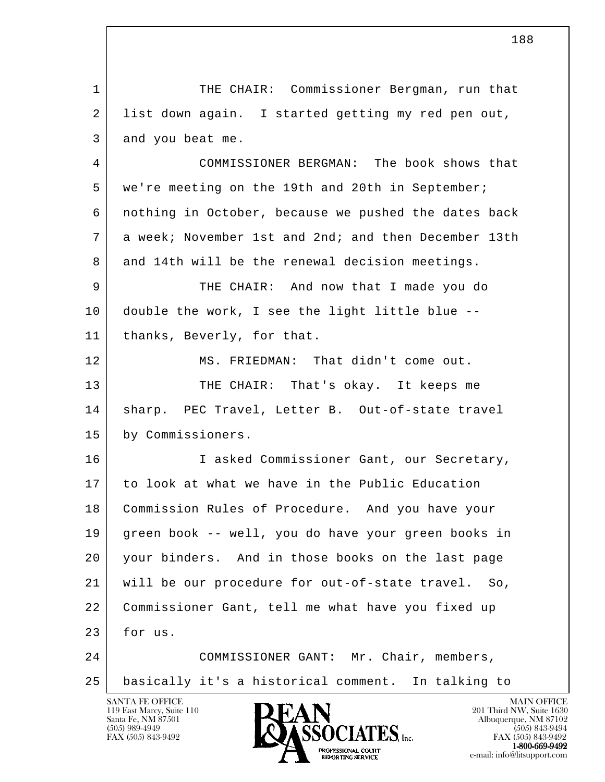l SANTA FE OFFICE MAIN OFFICE MAIN OFFICE MAIN OFFICE MAIN OFFICE 1 THE CHAIR: Commissioner Bergman, run that 2 list down again. I started getting my red pen out, 3 and you beat me. 4 COMMISSIONER BERGMAN: The book shows that 5 | we're meeting on the 19th and 20th in September; 6 nothing in October, because we pushed the dates back 7 a week; November 1st and 2nd; and then December 13th 8 and 14th will be the renewal decision meetings. 9 THE CHAIR: And now that I made you do 10 double the work, I see the light little blue -- 11 | thanks, Beverly, for that. 12 MS. FRIEDMAN: That didn't come out. 13 THE CHAIR: That's okay. It keeps me 14 | sharp. PEC Travel, Letter B. Out-of-state travel 15 by Commissioners. 16 I asked Commissioner Gant, our Secretary, 17 to look at what we have in the Public Education 18 Commission Rules of Procedure. And you have your 19 green book -- well, you do have your green books in 20 your binders. And in those books on the last page 21 will be our procedure for out-of-state travel. So, 22 Commissioner Gant, tell me what have you fixed up 23 for us. 24 COMMISSIONER GANT: Mr. Chair, members, 25 basically it's a historical comment. In talking to

119 East Marcy, Suite 110<br>Santa Fe, NM 87501



FAX (505) 843-9492 FAX (505) 843-9492 1-800-669-9492<br>PROFESSIONAL COURT **EXECUTE EXECUTE:**<br>REPORTING SERVICE e-mail: info@litsupport.com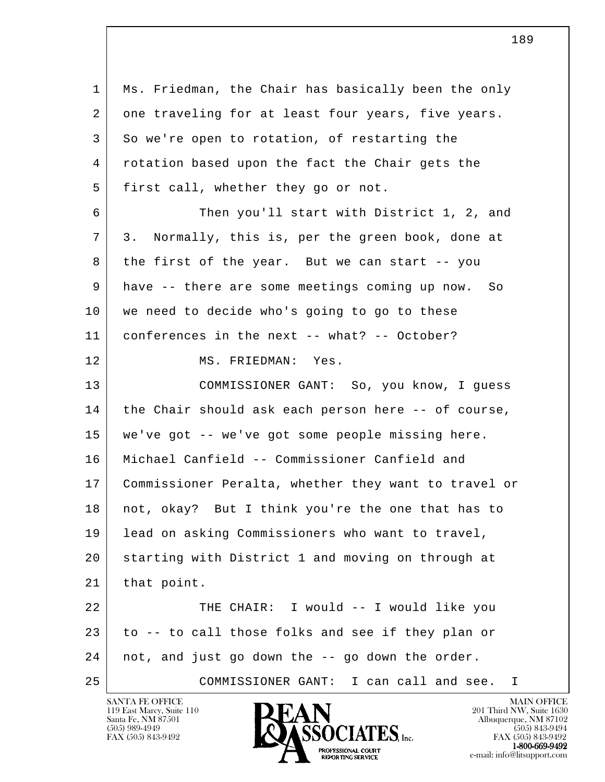l 1 Ms. Friedman, the Chair has basically been the only 2 one traveling for at least four years, five years. 3 So we're open to rotation, of restarting the 4 rotation based upon the fact the Chair gets the 5 first call, whether they go or not. 6 Then you'll start with District 1, 2, and 7 3. Normally, this is, per the green book, done at 8 the first of the year. But we can start -- you 9 have -- there are some meetings coming up now. So 10 | we need to decide who's going to go to these 11 conferences in the next -- what? -- October? 12 MS. FRIEDMAN: Yes. 13 COMMISSIONER GANT: So, you know, I guess 14 the Chair should ask each person here -- of course, 15 we've got -- we've got some people missing here. 16 Michael Canfield -- Commissioner Canfield and 17 Commissioner Peralta, whether they want to travel or 18 not, okay? But I think you're the one that has to 19 lead on asking Commissioners who want to travel, 20 starting with District 1 and moving on through at 21 | that point. 22 | THE CHAIR: I would -- I would like you 23 to -- to call those folks and see if they plan or 24 not, and just go down the -- go down the order. 25 COMMISSIONER GANT: I can call and see. I

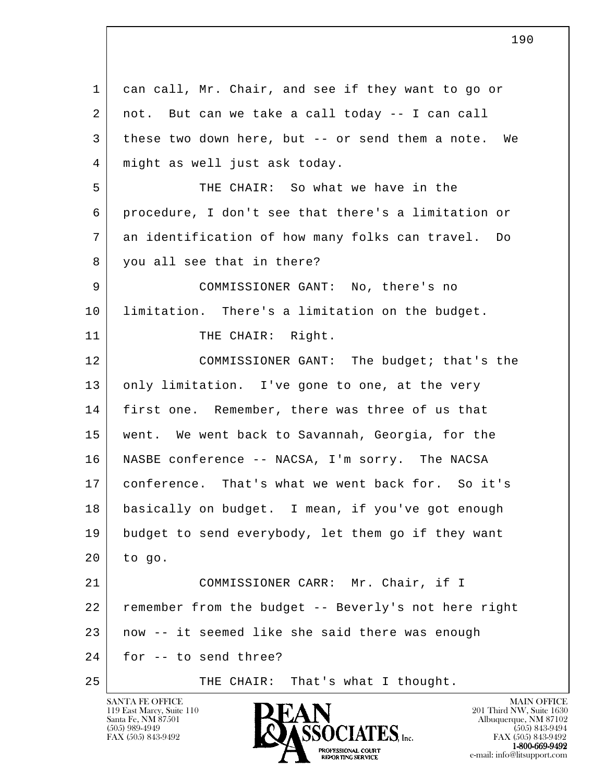| 1  | can call, Mr. Chair, and see if they want to go or   |
|----|------------------------------------------------------|
| 2  | not. But can we take a call today -- I can call      |
| 3  | these two down here, but -- or send them a note. We  |
| 4  | might as well just ask today.                        |
| 5  | THE CHAIR: So what we have in the                    |
| 6  | procedure, I don't see that there's a limitation or  |
| 7  | an identification of how many folks can travel. Do   |
| 8  | you all see that in there?                           |
| 9  | COMMISSIONER GANT: No, there's no                    |
| 10 | limitation. There's a limitation on the budget.      |
| 11 | THE CHAIR: Right.                                    |
| 12 | COMMISSIONER GANT: The budget; that's the            |
| 13 | only limitation. I've gone to one, at the very       |
| 14 | first one. Remember, there was three of us that      |
| 15 | went. We went back to Savannah, Georgia, for the     |
| 16 | NASBE conference -- NACSA, I'm sorry. The NACSA      |
| 17 | conference. That's what we went back for. So it's    |
| 18 | basically on budget. I mean, if you've got enough    |
| 19 | budget to send everybody, let them go if they want   |
| 20 | to go.                                               |
| 21 | COMMISSIONER CARR: Mr. Chair, if I                   |
| 22 | remember from the budget -- Beverly's not here right |
| 23 | now -- it seemed like she said there was enough      |
| 24 | for -- to send three?                                |
| 25 | THE CHAIR: That's what I thought.                    |

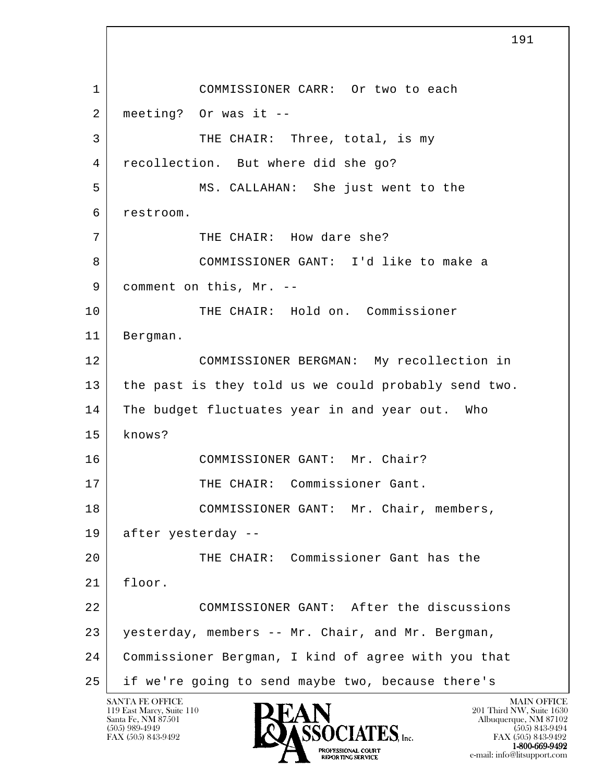l 1 COMMISSIONER CARR: Or two to each  $2$  meeting? Or was it --3 THE CHAIR: Three, total, is my 4 recollection. But where did she go? 5 MS. CALLAHAN: She just went to the 6 restroom. 7 THE CHAIR: How dare she? 8 COMMISSIONER GANT: I'd like to make a 9 comment on this, Mr. -- 10 THE CHAIR: Hold on. Commissioner 11 Bergman. 12 COMMISSIONER BERGMAN: My recollection in 13 the past is they told us we could probably send two. 14 The budget fluctuates year in and year out. Who 15 knows? 16 COMMISSIONER GANT: Mr. Chair? 17 THE CHAIR: Commissioner Gant. 18 | COMMISSIONER GANT: Mr. Chair, members, 19 after yesterday -- 20 THE CHAIR: Commissioner Gant has the  $21$  floor. 22 COMMISSIONER GANT: After the discussions 23 yesterday, members -- Mr. Chair, and Mr. Bergman, 24 Commissioner Bergman, I kind of agree with you that 25 if we're going to send maybe two, because there's

119 East Marcy, Suite 110<br>Santa Fe, NM 87501

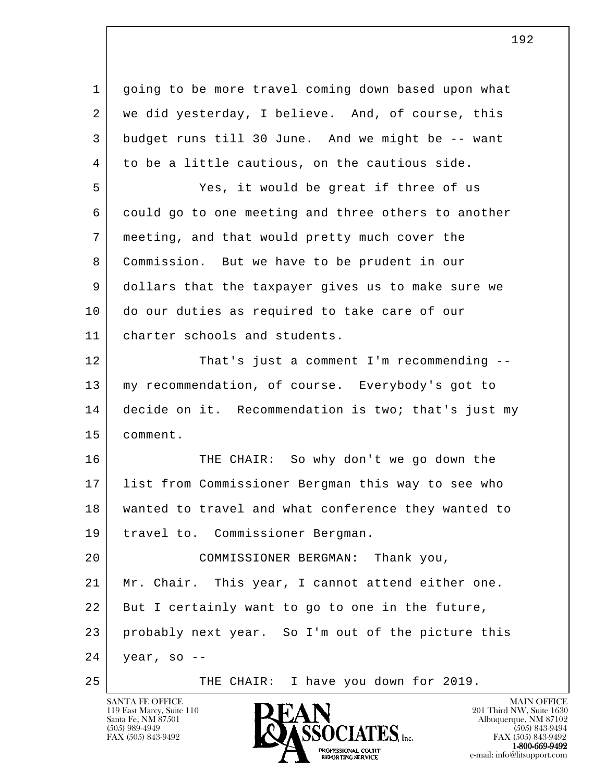l 1 going to be more travel coming down based upon what 2 | we did yesterday, I believe. And, of course, this 3 budget runs till 30 June. And we might be -- want 4 to be a little cautious, on the cautious side. 5 Yes, it would be great if three of us 6 could go to one meeting and three others to another 7 meeting, and that would pretty much cover the 8 Commission. But we have to be prudent in our 9 dollars that the taxpayer gives us to make sure we 10 do our duties as required to take care of our 11 charter schools and students. 12 That's just a comment I'm recommending -- 13 my recommendation, of course. Everybody's got to 14 decide on it. Recommendation is two; that's just my 15 comment. 16 THE CHAIR: So why don't we go down the 17 list from Commissioner Bergman this way to see who 18 wanted to travel and what conference they wanted to 19 travel to. Commissioner Bergman. 20 COMMISSIONER BERGMAN: Thank you, 21 Mr. Chair. This year, I cannot attend either one. 22 But I certainly want to go to one in the future, 23 probably next year. So I'm out of the picture this  $24$  year, so --25 THE CHAIR: I have you down for 2019.

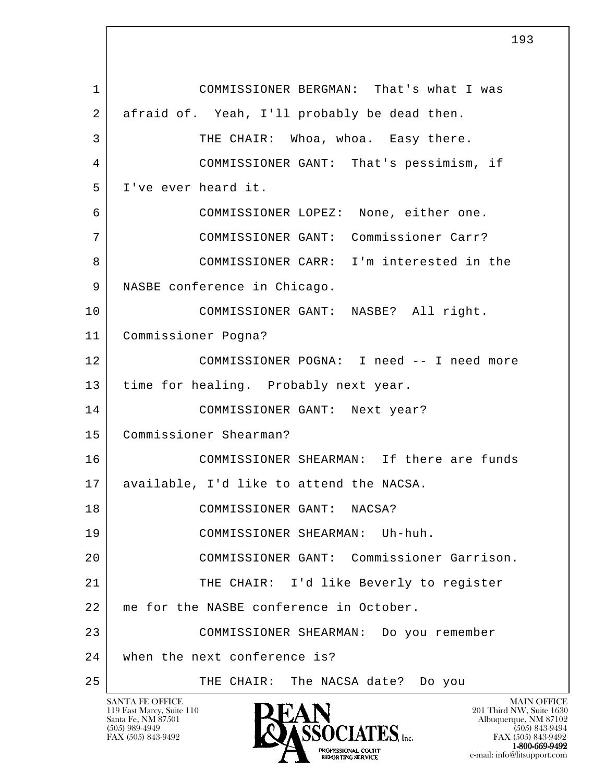l 1 COMMISSIONER BERGMAN: That's what I was 2 afraid of. Yeah, I'll probably be dead then. 3 THE CHAIR: Whoa, whoa. Easy there. 4 COMMISSIONER GANT: That's pessimism, if 5 I've ever heard it. 6 COMMISSIONER LOPEZ: None, either one. 7 COMMISSIONER GANT: Commissioner Carr? 8 COMMISSIONER CARR: I'm interested in the 9 | NASBE conference in Chicago. 10 COMMISSIONER GANT: NASBE? All right. 11 Commissioner Pogna? 12 COMMISSIONER POGNA: I need -- I need more 13 time for healing. Probably next year. 14 COMMISSIONER GANT: Next year? 15 Commissioner Shearman? 16 COMMISSIONER SHEARMAN: If there are funds 17 available, I'd like to attend the NACSA. 18 COMMISSIONER GANT: NACSA? 19 COMMISSIONER SHEARMAN: Uh-huh. 20 COMMISSIONER GANT: Commissioner Garrison. 21 THE CHAIR: I'd like Beverly to register 22 | me for the NASBE conference in October. 23 COMMISSIONER SHEARMAN: Do you remember 24 when the next conference is? 25 | THE CHAIR: The NACSA date? Do you

119 East Marcy, Suite 110<br>Santa Fe, NM 87501

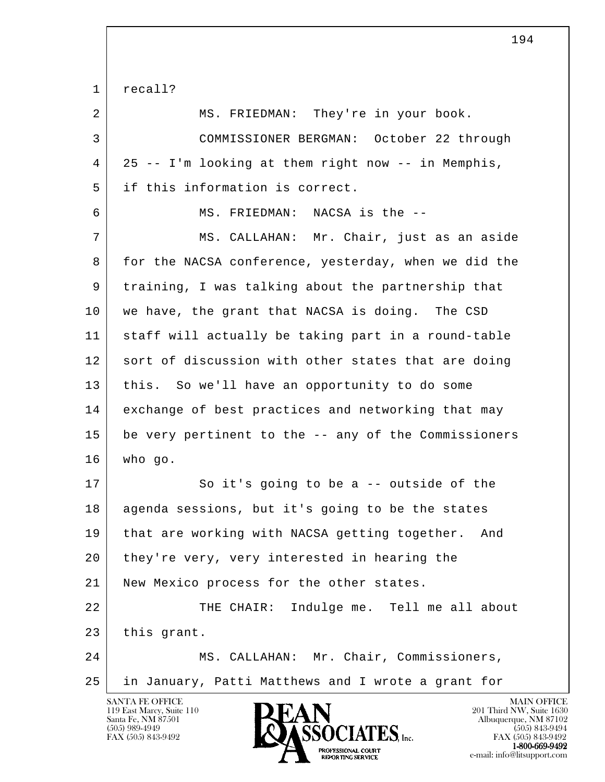| 1  | recall?                                                                                                       |
|----|---------------------------------------------------------------------------------------------------------------|
| 2  | MS. FRIEDMAN: They're in your book.                                                                           |
| 3  | COMMISSIONER BERGMAN: October 22 through                                                                      |
| 4  | 25 -- I'm looking at them right now -- in Memphis,                                                            |
| 5  | if this information is correct.                                                                               |
| 6  | MS. FRIEDMAN: NACSA is the --                                                                                 |
| 7  | MS. CALLAHAN: Mr. Chair, just as an aside                                                                     |
| 8  | for the NACSA conference, yesterday, when we did the                                                          |
| 9  | training, I was talking about the partnership that                                                            |
| 10 | we have, the grant that NACSA is doing. The CSD                                                               |
| 11 | staff will actually be taking part in a round-table                                                           |
| 12 | sort of discussion with other states that are doing                                                           |
| 13 | this. So we'll have an opportunity to do some                                                                 |
| 14 | exchange of best practices and networking that may                                                            |
| 15 | be very pertinent to the -- any of the Commissioners                                                          |
| 16 | who go.                                                                                                       |
| 17 | So it's going to be a -- outside of the                                                                       |
| 18 | agenda sessions, but it's going to be the states                                                              |
| 19 | that are working with NACSA getting together.<br>And                                                          |
| 20 | they're very, very interested in hearing the                                                                  |
| 21 | New Mexico process for the other states.                                                                      |
| 22 | Indulge me. Tell me all about<br>THE CHAIR:                                                                   |
| 23 | this grant.                                                                                                   |
| 24 | MS. CALLAHAN: Mr. Chair, Commissioners,                                                                       |
| 25 | in January, Patti Matthews and I wrote a grant for                                                            |
|    | <b>SANTA FE OFFICE</b><br><b>MAIN OFFICE</b><br>DEAN<br>201 Third NW, Suite 1630<br>119 East Marcy, Suite 110 |

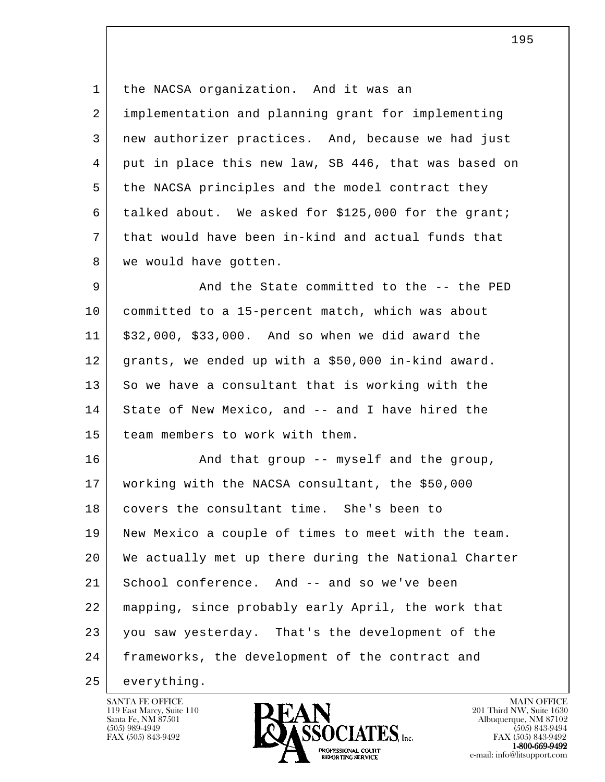1 | the NACSA organization. And it was an 2 implementation and planning grant for implementing 3 new authorizer practices. And, because we had just 4 put in place this new law, SB 446, that was based on 5 the NACSA principles and the model contract they 6 talked about. We asked for \$125,000 for the grant; 7 that would have been in-kind and actual funds that 8 | we would have gotten.

9 | And the State committed to the -- the PED 10 committed to a 15-percent match, which was about 11 \$32,000, \$33,000. And so when we did award the 12 grants, we ended up with a \$50,000 in-kind award. 13 So we have a consultant that is working with the 14 State of New Mexico, and -- and I have hired the 15 team members to work with them.

l 16 And that group -- myself and the group, 17 working with the NACSA consultant, the \$50,000 18 covers the consultant time. She's been to 19 New Mexico a couple of times to meet with the team. 20 We actually met up there during the National Charter 21 School conference. And -- and so we've been 22 mapping, since probably early April, the work that 23 you saw yesterday. That's the development of the 24 frameworks, the development of the contract and

25 everything.

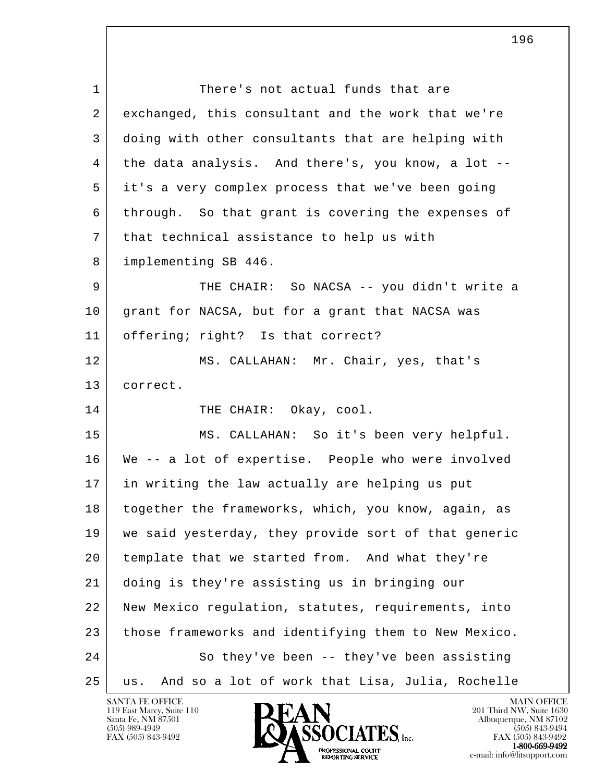l 1 There's not actual funds that are 2 exchanged, this consultant and the work that we're 3 doing with other consultants that are helping with 4 the data analysis. And there's, you know, a lot -- 5 it's a very complex process that we've been going 6 through. So that grant is covering the expenses of 7 | that technical assistance to help us with 8 implementing SB 446. 9 THE CHAIR: So NACSA -- you didn't write a 10 grant for NACSA, but for a grant that NACSA was 11 offering; right? Is that correct? 12 MS. CALLAHAN: Mr. Chair, yes, that's 13 correct. 14 THE CHAIR: Okay, cool. 15 MS. CALLAHAN: So it's been very helpful. 16 We -- a lot of expertise. People who were involved 17 in writing the law actually are helping us put 18 together the frameworks, which, you know, again, as 19 we said yesterday, they provide sort of that generic 20 template that we started from. And what they're 21 doing is they're assisting us in bringing our 22 New Mexico regulation, statutes, requirements, into 23 those frameworks and identifying them to New Mexico. 24 So they've been -- they've been assisting 25 us. And so a lot of work that Lisa, Julia, Rochelle

196

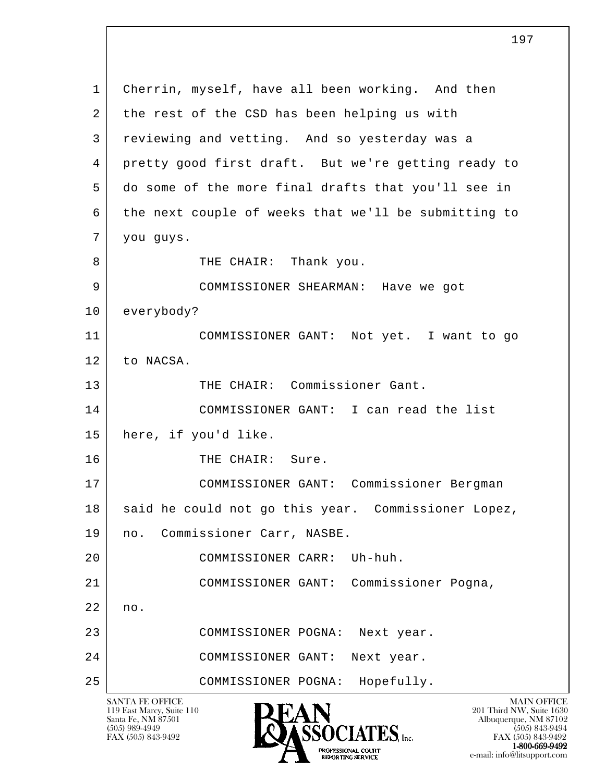l SANTA FE OFFICE MAIN OFFICE MAIN OFFICE MAIN OFFICE MAIN OFFICE 119 East Marcy, Suite 110<br>Santa Fe, NM 87501 Santa Fe, NM 87501 Albuquerque, NM 87102  $\sum_{\text{FAX (505) 843-9492}} \sum_{\text{FAX (505) 843-9492}} \sum_{\text{FAX (505) 843-9492}} \sum_{\text{FAX (505) 843-9492}}$  1 Cherrin, myself, have all been working. And then 2 the rest of the CSD has been helping us with 3 reviewing and vetting. And so yesterday was a 4 pretty good first draft. But we're getting ready to 5 do some of the more final drafts that you'll see in 6 the next couple of weeks that we'll be submitting to 7 you guys. 8 | THE CHAIR: Thank you. 9 COMMISSIONER SHEARMAN: Have we got 10 everybody? 11 COMMISSIONER GANT: Not yet. I want to go 12 to NACSA. 13 THE CHAIR: Commissioner Gant. 14 COMMISSIONER GANT: I can read the list 15 here, if you'd like. 16 THE CHAIR: Sure. 17 COMMISSIONER GANT: Commissioner Bergman 18 | said he could not go this year. Commissioner Lopez, 19 no. Commissioner Carr, NASBE. 20 COMMISSIONER CARR: Uh-huh. 21 COMMISSIONER GANT: Commissioner Pogna, 22 no. 23 COMMISSIONER POGNA: Next year. 24 COMMISSIONER GANT: Next year. 25 COMMISSIONER POGNA: Hopefully.

FAX (505) 843-9492<br>1-800-669-9492 **1-800-669-9492**<br> **EXALTENDAM CN BT** e-mail: info@litsupport.com<br>REPORTING SERVICE e-mail: info@litsupport.com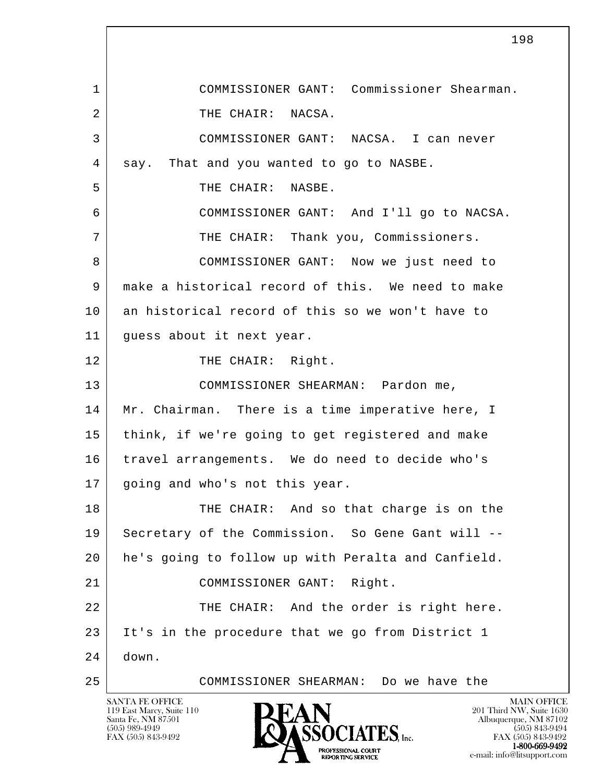l 1 COMMISSIONER GANT: Commissioner Shearman. 2 THE CHAIR: NACSA. 3 COMMISSIONER GANT: NACSA. I can never 4 say. That and you wanted to go to NASBE. 5 THE CHAIR: NASBE. 6 COMMISSIONER GANT: And I'll go to NACSA. 7 THE CHAIR: Thank you, Commissioners. 8 COMMISSIONER GANT: Now we just need to 9 make a historical record of this. We need to make 10 an historical record of this so we won't have to 11 guess about it next year. 12 THE CHAIR: Right. 13 COMMISSIONER SHEARMAN: Pardon me, 14 | Mr. Chairman. There is a time imperative here, I 15 think, if we're going to get registered and make 16 | travel arrangements. We do need to decide who's 17 | going and who's not this year. 18 THE CHAIR: And so that charge is on the 19 | Secretary of the Commission. So Gene Gant will -- 20 he's going to follow up with Peralta and Canfield. 21 COMMISSIONER GANT: Right. 22 THE CHAIR: And the order is right here. 23 It's in the procedure that we go from District 1  $24$  down. 25 COMMISSIONER SHEARMAN: Do we have the

119 East Marcy, Suite 110<br>Santa Fe, NM 87501



FAX (505) 843-9492 FAX (505) 843-9492 1-800-669-9492 e-mail: info@litsupport.com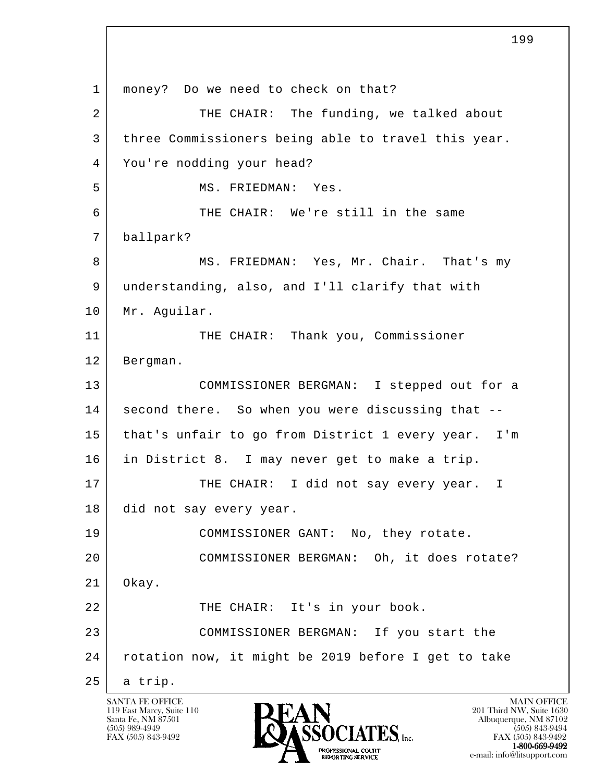l 1 | money? Do we need to check on that? 2 THE CHAIR: The funding, we talked about 3 three Commissioners being able to travel this year. 4 You're nodding your head? 5 MS. FRIEDMAN: Yes. 6 THE CHAIR: We're still in the same 7 ballpark? 8 MS. FRIEDMAN: Yes, Mr. Chair. That's my 9 understanding, also, and I'll clarify that with 10 Mr. Aguilar. 11 THE CHAIR: Thank you, Commissioner 12 Bergman. 13 COMMISSIONER BERGMAN: I stepped out for a 14 second there. So when you were discussing that -- 15 that's unfair to go from District 1 every year. I'm 16 in District 8. I may never get to make a trip. 17 THE CHAIR: I did not say every year. I 18 did not say every year. 19 COMMISSIONER GANT: No, they rotate. 20 COMMISSIONER BERGMAN: Oh, it does rotate? 21 Okay. 22 THE CHAIR: It's in your book. 23 COMMISSIONER BERGMAN: If you start the 24 rotation now, it might be 2019 before I get to take  $25$  a trip.

119 East Marcy, Suite 110<br>Santa Fe, NM 87501

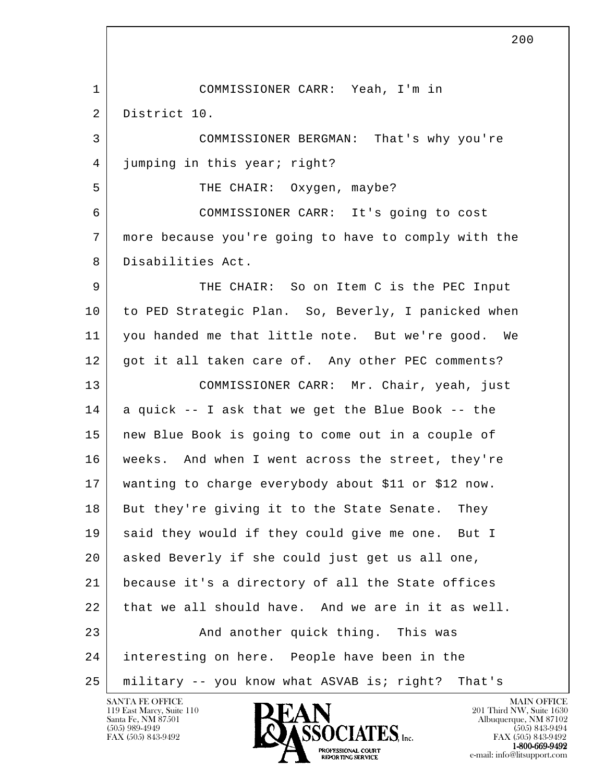l 1 COMMISSIONER CARR: Yeah, I'm in 2 District 10. 3 COMMISSIONER BERGMAN: That's why you're 4 | jumping in this year; right? 5 S THE CHAIR: Oxygen, maybe? 6 COMMISSIONER CARR: It's going to cost 7 more because you're going to have to comply with the 8 Disabilities Act. 9 THE CHAIR: So on Item C is the PEC Input 10 to PED Strategic Plan. So, Beverly, I panicked when 11 you handed me that little note. But we're good. We 12 | got it all taken care of. Any other PEC comments? 13 COMMISSIONER CARR: Mr. Chair, yeah, just  $14$  a quick -- I ask that we get the Blue Book -- the 15 new Blue Book is going to come out in a couple of 16 weeks. And when I went across the street, they're 17 wanting to charge everybody about \$11 or \$12 now. 18 But they're giving it to the State Senate. They 19 said they would if they could give me one. But I 20 asked Beverly if she could just get us all one, 21 because it's a directory of all the State offices 22 that we all should have. And we are in it as well. 23 | And another quick thing. This was 24 interesting on here. People have been in the 25 military -- you know what ASVAB is; right? That's



FAX (505) 843-9492 FAX (505) 843-9492 1-800-669-9492<br>PROFESSIONAL COURT **EXECUTE EXECUTE:**<br>REPORTING SERVICE e-mail: info@litsupport.com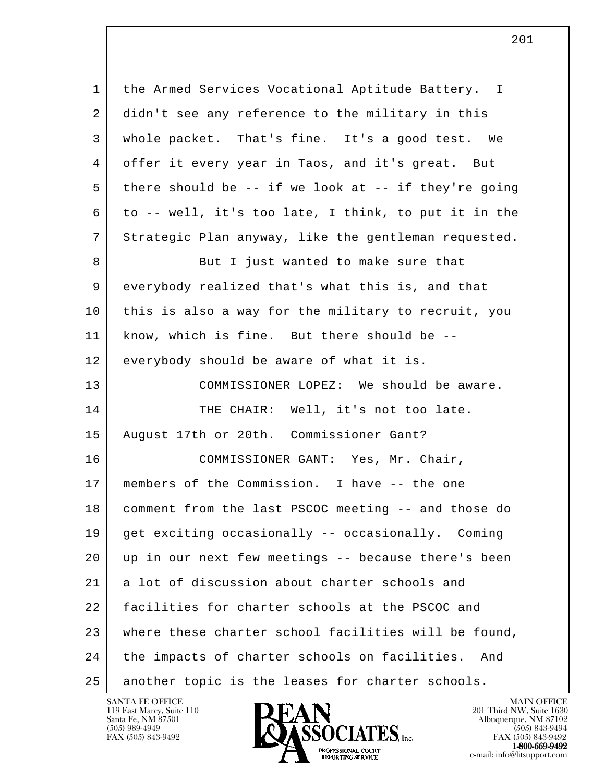l 1 | the Armed Services Vocational Aptitude Battery. I 2 didn't see any reference to the military in this 3 whole packet. That's fine. It's a good test. We 4 offer it every year in Taos, and it's great. But 5 there should be -- if we look at -- if they're going 6 to -- well, it's too late, I think, to put it in the 7 Strategic Plan anyway, like the gentleman requested. 8 But I just wanted to make sure that 9 everybody realized that's what this is, and that 10 this is also a way for the military to recruit, you 11 know, which is fine. But there should be -- 12 everybody should be aware of what it is. 13 COMMISSIONER LOPEZ: We should be aware. 14 THE CHAIR: Well, it's not too late. 15 August 17th or 20th. Commissioner Gant? 16 COMMISSIONER GANT: Yes, Mr. Chair, 17 | members of the Commission. I have -- the one 18 comment from the last PSCOC meeting -- and those do 19 get exciting occasionally -- occasionally. Coming 20 up in our next few meetings -- because there's been 21 a lot of discussion about charter schools and 22 facilities for charter schools at the PSCOC and 23 where these charter school facilities will be found, 24 the impacts of charter schools on facilities. And 25 another topic is the leases for charter schools.

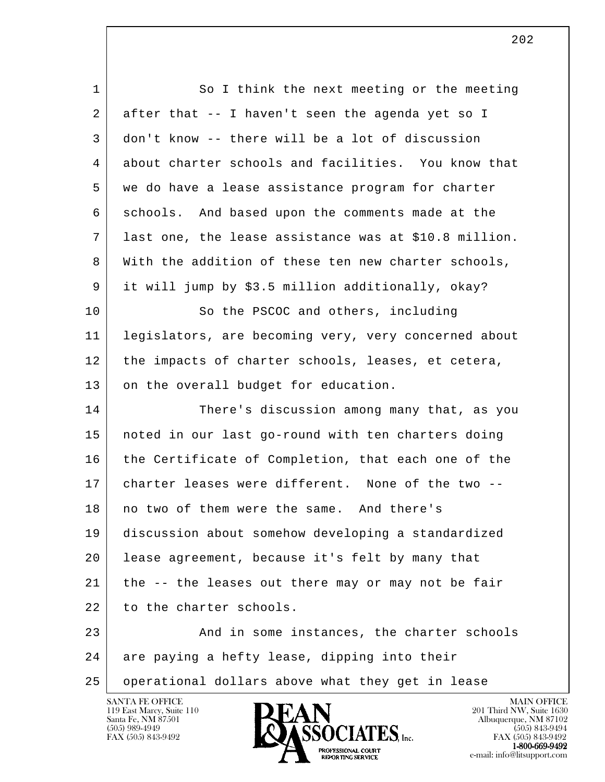| $\mathbf 1$ | So I think the next meeting or the meeting            |
|-------------|-------------------------------------------------------|
| 2           | after that -- I haven't seen the agenda yet so I      |
| 3           | don't know -- there will be a lot of discussion       |
| 4           | about charter schools and facilities. You know that   |
| 5           | we do have a lease assistance program for charter     |
| 6           | schools. And based upon the comments made at the      |
| 7           | last one, the lease assistance was at \$10.8 million. |
| 8           | With the addition of these ten new charter schools,   |
| 9           | it will jump by \$3.5 million additionally, okay?     |
| 10          | So the PSCOC and others, including                    |
| 11          | legislators, are becoming very, very concerned about  |
| 12          | the impacts of charter schools, leases, et cetera,    |
| 13          | on the overall budget for education.                  |
| 14          | There's discussion among many that, as you            |
| 15          | noted in our last go-round with ten charters doing    |
| 16          | the Certificate of Completion, that each one of the   |
| 17          | charter leases were different. None of the two --     |
| 18          | no two of them were the same. And there's             |
| 19          | discussion about somehow developing a standardized    |
| 20          | lease agreement, because it's felt by many that       |
| 21          | the -- the leases out there may or may not be fair    |
| 22          | to the charter schools.                               |
| 23          | And in some instances, the charter schools            |
| 24          | are paying a hefty lease, dipping into their          |
| 25          | operational dollars above what they get in lease      |

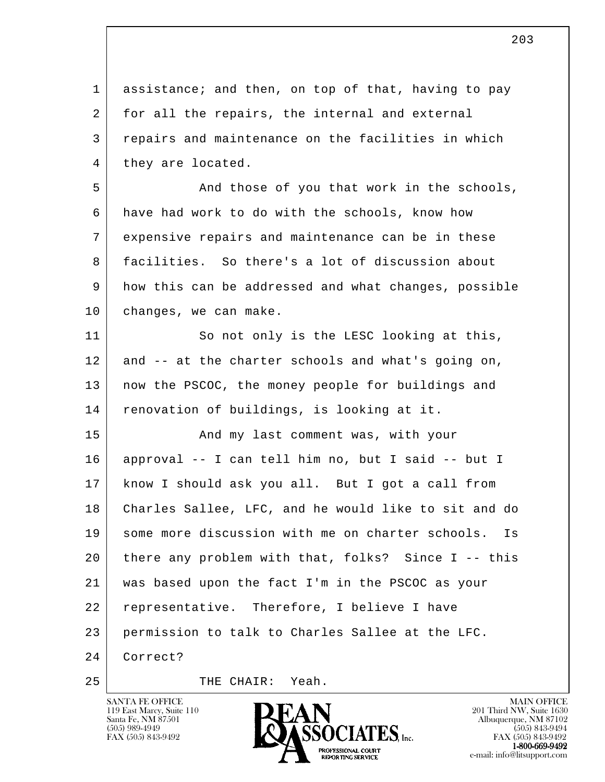l 1 assistance; and then, on top of that, having to pay 2 for all the repairs, the internal and external 3 repairs and maintenance on the facilities in which 4 | they are located. 5 And those of you that work in the schools, 6 have had work to do with the schools, know how 7 expensive repairs and maintenance can be in these 8 facilities. So there's a lot of discussion about 9 how this can be addressed and what changes, possible 10 | changes, we can make. 11 So not only is the LESC looking at this, 12 and -- at the charter schools and what's going on, 13 | now the PSCOC, the money people for buildings and 14 renovation of buildings, is looking at it. 15 And my last comment was, with your 16 approval -- I can tell him no, but I said -- but I 17 know I should ask you all. But I got a call from 18 Charles Sallee, LFC, and he would like to sit and do 19 some more discussion with me on charter schools. Is 20 there any problem with that, folks? Since I -- this 21 was based upon the fact I'm in the PSCOC as your 22 representative. Therefore, I believe I have 23 permission to talk to Charles Sallee at the LFC. 24 Correct?

119 East Marcy, Suite 110<br>Santa Fe, NM 87501

25 THE CHAIR: Yeah.



FAX (505) 843-9492 FAX (505) 843-9492 e-mail: info@litsupport.com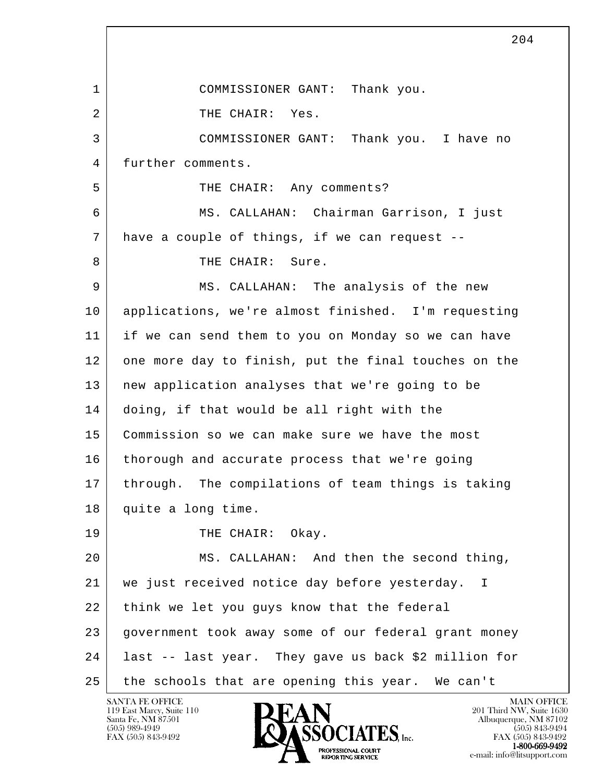l 204 1 COMMISSIONER GANT: Thank you. 2 THE CHAIR: Yes. 3 COMMISSIONER GANT: Thank you. I have no 4 | further comments. 5 | THE CHAIR: Any comments? 6 MS. CALLAHAN: Chairman Garrison, I just 7 have a couple of things, if we can request -- 8 THE CHAIR: Sure. 9 MS. CALLAHAN: The analysis of the new 10 applications, we're almost finished. I'm requesting 11 if we can send them to you on Monday so we can have 12 one more day to finish, put the final touches on the 13 new application analyses that we're going to be 14 doing, if that would be all right with the 15 Commission so we can make sure we have the most 16 | thorough and accurate process that we're going 17 through. The compilations of team things is taking 18 quite a long time. 19 THE CHAIR: Okay. 20 MS. CALLAHAN: And then the second thing, 21 | we just received notice day before yesterday. I 22 think we let you guys know that the federal 23 government took away some of our federal grant money 24 last -- last year. They gave us back \$2 million for 25 the schools that are opening this year. We can't

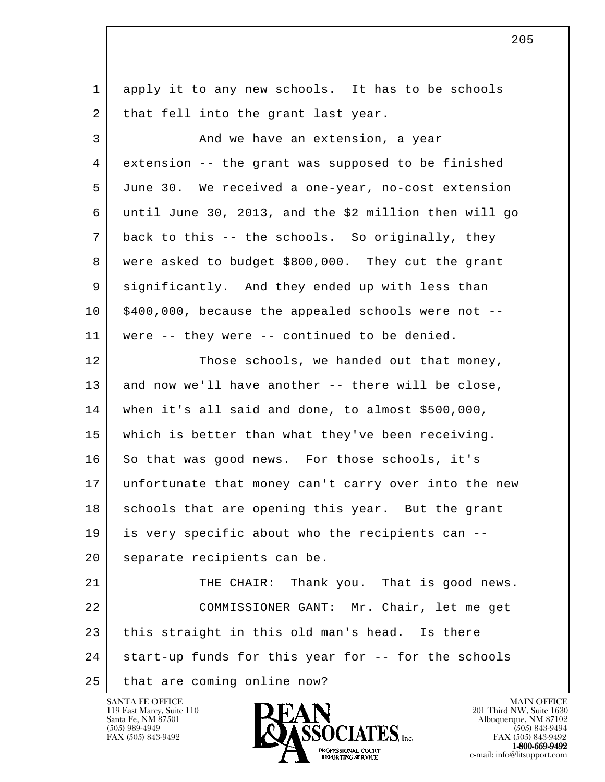l 1 apply it to any new schools. It has to be schools 2 that fell into the grant last year. 3 And we have an extension, a year 4 extension -- the grant was supposed to be finished 5 June 30. We received a one-year, no-cost extension 6 until June 30, 2013, and the \$2 million then will go 7 back to this -- the schools. So originally, they 8 were asked to budget \$800,000. They cut the grant 9 significantly. And they ended up with less than  $10$  | \$400,000, because the appealed schools were not  $-$  11 were -- they were -- continued to be denied. 12 Those schools, we handed out that money,  $13$  and now we'll have another -- there will be close, 14 when it's all said and done, to almost \$500,000, 15 which is better than what they've been receiving. 16 So that was good news. For those schools, it's 17 unfortunate that money can't carry over into the new 18 schools that are opening this year. But the grant 19 is very specific about who the recipients can -- 20 | separate recipients can be. 21 THE CHAIR: Thank you. That is good news. 22 COMMISSIONER GANT: Mr. Chair, let me get 23 this straight in this old man's head. Is there 24 start-up funds for this year for -- for the schools 25 | that are coming online now?

119 East Marcy, Suite 110<br>Santa Fe, NM 87501



FAX (505) 843-9492 FAX (505) 843-9492 e-mail: info@litsupport.com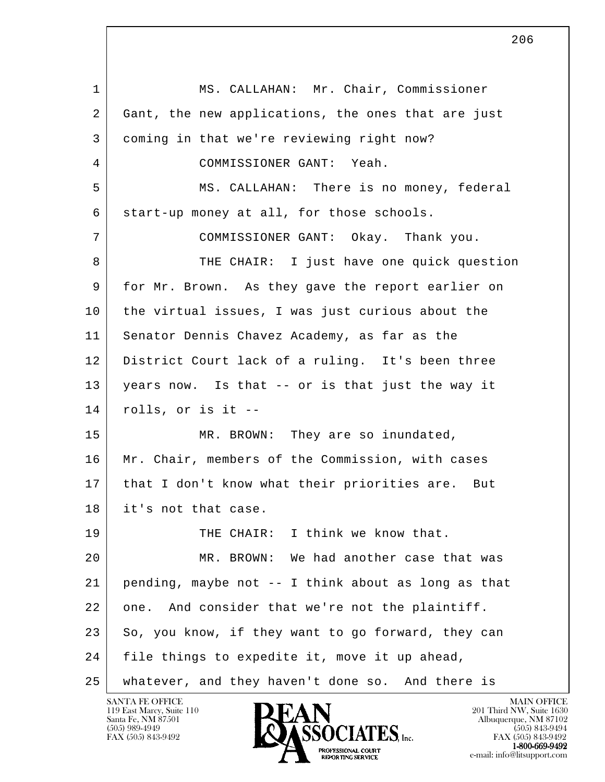l 1 | MS. CALLAHAN: Mr. Chair, Commissioner 2 Gant, the new applications, the ones that are just 3 coming in that we're reviewing right now? 4 COMMISSIONER GANT: Yeah. 5 MS. CALLAHAN: There is no money, federal 6 start-up money at all, for those schools. 7 COMMISSIONER GANT: Okay. Thank you. 8 THE CHAIR: I just have one quick question 9 for Mr. Brown. As they gave the report earlier on 10 the virtual issues, I was just curious about the 11 Senator Dennis Chavez Academy, as far as the 12 District Court lack of a ruling. It's been three 13 years now. Is that -- or is that just the way it 14 rolls, or is it -- 15 MR. BROWN: They are so inundated, 16 | Mr. Chair, members of the Commission, with cases 17 | that I don't know what their priorities are. But 18 it's not that case. 19 THE CHAIR: I think we know that. 20 MR. BROWN: We had another case that was 21 pending, maybe not -- I think about as long as that 22 one. And consider that we're not the plaintiff. 23 So, you know, if they want to go forward, they can 24 file things to expedite it, move it up ahead, 25 whatever, and they haven't done so. And there is

119 East Marcy, Suite 110<br>Santa Fe, NM 87501

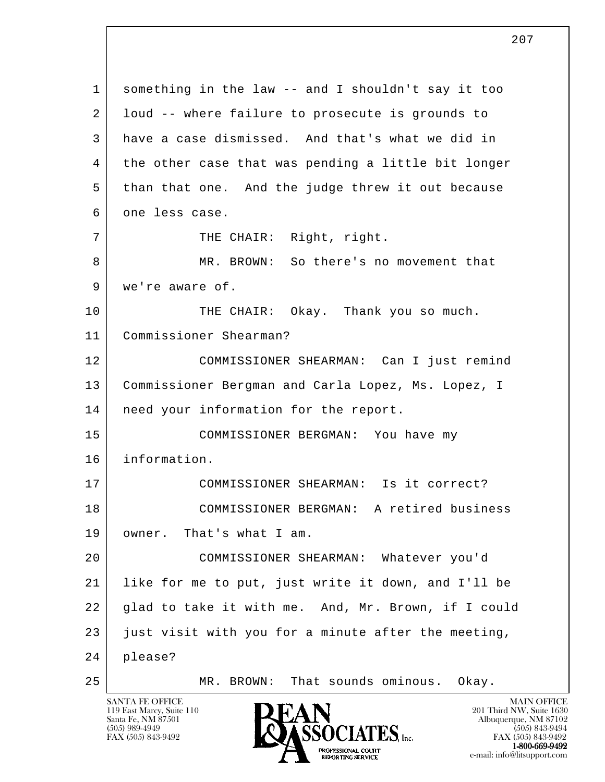l 1 something in the law -- and I shouldn't say it too 2 | loud -- where failure to prosecute is grounds to 3 have a case dismissed. And that's what we did in 4 the other case that was pending a little bit longer 5 than that one. And the judge threw it out because 6 one less case. 7 | THE CHAIR: Right, right. 8 MR. BROWN: So there's no movement that 9 we're aware of. 10 THE CHAIR: Okay. Thank you so much. 11 Commissioner Shearman? 12 COMMISSIONER SHEARMAN: Can I just remind 13 Commissioner Bergman and Carla Lopez, Ms. Lopez, I 14 | need your information for the report. 15 COMMISSIONER BERGMAN: You have my 16 information. 17 COMMISSIONER SHEARMAN: Is it correct? 18 COMMISSIONER BERGMAN: A retired business 19 owner. That's what I am. 20 COMMISSIONER SHEARMAN: Whatever you'd 21 like for me to put, just write it down, and I'll be 22 glad to take it with me. And, Mr. Brown, if I could 23 just visit with you for a minute after the meeting, 24 please? 25 MR. BROWN: That sounds ominous. Okay.

119 East Marcy, Suite 110<br>Santa Fe, NM 87501



FAX (505) 843-9492<br>1-800-669-9492 e-mail: info@litsupport.com<br>REPORTING SERVICE e-mail: info@litsupport.com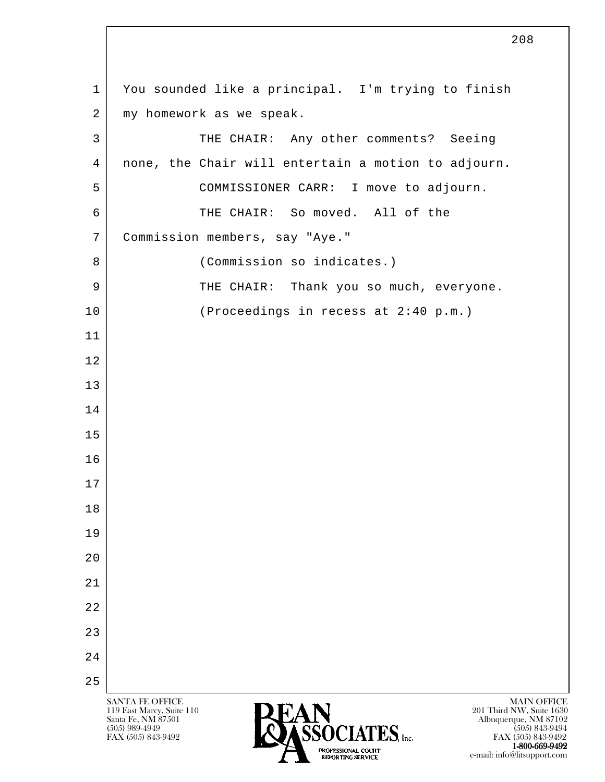l SANTA FE OFFICE MAIN OFFICE MAIN OFFICE MAIN OFFICE MAIN OFFICE 119 East Marcy, Suite 110<br>Santa Fe, NM 87501 Santa Fe, NM 87501 Albuquerque, NM 87102  $\sum_{(505) 989-4949} \sum_{(505) 843-9492} \sum_{(505) 843-9492} \sum_{\text{FAX } (505) 843-9492}$ FAX (505) 843-9492 1 You sounded like a principal. I'm trying to finish 2 my homework as we speak. 3 THE CHAIR: Any other comments? Seeing 4 none, the Chair will entertain a motion to adjourn. 5 COMMISSIONER CARR: I move to adjourn. 6 THE CHAIR: So moved. All of the 7 Commission members, say "Aye." 8 (Commission so indicates.) 9 THE CHAIR: Thank you so much, everyone. 10 (Proceedings in recess at 2:40 p.m.) 11 12 13 14 15 16 17 18 19 20 21 22 23 24 25

TROFESSIONAL COURT CONTROL CONTROL CONTROL CONTROL COUNTY CONTROL COUNTY CONTROL CONTROL CONTROL CONTROL CONTR<br>
REPORTING SERVICE CONTROL CONTROL CONTROL CONTROL CONTROL CONTROL CONTROL CONTROL CONTROL CONTROL CONTROL CONT

e-mail: info@litsupport.com